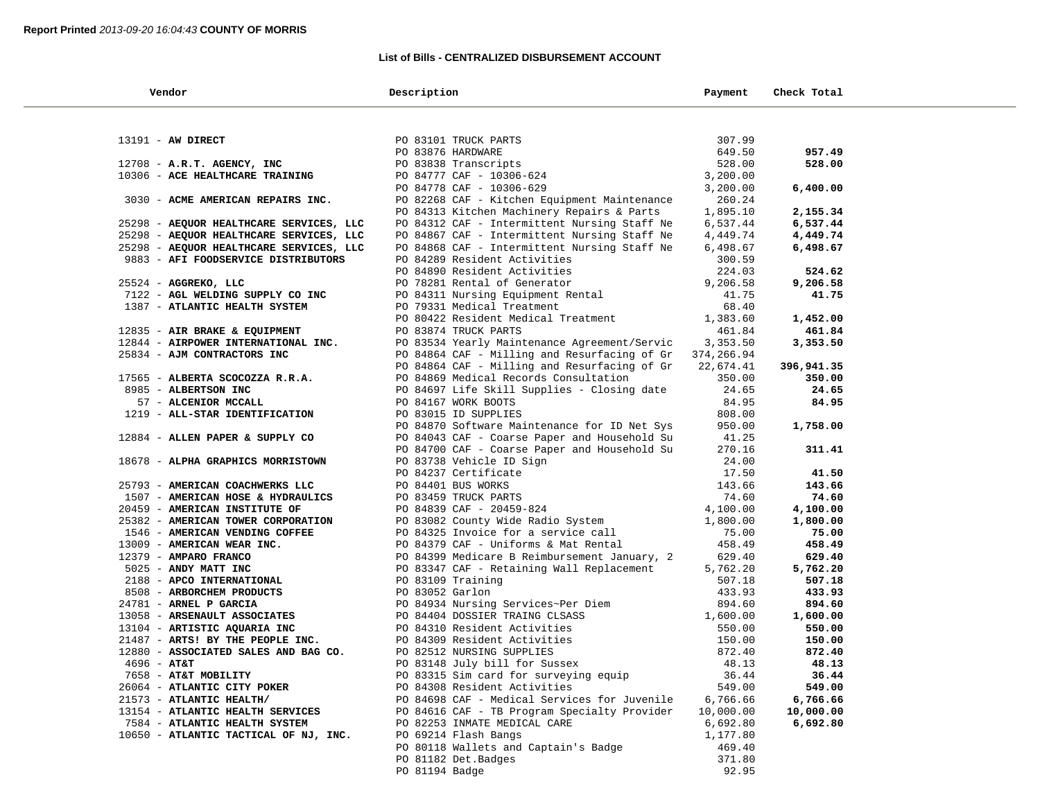#### **List of Bills - CENTRALIZED DISBURSEMENT ACCOUNT**

| Vendor                                  | Description                                  | Payment    | Check Total |  |
|-----------------------------------------|----------------------------------------------|------------|-------------|--|
|                                         |                                              |            |             |  |
| 13191 - AW DIRECT                       | PO 83101 TRUCK PARTS                         | 307.99     |             |  |
|                                         | PO 83876 HARDWARE                            | 649.50     | 957.49      |  |
| 12708 - A.R.T. AGENCY, INC              | PO 83838 Transcripts                         | 528.00     | 528.00      |  |
| 10306 - ACE HEALTHCARE TRAINING         | PO 84777 CAF - 10306-624                     | 3,200.00   |             |  |
|                                         | PO 84778 CAF - 10306-629                     | 3,200.00   | 6,400.00    |  |
| 3030 - ACME AMERICAN REPAIRS INC.       | PO 82268 CAF - Kitchen Equipment Maintenance | 260.24     |             |  |
|                                         | PO 84313 Kitchen Machinery Repairs & Parts   | 1,895.10   | 2,155.34    |  |
| 25298 - AEQUOR HEALTHCARE SERVICES, LLC | PO 84312 CAF - Intermittent Nursing Staff Ne | 6,537.44   | 6,537.44    |  |
| 25298 - AEQUOR HEALTHCARE SERVICES, LLC | PO 84867 CAF - Intermittent Nursing Staff Ne | 4,449.74   | 4,449.74    |  |
| 25298 - AEQUOR HEALTHCARE SERVICES, LLC | PO 84868 CAF - Intermittent Nursing Staff Ne | 6,498.67   | 6,498.67    |  |
| 9883 - AFI FOODSERVICE DISTRIBUTORS     | PO 84289 Resident Activities                 | 300.59     |             |  |
|                                         | PO 84890 Resident Activities                 | 224.03     | 524.62      |  |
| 25524 - AGGREKO, LLC                    | PO 78281 Rental of Generator                 | 9,206.58   | 9,206.58    |  |
| 7122 - AGL WELDING SUPPLY CO INC        | PO 84311 Nursing Equipment Rental            | 41.75      | 41.75       |  |
| 1387 - ATLANTIC HEALTH SYSTEM           | PO 79331 Medical Treatment                   | 68.40      |             |  |
|                                         | PO 80422 Resident Medical Treatment          | 1,383.60   | 1,452.00    |  |
| 12835 - AIR BRAKE & EQUIPMENT           | PO 83874 TRUCK PARTS                         | 461.84     | 461.84      |  |
| 12844 - AIRPOWER INTERNATIONAL INC.     | PO 83534 Yearly Maintenance Agreement/Servic | 3,353.50   | 3,353.50    |  |
| 25834 - AJM CONTRACTORS INC             | PO 84864 CAF - Milling and Resurfacing of Gr | 374,266.94 |             |  |
|                                         | PO 84864 CAF - Milling and Resurfacing of Gr | 22,674.41  | 396,941.35  |  |
| 17565 - ALBERTA SCOCOZZA R.R.A.         | PO 84869 Medical Records Consultation        | 350.00     | 350.00      |  |
| 8985 - ALBERTSON INC                    | PO 84697 Life Skill Supplies - Closing date  | 24.65      | 24.65       |  |
| 57 - ALCENIOR MCCALL                    | PO 84167 WORK BOOTS                          | 84.95      | 84.95       |  |
| 1219 - ALL-STAR IDENTIFICATION          | PO 83015 ID SUPPLIES                         | 808.00     |             |  |
|                                         | PO 84870 Software Maintenance for ID Net Sys | 950.00     | 1,758.00    |  |
| 12884 - ALLEN PAPER & SUPPLY CO         | PO 84043 CAF - Coarse Paper and Household Su | 41.25      |             |  |
|                                         | PO 84700 CAF - Coarse Paper and Household Su | 270.16     | 311.41      |  |
| 18678 - ALPHA GRAPHICS MORRISTOWN       | PO 83738 Vehicle ID Sign                     | 24.00      |             |  |
|                                         | PO 84237 Certificate                         | 17.50      | 41.50       |  |
| 25793 - AMERICAN COACHWERKS LLC         | PO 84401 BUS WORKS                           | 143.66     | 143.66      |  |
| 1507 - AMERICAN HOSE & HYDRAULICS       | PO 83459 TRUCK PARTS                         | 74.60      | 74.60       |  |
| 20459 - AMERICAN INSTITUTE OF           | PO 84839 CAF - 20459-824                     | 4,100.00   | 4,100.00    |  |
| 25382 - AMERICAN TOWER CORPORATION      | PO 83082 County Wide Radio System            | 1,800.00   | 1,800.00    |  |
| 1546 - AMERICAN VENDING COFFEE          | PO 84325 Invoice for a service call          | 75.00      | 75.00       |  |
| 13009 - AMERICAN WEAR INC.              | PO 84379 CAF - Uniforms & Mat Rental         | 458.49     | 458.49      |  |
| 12379 - AMPARO FRANCO                   | PO 84399 Medicare B Reimbursement January, 2 | 629.40     | 629.40      |  |
| 5025 - ANDY MATT INC                    | PO 83347 CAF - Retaining Wall Replacement    | 5,762.20   | 5,762.20    |  |
| 2188 - APCO INTERNATIONAL               | PO 83109 Training                            | 507.18     | 507.18      |  |
| 8508 - ARBORCHEM PRODUCTS               | PO 83052 Garlon                              | 433.93     | 433.93      |  |
| 24781 - ARNEL P GARCIA                  | PO 84934 Nursing Services~Per Diem           | 894.60     | 894.60      |  |
| 13058 - ARSENAULT ASSOCIATES            | PO 84404 DOSSIER TRAING CLSASS               | 1,600.00   | 1,600.00    |  |
| 13104 - ARTISTIC AQUARIA INC            | PO 84310 Resident Activities                 | 550.00     | 550.00      |  |
| 21487 - ARTS! BY THE PEOPLE INC.        | PO 84309 Resident Activities                 | 150.00     | 150.00      |  |
| 12880 - ASSOCIATED SALES AND BAG CO.    | PO 82512 NURSING SUPPLIES                    | 872.40     | 872.40      |  |
| $4696 - AT&T$                           | PO 83148 July bill for Sussex                | 48.13      | 48.13       |  |
| 7658 - AT&T MOBILITY                    | PO 83315 Sim card for surveying equip        | 36.44      | 36.44       |  |
| 26064 - ATLANTIC CITY POKER             | PO 84308 Resident Activities                 | 549.00     | 549.00      |  |
| 21573 - ATLANTIC HEALTH/                | PO 84698 CAF - Medical Services for Juvenile | 6,766.66   | 6,766.66    |  |
| 13154 - ATLANTIC HEALTH SERVICES        | PO 84616 CAF - TB Program Specialty Provider | 10,000.00  | 10,000.00   |  |
| 7584 - ATLANTIC HEALTH SYSTEM           | PO 82253 INMATE MEDICAL CARE                 | 6,692.80   | 6,692.80    |  |
| 10650 - ATLANTIC TACTICAL OF NJ, INC.   | PO 69214 Flash Bangs                         | 1,177.80   |             |  |
|                                         | PO 80118 Wallets and Captain's Badge         | 469.40     |             |  |
|                                         | PO 81182 Det. Badges                         | 371.80     |             |  |
|                                         | PO 81194 Badge                               | 92.95      |             |  |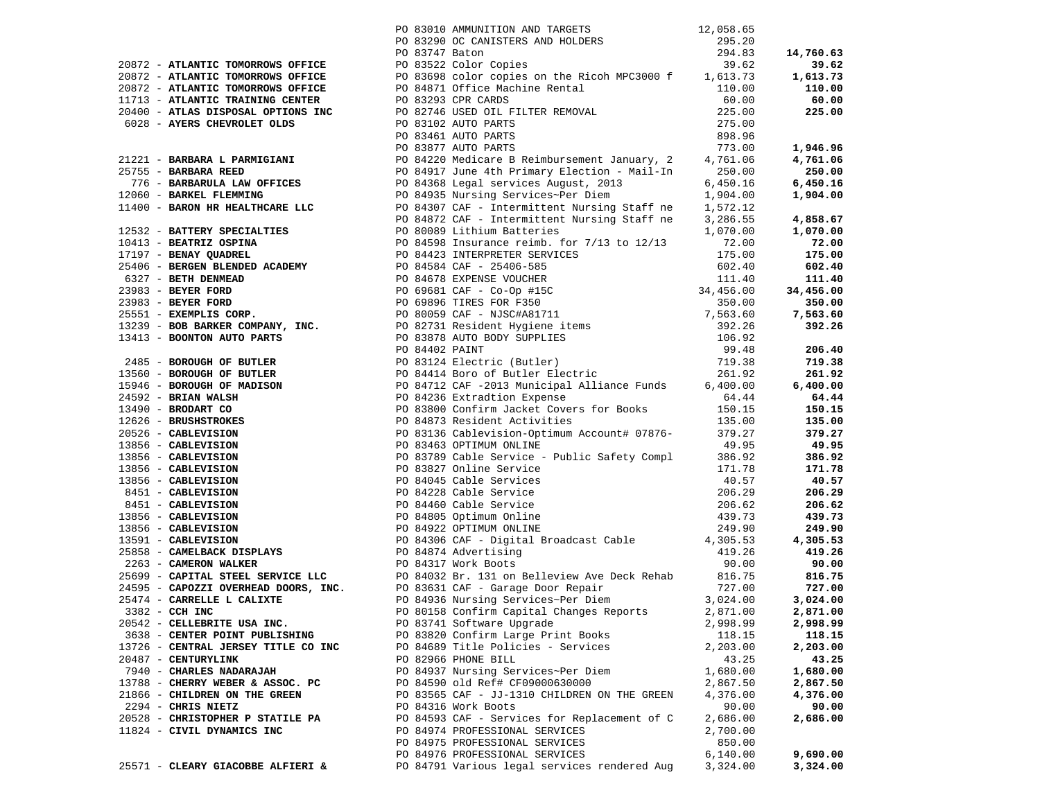|                                     | PO 83010 AMMUNITION AND TARGETS 12,058.65                                                                                                                                                                                        |           |          |
|-------------------------------------|----------------------------------------------------------------------------------------------------------------------------------------------------------------------------------------------------------------------------------|-----------|----------|
|                                     |                                                                                                                                                                                                                                  |           |          |
|                                     |                                                                                                                                                                                                                                  |           |          |
|                                     |                                                                                                                                                                                                                                  |           |          |
|                                     |                                                                                                                                                                                                                                  |           |          |
|                                     |                                                                                                                                                                                                                                  |           |          |
|                                     |                                                                                                                                                                                                                                  |           |          |
|                                     |                                                                                                                                                                                                                                  |           |          |
|                                     |                                                                                                                                                                                                                                  |           |          |
|                                     |                                                                                                                                                                                                                                  |           |          |
|                                     |                                                                                                                                                                                                                                  |           |          |
|                                     |                                                                                                                                                                                                                                  |           |          |
|                                     |                                                                                                                                                                                                                                  |           |          |
|                                     |                                                                                                                                                                                                                                  |           |          |
|                                     |                                                                                                                                                                                                                                  |           |          |
|                                     |                                                                                                                                                                                                                                  |           |          |
|                                     |                                                                                                                                                                                                                                  |           |          |
|                                     |                                                                                                                                                                                                                                  |           |          |
|                                     |                                                                                                                                                                                                                                  |           |          |
|                                     |                                                                                                                                                                                                                                  |           |          |
|                                     |                                                                                                                                                                                                                                  |           |          |
|                                     |                                                                                                                                                                                                                                  |           |          |
|                                     |                                                                                                                                                                                                                                  |           |          |
|                                     |                                                                                                                                                                                                                                  |           |          |
|                                     |                                                                                                                                                                                                                                  |           |          |
|                                     |                                                                                                                                                                                                                                  |           |          |
|                                     |                                                                                                                                                                                                                                  |           |          |
|                                     |                                                                                                                                                                                                                                  |           |          |
|                                     |                                                                                                                                                                                                                                  |           |          |
|                                     |                                                                                                                                                                                                                                  |           |          |
|                                     |                                                                                                                                                                                                                                  |           |          |
|                                     |                                                                                                                                                                                                                                  |           |          |
|                                     |                                                                                                                                                                                                                                  |           |          |
|                                     |                                                                                                                                                                                                                                  |           |          |
|                                     |                                                                                                                                                                                                                                  |           |          |
|                                     |                                                                                                                                                                                                                                  |           |          |
|                                     |                                                                                                                                                                                                                                  |           |          |
|                                     |                                                                                                                                                                                                                                  |           |          |
|                                     |                                                                                                                                                                                                                                  |           |          |
|                                     |                                                                                                                                                                                                                                  |           |          |
|                                     |                                                                                                                                                                                                                                  |           |          |
|                                     |                                                                                                                                                                                                                                  |           |          |
|                                     |                                                                                                                                                                                                                                  |           |          |
|                                     |                                                                                                                                                                                                                                  |           |          |
|                                     |                                                                                                                                                                                                                                  |           |          |
|                                     | 239/73 - AFRAITEE TORONGONG OFFICE AND 19775 APPRIL PRODUCTION AND INTERNATION CONFIDENTIAL CONTINUES IN A 1975-120<br>239/73 - AFRAITEE TORONGONG OFFICE CONFIDENTIAL CONTINUES IN A 1975-120<br>239/73 - AFRAITEE TORONGONG OF |           |          |
|                                     |                                                                                                                                                                                                                                  |           |          |
|                                     |                                                                                                                                                                                                                                  |           |          |
|                                     |                                                                                                                                                                                                                                  |           |          |
|                                     |                                                                                                                                                                                                                                  |           |          |
| 3382 - CCH INC                      | PO 80158 Confirm Capital Changes Reports 2,871.00 2,871.00                                                                                                                                                                       |           |          |
| 20542 - CELLEBRITE USA INC.         | PO 83741 Software Upgrade                                                                                                                                                                                                        | 2,998.99  | 2,998.99 |
| 3638 - CENTER POINT PUBLISHING      | PO 83820 Confirm Large Print Books                                                                                                                                                                                               | 118.15    | 118.15   |
| 13726 - CENTRAL JERSEY TITLE CO INC | PO 84689 Title Policies - Services                                                                                                                                                                                               | 2,203.00  | 2,203.00 |
| 20487 - CENTURYLINK                 | PO 82966 PHONE BILL                                                                                                                                                                                                              | 43.25     | 43.25    |
| 7940 - CHARLES NADARAJAH            | PO 84937 Nursing Services~Per Diem                                                                                                                                                                                               | 1,680.00  | 1,680.00 |
| 13788 - CHERRY WEBER & ASSOC. PC    | PO 84590 old Ref# CF09000630000                                                                                                                                                                                                  | 2,867.50  | 2,867.50 |
| 21866 - CHILDREN ON THE GREEN       | PO 83565 CAF - JJ-1310 CHILDREN ON THE GREEN                                                                                                                                                                                     | 4,376.00  | 4,376.00 |
| 2294 - CHRIS NIETZ                  | PO 84316 Work Boots                                                                                                                                                                                                              | 90.00     | 90.00    |
| 20528 - CHRISTOPHER P STATILE PA    | PO 84593 CAF - Services for Replacement of C                                                                                                                                                                                     | 2,686.00  | 2,686.00 |
| 11824 - CIVIL DYNAMICS INC          | PO 84974 PROFESSIONAL SERVICES                                                                                                                                                                                                   | 2,700.00  |          |
|                                     | PO 84975 PROFESSIONAL SERVICES                                                                                                                                                                                                   | 850.00    |          |
|                                     | PO 84976 PROFESSIONAL SERVICES                                                                                                                                                                                                   | 6, 140.00 | 9,690.00 |
| 25571 - CLEARY GIACOBBE ALFIERI &   | PO 84791 Various legal services rendered Aug                                                                                                                                                                                     | 3,324.00  | 3,324.00 |
|                                     |                                                                                                                                                                                                                                  |           |          |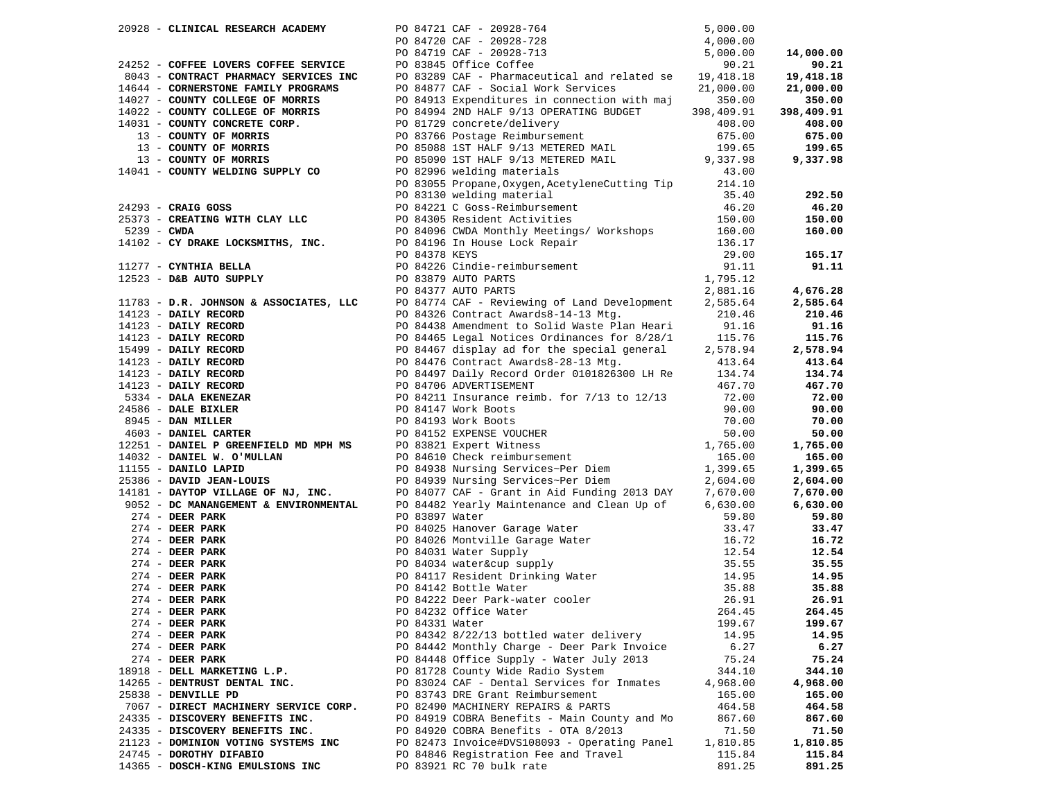| 20928 - CLINICAL RESEARCH ACADEMY                                                                                                                                                                                                                    |                |                                                                                                                                                                                                                                                                         |          |            |
|------------------------------------------------------------------------------------------------------------------------------------------------------------------------------------------------------------------------------------------------------|----------------|-------------------------------------------------------------------------------------------------------------------------------------------------------------------------------------------------------------------------------------------------------------------------|----------|------------|
|                                                                                                                                                                                                                                                      |                | PO 84721 CAF - 20928-764<br>PO 84720 CAF - 20928-728<br>PO 84719 CAF - 20928-713<br>PO 83845 Office Coffee<br>PO 83845 Office Coffee<br>PO 83845 Office Coffee                                                                                                          |          |            |
|                                                                                                                                                                                                                                                      |                |                                                                                                                                                                                                                                                                         |          | 14,000.00  |
|                                                                                                                                                                                                                                                      |                |                                                                                                                                                                                                                                                                         |          | 90.21      |
|                                                                                                                                                                                                                                                      |                | 24252 - <b>COFFEE LOVERS COFFEE SERVICE</b><br>24252 - <b>COFFEE LOVERS COFFEE SERVICE</b><br>264719 CAF - 20928-713<br>264877 CAF - Pharmaceutical and related se 19,418.18<br>21,000.00<br>21,000.00<br>21,000.00<br>21,000.00<br>2756 Dothoro Boinhun                |          | 19,418.18  |
|                                                                                                                                                                                                                                                      |                |                                                                                                                                                                                                                                                                         |          | 21,000.00  |
|                                                                                                                                                                                                                                                      |                | PO 84913 Expenditures in connection with maj 350.00<br>PO 84994 2ND HALF 9/13 OPERATING BUDGET 398,409.91<br>PO 81729 CODGETAL delivery                                                                                                                                 |          | 350.00     |
|                                                                                                                                                                                                                                                      |                |                                                                                                                                                                                                                                                                         |          | 398,409.91 |
|                                                                                                                                                                                                                                                      |                | PO 81729 concrete/delivery 108.00<br>PO 83766 Postage Reimbursement 675.00<br>PO 85088 1ST HALF 9/13 METERED MAIL 199.65                                                                                                                                                |          | 408.00     |
| 13 - COUNTY OF MORRIS                                                                                                                                                                                                                                |                |                                                                                                                                                                                                                                                                         |          | 675.00     |
| 13 - COUNTY OF MORRIS                                                                                                                                                                                                                                |                |                                                                                                                                                                                                                                                                         |          | 199.65     |
| 13 - COUNTY OF MORRIS                                                                                                                                                                                                                                |                |                                                                                                                                                                                                                                                                         |          | 9,337.98   |
| 14041 - COUNTY WELDING SUPPLY CO                                                                                                                                                                                                                     |                | PO 85090 1ST HALF 9/13 METERED MAIL 9,337.98<br>PO 82996 welding materials 43.00                                                                                                                                                                                        |          |            |
|                                                                                                                                                                                                                                                      |                | PO 83055 Propane, Oxygen, AcetyleneCutting Tip 214.10                                                                                                                                                                                                                   |          |            |
|                                                                                                                                                                                                                                                      |                | PO 83130 welding material                                                                                                                                                                                                                                               | 35.40    | 292.50     |
| $24293$ - CRAIG GOSS                                                                                                                                                                                                                                 |                |                                                                                                                                                                                                                                                                         | 46.20    | 46.20      |
| 25373 - CREATING WITH CLAY LLC                                                                                                                                                                                                                       |                | PO 83130 welding material<br>PO 84221 C Goss-Reimbursement<br>PO 84305 Resident Activities                                                                                                                                                                              | 150.00   | 150.00     |
|                                                                                                                                                                                                                                                      |                | PO 84096 CWDA Monthly Meetings/ Workshops 160.00                                                                                                                                                                                                                        |          | 160.00     |
| 5239 - CWDA<br>14102 - CY DRAKE LOCKSMITHS, INC.                                                                                                                                                                                                     |                |                                                                                                                                                                                                                                                                         |          |            |
|                                                                                                                                                                                                                                                      |                |                                                                                                                                                                                                                                                                         |          | 165.17     |
| 11277 - CYNTHIA BELLA                                                                                                                                                                                                                                |                | PO 84196 In House Lock Repair<br>PO 84196 In House Lock Repair<br>PO 84378 KEYS<br>PO 84226 Cindie-reimbursement<br>PO 83879 AUTO PARTS<br>PO 83877 AUTO PARTS<br>2,881.16                                                                                              |          | 91.11      |
| 12523 - D&B AUTO SUPPLY                                                                                                                                                                                                                              |                |                                                                                                                                                                                                                                                                         |          |            |
|                                                                                                                                                                                                                                                      |                |                                                                                                                                                                                                                                                                         | 2,881.16 | 4,676.28   |
| $11783 - D.R.$ JOHNSON & ASSOCIATES, LLC                                                                                                                                                                                                             |                |                                                                                                                                                                                                                                                                         |          | 2,585.64   |
|                                                                                                                                                                                                                                                      |                | PO 84774 CAF - Reviewing of Land Development 2,585.64<br>PO 84326 Contract Awards8-14-13 Mtg. 210.46                                                                                                                                                                    |          | 210.46     |
|                                                                                                                                                                                                                                                      |                |                                                                                                                                                                                                                                                                         |          | 91.16      |
|                                                                                                                                                                                                                                                      |                |                                                                                                                                                                                                                                                                         |          | 115.76     |
|                                                                                                                                                                                                                                                      |                |                                                                                                                                                                                                                                                                         |          | 2,578.94   |
|                                                                                                                                                                                                                                                      |                | 14123 <b>DAILY RECORD</b><br><b>PO 84326 CONTRACT AWATG88-14-13 Mtg.</b><br><b>PO 84326 CONTRACT AWATG88-14-13 Mtg.</b><br><b>PO 84465 Legal Notices Ordinances for 8/28/1</b><br><b>PO 84465 Legal Notices Ordinances for 8/28/1</b><br><b>PO 84466 Legal Notices </b> |          | 413.64     |
|                                                                                                                                                                                                                                                      |                |                                                                                                                                                                                                                                                                         |          | 134.74     |
|                                                                                                                                                                                                                                                      |                |                                                                                                                                                                                                                                                                         |          | 467.70     |
|                                                                                                                                                                                                                                                      |                |                                                                                                                                                                                                                                                                         |          | 72.00      |
|                                                                                                                                                                                                                                                      |                |                                                                                                                                                                                                                                                                         |          | 90.00      |
|                                                                                                                                                                                                                                                      |                |                                                                                                                                                                                                                                                                         |          | 70.00      |
|                                                                                                                                                                                                                                                      |                | 24586 - DALE BIXLER<br>24586 - DAN MILLER<br>25945 - DAN MILLER<br>270.00<br>270.00<br>276.00<br>276.00<br>276.00<br>276.00<br>276.00<br>274 - DANIEL W. O'MULLAN<br>276.00<br>274 - DEPERMENTRIC AFT & ENVIRONMENTAL<br>274 - DEPERMANCEMENT & ENVIRON                 |          | 50.00      |
|                                                                                                                                                                                                                                                      |                |                                                                                                                                                                                                                                                                         |          | 1,765.00   |
|                                                                                                                                                                                                                                                      |                |                                                                                                                                                                                                                                                                         |          |            |
|                                                                                                                                                                                                                                                      |                |                                                                                                                                                                                                                                                                         |          | 165.00     |
|                                                                                                                                                                                                                                                      |                |                                                                                                                                                                                                                                                                         |          | 1,399.65   |
|                                                                                                                                                                                                                                                      |                |                                                                                                                                                                                                                                                                         |          | 2,604.00   |
|                                                                                                                                                                                                                                                      |                |                                                                                                                                                                                                                                                                         |          | 7,670.00   |
|                                                                                                                                                                                                                                                      |                |                                                                                                                                                                                                                                                                         |          | 6,630.00   |
| $274$ - DEER PARK<br>PO 84025 Hanover Garag<br>PO 84025 Hanover Garag<br>PO 84031 Water Supply<br>PO 84031 Water Supply<br>PO 84034 Water∪ sup<br>PO 84117 Resident Drin<br>PO 84142 Bottle Water<br>PO 84222 Deer Park-wat<br>PO 84232 Office Water | PO 83897 Water |                                                                                                                                                                                                                                                                         | 59.80    | 59.80      |
| $274$ - DEER PARK                                                                                                                                                                                                                                    |                | PO 84025 Hanover Garage Water<br>PO 84026 Montville Garage Water<br>PO 84031 Water Supply<br>PO 84031 Water Supply<br>PO 84034 water Supply<br>25.55<br>PO 84117 Resident Drinking Water<br>PO 84142 Bottle Water<br>PO 84222 Deer Park-water                           |          | 33.47      |
| $274$ - DEER PARK                                                                                                                                                                                                                                    |                |                                                                                                                                                                                                                                                                         |          | 16.72      |
| $274$ - DEER PARK                                                                                                                                                                                                                                    |                |                                                                                                                                                                                                                                                                         |          | 12.54      |
| $274$ - DEER PARK                                                                                                                                                                                                                                    |                |                                                                                                                                                                                                                                                                         |          | 35.55      |
| $274$ - DEER PARK                                                                                                                                                                                                                                    |                |                                                                                                                                                                                                                                                                         |          | 14.95      |
| $274$ - DEER PARK                                                                                                                                                                                                                                    |                |                                                                                                                                                                                                                                                                         |          | 35.88      |
| $274$ - DEER PARK                                                                                                                                                                                                                                    |                |                                                                                                                                                                                                                                                                         |          | 26.91      |
| $274$ - DEER PARK                                                                                                                                                                                                                                    |                |                                                                                                                                                                                                                                                                         |          | 264.45     |
| $274$ - DEER PARK                                                                                                                                                                                                                                    | PO 84331 Water |                                                                                                                                                                                                                                                                         | 199.67   | 199.67     |
| $274$ - DEER PARK                                                                                                                                                                                                                                    |                | PO 84342 8/22/13 bottled water delivery                                                                                                                                                                                                                                 | 14.95    | 14.95      |
| $274$ - DEER PARK                                                                                                                                                                                                                                    |                | PO 84442 Monthly Charge - Deer Park Invoice                                                                                                                                                                                                                             | 6.27     | 6.27       |
| $274$ - DEER PARK                                                                                                                                                                                                                                    |                | PO 84448 Office Supply - Water July 2013                                                                                                                                                                                                                                | 75.24    | 75.24      |
| 18918 - DELL MARKETING L.P.                                                                                                                                                                                                                          |                | PO 81728 County Wide Radio System                                                                                                                                                                                                                                       | 344.10   | 344.10     |
| 14265 - DENTRUST DENTAL INC.                                                                                                                                                                                                                         |                | PO 83024 CAF - Dental Services for Inmates                                                                                                                                                                                                                              | 4,968.00 | 4,968.00   |
| 25838 - DENVILLE PD                                                                                                                                                                                                                                  |                | PO 83743 DRE Grant Reimbursement                                                                                                                                                                                                                                        | 165.00   | 165.00     |
| 7067 - DIRECT MACHINERY SERVICE CORP.                                                                                                                                                                                                                |                | PO 82490 MACHINERY REPAIRS & PARTS                                                                                                                                                                                                                                      | 464.58   | 464.58     |
| 24335 - DISCOVERY BENEFITS INC.                                                                                                                                                                                                                      |                | PO 84919 COBRA Benefits - Main County and Mo                                                                                                                                                                                                                            | 867.60   | 867.60     |
| 24335 - DISCOVERY BENEFITS INC.                                                                                                                                                                                                                      |                | PO 84920 COBRA Benefits - OTA 8/2013                                                                                                                                                                                                                                    | 71.50    | 71.50      |
| 21123 - DOMINION VOTING SYSTEMS INC                                                                                                                                                                                                                  |                | PO 82473 Invoice#DVS108093 - Operating Panel                                                                                                                                                                                                                            | 1,810.85 | 1,810.85   |
| 24745 - DOROTHY DIFABIO                                                                                                                                                                                                                              |                | PO 84846 Registration Fee and Travel                                                                                                                                                                                                                                    | 115.84   | 115.84     |
| 14365 - DOSCH-KING EMULSIONS INC                                                                                                                                                                                                                     |                | PO 83921 RC 70 bulk rate                                                                                                                                                                                                                                                | 891.25   | 891.25     |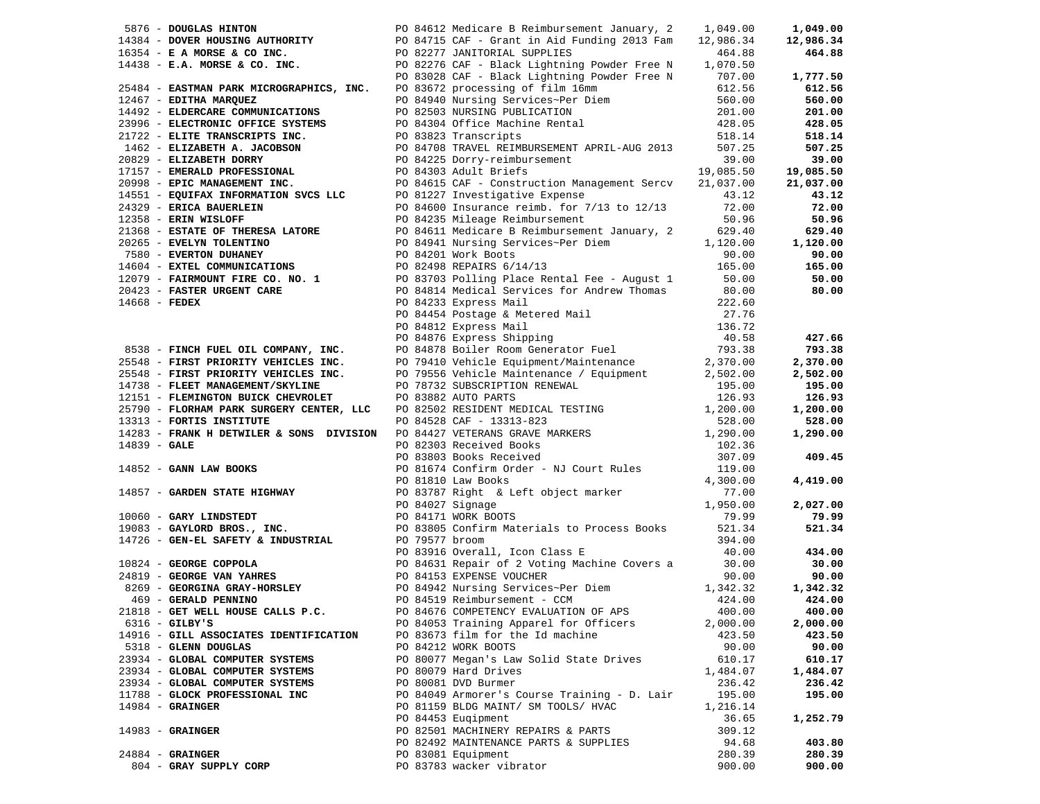|                                        |  | 90 84612 Medicare B Reimbursement January, 2 1,049.00<br>14384 - <b>DOVER HOUSING AUTHORITY</b> PO 84715 CAF - Grant in Aid Funding 2013 Fam 12,986.34<br>16354 - <b>E A MORSE &amp; CO INC.</b> PO 82277 JANITORIAL SUPPLIES<br>14438 - <b>E.A. MOR</b> |          | 1,049.00  |
|----------------------------------------|--|----------------------------------------------------------------------------------------------------------------------------------------------------------------------------------------------------------------------------------------------------------|----------|-----------|
|                                        |  |                                                                                                                                                                                                                                                          |          | 12,986.34 |
|                                        |  |                                                                                                                                                                                                                                                          |          | 464.88    |
|                                        |  |                                                                                                                                                                                                                                                          |          |           |
|                                        |  |                                                                                                                                                                                                                                                          |          | 1,777.50  |
|                                        |  |                                                                                                                                                                                                                                                          |          | 612.56    |
|                                        |  |                                                                                                                                                                                                                                                          |          | 560.00    |
|                                        |  |                                                                                                                                                                                                                                                          |          | 201.00    |
|                                        |  |                                                                                                                                                                                                                                                          |          | 428.05    |
|                                        |  |                                                                                                                                                                                                                                                          |          | 518.14    |
|                                        |  |                                                                                                                                                                                                                                                          |          | 507.25    |
|                                        |  |                                                                                                                                                                                                                                                          |          | 39.00     |
|                                        |  |                                                                                                                                                                                                                                                          |          | 19,085.50 |
|                                        |  |                                                                                                                                                                                                                                                          |          | 21,037.00 |
|                                        |  |                                                                                                                                                                                                                                                          |          | 43.12     |
|                                        |  |                                                                                                                                                                                                                                                          |          | 72.00     |
|                                        |  |                                                                                                                                                                                                                                                          |          | 50.96     |
|                                        |  | 21368 – ESTATE OF THERESA LATORE<br>20265 – EVELYN TOLENTINO<br>20265 – EVELYN TOLENTINO<br>20265 – EVELYN TOLENTINO<br>20265 – EVELYN TOLENTINO<br>20265 – EVERTON DUHANEY<br>20265 – EVERTON DUHANEY<br>20265 – EVERTON DUHANEY<br>20265 – E           |          | 629.40    |
|                                        |  |                                                                                                                                                                                                                                                          |          | 1,120.00  |
|                                        |  |                                                                                                                                                                                                                                                          |          | 90.00     |
|                                        |  |                                                                                                                                                                                                                                                          |          | 165.00    |
|                                        |  |                                                                                                                                                                                                                                                          |          | 50.00     |
|                                        |  |                                                                                                                                                                                                                                                          |          | 80.00     |
|                                        |  |                                                                                                                                                                                                                                                          |          |           |
|                                        |  |                                                                                                                                                                                                                                                          |          |           |
|                                        |  |                                                                                                                                                                                                                                                          |          |           |
|                                        |  |                                                                                                                                                                                                                                                          |          | 427.66    |
|                                        |  |                                                                                                                                                                                                                                                          |          | 793.38    |
|                                        |  |                                                                                                                                                                                                                                                          |          | 2,370.00  |
|                                        |  |                                                                                                                                                                                                                                                          |          | 2,502.00  |
|                                        |  |                                                                                                                                                                                                                                                          |          | 195.00    |
|                                        |  |                                                                                                                                                                                                                                                          |          | 126.93    |
|                                        |  |                                                                                                                                                                                                                                                          |          | 1,200.00  |
|                                        |  |                                                                                                                                                                                                                                                          |          | 528.00    |
|                                        |  |                                                                                                                                                                                                                                                          |          | 1,290.00  |
|                                        |  |                                                                                                                                                                                                                                                          |          |           |
|                                        |  | 14604 - EXERU COMPANY TRIS CO. NO. 1<br>165.00<br>1669 - EXERU COMPUNICATIONS<br>1679 - FAIRMONNT FIRE CO. NO. 1<br>1679 - FAIRMONNT FIRE CO. NO. 1<br>1679 - FAIRMONNT FIRE CO. NO. 1<br>1679 - TAIRMONNT FIRE TRIS (NOTE)<br>16668 - FEDE              |          | 409.45    |
|                                        |  |                                                                                                                                                                                                                                                          |          |           |
|                                        |  | 14857 - GARDEN STATE HIGHWAY<br>14857 - GARDEN STATE HIGHWAY<br>1699 - CARD BROKS<br>1908 - CARY LINDSTEDT<br>1908 - GARY LINDSTEDT<br>1908 - GEN-EL SAFETY & INDUSTRIAL<br>14726 - GEN-EL SAFETY & INDUSTRIAL<br>1908 - CARY LINDSTED<br>2911           |          | 4,419.00  |
|                                        |  |                                                                                                                                                                                                                                                          |          |           |
|                                        |  |                                                                                                                                                                                                                                                          |          | 2,027.00  |
|                                        |  |                                                                                                                                                                                                                                                          |          | 79.99     |
|                                        |  |                                                                                                                                                                                                                                                          |          | 521.34    |
|                                        |  |                                                                                                                                                                                                                                                          |          |           |
|                                        |  | 10824 - GEORGE COPPOLA<br>24819 - GEORGE COPPOLA<br>24819 - GEORGE VAN YAHRES<br>24819 - GEORGE VAN YAHRES<br>24829 - GEORGE VAN YAHRES<br>269 - GEORGINA GRAY-HORSLEY<br>269 - GEORGINA GRAY-HORSLEY<br>269 - GEORGINA GRAY-HORSLEY<br>269 -            |          | 434.00    |
|                                        |  |                                                                                                                                                                                                                                                          |          | 30.00     |
|                                        |  |                                                                                                                                                                                                                                                          |          | 90.00     |
|                                        |  |                                                                                                                                                                                                                                                          |          | 1,342.32  |
|                                        |  |                                                                                                                                                                                                                                                          |          | 424.00    |
|                                        |  | 21818 - GET WELL HOUSE CALLS P.C. PO 84676 COMPETENCY EVALUATION OF APS 400.00                                                                                                                                                                           |          | 400.00    |
| $6316$ - GILBY'S                       |  | PO 84053 Training Apparel for Officers                                                                                                                                                                                                                   | 2,000.00 | 2,000.00  |
| 14916 - GILL ASSOCIATES IDENTIFICATION |  | PO 83673 film for the Id machine                                                                                                                                                                                                                         | 423.50   | 423.50    |
| 5318 - GLENN DOUGLAS                   |  | PO 84212 WORK BOOTS                                                                                                                                                                                                                                      | 90.00    | 90.00     |
| 23934 - GLOBAL COMPUTER SYSTEMS        |  | PO 80077 Megan's Law Solid State Drives                                                                                                                                                                                                                  | 610.17   | 610.17    |
| 23934 - GLOBAL COMPUTER SYSTEMS        |  | PO 80079 Hard Drives                                                                                                                                                                                                                                     | 1,484.07 | 1,484.07  |
| 23934 - GLOBAL COMPUTER SYSTEMS        |  | PO 80081 DVD Burmer                                                                                                                                                                                                                                      | 236.42   | 236.42    |
| 11788 - GLOCK PROFESSIONAL INC         |  | PO 84049 Armorer's Course Training - D. Lair                                                                                                                                                                                                             | 195.00   | 195.00    |
| $14984 -$ GRAINGER                     |  | PO 81159 BLDG MAINT/ SM TOOLS/ HVAC                                                                                                                                                                                                                      | 1,216.14 |           |
|                                        |  | PO 84453 Eugipment                                                                                                                                                                                                                                       | 36.65    | 1,252.79  |
| $14983$ - GRAINGER                     |  | PO 82501 MACHINERY REPAIRS & PARTS                                                                                                                                                                                                                       | 309.12   |           |
|                                        |  | PO 82492 MAINTENANCE PARTS & SUPPLIES                                                                                                                                                                                                                    | 94.68    | 403.80    |
| $24884$ - GRAINGER                     |  | PO 83081 Equipment                                                                                                                                                                                                                                       | 280.39   | 280.39    |
| 804 - GRAY SUPPLY CORP                 |  | PO 83783 wacker vibrator                                                                                                                                                                                                                                 | 900.00   | 900.00    |
|                                        |  |                                                                                                                                                                                                                                                          |          |           |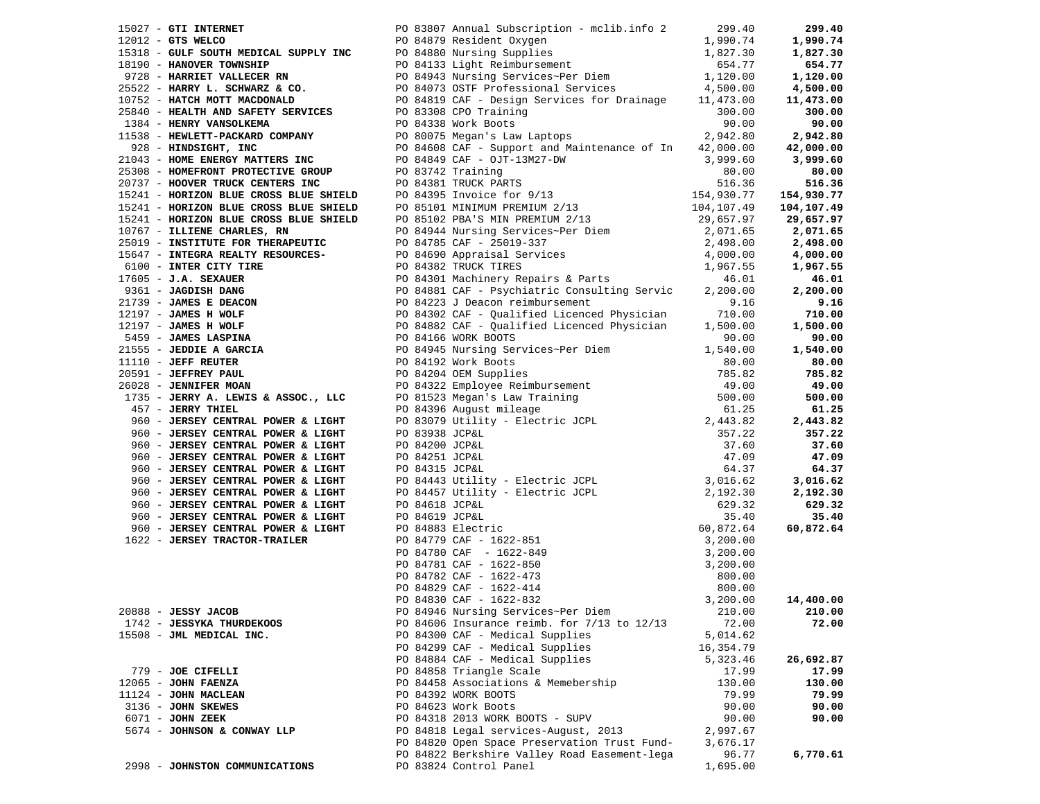|                  | 15027 - GTI INTERNET           |                                                                                                                                                                                                                               | 299.40    | 299.40     |
|------------------|--------------------------------|-------------------------------------------------------------------------------------------------------------------------------------------------------------------------------------------------------------------------------|-----------|------------|
|                  |                                | PO 83807 Annual Subscription – mclib.info 2<br>PO 84879 Resident Oxygen                                                                                                                                                       |           | 1,990.74   |
|                  |                                |                                                                                                                                                                                                                               |           | 1,827.30   |
|                  |                                |                                                                                                                                                                                                                               |           | 654.77     |
|                  |                                |                                                                                                                                                                                                                               |           | 1,120.00   |
|                  |                                |                                                                                                                                                                                                                               |           |            |
|                  |                                |                                                                                                                                                                                                                               |           | 4,500.00   |
|                  |                                |                                                                                                                                                                                                                               |           | 11,473.00  |
|                  |                                |                                                                                                                                                                                                                               |           | 300.00     |
|                  |                                |                                                                                                                                                                                                                               |           | 90.00      |
|                  |                                |                                                                                                                                                                                                                               |           | 2,942.80   |
|                  |                                |                                                                                                                                                                                                                               |           | 42,000.00  |
|                  |                                |                                                                                                                                                                                                                               |           | 3,999.60   |
|                  |                                |                                                                                                                                                                                                                               |           | 80.00      |
|                  |                                |                                                                                                                                                                                                                               |           | 516.36     |
|                  |                                |                                                                                                                                                                                                                               |           | 154,930.77 |
|                  |                                |                                                                                                                                                                                                                               |           |            |
|                  |                                |                                                                                                                                                                                                                               |           | 104,107.49 |
|                  |                                |                                                                                                                                                                                                                               |           | 29,657.97  |
|                  |                                |                                                                                                                                                                                                                               |           | 2,071.65   |
|                  |                                |                                                                                                                                                                                                                               |           | 2,498.00   |
|                  |                                |                                                                                                                                                                                                                               |           | 4,000.00   |
|                  |                                |                                                                                                                                                                                                                               |           | 1,967.55   |
|                  |                                |                                                                                                                                                                                                                               |           | 46.01      |
|                  |                                |                                                                                                                                                                                                                               |           | 2,200.00   |
|                  |                                |                                                                                                                                                                                                                               |           | 9.16       |
|                  |                                |                                                                                                                                                                                                                               |           |            |
|                  |                                |                                                                                                                                                                                                                               |           | 710.00     |
|                  |                                |                                                                                                                                                                                                                               |           | 1,500.00   |
|                  |                                |                                                                                                                                                                                                                               |           | 90.00      |
|                  |                                |                                                                                                                                                                                                                               |           | 1,540.00   |
|                  |                                |                                                                                                                                                                                                                               |           | 80.00      |
|                  |                                |                                                                                                                                                                                                                               |           | 785.82     |
|                  |                                |                                                                                                                                                                                                                               |           | 49.00      |
|                  |                                |                                                                                                                                                                                                                               |           | 500.00     |
|                  |                                | 1977: Gram Hammann, and the state of the state of the state of the state of the state of the state of the state of the state of the state of the state of the state of the state of the state of the state of the state of th |           | 61.25      |
|                  |                                |                                                                                                                                                                                                                               |           | 2,443.82   |
|                  |                                |                                                                                                                                                                                                                               |           | 357.22     |
|                  |                                |                                                                                                                                                                                                                               |           | 37.60      |
|                  |                                |                                                                                                                                                                                                                               |           |            |
|                  |                                |                                                                                                                                                                                                                               |           | 47.09      |
|                  |                                |                                                                                                                                                                                                                               |           | 64.37      |
|                  |                                |                                                                                                                                                                                                                               |           | 3,016.62   |
|                  |                                |                                                                                                                                                                                                                               |           | 2,192.30   |
|                  |                                |                                                                                                                                                                                                                               |           | 629.32     |
|                  |                                |                                                                                                                                                                                                                               |           | 35.40      |
|                  |                                |                                                                                                                                                                                                                               |           | 60,872.64  |
|                  |                                |                                                                                                                                                                                                                               |           |            |
|                  |                                |                                                                                                                                                                                                                               |           |            |
|                  |                                |                                                                                                                                                                                                                               |           |            |
|                  |                                |                                                                                                                                                                                                                               |           |            |
|                  |                                |                                                                                                                                                                                                                               |           |            |
|                  |                                |                                                                                                                                                                                                                               |           | 14,400.00  |
|                  |                                |                                                                                                                                                                                                                               |           |            |
|                  |                                |                                                                                                                                                                                                                               |           | 210.00     |
|                  | 1742 - JESSYKA THURDEKOOS      | PO 84606 Insurance reimb. for 7/13 to 12/13                                                                                                                                                                                   | 72.00     | 72.00      |
|                  | 15508 - JML MEDICAL INC.       | PO 84300 CAF - Medical Supplies                                                                                                                                                                                               | 5,014.62  |            |
|                  |                                | PO 84299 CAF - Medical Supplies                                                                                                                                                                                               | 16,354.79 |            |
|                  |                                | PO 84884 CAF - Medical Supplies                                                                                                                                                                                               | 5,323.46  | 26,692.87  |
|                  | 779 - JOE CIFELLI              | PO 84858 Triangle Scale                                                                                                                                                                                                       | 17.99     | 17.99      |
|                  | $12065$ - JOHN FAENZA          | PO 84458 Associations & Memebership                                                                                                                                                                                           | 130.00    | 130.00     |
|                  | 11124 - JOHN MACLEAN           | PO 84392 WORK BOOTS                                                                                                                                                                                                           | 79.99     | 79.99      |
|                  | 3136 - JOHN SKEWES             | PO 84623 Work Boots                                                                                                                                                                                                           | 90.00     | 90.00      |
| 6071 - JOHN ZEEK |                                | PO 84318 2013 WORK BOOTS - SUPV                                                                                                                                                                                               | 90.00     | 90.00      |
|                  | 5674 - JOHNSON & CONWAY LLP    | PO 84818 Legal services-August, 2013                                                                                                                                                                                          | 2,997.67  |            |
|                  |                                |                                                                                                                                                                                                                               |           |            |
|                  |                                | PO 84820 Open Space Preservation Trust Fund-                                                                                                                                                                                  | 3,676.17  |            |
|                  |                                | PO 84822 Berkshire Valley Road Easement-lega                                                                                                                                                                                  | 96.77     | 6,770.61   |
|                  | 2998 - JOHNSTON COMMUNICATIONS | PO 83824 Control Panel                                                                                                                                                                                                        | 1,695.00  |            |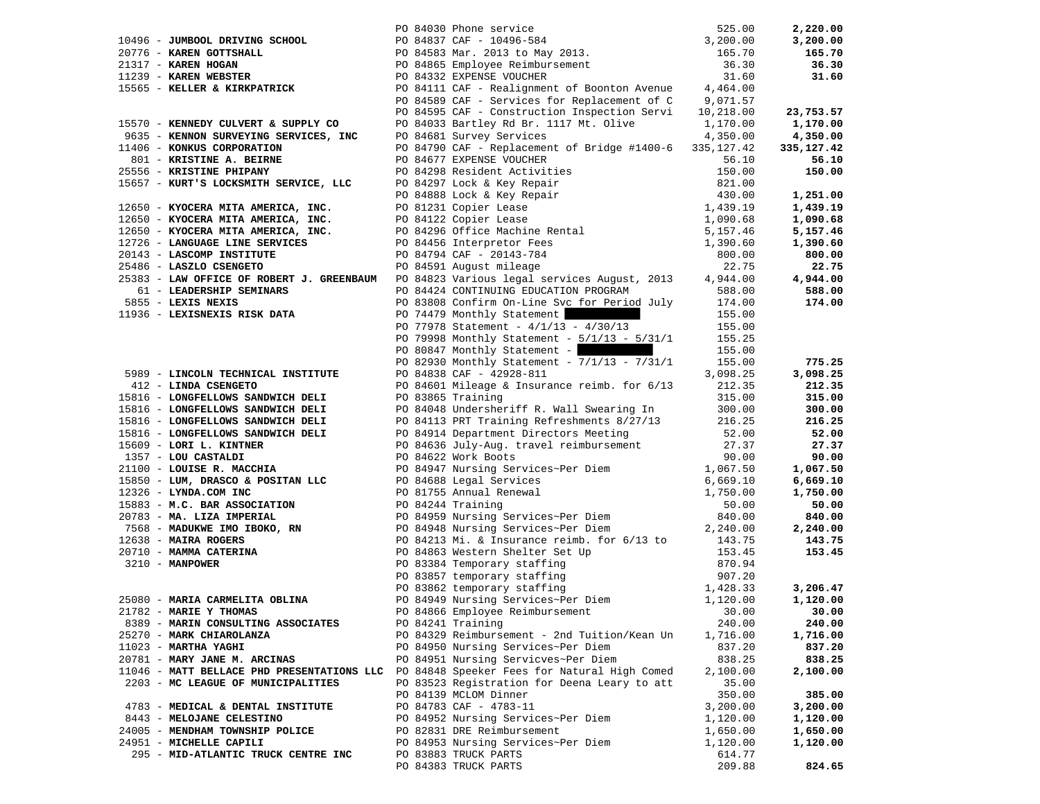|                                                                    | 90 84030 Phone service<br>PO 84837 CAF - 10496-584<br>PO 84583 Mar. 2013 to May 2013.<br>PO 84583 Mar. 2013 to May 2013.<br>PO 84865 Employee Reimbursement<br>PO 84332 EXPENSE VOUCHER<br>PO 84111 CAF - Realignment of Boonton Avenue<br>2           |                                        | 2,220.00     |
|--------------------------------------------------------------------|--------------------------------------------------------------------------------------------------------------------------------------------------------------------------------------------------------------------------------------------------------|----------------------------------------|--------------|
| 10496 - JUMBOOL DRIVING SCHOOL                                     |                                                                                                                                                                                                                                                        |                                        | 3,200.00     |
| 20776 - KAREN GOTTSHALL                                            |                                                                                                                                                                                                                                                        |                                        | 165.70       |
| 21317 - KAREN HOGAN                                                |                                                                                                                                                                                                                                                        |                                        | 36.30        |
| $11239 -$ KAREN WEBSTER                                            |                                                                                                                                                                                                                                                        |                                        | 31.60        |
|                                                                    |                                                                                                                                                                                                                                                        |                                        |              |
| 15565 - KELLER & KIRKPATRICK                                       |                                                                                                                                                                                                                                                        |                                        |              |
|                                                                    | PO 84589 CAF - Services for Replacement of C 9,071.57                                                                                                                                                                                                  |                                        |              |
|                                                                    | PO 84595 CAF - Construction Inspection Servi 10,218.00                                                                                                                                                                                                 |                                        | 23,753.57    |
| 15570 - KENNEDY CULVERT & SUPPLY CO                                | PO 84033 Bartley Rd Br. 1117 Mt. Olive                                                                                                                                                                                                                 | 1,170.00                               | 1,170.00     |
| 9635 - KENNON SURVEYING SERVICES, INC                              | PO 84681 Survey Services                                                                                                                                                                                                                               | 4,350.00                               | 4,350.00     |
| 11406 - KONKUS CORPORATION                                         | PO 84790 CAF - Replacement of Bridge #1400-6 335,127.42                                                                                                                                                                                                |                                        | 335, 127. 42 |
| 801 - KRISTINE A. BEIRNE                                           | PO 84677 EXPENSE VOUCHER                                                                                                                                                                                                                               | 56.10                                  | 56.10        |
| 25556 - KRISTINE PHIPANY                                           |                                                                                                                                                                                                                                                        | 150.00                                 | 150.00       |
| 15657 - KURT'S LOCKSMITH SERVICE, LLC                              | PO 84298 Resident Activities<br>PO 84297 Lock & Key Repair<br>PO 84888 Lock & Key Repair<br>PO 81231 Copier Lease<br>PO 84122 Copier Lease<br>PO 84126 Office Machine Rental<br>PO 84456 Interpretor Fees<br>PO 84456 Interpretor Fees<br>PO 84794 CAF | 821.00                                 |              |
|                                                                    |                                                                                                                                                                                                                                                        | 430.00                                 | 1,251.00     |
| 12650 - KYOCERA MITA AMERICA, INC.                                 |                                                                                                                                                                                                                                                        | 1,439.19                               | 1,439.19     |
| 12650 - KYOCERA MITA AMERICA, INC.                                 |                                                                                                                                                                                                                                                        |                                        | 1,090.68     |
| 12650 - KYOCERA MITA AMERICA, INC.                                 |                                                                                                                                                                                                                                                        | $1,090.68$<br>$5,157.46$<br>$1,390.60$ | 5,157.46     |
| 12726 - LANGUAGE LINE SERVICES                                     |                                                                                                                                                                                                                                                        | 1,390.60                               | 1,390.60     |
| 20143 - LASCOMP INSTITUTE                                          | PO 84794 CAF - 20143-784                                                                                                                                                                                                                               | 800.00                                 | 800.00       |
| 25486 - LASZLO CSENGETO                                            | PO 84591 August mileage                                                                                                                                                                                                                                | 22.75                                  | 22.75        |
|                                                                    | 25383 - LAW OFFICE OF ROBERT J. GREENBAUM PO 84823 Various legal services August, 2013                                                                                                                                                                 | 4,944.00                               | 4,944.00     |
|                                                                    |                                                                                                                                                                                                                                                        |                                        |              |
| 61 - LEADERSHIP SEMINARS                                           | PO 84424 CONTINUING EDUCATION PROGRAM                                                                                                                                                                                                                  | 588.00                                 | 588.00       |
| 5855 - LEXIS NEXIS                                                 | PO 83808 Confirm On-Line Svc for Period July                                                                                                                                                                                                           | 174.00                                 | 174.00       |
| 11936 - LEXISNEXIS RISK DATA                                       | PO 74479 Monthly Statement                                                                                                                                                                                                                             | 155.00                                 |              |
|                                                                    | PO 77978 Statement - $4/1/13$ - $4/30/13$                                                                                                                                                                                                              | 155.00                                 |              |
|                                                                    | PO 79998 Monthly Statement - 5/1/13 - 5/31/1                                                                                                                                                                                                           | 155.25                                 |              |
|                                                                    | PO 80847 Monthly Statement -                                                                                                                                                                                                                           | 155.00                                 |              |
|                                                                    | PO 82930 Monthly Statement - 7/1/13 - 7/31/1                                                                                                                                                                                                           | 155.00                                 | 775.25       |
| 5989 - LINCOLN TECHNICAL INSTITUTE                                 | PO 84838 CAF - 42928-811                                                                                                                                                                                                                               | 3,098.25                               | 3,098.25     |
| 412 - LINDA CSENGETO                                               | PO 84601 Mileage & Insurance reimb. for 6/13                                                                                                                                                                                                           | 212.35                                 | 212.35       |
| 15816 - LONGFELLOWS SANDWICH DELI                                  | PO 83865 Training                                                                                                                                                                                                                                      | 315.00                                 | 315.00       |
| 15816 - LONGFELLOWS SANDWICH DELI                                  | PO 84048 Undersheriff R. Wall Swearing In                                                                                                                                                                                                              | 300.00                                 | 300.00       |
| 15816 - LONGFELLOWS SANDWICH DELI                                  | PO 84113 PRT Training Refreshments 8/27/13                                                                                                                                                                                                             | 216.25                                 | 216.25       |
| 15816 - LONGFELLOWS SANDWICH DELI                                  | PO 84914 Department Directors Meeting                                                                                                                                                                                                                  | 52.00                                  | 52.00        |
| 15609 - LORI L. KINTNER                                            | PO 84636 July-Aug. travel reimbursement                                                                                                                                                                                                                | 27.37                                  | 27.37        |
| 1357 - LOU CASTALDI                                                | PO 84622 Work Boots                                                                                                                                                                                                                                    | 90.00                                  | 90.00        |
| 21100 - LOUISE R. MACCHIA                                          |                                                                                                                                                                                                                                                        | 1,067.50                               | 1,067.50     |
| 15850 - LUM, DRASCO & POSITAN LLC                                  |                                                                                                                                                                                                                                                        | 6,669.10                               | 6,669.10     |
| 12326 - LYNDA.COM INC                                              | PO 84947 Nursing Services~Per Diem<br>PO 84688 Legal Services<br>PO 81755 Annual Renewal<br>PO 84244 Training                                                                                                                                          | 1,750.00                               | 1,750.00     |
| 15883 - M.C. BAR ASSOCIATION                                       | PO 84244 Training                                                                                                                                                                                                                                      | 50.00                                  | 50.00        |
| 20783 - MA. LIZA IMPERIAL                                          |                                                                                                                                                                                                                                                        | 840.00                                 | 840.00       |
|                                                                    | PO 84959 Nursing Services~Per Diem<br>PO 84948 Nursing Services~Per Diem                                                                                                                                                                               | 2,240.00                               | 2,240.00     |
| 7568 - <b>MADUKWE IMO IBOKO, RN</b><br>12638 - <b>MAIRA ROGERS</b> |                                                                                                                                                                                                                                                        |                                        |              |
| 12638 - MAIRA ROGERS                                               |                                                                                                                                                                                                                                                        | 143.75                                 | 143.75       |
| 20710 - MAMMA CATERINA                                             | PO 84213 Mi. & Insurance reimb. for 6/13 to<br>PO 84863 Western Shelter Set Up<br>PO 83384 Temporary staffing<br>PO 83867 temporary staffing<br>PO 83862 temporary staffing<br>PO 83862 temporary staffing                                             | 153.45                                 | 153.45       |
| 3210 - MANPOWER                                                    |                                                                                                                                                                                                                                                        | 870.94                                 |              |
|                                                                    |                                                                                                                                                                                                                                                        | 907.20                                 |              |
|                                                                    |                                                                                                                                                                                                                                                        | 1,428.33                               | 3,206.47     |
| 25080 - MARIA CARMELITA OBLINA                                     | PO 84949 Nursing Services~Per Diem                                                                                                                                                                                                                     | 1,120.00                               | 1,120.00     |
| 21782 - MARIE Y THOMAS                                             | PO 84866 Employee Reimbursement                                                                                                                                                                                                                        | 30.00                                  | 30.00        |
| 8389 - MARIN CONSULTING ASSOCIATES                                 | PO 84241 Training                                                                                                                                                                                                                                      | 240.00                                 | 240.00       |
| 25270 - MARK CHIAROLANZA                                           | PO 84329 Reimbursement - 2nd Tuition/Kean Un                                                                                                                                                                                                           | 1,716.00                               | 1,716.00     |
| $11023$ - MARTHA YAGHI                                             | PO 84950 Nursing Services~Per Diem                                                                                                                                                                                                                     | 837.20                                 | 837.20       |
| 20781 - MARY JANE M. ARCINAS                                       | PO 84951 Nursing Servicves~Per Diem                                                                                                                                                                                                                    | 838.25                                 | 838.25       |
| 11046 - MATT BELLACE PHD PRESENTATIONS LLC                         | PO 84848 Speeker Fees for Natural High Comed                                                                                                                                                                                                           | 2,100.00                               | 2,100.00     |
| 2203 - MC LEAGUE OF MUNICIPALITIES                                 | PO 83523 Registration for Deena Leary to att                                                                                                                                                                                                           | 35.00                                  |              |
|                                                                    | PO 84139 MCLOM Dinner                                                                                                                                                                                                                                  | 350.00                                 | 385.00       |
| 4783 - MEDICAL & DENTAL INSTITUTE                                  | PO 84783 CAF - 4783-11                                                                                                                                                                                                                                 | 3,200.00                               | 3,200.00     |
| 8443 - MELOJANE CELESTINO                                          | PO 84952 Nursing Services~Per Diem                                                                                                                                                                                                                     | 1,120.00                               | 1,120.00     |
| 24005 - MENDHAM TOWNSHIP POLICE                                    | PO 82831 DRE Reimbursement                                                                                                                                                                                                                             | 1,650.00                               | 1,650.00     |
| 24951 - MICHELLE CAPILI                                            | PO 84953 Nursing Services~Per Diem                                                                                                                                                                                                                     | 1,120.00                               | 1,120.00     |
| 295 - MID-ATLANTIC TRUCK CENTRE INC                                | PO 83883 TRUCK PARTS                                                                                                                                                                                                                                   | 614.77                                 |              |
|                                                                    | PO 84383 TRUCK PARTS                                                                                                                                                                                                                                   | 209.88                                 | 824.65       |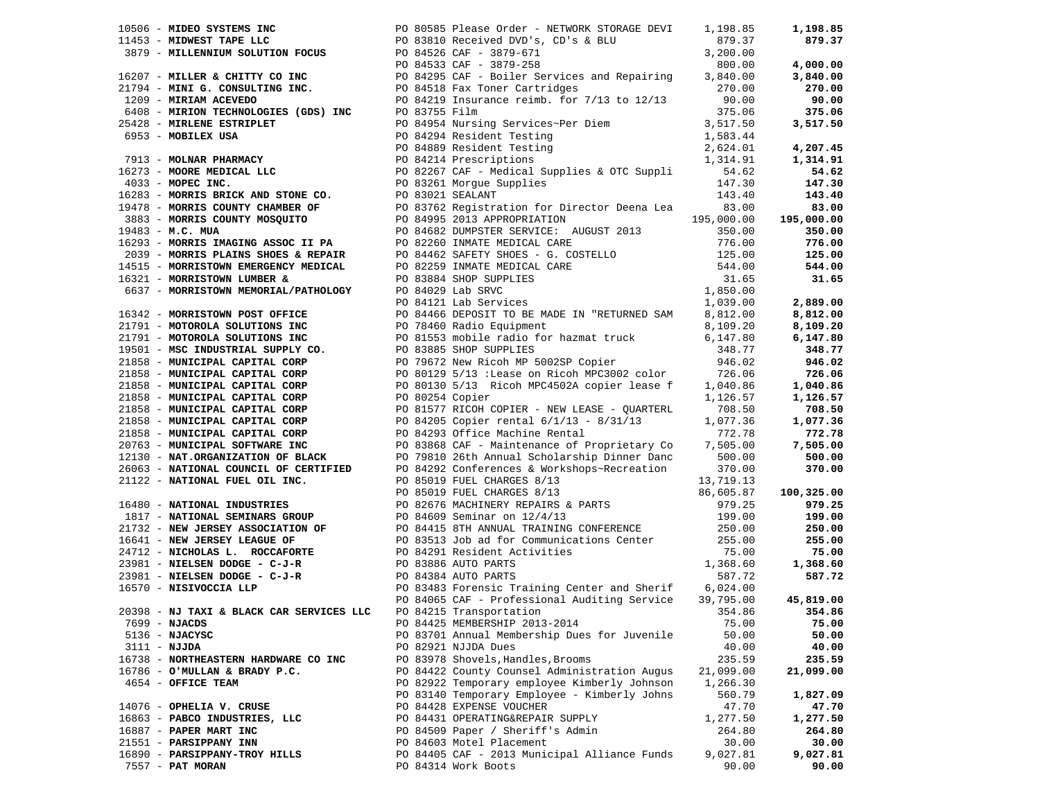|                                      |                                                                                                                                                                                                                               |           | 125.00<br>544.00 |
|--------------------------------------|-------------------------------------------------------------------------------------------------------------------------------------------------------------------------------------------------------------------------------|-----------|------------------|
|                                      |                                                                                                                                                                                                                               |           |                  |
|                                      |                                                                                                                                                                                                                               |           |                  |
|                                      |                                                                                                                                                                                                                               |           |                  |
|                                      |                                                                                                                                                                                                                               |           |                  |
|                                      |                                                                                                                                                                                                                               |           |                  |
|                                      |                                                                                                                                                                                                                               |           |                  |
|                                      |                                                                                                                                                                                                                               |           |                  |
|                                      |                                                                                                                                                                                                                               |           |                  |
|                                      |                                                                                                                                                                                                                               |           |                  |
|                                      |                                                                                                                                                                                                                               |           |                  |
|                                      |                                                                                                                                                                                                                               |           |                  |
|                                      |                                                                                                                                                                                                                               |           |                  |
|                                      |                                                                                                                                                                                                                               |           |                  |
|                                      |                                                                                                                                                                                                                               |           |                  |
|                                      |                                                                                                                                                                                                                               |           |                  |
|                                      |                                                                                                                                                                                                                               |           |                  |
|                                      |                                                                                                                                                                                                                               |           |                  |
|                                      |                                                                                                                                                                                                                               |           |                  |
|                                      |                                                                                                                                                                                                                               |           |                  |
|                                      |                                                                                                                                                                                                                               |           |                  |
|                                      |                                                                                                                                                                                                                               |           |                  |
|                                      |                                                                                                                                                                                                                               |           |                  |
|                                      |                                                                                                                                                                                                                               |           |                  |
|                                      |                                                                                                                                                                                                                               |           |                  |
|                                      |                                                                                                                                                                                                                               |           |                  |
|                                      |                                                                                                                                                                                                                               |           |                  |
|                                      | 1990 - HIMBS TRENER PRODUCTION 1990 - 1991-1991 - 1991-2002 - 1992-2002 - 1992-2002 - 1992-2002 - 1992-2002 - 1992-2002 - 1992-2002 - 1992-2002 - 1992-2002 - 1992-2002 - 1992-2002 - 1992-2002 - 1992-2002 - 1992-2002 - 199 |           |                  |
|                                      |                                                                                                                                                                                                                               |           |                  |
|                                      |                                                                                                                                                                                                                               |           |                  |
|                                      |                                                                                                                                                                                                                               |           | 45,819.00        |
|                                      |                                                                                                                                                                                                                               |           |                  |
|                                      | 20398 - NJ TAXI & BLACK CAR SERVICES LLC PO 84215 Transportation 354.86 354.86 354.86                                                                                                                                         |           |                  |
| 7699 - NJACDS                        | PO 84425 MEMBERSHIP 2013-2014                                                                                                                                                                                                 | 75.00     | 75.00            |
| $5136 - NJACYSC$                     | PO 83701 Annual Membership Dues for Juvenile                                                                                                                                                                                  | 50.00     | 50.00            |
| $3111 - NJJDA$                       | PO 82921 NJJDA Dues                                                                                                                                                                                                           | 40.00     | 40.00            |
| 16738 - NORTHEASTERN HARDWARE CO INC | PO 83978 Shovels, Handles, Brooms                                                                                                                                                                                             | 235.59    | 235.59           |
| 16786 - O'MULLAN & BRADY P.C.        | PO 84422 County Counsel Administration Augus                                                                                                                                                                                  | 21,099.00 | 21,099.00        |
| 4654 - OFFICE TEAM                   | PO 82922 Temporary employee Kimberly Johnson                                                                                                                                                                                  | 1,266.30  |                  |
|                                      | PO 83140 Temporary Employee - Kimberly Johns                                                                                                                                                                                  | 560.79    | 1,827.09         |
| 14076 - OPHELIA V. CRUSE             | PO 84428 EXPENSE VOUCHER                                                                                                                                                                                                      | 47.70     | 47.70            |
| 16863 - PABCO INDUSTRIES, LLC        | PO 84431 OPERATING&REPAIR SUPPLY                                                                                                                                                                                              | 1,277.50  | 1,277.50         |
| 16887 - PAPER MART INC               | PO 84509 Paper / Sheriff's Admin                                                                                                                                                                                              | 264.80    | 264.80           |
| 21551 - PARSIPPANY INN               | PO 84603 Motel Placement                                                                                                                                                                                                      | 30.00     | 30.00            |
| 16890 - PARSIPPANY-TROY HILLS        | PO 84405 CAF - 2013 Municipal Alliance Funds                                                                                                                                                                                  | 9,027.81  | 9,027.81         |
| 7557 - PAT MORAN                     | PO 84314 Work Boots                                                                                                                                                                                                           | 90.00     | 90.00            |
|                                      |                                                                                                                                                                                                                               |           |                  |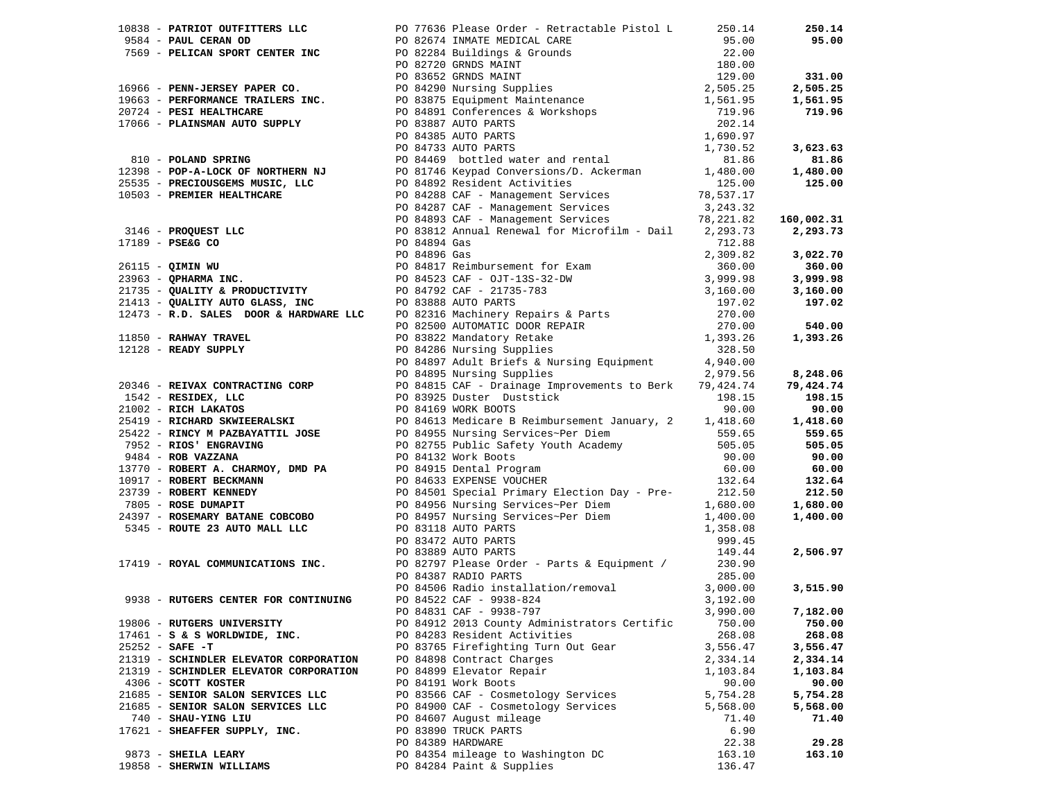|                                        | 1990, average during into the space of the results of the space of the space of the space of the space of the space of the space of the space of the space of the space of the space of the space of the space of the space o |          |          |
|----------------------------------------|-------------------------------------------------------------------------------------------------------------------------------------------------------------------------------------------------------------------------------|----------|----------|
|                                        |                                                                                                                                                                                                                               |          |          |
|                                        |                                                                                                                                                                                                                               |          |          |
|                                        |                                                                                                                                                                                                                               |          |          |
|                                        |                                                                                                                                                                                                                               |          |          |
|                                        |                                                                                                                                                                                                                               |          |          |
|                                        |                                                                                                                                                                                                                               |          |          |
|                                        |                                                                                                                                                                                                                               |          |          |
|                                        |                                                                                                                                                                                                                               |          |          |
|                                        |                                                                                                                                                                                                                               |          |          |
|                                        |                                                                                                                                                                                                                               |          |          |
|                                        |                                                                                                                                                                                                                               |          |          |
|                                        |                                                                                                                                                                                                                               |          |          |
|                                        | $\frac{17419 - \text{ROYAL COMMUNICATIONS INC.}}{P0.82797 \text{ Please Order}} - \text{Parts & \text{Equipment} / } 230.90$                                                                                                  |          |          |
|                                        | PO 84387 RADIO PARTS                                                                                                                                                                                                          | 285.00   |          |
|                                        |                                                                                                                                                                                                                               |          | 3,515.90 |
| 9938 - RUTGERS CENTER FOR CONTINUING   |                                                                                                                                                                                                                               |          |          |
|                                        | PO 84506 Radio installation/removal 3,000.00<br>PO 84522 CAF - 9938-824 3,192.00<br>PO 84831 CAF - 9938-797 3,990.00                                                                                                          |          | 7,182.00 |
| 19806 - RUTGERS UNIVERSITY             | PO 84912 2013 County Administrators Certific                                                                                                                                                                                  | 750.00   | 750.00   |
| $17461 - S$ & S WORLDWIDE, INC.        | PO 84283 Resident Activities                                                                                                                                                                                                  | 268.08   | 268.08   |
| $25252 - SAFE - T$                     | PO 83765 Firefighting Turn Out Gear                                                                                                                                                                                           | 3,556.47 | 3,556.47 |
| 21319 - SCHINDLER ELEVATOR CORPORATION | PO 84898 Contract Charges                                                                                                                                                                                                     | 2,334.14 | 2,334.14 |
| 21319 - SCHINDLER ELEVATOR CORPORATION | PO 84899 Elevator Repair                                                                                                                                                                                                      | 1,103.84 | 1,103.84 |
| 4306 - SCOTT KOSTER                    | PO 84191 Work Boots                                                                                                                                                                                                           | 90.00    | 90.00    |
| 21685 - SENIOR SALON SERVICES LLC      | PO 83566 CAF - Cosmetology Services                                                                                                                                                                                           | 5,754.28 | 5,754.28 |
| 21685 - SENIOR SALON SERVICES LLC      | PO 84900 CAF - Cosmetology Services                                                                                                                                                                                           | 5,568.00 | 5,568.00 |
| 740 - SHAU-YING LIU                    | PO 84607 August mileage                                                                                                                                                                                                       | 71.40    | 71.40    |
| 17621 - SHEAFFER SUPPLY, INC.          | PO 83890 TRUCK PARTS                                                                                                                                                                                                          | 6.90     |          |
|                                        | PO 84389 HARDWARE                                                                                                                                                                                                             | 22.38    | 29.28    |
| 9873 - SHEILA LEARY                    | PO 84354 mileage to Washington DC                                                                                                                                                                                             | 163.10   | 163.10   |
| 19858 - SHERWIN WILLIAMS               | PO 84284 Paint & Supplies                                                                                                                                                                                                     | 136.47   |          |
|                                        |                                                                                                                                                                                                                               |          |          |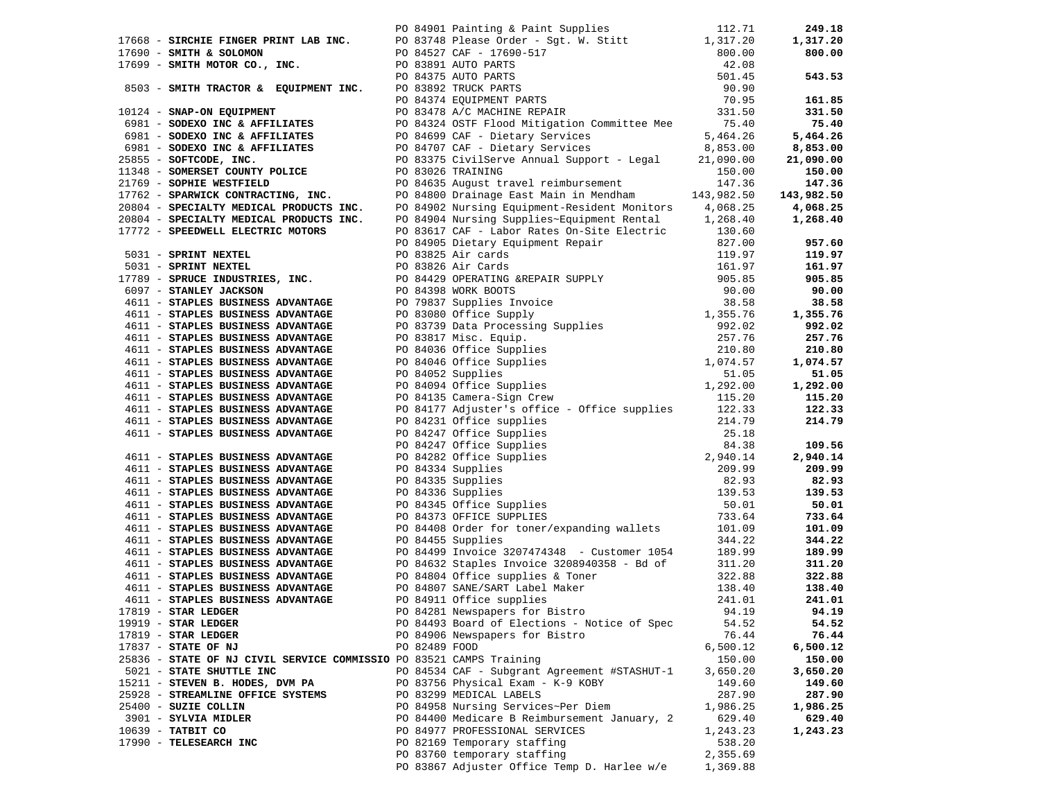| 90 84901 Painting & Paint Supplies<br>17668 - SIRCHIE FINGER PRINT LAB INC.<br>17690 - SMITH & SOLOMON<br>17699 - SMITH MOTOR CO., INC.<br>8503 - SMITH TRACTOR & EQUIPMENT INC.<br>20 83891 AUTO PARTS<br>20 83892 TRUCK PARTS<br>20 83478           |               |                                                                                                                                                                                                                                                |                    | 249.18                 |
|-------------------------------------------------------------------------------------------------------------------------------------------------------------------------------------------------------------------------------------------------------|---------------|------------------------------------------------------------------------------------------------------------------------------------------------------------------------------------------------------------------------------------------------|--------------------|------------------------|
|                                                                                                                                                                                                                                                       |               |                                                                                                                                                                                                                                                |                    | 1,317.20               |
|                                                                                                                                                                                                                                                       |               |                                                                                                                                                                                                                                                |                    | 800.00                 |
|                                                                                                                                                                                                                                                       |               |                                                                                                                                                                                                                                                |                    |                        |
|                                                                                                                                                                                                                                                       |               |                                                                                                                                                                                                                                                |                    | 543.53                 |
| 8503 - SMITH TRACTOR & EQUIPMENT INC.<br>20 84374 EQUIPMENT PARTS<br>20 84374 EQUIPMENT PARTS<br>231.50<br>231.50<br>231.50<br>231.50<br>25081 - SODEXO INC & AFFILIATES<br>25081 - SODEXO INC & AFFILIATES<br>25.40<br>25.40<br>21,090.00<br>21,090. |               |                                                                                                                                                                                                                                                |                    |                        |
|                                                                                                                                                                                                                                                       |               |                                                                                                                                                                                                                                                |                    | 161.85                 |
|                                                                                                                                                                                                                                                       |               |                                                                                                                                                                                                                                                |                    | 331.50                 |
|                                                                                                                                                                                                                                                       |               |                                                                                                                                                                                                                                                |                    | 75.40                  |
|                                                                                                                                                                                                                                                       |               |                                                                                                                                                                                                                                                |                    | 5,464.26               |
|                                                                                                                                                                                                                                                       |               |                                                                                                                                                                                                                                                |                    | 8,853.00               |
|                                                                                                                                                                                                                                                       |               |                                                                                                                                                                                                                                                |                    | 21,090.00              |
| 25855 - SOFTCODE, INC.<br>11348 - SOMERSET COUNTY POLICE<br>21769 - SOPHIE WESTFIELD                                                                                                                                                                  |               |                                                                                                                                                                                                                                                |                    | 150.00                 |
| 21769 - SOPHIE WESTFIELD<br>17762 - SPARWICK CONTRACTING, INC.                                                                                                                                                                                        |               | PO 84635 August travel reimbursement 147.36<br>PO 84800 Drainage East Main in Mendham 143,982.50                                                                                                                                               |                    | 147.36                 |
| 20804 - SPECIALTY MEDICAL PRODUCTS INC.                                                                                                                                                                                                               |               | PO 84902 Nursing Equipment-Resident Monitors 4,068.25                                                                                                                                                                                          |                    | 143,982.50<br>4,068.25 |
| 20804 - SPECIALTY MEDICAL PRODUCTS INC.                                                                                                                                                                                                               |               | PO 84904 Nursing Supplies~Equipment Rental 1,268.40                                                                                                                                                                                            |                    | 1,268.40               |
|                                                                                                                                                                                                                                                       |               |                                                                                                                                                                                                                                                |                    |                        |
|                                                                                                                                                                                                                                                       |               |                                                                                                                                                                                                                                                |                    | 957.60                 |
|                                                                                                                                                                                                                                                       |               |                                                                                                                                                                                                                                                |                    | 119.97                 |
|                                                                                                                                                                                                                                                       |               |                                                                                                                                                                                                                                                |                    | 161.97                 |
|                                                                                                                                                                                                                                                       |               |                                                                                                                                                                                                                                                |                    | 905.85                 |
|                                                                                                                                                                                                                                                       |               |                                                                                                                                                                                                                                                |                    | 90.00                  |
|                                                                                                                                                                                                                                                       |               |                                                                                                                                                                                                                                                |                    | 38.58                  |
|                                                                                                                                                                                                                                                       |               |                                                                                                                                                                                                                                                |                    | 1,355.76               |
|                                                                                                                                                                                                                                                       |               |                                                                                                                                                                                                                                                |                    | 992.02                 |
|                                                                                                                                                                                                                                                       |               |                                                                                                                                                                                                                                                |                    | 257.76                 |
|                                                                                                                                                                                                                                                       |               |                                                                                                                                                                                                                                                |                    | 210.80                 |
|                                                                                                                                                                                                                                                       |               |                                                                                                                                                                                                                                                |                    | 1,074.57               |
|                                                                                                                                                                                                                                                       |               |                                                                                                                                                                                                                                                |                    | 51.05                  |
|                                                                                                                                                                                                                                                       |               |                                                                                                                                                                                                                                                |                    | 1,292.00               |
|                                                                                                                                                                                                                                                       |               |                                                                                                                                                                                                                                                |                    | 115.20                 |
| 4611 - STAPLES BUSINESS ADVANTAGE                                                                                                                                                                                                                     |               |                                                                                                                                                                                                                                                |                    | 122.33<br>214.79       |
| 4611 - STAPLES BUSINESS ADVANTAGE                                                                                                                                                                                                                     |               |                                                                                                                                                                                                                                                |                    |                        |
|                                                                                                                                                                                                                                                       |               |                                                                                                                                                                                                                                                |                    | 109.56                 |
| 4611 - STAPLES BUSINESS ADVANTAGE                                                                                                                                                                                                                     |               |                                                                                                                                                                                                                                                |                    | 2,940.14               |
| 4611 - STAPLES BUSINESS ADVANTAGE                                                                                                                                                                                                                     |               |                                                                                                                                                                                                                                                |                    | 209.99                 |
| 4611 - STAPLES BUSINESS ADVANTAGE                                                                                                                                                                                                                     |               |                                                                                                                                                                                                                                                |                    | 82.93                  |
| 4611 - STAPLES BUSINESS ADVANTAGE                                                                                                                                                                                                                     |               |                                                                                                                                                                                                                                                |                    | 139.53                 |
| 4611 - STAPLES BUSINESS ADVANTAGE                                                                                                                                                                                                                     |               |                                                                                                                                                                                                                                                |                    | 50.01                  |
| 4611 - STAPLES BUSINESS ADVANTAGE                                                                                                                                                                                                                     |               |                                                                                                                                                                                                                                                |                    | 733.64                 |
| 4611 - STAPLES BUSINESS ADVANTAGE                                                                                                                                                                                                                     |               | PO 8417 Adjuster's Office - Office supplies<br>PO 84231 Office supplies<br>PO 84247 Office supplies<br>PO 84247 Office Supplies<br>PO 84247 Office Supplies<br>PO 84282 Office Supplies<br>PO 84282 Office Supplies<br>PO 84334 Supplies<br>PO |                    | 101.09                 |
| 4611 - STAPLES BUSINESS ADVANTAGE                                                                                                                                                                                                                     |               |                                                                                                                                                                                                                                                |                    | 344.22                 |
| 4611 - STAPLES BUSINESS ADVANTAGE                                                                                                                                                                                                                     |               | PO 84499 Invoice 3207474348 - Customer 1054 189.99                                                                                                                                                                                             |                    | 189.99                 |
| 4611 - STAPLES BUSINESS ADVANTAGE                                                                                                                                                                                                                     |               | PO 84632 Staples Invoice 3208940358 - Bd of 311.20                                                                                                                                                                                             |                    | 311.20                 |
| 4611 - STAPLES BUSINESS ADVANTAGE                                                                                                                                                                                                                     |               |                                                                                                                                                                                                                                                |                    | 322.88<br>138.40       |
| 4611 - STAPLES BUSINESS ADVANTAGE<br>4611 - STAPLES BUSINESS ADVANTAGE                                                                                                                                                                                |               | PO 84804 Office supplies & Toner 322.88<br>PO 84807 SANE/SART Label Maker 138.40<br>PO 84911 Office supplies 241.01<br>PO 84911 Office supplies                                                                                                | 241.01             | 241.01                 |
| $17819$ - STAR LEDGER                                                                                                                                                                                                                                 |               | PO 84281 Newspapers for Bistro                                                                                                                                                                                                                 | 94.19              | 94.19                  |
| $19919$ - STAR LEDGER                                                                                                                                                                                                                                 |               | PO 84493 Board of Elections - Notice of Spec                                                                                                                                                                                                   | 54.52              | 54.52                  |
| $17819$ - STAR LEDGER                                                                                                                                                                                                                                 |               | PO 84906 Newspapers for Bistro                                                                                                                                                                                                                 | 76.44              | 76.44                  |
| 17837 - STATE OF NJ                                                                                                                                                                                                                                   | PO 82489 FOOD |                                                                                                                                                                                                                                                | 6,500.12           | 6,500.12               |
| 25836 - STATE OF NJ CIVIL SERVICE COMMISSIO PO 83521 CAMPS Training                                                                                                                                                                                   |               |                                                                                                                                                                                                                                                | 150.00             | 150.00                 |
| 5021 - STATE SHUTTLE INC                                                                                                                                                                                                                              |               | PO 84534 CAF - Subgrant Agreement #STASHUT-1                                                                                                                                                                                                   | 3,650.20           | 3,650.20               |
| 15211 - STEVEN B. HODES, DVM PA                                                                                                                                                                                                                       |               | PO 83756 Physical Exam - K-9 KOBY                                                                                                                                                                                                              | 149.60             | 149.60                 |
| 25928 - STREAMLINE OFFICE SYSTEMS                                                                                                                                                                                                                     |               | PO 83299 MEDICAL LABELS                                                                                                                                                                                                                        | 287.90             | 287.90                 |
| 25400 - SUZIE COLLIN                                                                                                                                                                                                                                  |               | PO 84958 Nursing Services~Per Diem                                                                                                                                                                                                             | 1,986.25           | 1,986.25               |
| 3901 - SYLVIA MIDLER                                                                                                                                                                                                                                  |               | PO 84400 Medicare B Reimbursement January, 2                                                                                                                                                                                                   | 629.40             | 629.40                 |
| $10639$ - TATBIT CO<br>17990 - TELESEARCH INC                                                                                                                                                                                                         |               | PO 84977 PROFESSIONAL SERVICES<br>PO 82169 Temporary staffing                                                                                                                                                                                  | 1,243.23<br>538.20 | 1,243.23               |
|                                                                                                                                                                                                                                                       |               | PO 83760 temporary staffing                                                                                                                                                                                                                    | 2,355.69           |                        |
|                                                                                                                                                                                                                                                       |               | PO 83867 Adjuster Office Temp D. Harlee w/e                                                                                                                                                                                                    | 1,369.88           |                        |
|                                                                                                                                                                                                                                                       |               |                                                                                                                                                                                                                                                |                    |                        |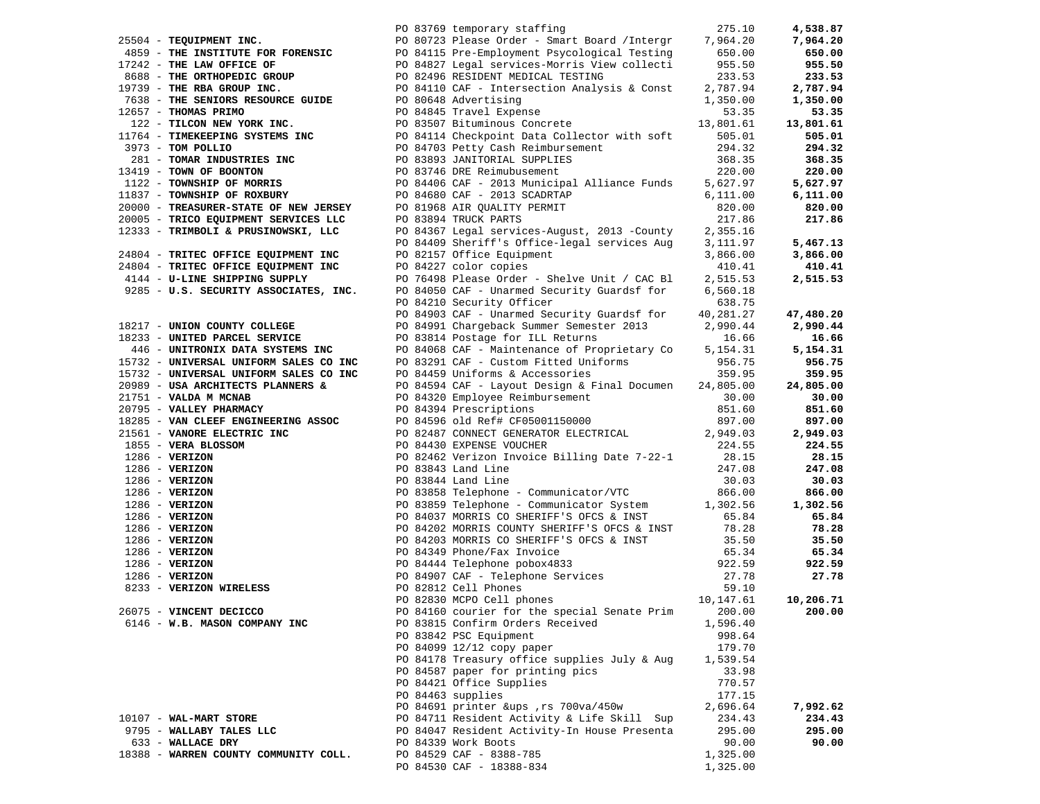|                                                           |  | PO 83769 temporary staffing                                                                                                                                                                                                                           | 275.10           | 4,538.87  |
|-----------------------------------------------------------|--|-------------------------------------------------------------------------------------------------------------------------------------------------------------------------------------------------------------------------------------------------------|------------------|-----------|
| 25504 - TEQUIPMENT INC.                                   |  | PO 80723 Please Order - Smart Board / Intergr 7,964.20                                                                                                                                                                                                |                  | 7,964.20  |
|                                                           |  |                                                                                                                                                                                                                                                       | 650.00           | 650.00    |
| 17242 - THE LAW OFFICE OF                                 |  |                                                                                                                                                                                                                                                       | 955.50           | 955.50    |
|                                                           |  |                                                                                                                                                                                                                                                       |                  | 233.53    |
| 8688 - THE ORTHOPEDIC GROUP<br>19739 - THE RBA GROUP INC. |  | PO 82496 RESIDENT MEDICAL TESTING 233.53<br>PO 84110 CAF - Intersection Analysis & Const 2,787.94                                                                                                                                                     |                  | 2,787.94  |
| 7638 - THE SENIORS RESOURCE GUIDE                         |  | PO 80648 Advertising                                                                                                                                                                                                                                  | 1,350.00         | 1,350.00  |
| 12657 - THOMAS PRIMO                                      |  | PO 80648 Advertising<br>PO 84845 Travel Expense                                                                                                                                                                                                       |                  | 53.35     |
|                                                           |  | 122 - TILCON NEW YORK INC.<br>1764 - TIMEKEEPING SYSTEMS INC<br>1764 - TIMEKEEPING SYSTEMS INC<br>1764 - TOM POLLIO<br>1764 - TOM POLLIO<br>1764 - TOM POLLIO<br>18973 - TOM POLLIO<br>294.32<br>18973 - TOM POLLIO<br>294.32<br>294.32<br>294.32<br> |                  | 13,801.61 |
| 11764 - TIMEKEEPING SYSTEMS INC                           |  |                                                                                                                                                                                                                                                       |                  | 505.01    |
| 3973 - TOM POLLIO                                         |  |                                                                                                                                                                                                                                                       |                  | 294.32    |
|                                                           |  |                                                                                                                                                                                                                                                       |                  | 368.35    |
| 13419 - TOWN OF BOONTON                                   |  |                                                                                                                                                                                                                                                       |                  | 220.00    |
| 1122 - TOWNSHIP OF MORRIS                                 |  |                                                                                                                                                                                                                                                       |                  | 5,627.97  |
| 11837 - TOWNSHIP OF ROXBURY                               |  | PO 84680 CAF - 2013 SCADRTAP<br>PO 81968 AIR QUALITY PERMIT                                                                                                                                                                                           | 6,111.00         | 6,111.00  |
| 20000 - TREASURER-STATE OF NEW JERSEY                     |  |                                                                                                                                                                                                                                                       | 820.00           | 820.00    |
| 20005 - TRICO EQUIPMENT SERVICES LLC                      |  | PO 83894 TRUCK PARTS                                                                                                                                                                                                                                  | 217.86           | 217.86    |
| 12333 - TRIMBOLI & PRUSINOWSKI, LLC                       |  | PO 84367 Legal services-August, 2013 -County                                                                                                                                                                                                          | 2,355.16         |           |
|                                                           |  | PO 84409 Sheriff's Office-legal services Aug                                                                                                                                                                                                          | 3,111.97         | 5,467.13  |
| 24804 - TRITEC OFFICE EQUIPMENT INC                       |  | PO 82157 Office Equipment                                                                                                                                                                                                                             | 3,866.00         | 3,866.00  |
| 24804 - TRITEC OFFICE EQUIPMENT INC                       |  | PO 84227 color copies                                                                                                                                                                                                                                 | 410.41           | 410.41    |
| 4144 - U-LINE SHIPPING SUPPLY                             |  | PO 76498 Please Order - Shelve Unit / CAC Bl                                                                                                                                                                                                          | 2,515.53         | 2,515.53  |
| 9285 - U.S. SECURITY ASSOCIATES, INC.                     |  | PO 84050 CAF - Unarmed Security Guardsf for                                                                                                                                                                                                           | 6,560.18         |           |
|                                                           |  | PO 84210 Security Officer                                                                                                                                                                                                                             | 638.75           |           |
|                                                           |  | PO 84903 CAF - Unarmed Security Guardsf for                                                                                                                                                                                                           | 40,281.27        | 47,480.20 |
| 18217 - UNION COUNTY COLLEGE                              |  | PO 84991 Chargeback Summer Semester 2013                                                                                                                                                                                                              | 2,990.44         | 2,990.44  |
| 18233 - UNITED PARCEL SERVICE                             |  | PO 83814 Postage for ILL Returns                                                                                                                                                                                                                      | 16.66            | 16.66     |
| 446 - UNITRONIX DATA SYSTEMS INC                          |  | PO 84068 CAF - Maintenance of Proprietary Co                                                                                                                                                                                                          | 5,154.31         | 5,154.31  |
| 15732 - UNIVERSAL UNIFORM SALES CO INC                    |  |                                                                                                                                                                                                                                                       | 956.75           | 956.75    |
| 15732 - UNIVERSAL UNIFORM SALES CO INC                    |  | PO 83291 CAF - Custom Fitted Uniforms<br>PO 84459 Uniforms & Accessories                                                                                                                                                                              | 359.95           | 359.95    |
| 20989 - USA ARCHITECTS PLANNERS &                         |  | PO 84594 CAF - Layout Design & Final Documen 24,805.00                                                                                                                                                                                                |                  | 24,805.00 |
| 21751 - VALDA M MCNAB                                     |  |                                                                                                                                                                                                                                                       | 30.00            | 30.00     |
| 20795 - VALLEY PHARMACY                                   |  | PO 84320 Employee Reimbursement<br>PO 84394 Prescriptions<br>PO 84596 old Ref# CF05001150000                                                                                                                                                          |                  | 851.60    |
| 18285 - VAN CLEEF ENGINEERING ASSOC                       |  |                                                                                                                                                                                                                                                       | 851.60<br>897.00 | 897.00    |
|                                                           |  | PO 82487 CONNECT GENERATOR ELECTRICAL $2,949.03$<br>PO 84430 EXPENSE VOUCHER $224.55$                                                                                                                                                                 |                  | 2,949.03  |
|                                                           |  |                                                                                                                                                                                                                                                       |                  | 224.55    |
|                                                           |  | PO 82462 Verizon Invoice Billing Date 7-22-1 28.15                                                                                                                                                                                                    |                  | 28.15     |
|                                                           |  |                                                                                                                                                                                                                                                       | 247.08           | 247.08    |
|                                                           |  |                                                                                                                                                                                                                                                       | 30.03            | 30.03     |
|                                                           |  |                                                                                                                                                                                                                                                       | 866.00           | 866.00    |
|                                                           |  | PO 83859 Telephone - Communicator System 1,302.56                                                                                                                                                                                                     |                  | 1,302.56  |
|                                                           |  |                                                                                                                                                                                                                                                       | 65.84            | 65.84     |
|                                                           |  | PO 84202 MORRIS COUNTY SHERIFF'S OFCS & INST 78.28                                                                                                                                                                                                    |                  | 78.28     |
|                                                           |  |                                                                                                                                                                                                                                                       |                  | 35.50     |
|                                                           |  | PO 84203 MORRIS CO SHERIFF'S OFCS & INST 35.50<br>PO 84349 Phone/Fax Invoice 65.34                                                                                                                                                                    |                  | 65.34     |
|                                                           |  |                                                                                                                                                                                                                                                       | 922.59           | 922.59    |
|                                                           |  |                                                                                                                                                                                                                                                       | 27.78            | 27.78     |
|                                                           |  | 18285 - VAN CLEEF ENGINEERING ASSOC 200 84596 old Ref# CF05001150000<br>1855 - VANORE ELECTRIC INC 200 82430 EXPENSE VOURER<br>1855 - VERIZON 2008<br>1855 - VERIZON 2008<br>1866 - VERIZON 2008343 Land Line<br>1286 - VERIZON 2008353               | 59.10            |           |
|                                                           |  | 10,147.61                                                                                                                                                                                                                                             |                  | 10,206.71 |
| 26075 - VINCENT DECICCO                                   |  | PO 84160 courier for the special Senate Prim 200.00                                                                                                                                                                                                   |                  | 200.00    |
| 6146 - W.B. MASON COMPANY INC                             |  | PO 83815 Confirm Orders Received                                                                                                                                                                                                                      | 1,596.40         |           |
|                                                           |  | PO 83842 PSC Equipment                                                                                                                                                                                                                                | 998.64           |           |
|                                                           |  | PO 84099 12/12 copy paper                                                                                                                                                                                                                             | 179.70           |           |
|                                                           |  | PO 84178 Treasury office supplies July & Aug                                                                                                                                                                                                          | 1,539.54         |           |
|                                                           |  | PO 84587 paper for printing pics                                                                                                                                                                                                                      | 33.98            |           |
|                                                           |  | PO 84421 Office Supplies                                                                                                                                                                                                                              | 770.57           |           |
|                                                           |  | PO 84463 supplies                                                                                                                                                                                                                                     | 177.15           |           |
|                                                           |  | PO 84691 printer &ups, rs 700va/450w                                                                                                                                                                                                                  | 2,696.64         | 7,992.62  |
| 10107 - WAL-MART STORE                                    |  | PO 84711 Resident Activity & Life Skill Sup                                                                                                                                                                                                           | 234.43           | 234.43    |
| 9795 - WALLABY TALES LLC                                  |  | PO 84047 Resident Activity-In House Presenta                                                                                                                                                                                                          | 295.00           | 295.00    |
| 633 - WALLACE DRY                                         |  | PO 84339 Work Boots                                                                                                                                                                                                                                   | 90.00            | 90.00     |
| 18388 - WARREN COUNTY COMMUNITY COLL.                     |  | PO 84529 CAF - 8388-785                                                                                                                                                                                                                               | 1,325.00         |           |
|                                                           |  | PO 84530 CAF - 18388-834                                                                                                                                                                                                                              | 1,325.00         |           |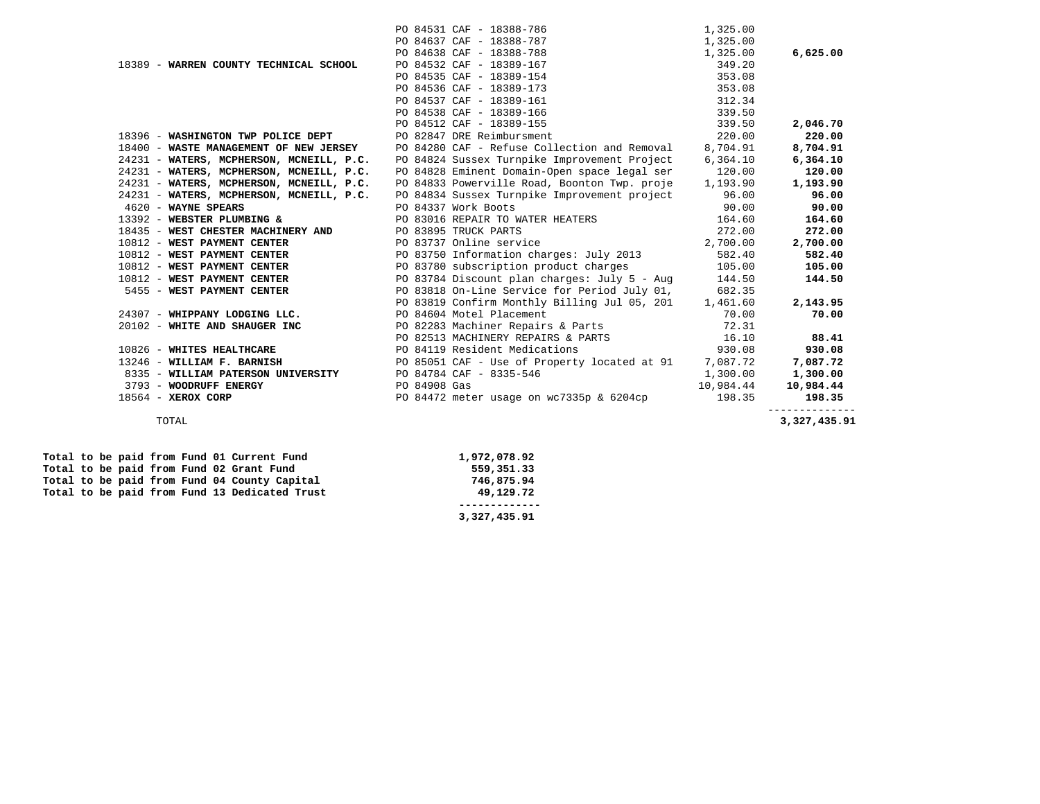|                                          | PO 84531 CAF - 18388-786                                                                       | 1,325.00  |              |
|------------------------------------------|------------------------------------------------------------------------------------------------|-----------|--------------|
|                                          | PO 84637 CAF - 18388-787                                                                       | 1,325.00  |              |
|                                          | PO 84638 CAF - 18388-788                                                                       | 1,325.00  | 6,625.00     |
| 18389 - WARREN COUNTY TECHNICAL SCHOOL   | PO 84532 CAF - 18389-167                                                                       | 349.20    |              |
|                                          | PO 84535 CAF - 18389-154                                                                       | 353.08    |              |
|                                          | PO 84536 CAF - 18389-173                                                                       | 353.08    |              |
|                                          | PO 84537 CAF - 18389-161                                                                       | 312.34    |              |
|                                          | PO 84538 CAF - 18389-166                                                                       | 339.50    |              |
|                                          | PO 84512 CAF - 18389-155                                                                       | 339.50    | 2,046.70     |
| 18396 - WASHINGTON TWP POLICE DEPT       | PO 82847 DRE Reimbursment                                                                      | 220.00    | 220.00       |
| 18400 - WASTE MANAGEMENT OF NEW JERSEY   | PO 84280 CAF - Refuse Collection and Removal                                                   | 8,704.91  | 8,704.91     |
| 24231 - WATERS, MCPHERSON, MCNEILL, P.C. | PO 84824 Sussex Turnpike Improvement Project                                                   | 6,364.10  | 6,364.10     |
| 24231 - WATERS, MCPHERSON, MCNEILL, P.C. | PO 84828 Eminent Domain-Open space legal ser                                                   | 120.00    | 120.00       |
|                                          | 24231 - WATERS, MCPHERSON, MCNEILL, P.C. PO 84833 Powerville Road, Boonton Twp. proje 1,193.90 |           | 1,193.90     |
|                                          | 24231 - WATERS, MCPHERSON, MCNEILL, P.C. PO 84834 Sussex Turnpike Improvement project 96.00    |           | 96.00        |
| 4620 - WAYNE SPEARS                      | PO 84337 Work Boots                                                                            | 90.00     | 90.00        |
| 13392 - WEBSTER PLUMBING &               | PO 83016 REPAIR TO WATER HEATERS                                                               | 164.60    | 164.60       |
| 18435 - WEST CHESTER MACHINERY AND       | PO 83895 TRUCK PARTS                                                                           | 272.00    | 272.00       |
| 10812 - WEST PAYMENT CENTER              | PO 83737 Online service                                                                        | 2,700.00  | 2,700.00     |
| 10812 - WEST PAYMENT CENTER              | PO 83750 Information charges: July 2013                                                        | 582.40    | 582.40       |
| 10812 - WEST PAYMENT CENTER              | PO 83780 subscription product charges 105.00                                                   |           | 105.00       |
| 10812 - WEST PAYMENT CENTER              | PO 83784 Discount plan charges: July 5 - Aug 144.50                                            |           | 144.50       |
| 5455 - WEST PAYMENT CENTER               | PO 83818 On-Line Service for Period July 01,                                                   | 682.35    |              |
|                                          | PO 83819 Confirm Monthly Billing Jul 05, 201 1,461.60                                          |           | 2,143.95     |
| 24307 - WHIPPANY LODGING LLC.            | PO 84604 Motel Placement                                                                       | 70.00     | 70.00        |
| 20102 - WHITE AND SHAUGER INC            | PO 82283 Machiner Repairs & Parts 72.31                                                        |           |              |
|                                          | PO 82513 MACHINERY REPAIRS & PARTS 16.10                                                       |           | 88.41        |
| 10826 - WHITES HEALTHCARE                | PO 84119 Resident Medications                                                                  | 930.08    | 930.08       |
| 13246 - WILLIAM F. BARNISH               | PO 85051 CAF - Use of Property located at 91 7,087.72                                          |           | 7,087.72     |
| 8335 - WILLIAM PATERSON UNIVERSITY       | PO 84784 CAF - 8335-546                                                                        | 1,300.00  | 1,300.00     |
| 3793 - WOODRUFF ENERGY                   | PO 84908 Gas                                                                                   | 10,984.44 | 10,984.44    |
| 18564 - XEROX CORP                       | PO 84472 meter usage on wc7335p & 6204cp 198.35                                                |           | 198.35       |
| TOTAL                                    |                                                                                                |           | 3,327,435.91 |

 **Total to be paid from Fund 01 Current Fund 1,972,078.92**  Total to be paid from Fund 02 Grant Fund<br>Total to be paid from Fund 04 County Capital **559,351.33** 746,875.94 Total to be paid from Fund 04 County Capital 746,875.94<br> **Total to be paid from Fund 13 Dedicated Trust** 700 100 100 19,129.72 Total to be paid from Fund 13 Dedicated Trust

 **------------- 3,327,435.91**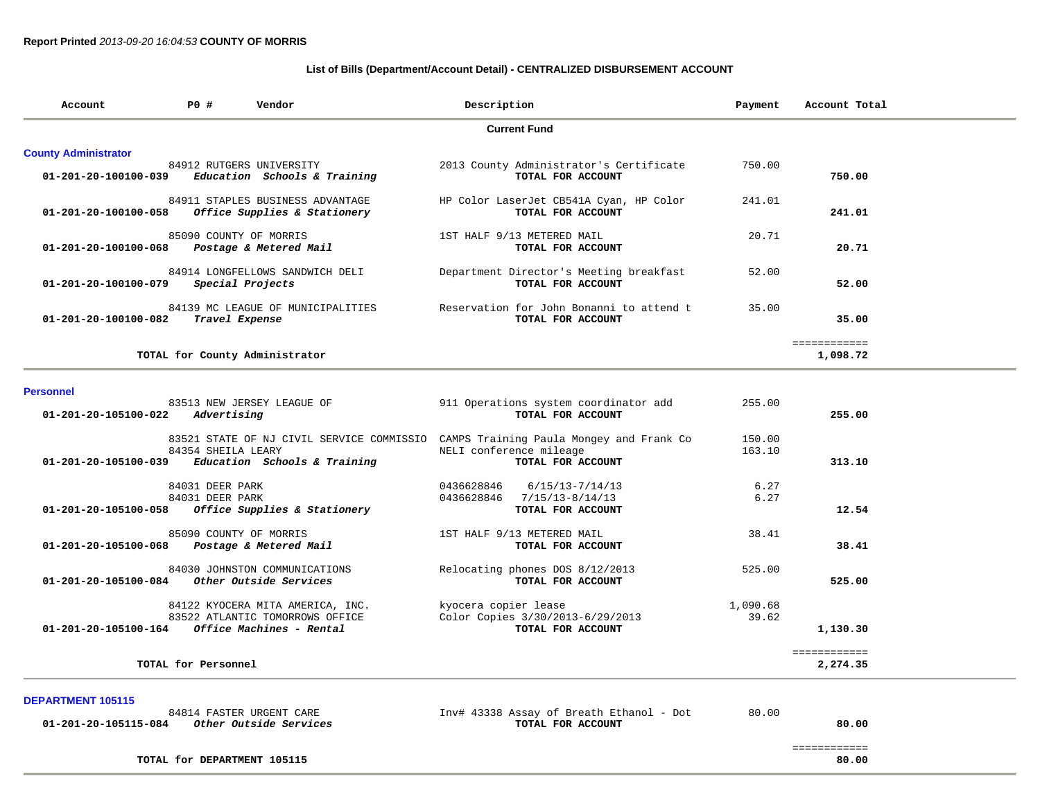### **List of Bills (Department/Account Detail) - CENTRALIZED DISBURSEMENT ACCOUNT**

| Account                     | Description<br><b>PO #</b><br>Vendor |                                                                  | Payment                                                       | Account Total |                          |  |  |  |  |  |
|-----------------------------|--------------------------------------|------------------------------------------------------------------|---------------------------------------------------------------|---------------|--------------------------|--|--|--|--|--|
|                             | <b>Current Fund</b>                  |                                                                  |                                                               |               |                          |  |  |  |  |  |
| <b>County Administrator</b> |                                      |                                                                  |                                                               |               |                          |  |  |  |  |  |
| 01-201-20-100100-039        |                                      | 84912 RUTGERS UNIVERSITY<br>Education Schools & Training         | 2013 County Administrator's Certificate<br>TOTAL FOR ACCOUNT  | 750.00        | 750.00                   |  |  |  |  |  |
| 01-201-20-100100-058        |                                      | 84911 STAPLES BUSINESS ADVANTAGE<br>Office Supplies & Stationery | HP Color LaserJet CB541A Cyan, HP Color<br>TOTAL FOR ACCOUNT  | 241.01        | 241.01                   |  |  |  |  |  |
| 01-201-20-100100-068        | 85090 COUNTY OF MORRIS               | Postage & Metered Mail                                           | 1ST HALF 9/13 METERED MAIL<br>TOTAL FOR ACCOUNT               | 20.71         | 20.71                    |  |  |  |  |  |
| 01-201-20-100100-079        |                                      | 84914 LONGFELLOWS SANDWICH DELI<br>Special Projects              | Department Director's Meeting breakfast<br>TOTAL FOR ACCOUNT  | 52.00         | 52.00                    |  |  |  |  |  |
| 01-201-20-100100-082        | Travel Expense                       | 84139 MC LEAGUE OF MUNICIPALITIES                                | Reservation for John Bonanni to attend t<br>TOTAL FOR ACCOUNT | 35.00         | 35.00                    |  |  |  |  |  |
|                             |                                      | TOTAL for County Administrator                                   |                                                               |               | ============<br>1,098.72 |  |  |  |  |  |

#### **Personnel**

| 83513 NEW JERSEY LEAGUE OF<br>01-201-20-105100-022<br>Advertising                   | 911 Operations system coordinator add<br>TOTAL FOR ACCOUNT          | 255.00           | 255.00                   |
|-------------------------------------------------------------------------------------|---------------------------------------------------------------------|------------------|--------------------------|
| 83521 STATE OF NJ CIVIL SERVICE COMMISSIO<br>84354 SHEILA LEARY                     | CAMPS Training Paula Mongey and Frank Co<br>NELI conference mileage | 150.00<br>163.10 |                          |
| Education Schools & Training<br>01-201-20-105100-039                                | TOTAL FOR ACCOUNT                                                   |                  | 313.10                   |
| 84031 DEER PARK                                                                     | 0436628846<br>$6/15/13 - 7/14/13$                                   | 6.27             |                          |
| 84031 DEER PARK<br>01-201-20-105100-058<br>Office Supplies & Stationery             | 0436628846<br>$7/15/13 - 8/14/13$<br>TOTAL FOR ACCOUNT              | 6.27             | 12.54                    |
| 85090 COUNTY OF MORRIS                                                              | 1ST HALF 9/13 METERED MAIL                                          | 38.41            |                          |
| 01-201-20-105100-068<br>Postage & Metered Mail                                      | TOTAL FOR ACCOUNT                                                   |                  | 38.41                    |
| 84030 JOHNSTON COMMUNICATIONS<br>01-201-20-105100-084<br>Other Outside Services     | Relocating phones DOS 8/12/2013<br>TOTAL FOR ACCOUNT                | 525.00           | 525.00                   |
| 84122 KYOCERA MITA AMERICA, INC.                                                    | kyocera copier lease                                                | 1,090.68         |                          |
| 83522 ATLANTIC TOMORROWS OFFICE<br>01-201-20-105100-164<br>Office Machines - Rental | Color Copies 3/30/2013-6/29/2013<br>TOTAL FOR ACCOUNT               | 39.62            | 1,130.30                 |
| TOTAL for Personnel                                                                 |                                                                     |                  | ============<br>2,274.35 |

**DEPARTMENT 105115** 

i.

|                      | 84814 FASTER URGENT CARE      | 80.00<br>Inv# 43338 Assay of Breath Ethanol - Dot |              |
|----------------------|-------------------------------|---------------------------------------------------|--------------|
| 01-201-20-105115-084 | <i>Other Outside Services</i> | TOTAL FOR ACCOUNT                                 | 80.00        |
|                      |                               |                                                   |              |
|                      |                               |                                                   | ____________ |

TOTAL for DEPARTMENT 105115

80.00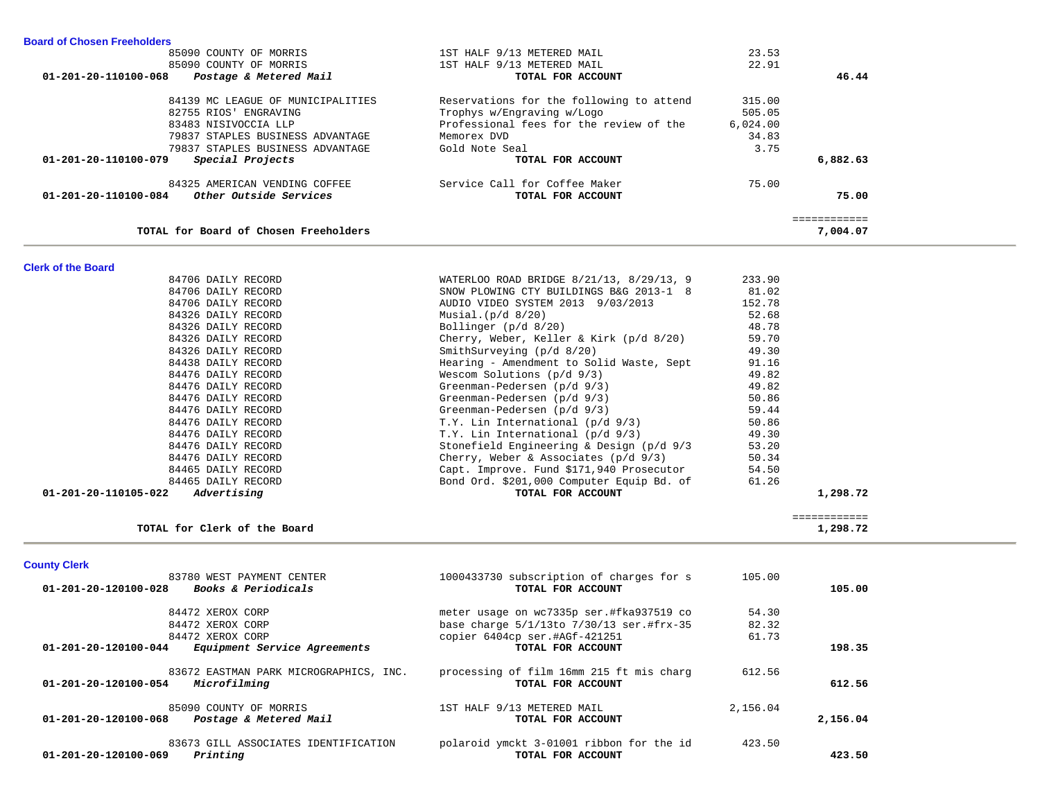| 85090 COUNTY OF MORRIS                                                   | 1ST HALF 9/13 METERED MAIL                                    | 23.53    |              |  |
|--------------------------------------------------------------------------|---------------------------------------------------------------|----------|--------------|--|
| 85090 COUNTY OF MORRIS                                                   | 1ST HALF 9/13 METERED MAIL                                    | 22.91    |              |  |
| Postage & Metered Mail<br>01-201-20-110100-068                           | TOTAL FOR ACCOUNT                                             |          | 46.44        |  |
|                                                                          |                                                               |          |              |  |
| 84139 MC LEAGUE OF MUNICIPALITIES                                        | Reservations for the following to attend                      | 315.00   |              |  |
| 82755 RIOS' ENGRAVING                                                    | Trophys w/Engraving w/Logo                                    | 505.05   |              |  |
| 83483 NISIVOCCIA LLP                                                     | Professional fees for the review of the                       | 6,024.00 |              |  |
| 79837 STAPLES BUSINESS ADVANTAGE                                         | Memorex DVD                                                   | 34.83    |              |  |
| 79837 STAPLES BUSINESS ADVANTAGE                                         | Gold Note Seal                                                | 3.75     |              |  |
| Special Projects<br>01-201-20-110100-079                                 | TOTAL FOR ACCOUNT                                             |          | 6,882.63     |  |
| 84325 AMERICAN VENDING COFFEE                                            | Service Call for Coffee Maker                                 | 75.00    |              |  |
| Other Outside Services<br>01-201-20-110100-084                           | TOTAL FOR ACCOUNT                                             |          | 75.00        |  |
|                                                                          |                                                               |          | ============ |  |
| TOTAL for Board of Chosen Freeholders                                    |                                                               |          | 7,004.07     |  |
|                                                                          |                                                               |          |              |  |
| <b>Clerk of the Board</b>                                                |                                                               |          |              |  |
| 84706 DAILY RECORD                                                       | WATERLOO ROAD BRIDGE 8/21/13, 8/29/13, 9                      | 233.90   |              |  |
| 84706 DAILY RECORD                                                       | SNOW PLOWING CTY BUILDINGS B&G 2013-1 8                       | 81.02    |              |  |
| 84706 DAILY RECORD                                                       | AUDIO VIDEO SYSTEM 2013 9/03/2013                             | 152.78   |              |  |
| 84326 DAILY RECORD                                                       | Musial. $(p/d \ 8/20)$                                        | 52.68    |              |  |
| 84326 DAILY RECORD                                                       | Bollinger (p/d 8/20)                                          | 48.78    |              |  |
| 84326 DAILY RECORD                                                       | Cherry, Weber, Keller & Kirk $(p/d_8/20)$                     | 59.70    |              |  |
| 84326 DAILY RECORD                                                       | SmithSurveying (p/d 8/20)                                     | 49.30    |              |  |
| 84438 DAILY RECORD                                                       | Hearing - Amendment to Solid Waste, Sept                      | 91.16    |              |  |
| 84476 DAILY RECORD                                                       | Wescom Solutions $(p/d \t 9/3)$                               | 49.82    |              |  |
| 84476 DAILY RECORD                                                       | Greenman-Pedersen (p/d 9/3)                                   | 49.82    |              |  |
| 84476 DAILY RECORD                                                       | Greenman-Pedersen (p/d 9/3)                                   | 50.86    |              |  |
| 84476 DAILY RECORD                                                       | Greenman-Pedersen (p/d 9/3)                                   | 59.44    |              |  |
| 84476 DAILY RECORD                                                       | T.Y. Lin International (p/d 9/3)                              | 50.86    |              |  |
| 84476 DAILY RECORD                                                       | T.Y. Lin International (p/d 9/3)                              | 49.30    |              |  |
| 84476 DAILY RECORD                                                       | Stonefield Engineering & Design (p/d 9/3                      | 53.20    |              |  |
| 84476 DAILY RECORD                                                       | Cherry, Weber & Associates $(p/d \ 9/3)$                      | 50.34    |              |  |
| 84465 DAILY RECORD                                                       | Capt. Improve. Fund \$171,940 Prosecutor                      | 54.50    |              |  |
| 84465 DAILY RECORD                                                       | Bond Ord. \$201,000 Computer Equip Bd. of                     | 61.26    |              |  |
| $01 - 201 - 20 - 110105 - 022$ Advertising                               | TOTAL FOR ACCOUNT                                             |          | 1,298.72     |  |
|                                                                          |                                                               |          | ============ |  |
| TOTAL for Clerk of the Board                                             |                                                               |          | 1,298.72     |  |
| <b>County Clerk</b>                                                      |                                                               |          |              |  |
| 83780 WEST PAYMENT CENTER                                                | 1000433730 subscription of charges for s                      | 105.00   |              |  |
| 01-201-20-120100-028<br>Books & Periodicals                              | TOTAL FOR ACCOUNT                                             |          | 105.00       |  |
|                                                                          |                                                               |          |              |  |
| 84472 XEROX CORP                                                         | meter usage on wc7335p ser.#fka937519 co                      | 54.30    |              |  |
| 84472 XEROX CORP                                                         | base charge 5/1/13to 7/30/13 ser.#frx-35                      | 82.32    |              |  |
| 84472 XEROX CORP                                                         | copier 6404cp ser.#AGf-421251                                 | 61.73    |              |  |
| 01-201-20-120100-044<br>Equipment Service Agreements                     | TOTAL FOR ACCOUNT                                             |          | 198.35       |  |
| 83672 EASTMAN PARK MICROGRAPHICS, INC.                                   | processing of film 16mm 215 ft mis charg                      | 612.56   |              |  |
| 01-201-20-120100-054 Microfilming                                        | TOTAL FOR ACCOUNT                                             |          | 612.56       |  |
| 85090 COUNTY OF MORRIS                                                   | 1ST HALF 9/13 METERED MAIL                                    | 2,156.04 |              |  |
| 01-201-20-120100-068<br>Postage & Metered Mail                           | TOTAL FOR ACCOUNT                                             |          | 2,156.04     |  |
|                                                                          |                                                               |          |              |  |
| 83673 GILL ASSOCIATES IDENTIFICATION<br>Printing<br>01-201-20-120100-069 | polaroid ymckt 3-01001 ribbon for the id<br>TOTAL FOR ACCOUNT | 423.50   | 423.50       |  |
|                                                                          |                                                               |          |              |  |

**Board of Chosen Freeholders**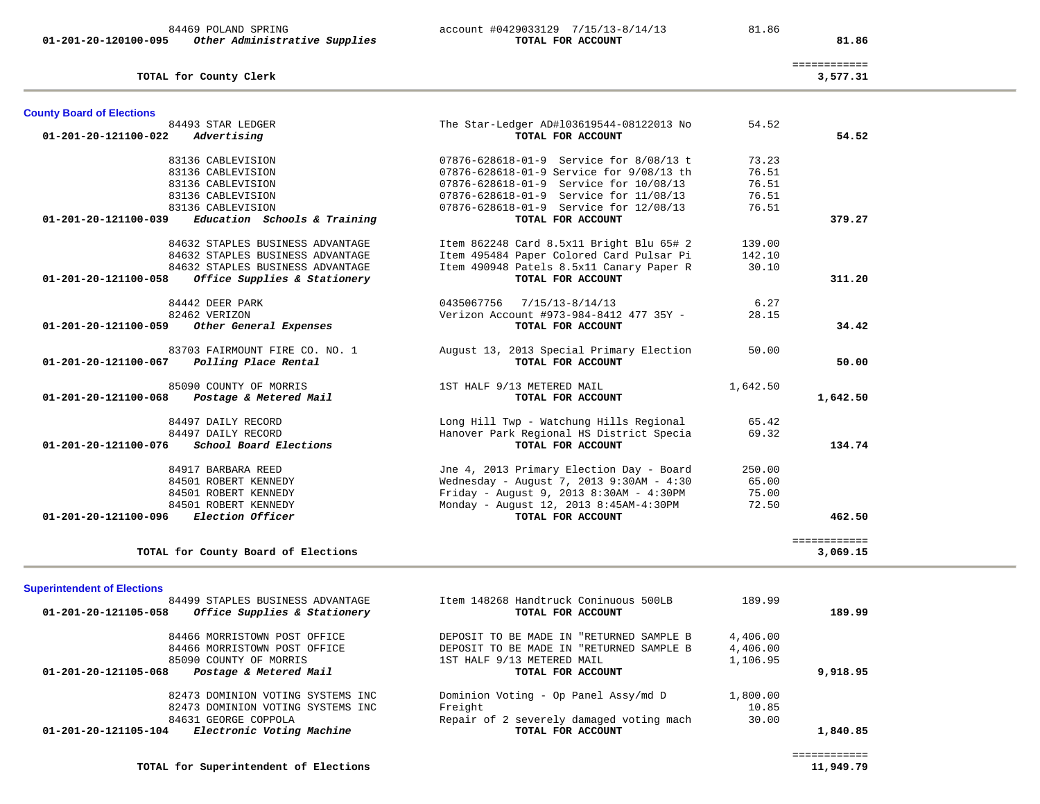|                                       | TOTAL for County Clerk                                                           |                                           |          | 3,577.31     |
|---------------------------------------|----------------------------------------------------------------------------------|-------------------------------------------|----------|--------------|
| <b>County Board of Elections</b>      |                                                                                  |                                           |          |              |
|                                       | 84493 STAR LEDGER                                                                | The Star-Ledger AD#103619544-08122013 No  | 54.52    |              |
| 01-201-20-121100-022                  | Advertising                                                                      | TOTAL FOR ACCOUNT                         |          | 54.52        |
|                                       | 83136 CABLEVISION                                                                | 07876-628618-01-9 Service for 8/08/13 t   | 73.23    |              |
|                                       | 83136 CABLEVISION                                                                | 07876-628618-01-9 Service for 9/08/13 th  | 76.51    |              |
|                                       | 83136 CABLEVISION                                                                | 07876-628618-01-9 Service for 10/08/13    | 76.51    |              |
|                                       | 83136 CABLEVISION                                                                | 07876-628618-01-9 Service for 11/08/13    | 76.51    |              |
|                                       | 83136 CABLEVISION                                                                | 07876-628618-01-9 Service for 12/08/13    | 76.51    |              |
| 01-201-20-121100-039                  | Education Schools & Training                                                     | TOTAL FOR ACCOUNT                         |          | 379.27       |
|                                       | 84632 STAPLES BUSINESS ADVANTAGE                                                 | Item 862248 Card 8.5x11 Bright Blu 65# 2  | 139.00   |              |
|                                       | 84632 STAPLES BUSINESS ADVANTAGE                                                 | Item 495484 Paper Colored Card Pulsar Pi  | 142.10   |              |
|                                       | 84632 STAPLES BUSINESS ADVANTAGE                                                 | Item 490948 Patels 8.5x11 Canary Paper R  | 30.10    |              |
| 01-201-20-121100-058                  | Office Supplies & Stationery                                                     | TOTAL FOR ACCOUNT                         |          | 311.20       |
|                                       | 84442 DEER PARK                                                                  | 0435067756 7/15/13-8/14/13                | 6.27     |              |
|                                       | 82462 VERIZON                                                                    | Verizon Account #973-984-8412 477 35Y -   | 28.15    |              |
| 01-201-20-121100-059                  | Other General Expenses                                                           | TOTAL FOR ACCOUNT                         |          | 34.42        |
|                                       | 83703 FAIRMOUNT FIRE CO. NO. 1                                                   | August 13, 2013 Special Primary Election  | 50.00    |              |
| 01-201-20-121100-067                  | Polling Place Rental                                                             | TOTAL FOR ACCOUNT                         |          | 50.00        |
|                                       | 85090 COUNTY OF MORRIS                                                           | 1ST HALF 9/13 METERED MAIL                | 1,642.50 |              |
| 01-201-20-121100-068                  | Postage & Metered Mail                                                           | TOTAL FOR ACCOUNT                         |          | 1,642.50     |
|                                       | 84497 DAILY RECORD                                                               | Long Hill Twp - Watchung Hills Regional   | 65.42    |              |
|                                       | 84497 DAILY RECORD                                                               | Hanover Park Regional HS District Specia  | 69.32    |              |
| 01-201-20-121100-076                  | School Board Elections                                                           | TOTAL FOR ACCOUNT                         |          | 134.74       |
|                                       | 84917 BARBARA REED                                                               | Jne 4, 2013 Primary Election Day - Board  | 250.00   |              |
|                                       | 84501 ROBERT KENNEDY                                                             | Wednesday - August 7, 2013 9:30AM - 4:30  | 65.00    |              |
|                                       | 84501 ROBERT KENNEDY                                                             | Friday - August 9, 2013 8:30AM - $4:30PM$ | 75.00    |              |
|                                       | 84501 ROBERT KENNEDY                                                             | Monday - August 12, 2013 8:45AM-4:30PM    | 72.50    |              |
| 01-201-20-121100-096 Election Officer |                                                                                  | TOTAL FOR ACCOUNT                         |          | 462.50       |
|                                       |                                                                                  |                                           |          | ============ |
|                                       | TOTAL for County Board of Elections                                              |                                           |          | 3,069.15     |
|                                       |                                                                                  |                                           |          |              |
| <b>Superintendent of Elections</b>    | 84499 STAPLES BUSINESS ADVANTAGE                                                 | Item 148268 Handtruck Coninuous 500LB     | 189.99   |              |
|                                       | $01.201.20.12110F$ $0.000$ $0.0000$ $0.0000$ $0.0000$ $0.0000$ $0.0000$ $0.0000$ | $\blacksquare$                            |          | 100.00       |

============

|                      | 84469 POLAND SPRING           | account #0429033129 7/15/13-8/14/13 |                   | 81.86 |       |
|----------------------|-------------------------------|-------------------------------------|-------------------|-------|-------|
| 01-201-20-120100-095 | Other Administrative Supplies |                                     | TOTAL FOR ACCOUNT |       | 81.86 |

# account #0429033129 7/15/13-8/14/13 81.86

| TOTAL for County Board of Elections                  |                                          |          | 3,069.15 |
|------------------------------------------------------|------------------------------------------|----------|----------|
| <b>Superintendent of Elections</b>                   |                                          |          |          |
| 84499 STAPLES BUSINESS ADVANTAGE                     | Item 148268 Handtruck Coninuous 500LB    | 189.99   |          |
| Office Supplies & Stationery<br>01-201-20-121105-058 | TOTAL FOR ACCOUNT                        |          | 189.99   |
| 84466 MORRISTOWN POST OFFICE                         | DEPOSIT TO BE MADE IN "RETURNED SAMPLE B | 4,406.00 |          |
| 84466 MORRISTOWN POST OFFICE                         | DEPOSIT TO BE MADE IN "RETURNED SAMPLE B | 4,406.00 |          |
| 85090 COUNTY OF MORRIS                               | 1ST HALF 9/13 METERED MAIL               | 1,106.95 |          |
| 01-201-20-121105-068<br>Postage & Metered Mail       | TOTAL FOR ACCOUNT                        |          | 9,918.95 |
| 82473 DOMINION VOTING SYSTEMS INC                    | Dominion Voting - Op Panel Assy/md D     | 1,800.00 |          |
| 82473 DOMINION VOTING SYSTEMS INC                    | Freight                                  | 10.85    |          |
| 84631 GEORGE COPPOLA                                 | Repair of 2 severely damaged voting mach | 30.00    |          |
| Electronic Voting Machine<br>01-201-20-121105-104    | TOTAL FOR ACCOUNT                        |          | 1,840.85 |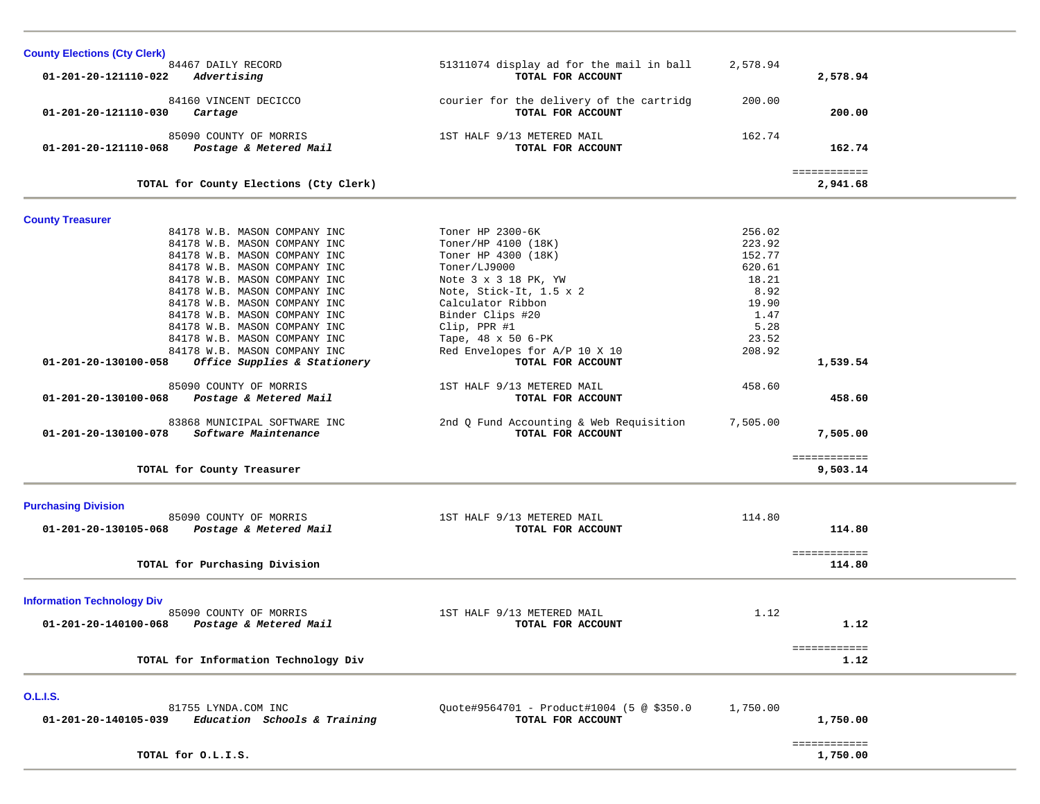| <b>County Elections (Cty Clerk)</b>                                          |                                                               |          |                          |  |
|------------------------------------------------------------------------------|---------------------------------------------------------------|----------|--------------------------|--|
| 84467 DAILY RECORD<br>Advertising<br>01-201-20-121110-022                    | 51311074 display ad for the mail in ball<br>TOTAL FOR ACCOUNT | 2,578.94 | 2,578.94                 |  |
| 84160 VINCENT DECICCO<br>01-201-20-121110-030<br>Cartage                     | courier for the delivery of the cartridg<br>TOTAL FOR ACCOUNT | 200.00   | 200.00                   |  |
| 85090 COUNTY OF MORRIS<br>Postage & Metered Mail<br>01-201-20-121110-068     | 1ST HALF 9/13 METERED MAIL<br>TOTAL FOR ACCOUNT               | 162.74   | 162.74                   |  |
| TOTAL for County Elections (Cty Clerk)                                       |                                                               |          | ============<br>2,941.68 |  |
| <b>County Treasurer</b>                                                      |                                                               |          |                          |  |
| 84178 W.B. MASON COMPANY INC                                                 | Toner HP 2300-6K                                              | 256.02   |                          |  |
| 84178 W.B. MASON COMPANY INC                                                 | Toner/HP 4100 (18K)                                           | 223.92   |                          |  |
| 84178 W.B. MASON COMPANY INC                                                 | Toner HP 4300 (18K)                                           | 152.77   |                          |  |
| 84178 W.B. MASON COMPANY INC                                                 | Toner/LJ9000                                                  | 620.61   |                          |  |
| 84178 W.B. MASON COMPANY INC                                                 | Note 3 x 3 18 PK, YW                                          | 18.21    |                          |  |
| 84178 W.B. MASON COMPANY INC                                                 | Note, Stick-It, 1.5 x 2                                       | 8.92     |                          |  |
| 84178 W.B. MASON COMPANY INC                                                 | Calculator Ribbon                                             | 19.90    |                          |  |
| 84178 W.B. MASON COMPANY INC                                                 | Binder Clips #20                                              | 1.47     |                          |  |
| 84178 W.B. MASON COMPANY INC                                                 | Clip, PPR #1                                                  | 5.28     |                          |  |
| 84178 W.B. MASON COMPANY INC                                                 | Tape, 48 x 50 6-PK                                            | 23.52    |                          |  |
| 84178 W.B. MASON COMPANY INC                                                 | Red Envelopes for A/P 10 X 10                                 | 208.92   |                          |  |
| Office Supplies & Stationery<br>01-201-20-130100-058                         | TOTAL FOR ACCOUNT                                             |          | 1,539.54                 |  |
| 85090 COUNTY OF MORRIS<br>Postage & Metered Mail<br>01-201-20-130100-068     | 1ST HALF 9/13 METERED MAIL<br>TOTAL FOR ACCOUNT               | 458.60   | 458.60                   |  |
| 83868 MUNICIPAL SOFTWARE INC<br>Software Maintenance<br>01-201-20-130100-078 | 2nd Q Fund Accounting & Web Requisition<br>TOTAL FOR ACCOUNT  | 7,505.00 | 7,505.00                 |  |
| TOTAL for County Treasurer                                                   |                                                               |          | ============<br>9,503.14 |  |
|                                                                              |                                                               |          |                          |  |
| <b>Purchasing Division</b><br>85090 COUNTY OF MORRIS                         | 1ST HALF 9/13 METERED MAIL                                    | 114.80   |                          |  |
| 01-201-20-130105-068<br>Postage & Metered Mail                               | TOTAL FOR ACCOUNT                                             |          | 114.80                   |  |
|                                                                              |                                                               |          |                          |  |
| TOTAL for Purchasing Division                                                |                                                               |          | ============<br>114.80   |  |
|                                                                              |                                                               |          |                          |  |
| <b>Information Technology Div</b>                                            |                                                               |          |                          |  |
| 85090 COUNTY OF MORRIS                                                       | 1ST HALF 9/13 METERED MAIL                                    | 1.12     |                          |  |
| Postage & Metered Mail<br>01-201-20-140100-068                               | TOTAL FOR ACCOUNT                                             |          | 1.12                     |  |
|                                                                              |                                                               |          | ============             |  |
| TOTAL for Information Technology Div                                         |                                                               |          | 1.12                     |  |
| <b>O.L.I.S.</b>                                                              |                                                               |          |                          |  |
| 81755 LYNDA.COM INC                                                          | Ouote#9564701 - Product#1004 (5 @ \$350.0                     | 1,750.00 |                          |  |
| Education Schools & Training<br>01-201-20-140105-039                         | TOTAL FOR ACCOUNT                                             |          | 1,750.00                 |  |
|                                                                              |                                                               |          |                          |  |
| TOTAL for O.L.I.S.                                                           |                                                               |          | ============<br>1,750.00 |  |
|                                                                              |                                                               |          |                          |  |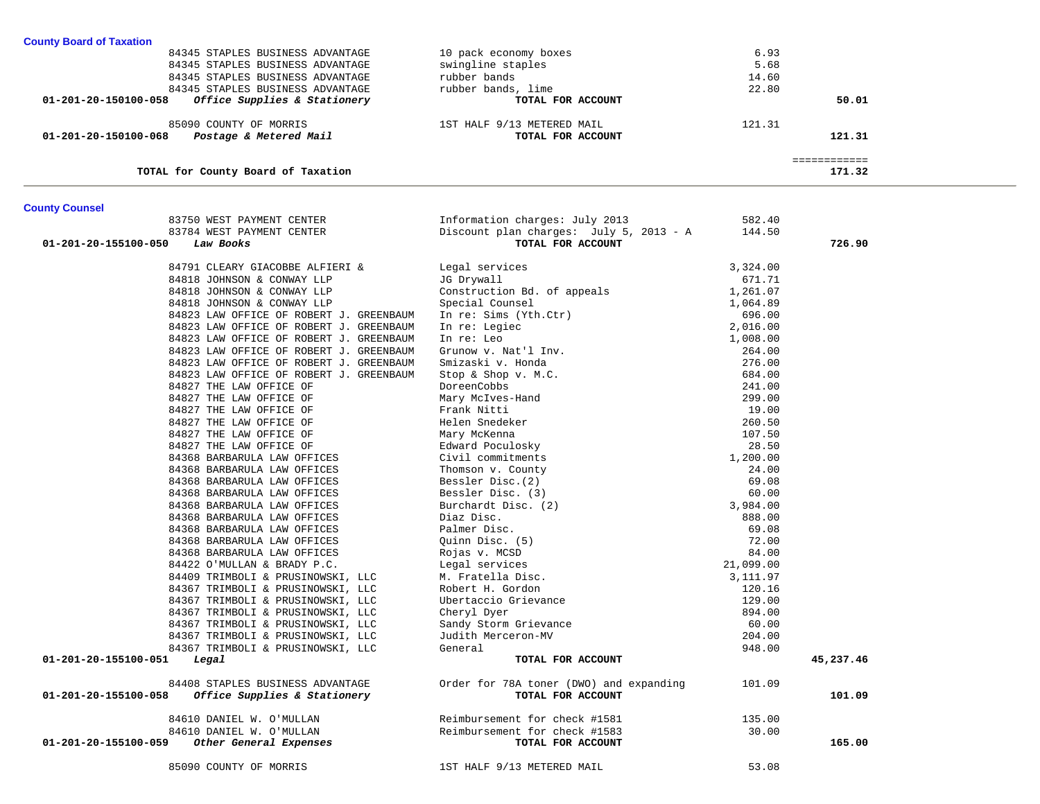| <b>County Board of Taxation</b>                      |                                         |          |              |  |
|------------------------------------------------------|-----------------------------------------|----------|--------------|--|
| 84345 STAPLES BUSINESS ADVANTAGE                     | 10 pack economy boxes                   | 6.93     |              |  |
| 84345 STAPLES BUSINESS ADVANTAGE                     | swingline staples                       | 5.68     |              |  |
| 84345 STAPLES BUSINESS ADVANTAGE                     | rubber bands                            | 14.60    |              |  |
| 84345 STAPLES BUSINESS ADVANTAGE                     | rubber bands, lime                      | 22.80    |              |  |
| Office Supplies & Stationery<br>01-201-20-150100-058 | TOTAL FOR ACCOUNT                       |          | 50.01        |  |
| 85090 COUNTY OF MORRIS                               | 1ST HALF 9/13 METERED MAIL              | 121.31   |              |  |
| 01-201-20-150100-068<br>Postage & Metered Mail       | TOTAL FOR ACCOUNT                       |          | 121.31       |  |
|                                                      |                                         |          | ============ |  |
| TOTAL for County Board of Taxation                   |                                         |          | 171.32       |  |
| <b>County Counsel</b>                                |                                         |          |              |  |
| 83750 WEST PAYMENT CENTER                            | Information charges: July 2013          | 582.40   |              |  |
| 83784 WEST PAYMENT CENTER                            | Discount plan charges: July 5, 2013 - A | 144.50   |              |  |
| 01-201-20-155100-050<br>Law Books                    | TOTAL FOR ACCOUNT                       |          | 726.90       |  |
| 84791 CLEARY GIACOBBE ALFIERI &                      | Legal services                          | 3,324.00 |              |  |
| 84818 JOHNSON & CONWAY LLP                           | JG Drywall                              | 671.71   |              |  |
| 84818 JOHNSON & CONWAY LLP                           | Construction Bd. of appeals             | 1,261.07 |              |  |
| 84818 JOHNSON & CONWAY LLP                           | Special Counsel                         | 1,064.89 |              |  |
| 84823 LAW OFFICE OF ROBERT J. GREENBAUM              | In re: Sims (Yth.Ctr)                   | 696.00   |              |  |
| 84823 LAW OFFICE OF ROBERT J. GREENBAUM              | In re: Legiec                           | 2,016.00 |              |  |
| 84823 LAW OFFICE OF ROBERT J. GREENBAUM              | In re: Leo                              | 1,008.00 |              |  |
| 84823 LAW OFFICE OF ROBERT J. GREENBAUM              | Grunow v. Nat'l Inv.                    | 264.00   |              |  |
| 84823 LAW OFFICE OF ROBERT J. GREENBAUM              | Smizaski v. Honda                       | 276.00   |              |  |
| 84823 LAW OFFICE OF ROBERT J. GREENBAUM              | Stop & Shop v. M.C.                     | 684.00   |              |  |
| 84827 THE LAW OFFICE OF                              | DoreenCobbs                             | 241.00   |              |  |
| 84827 THE LAW OFFICE OF                              | Mary McIves-Hand                        | 299.00   |              |  |
| 84827 THE LAW OFFICE OF                              | Frank Nitti                             | 19.00    |              |  |
| 84827 THE LAW OFFICE OF                              | Helen Snedeker                          | 260.50   |              |  |
| 84827 THE LAW OFFICE OF                              | Mary McKenna                            | 107.50   |              |  |
| 84827 THE LAW OFFICE OF                              | Edward Poculosky                        | 28.50    |              |  |
| 84368 BARBARULA LAW OFFICES                          | Civil commitments                       | 1,200.00 |              |  |
| 84368 BARBARULA LAW OFFICES                          | Thomson v. County                       | 24.00    |              |  |
| 84368 BARBARULA LAW OFFICES                          | Bessler Disc. (2)                       | 69.08    |              |  |
| 84368 BARBARULA LAW OFFICES                          | Bessler Disc. (3)                       | 60.00    |              |  |
| 84368 BARBARULA LAW OFFICES                          | Burchardt Disc. (2)                     | 3,984.00 |              |  |
| 84368 BARBARULA LAW OFFICES                          | Diaz Disc.                              | 888.00   |              |  |
| 84368 BARBARULA LAW OFFICES                          | Palmer Disc.                            | 69.08    |              |  |
| 84368 BARBARULA LAW OFFICES                          | Quinn Disc. (5)                         | 72.00    |              |  |

84368 BARBARULA LAW OFFICES Rojas v. MCSD 84.00 84422 O'MULLAN & BRADY P.C. Legal services 21,099.00 84409 TRIMBOLI & PRUSINOWSKI, LLC M. Fratella Disc. 3,111.97 84367 TRIMBOLI & PRUSINOWSKI, LLC Robert H. Gordon 120.16 84367 TRIMBOLI & PRUSINOWSKI, LLC Ubertaccio Grievance 129.00 84367 TRIMBOLI & PRUSINOWSKI, LLC Cheryl Dyer 894.00 84367 TRIMBOLI & PRUSINOWSKI, LLC Sandy Storm Grievance 60.00 84367 TRIMBOLI & PRUSINOWSKI, LLC Judith Merceron-MV 204.00 84367 TRIMBOLI & PRUSINOWSKI, LLC General 948.00

 **01-201-20-155100-051** *Legal* **TOTAL FOR ACCOUNT 45,237.46**

 84408 STAPLES BUSINESS ADVANTAGE Order for 78A toner (DWO) and expanding 101.09  **01-201-20-155100-058** *Office Supplies & Stationery* **TOTAL FOR ACCOUNT 101.09**

 84610 DANIEL W. O'MULLAN Reimbursement for check #1581 135.00 84610 DANIEL W. O'MULLAN Reimbursement for check #1583 30.00  **01-201-20-155100-059** *Other General Expenses* **TOTAL FOR ACCOUNT 165.00**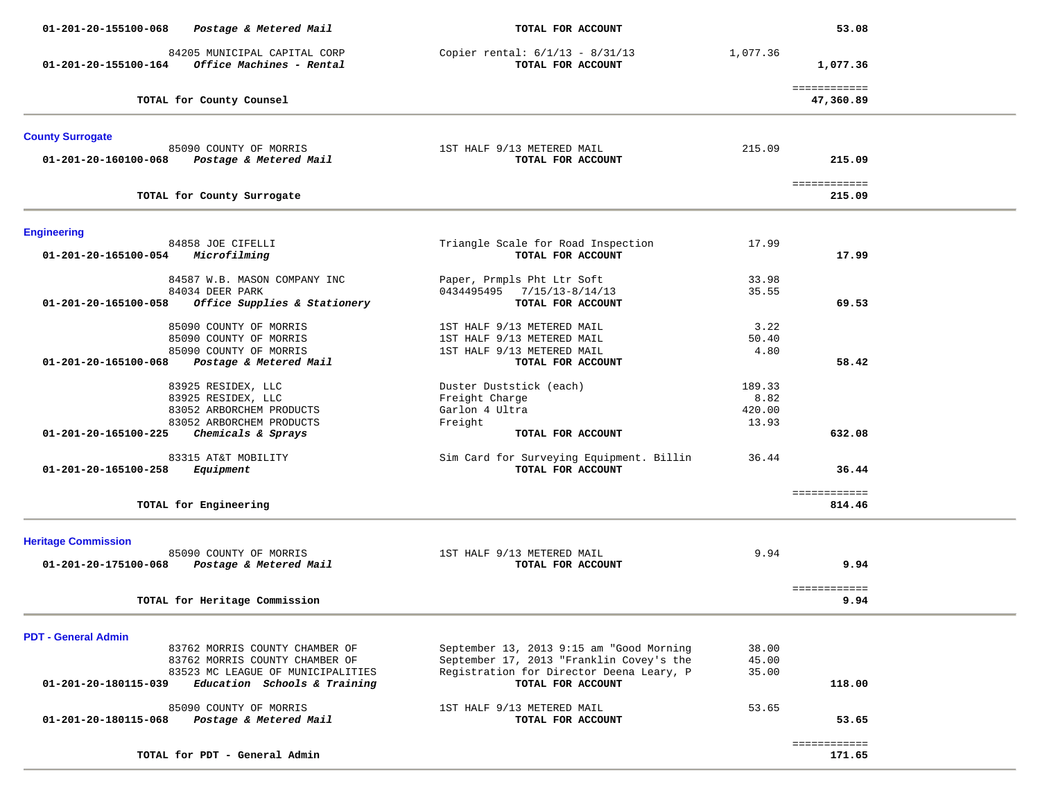| 01-201-20-155100-068<br>Postage & Metered Mail                                            | TOTAL FOR ACCOUNT                                             |          | 53.08                     |  |
|-------------------------------------------------------------------------------------------|---------------------------------------------------------------|----------|---------------------------|--|
| 84205 MUNICIPAL CAPITAL CORP<br>Office Machines - Rental<br>01-201-20-155100-164          | Copier rental: $6/1/13 - 8/31/13$<br>TOTAL FOR ACCOUNT        | 1,077.36 | 1,077.36                  |  |
| TOTAL for County Counsel                                                                  |                                                               |          | ============<br>47,360.89 |  |
| <b>County Surrogate</b>                                                                   |                                                               |          |                           |  |
| 85090 COUNTY OF MORRIS<br>01-201-20-160100-068<br>Postage & Metered Mail                  | 1ST HALF 9/13 METERED MAIL<br>TOTAL FOR ACCOUNT               | 215.09   | 215.09                    |  |
| TOTAL for County Surrogate                                                                |                                                               |          | ============<br>215.09    |  |
| <b>Engineering</b>                                                                        |                                                               |          |                           |  |
| 84858 JOE CIFELLI<br>Microfilming<br>01-201-20-165100-054                                 | Triangle Scale for Road Inspection<br>TOTAL FOR ACCOUNT       | 17.99    | 17.99                     |  |
| 84587 W.B. MASON COMPANY INC                                                              | Paper, Prmpls Pht Ltr Soft                                    | 33.98    |                           |  |
| 84034 DEER PARK<br>Office Supplies & Stationery<br>$01 - 201 - 20 - 165100 - 058$         | $7/15/13 - 8/14/13$<br>0434495495<br>TOTAL FOR ACCOUNT        | 35.55    | 69.53                     |  |
| 85090 COUNTY OF MORRIS                                                                    | 1ST HALF 9/13 METERED MAIL                                    | 3.22     |                           |  |
| 85090 COUNTY OF MORRIS                                                                    | 1ST HALF 9/13 METERED MAIL                                    | 50.40    |                           |  |
| 85090 COUNTY OF MORRIS<br>Postage & Metered Mail<br>$01 - 201 - 20 - 165100 - 068$        | 1ST HALF 9/13 METERED MAIL<br>TOTAL FOR ACCOUNT               | 4.80     | 58.42                     |  |
| 83925 RESIDEX, LLC                                                                        | Duster Duststick (each)                                       | 189.33   |                           |  |
| 83925 RESIDEX, LLC                                                                        | Freight Charge                                                | 8.82     |                           |  |
| 83052 ARBORCHEM PRODUCTS                                                                  | Garlon 4 Ultra                                                | 420.00   |                           |  |
| 83052 ARBORCHEM PRODUCTS<br>01-201-20-165100-225<br>Chemicals & Sprays                    | Freight<br>TOTAL FOR ACCOUNT                                  | 13.93    | 632.08                    |  |
| 83315 AT&T MOBILITY<br>01-201-20-165100-258<br>Equipment                                  | Sim Card for Surveying Equipment. Billin<br>TOTAL FOR ACCOUNT | 36.44    | 36.44                     |  |
| TOTAL for Engineering                                                                     |                                                               |          | ============<br>814.46    |  |
| <b>Heritage Commission</b>                                                                |                                                               |          |                           |  |
| 85090 COUNTY OF MORRIS<br>01-201-20-175100-068<br>Postage & Metered Mail                  | 1ST HALF 9/13 METERED MAIL<br>TOTAL FOR ACCOUNT               | 9.94     | 9.94                      |  |
| TOTAL for Heritage Commission                                                             |                                                               |          | ============<br>9.94      |  |
|                                                                                           |                                                               |          |                           |  |
| <b>PDT - General Admin</b><br>83762 MORRIS COUNTY CHAMBER OF                              | September 13, 2013 9:15 am "Good Morning                      | 38.00    |                           |  |
| 83762 MORRIS COUNTY CHAMBER OF                                                            | September 17, 2013 "Franklin Covey's the                      | 45.00    |                           |  |
| 83523 MC LEAGUE OF MUNICIPALITIES<br>01-201-20-180115-039<br>Education Schools & Training | Registration for Director Deena Leary, P<br>TOTAL FOR ACCOUNT | 35.00    | 118.00                    |  |
| 85090 COUNTY OF MORRIS<br>01-201-20-180115-068<br>Postage & Metered Mail                  | 1ST HALF 9/13 METERED MAIL<br>TOTAL FOR ACCOUNT               | 53.65    | 53.65                     |  |
| TOTAL for PDT - General Admin                                                             |                                                               |          | ============<br>171.65    |  |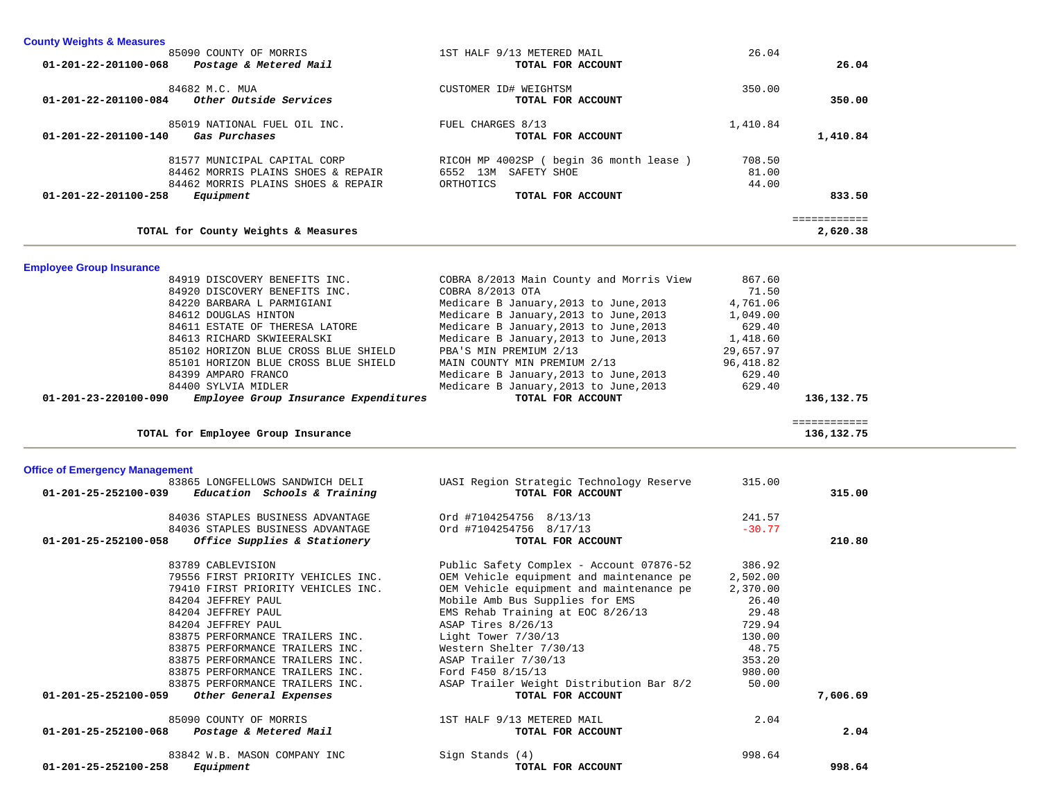| 01-201-22-201100-084                  | 84682 M.C. MUA<br>Other Outside Services                                 | CUSTOMER ID# WEIGHTSM<br>TOTAL FOR ACCOUNT                    | 350.00           | 350.00       |  |
|---------------------------------------|--------------------------------------------------------------------------|---------------------------------------------------------------|------------------|--------------|--|
|                                       |                                                                          |                                                               |                  |              |  |
| 01-201-22-201100-140                  | 85019 NATIONAL FUEL OIL INC.<br>Gas Purchases                            | FUEL CHARGES 8/13<br>TOTAL FOR ACCOUNT                        | 1,410.84         | 1,410.84     |  |
|                                       |                                                                          |                                                               |                  |              |  |
|                                       | 81577 MUNICIPAL CAPITAL CORP                                             | RICOH MP 4002SP ( begin 36 month lease )                      | 708.50           |              |  |
|                                       | 84462 MORRIS PLAINS SHOES & REPAIR<br>84462 MORRIS PLAINS SHOES & REPAIR | 6552 13M SAFETY SHOE<br>ORTHOTICS                             | 81.00<br>44.00   |              |  |
| 01-201-22-201100-258                  | Equipment                                                                | TOTAL FOR ACCOUNT                                             |                  | 833.50       |  |
|                                       |                                                                          |                                                               |                  | ============ |  |
|                                       | TOTAL for County Weights & Measures                                      |                                                               |                  | 2,620.38     |  |
| <b>Employee Group Insurance</b>       |                                                                          |                                                               |                  |              |  |
|                                       | 84919 DISCOVERY BENEFITS INC.                                            | COBRA 8/2013 Main County and Morris View                      | 867.60           |              |  |
|                                       | 84920 DISCOVERY BENEFITS INC.                                            | COBRA 8/2013 OTA                                              | 71.50            |              |  |
|                                       | 84220 BARBARA L PARMIGIANI                                               | Medicare B January, 2013 to June, 2013                        | 4,761.06         |              |  |
|                                       | 84612 DOUGLAS HINTON                                                     | Medicare B January, 2013 to June, 2013                        | 1,049.00         |              |  |
|                                       | 84611 ESTATE OF THERESA LATORE                                           | Medicare B January, 2013 to June, 2013                        | 629.40           |              |  |
|                                       | 84613 RICHARD SKWIEERALSKI                                               | Medicare B January, 2013 to June, 2013                        | 1,418.60         |              |  |
|                                       | 85102 HORIZON BLUE CROSS BLUE SHIELD                                     | PBA'S MIN PREMIUM 2/13                                        | 29,657.97        |              |  |
|                                       | 85101 HORIZON BLUE CROSS BLUE SHIELD<br>84399 AMPARO FRANCO              | MAIN COUNTY MIN PREMIUM 2/13                                  | 96,418.82        |              |  |
|                                       |                                                                          | Medicare B January, 2013 to June, 2013                        | 629.40<br>629.40 |              |  |
| 01-201-23-220100-090                  | 84400 SYLVIA MIDLER<br>Employee Group Insurance Expenditures             | Medicare B January, 2013 to June, 2013<br>TOTAL FOR ACCOUNT   |                  | 136,132.75   |  |
|                                       |                                                                          |                                                               |                  | ============ |  |
|                                       | TOTAL for Employee Group Insurance                                       |                                                               |                  | 136,132.75   |  |
|                                       |                                                                          |                                                               |                  |              |  |
| <b>Office of Emergency Management</b> |                                                                          |                                                               |                  |              |  |
| 01-201-25-252100-039                  | 83865 LONGFELLOWS SANDWICH DELI<br>Education Schools & Training          | UASI Region Strategic Technology Reserve<br>TOTAL FOR ACCOUNT | 315.00           | 315.00       |  |
|                                       |                                                                          |                                                               |                  |              |  |
|                                       | 84036 STAPLES BUSINESS ADVANTAGE                                         | Ord #7104254756 8/13/13                                       | 241.57           |              |  |
|                                       | 84036 STAPLES BUSINESS ADVANTAGE                                         | Ord #7104254756 8/17/13                                       | $-30.77$         |              |  |
| 01-201-25-252100-058                  | Office Supplies & Stationery                                             | TOTAL FOR ACCOUNT                                             |                  | 210.80       |  |
|                                       | 83789 CABLEVISION                                                        | Public Safety Complex - Account 07876-52                      | 386.92           |              |  |
|                                       | 79556 FIRST PRIORITY VEHICLES INC.                                       | OEM Vehicle equipment and maintenance pe                      | 2,502.00         |              |  |
|                                       | 79410 FIRST PRIORITY VEHICLES INC.                                       | OEM Vehicle equipment and maintenance pe                      | 2,370.00         |              |  |
|                                       | 84204 JEFFREY PAUL                                                       | Mobile Amb Bus Supplies for EMS                               | 26.40            |              |  |
|                                       | 84204 JEFFREY PAUL                                                       | EMS Rehab Training at EOC 8/26/13                             | 29.48            |              |  |
|                                       | 84204 JEFFREY PAUL                                                       | ASAP Tires 8/26/13                                            | 729.94           |              |  |
|                                       | 83875 PERFORMANCE TRAILERS INC.                                          | Light Tower 7/30/13                                           | 130.00           |              |  |
|                                       | 83875 PERFORMANCE TRAILERS INC.                                          | Western Shelter 7/30/13                                       | 48.75            |              |  |
|                                       | 83875 PERFORMANCE TRAILERS INC.                                          | ASAP Trailer 7/30/13                                          | 353.20           |              |  |
|                                       | 83875 PERFORMANCE TRAILERS INC.                                          | Ford F450 8/15/13                                             | 980.00           |              |  |
| 01-201-25-252100-059                  | 83875 PERFORMANCE TRAILERS INC.<br>Other General Expenses                | ASAP Trailer Weight Distribution Bar 8/2<br>TOTAL FOR ACCOUNT | 50.00            | 7,606.69     |  |
|                                       |                                                                          |                                                               | 2.04             |              |  |
| 01-201-25-252100-068                  | 85090 COUNTY OF MORRIS<br>Postage & Metered Mail                         | 1ST HALF 9/13 METERED MAIL<br>TOTAL FOR ACCOUNT               |                  | 2.04         |  |
|                                       |                                                                          |                                                               |                  |              |  |
|                                       |                                                                          |                                                               |                  |              |  |
|                                       | 83842 W.B. MASON COMPANY INC                                             | Sign Stands (4)                                               | 998.64           |              |  |
| 01-201-25-252100-258                  | Equipment                                                                | TOTAL FOR ACCOUNT                                             |                  | 998.64       |  |

85090 COUNTY OF MORRIS 1ST HALF 9/13 METERED MAIL 26.04

 **01-201-22-201100-068** *Postage & Metered Mail* **TOTAL FOR ACCOUNT 26.04**

**County Weights & Measures**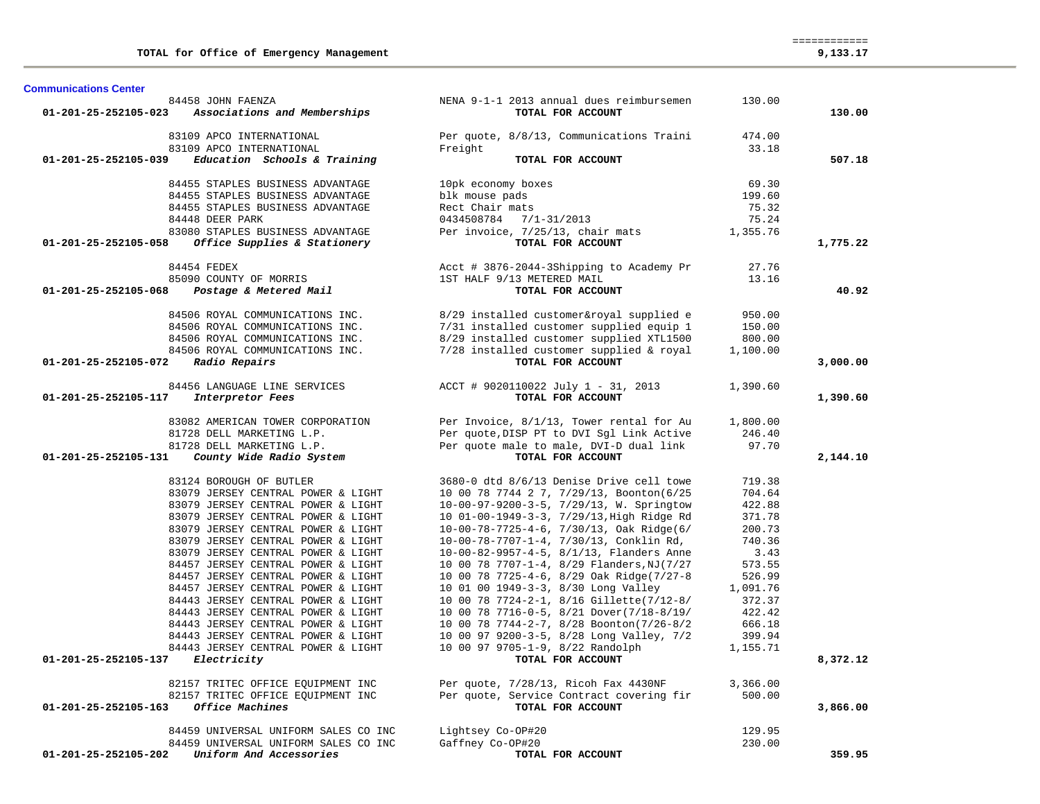| <b>Communications Center</b> |                                      |                                           |          |          |
|------------------------------|--------------------------------------|-------------------------------------------|----------|----------|
|                              | 84458 JOHN FAENZA                    | NENA 9-1-1 2013 annual dues reimbursemen  | 130.00   |          |
| 01-201-25-252105-023         | Associations and Memberships         | TOTAL FOR ACCOUNT                         |          | 130.00   |
|                              | 83109 APCO INTERNATIONAL             | Per quote, 8/8/13, Communications Traini  | 474.00   |          |
|                              | 83109 APCO INTERNATIONAL             | Freight                                   | 33.18    |          |
| 01-201-25-252105-039         | Education Schools & Training         | TOTAL FOR ACCOUNT                         |          | 507.18   |
|                              | 84455 STAPLES BUSINESS ADVANTAGE     | 10pk economy boxes                        | 69.30    |          |
|                              | 84455 STAPLES BUSINESS ADVANTAGE     | blk mouse pads                            | 199.60   |          |
|                              | 84455 STAPLES BUSINESS ADVANTAGE     | Rect Chair mats                           | 75.32    |          |
|                              | 84448 DEER PARK                      | 0434508784 7/1-31/2013                    | 75.24    |          |
|                              | 83080 STAPLES BUSINESS ADVANTAGE     | Per invoice, 7/25/13, chair mats          | 1,355.76 |          |
| 01-201-25-252105-058         | Office Supplies & Stationery         | TOTAL FOR ACCOUNT                         |          | 1,775.22 |
|                              |                                      |                                           |          |          |
|                              | 84454 FEDEX                          | Acct # 3876-2044-3Shipping to Academy Pr  | 27.76    |          |
|                              | 85090 COUNTY OF MORRIS               | 1ST HALF 9/13 METERED MAIL                | 13.16    |          |
| 01-201-25-252105-068         | Postage & Metered Mail               | TOTAL FOR ACCOUNT                         |          | 40.92    |
|                              | 84506 ROYAL COMMUNICATIONS INC.      | 8/29 installed customer&royal supplied e  | 950.00   |          |
|                              | 84506 ROYAL COMMUNICATIONS INC.      | 7/31 installed customer supplied equip 1  | 150.00   |          |
|                              | 84506 ROYAL COMMUNICATIONS INC.      | 8/29 installed customer supplied XTL1500  | 800.00   |          |
|                              | 84506 ROYAL COMMUNICATIONS INC.      | 7/28 installed customer supplied & royal  | 1,100.00 |          |
| 01-201-25-252105-072         | Radio Repairs                        | TOTAL FOR ACCOUNT                         |          | 3,000.00 |
|                              | 84456 LANGUAGE LINE SERVICES         | ACCT # 9020110022 July 1 - 31, 2013       | 1,390.60 |          |
| 01-201-25-252105-117         | Interpretor Fees                     | TOTAL FOR ACCOUNT                         |          | 1,390.60 |
|                              |                                      |                                           |          |          |
|                              | 83082 AMERICAN TOWER CORPORATION     | Per Invoice, 8/1/13, Tower rental for Au  | 1,800.00 |          |
|                              | 81728 DELL MARKETING L.P.            | Per quote, DISP PT to DVI Sgl Link Active | 246.40   |          |
|                              | 81728 DELL MARKETING L.P.            | Per quote male to male, DVI-D dual link   | 97.70    |          |
| 01-201-25-252105-131         | County Wide Radio System             | TOTAL FOR ACCOUNT                         |          | 2,144.10 |
|                              | 83124 BOROUGH OF BUTLER              | 3680-0 dtd 8/6/13 Denise Drive cell towe  | 719.38   |          |
|                              | 83079 JERSEY CENTRAL POWER & LIGHT   | 10 00 78 7744 2 7, 7/29/13, Boonton(6/25  | 704.64   |          |
|                              | 83079 JERSEY CENTRAL POWER & LIGHT   | 10-00-97-9200-3-5, 7/29/13, W. Springtow  | 422.88   |          |
|                              | 83079 JERSEY CENTRAL POWER & LIGHT   | 10 01-00-1949-3-3, 7/29/13, High Ridge Rd | 371.78   |          |
|                              | 83079 JERSEY CENTRAL POWER & LIGHT   | 10-00-78-7725-4-6, 7/30/13, Oak Ridge(6/  | 200.73   |          |
|                              | 83079 JERSEY CENTRAL POWER & LIGHT   | 10-00-78-7707-1-4, 7/30/13, Conklin Rd,   | 740.36   |          |
|                              | 83079 JERSEY CENTRAL POWER & LIGHT   | 10-00-82-9957-4-5, 8/1/13, Flanders Anne  | 3.43     |          |
|                              | 84457 JERSEY CENTRAL POWER & LIGHT   | 10 00 78 7707-1-4, 8/29 Flanders, NJ(7/27 | 573.55   |          |
|                              | 84457 JERSEY CENTRAL POWER & LIGHT   | 10 00 78 7725-4-6, 8/29 Oak Ridge(7/27-8  | 526.99   |          |
|                              | 84457 JERSEY CENTRAL POWER & LIGHT   | 10 01 00 1949-3-3, 8/30 Long Valley       | 1,091.76 |          |
|                              | 84443 JERSEY CENTRAL POWER & LIGHT   | 10 00 78 7724-2-1, 8/16 Gillette(7/12-8/  | 372.37   |          |
|                              | 84443 JERSEY CENTRAL POWER & LIGHT   | 10 00 78 7716-0-5, 8/21 Dover(7/18-8/19/  | 422.42   |          |
|                              | 84443 JERSEY CENTRAL POWER & LIGHT   | 10 00 78 7744-2-7, 8/28 Boonton(7/26-8/2  | 666.18   |          |
|                              | 84443 JERSEY CENTRAL POWER & LIGHT   | 10 00 97 9200-3-5, 8/28 Long Valley, 7/2  | 399.94   |          |
|                              | 84443 JERSEY CENTRAL POWER & LIGHT   | 10 00 97 9705-1-9, 8/22 Randolph          | 1,155.71 |          |
| 01-201-25-252105-137         | Electricity                          | TOTAL FOR ACCOUNT                         |          | 8,372.12 |
|                              | 82157 TRITEC OFFICE EQUIPMENT INC    | Per quote, 7/28/13, Ricoh Fax 4430NF      | 3,366.00 |          |
|                              | 82157 TRITEC OFFICE EQUIPMENT INC    | Per quote, Service Contract covering fir  | 500.00   |          |
| 01-201-25-252105-163         | Office Machines                      | TOTAL FOR ACCOUNT                         |          | 3,866.00 |
|                              | 84459 UNIVERSAL UNIFORM SALES CO INC | Lightsey Co-OP#20                         | 129.95   |          |
|                              | 84459 UNIVERSAL UNIFORM SALES CO INC | Gaffney Co-OP#20                          | 230.00   |          |
| 01-201-25-252105-202         | Uniform And Accessories              | TOTAL FOR ACCOUNT                         |          | 359.95   |
|                              |                                      |                                           |          |          |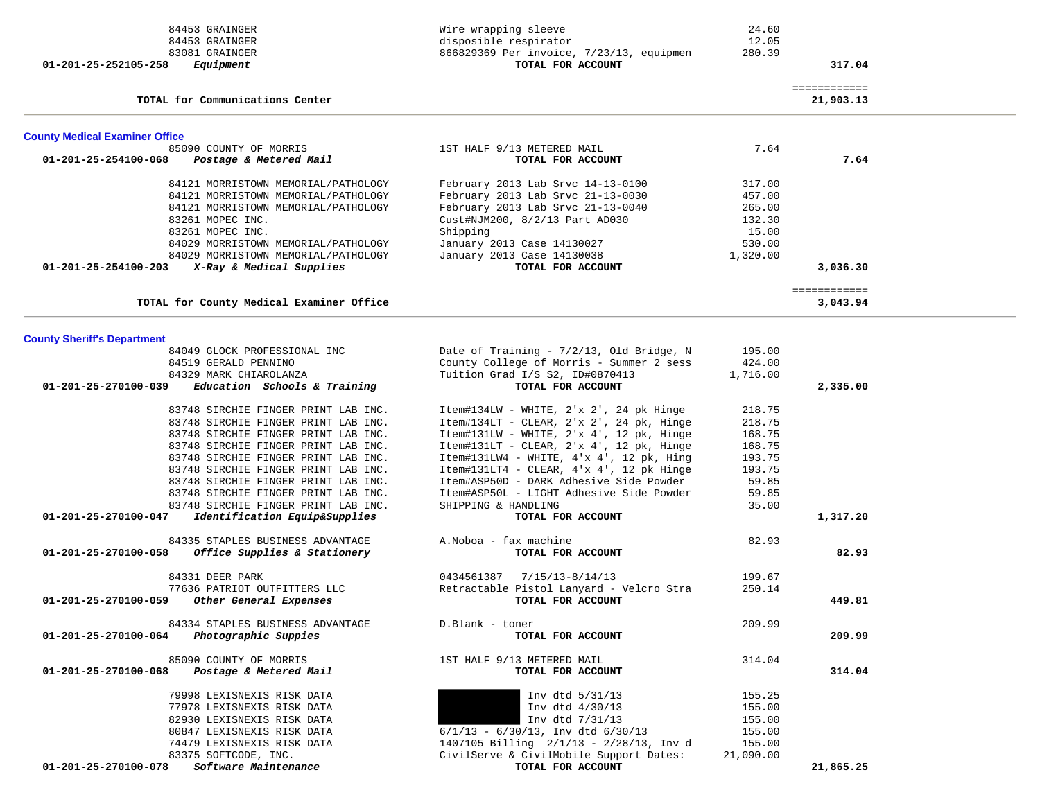| 84453 GRAINGER                                                     | Wire wrapping sleeve                     | 24.60     |                           |  |
|--------------------------------------------------------------------|------------------------------------------|-----------|---------------------------|--|
| 84453 GRAINGER                                                     | disposible respirator                    | 12.05     |                           |  |
| 83081 GRAINGER                                                     | 866829369 Per invoice, 7/23/13, equipmen | 280.39    |                           |  |
| Equipment<br>01-201-25-252105-258                                  | TOTAL FOR ACCOUNT                        |           | 317.04                    |  |
|                                                                    |                                          |           |                           |  |
| TOTAL for Communications Center                                    |                                          |           | ============<br>21,903.13 |  |
|                                                                    |                                          |           |                           |  |
| <b>County Medical Examiner Office</b>                              |                                          |           |                           |  |
| 85090 COUNTY OF MORRIS                                             | 1ST HALF 9/13 METERED MAIL               | 7.64      |                           |  |
| 01-201-25-254100-068<br>Postage & Metered Mail                     | TOTAL FOR ACCOUNT                        |           | 7.64                      |  |
| 84121 MORRISTOWN MEMORIAL/PATHOLOGY                                | February 2013 Lab Srvc 14-13-0100        | 317.00    |                           |  |
|                                                                    |                                          |           |                           |  |
| 84121 MORRISTOWN MEMORIAL/PATHOLOGY                                | February 2013 Lab Srvc 21-13-0030        | 457.00    |                           |  |
| 84121 MORRISTOWN MEMORIAL/PATHOLOGY                                | February 2013 Lab Srvc 21-13-0040        | 265.00    |                           |  |
| 83261 MOPEC INC.                                                   | Cust#NJM200, 8/2/13 Part AD030           | 132.30    |                           |  |
| 83261 MOPEC INC.                                                   | Shipping                                 | 15.00     |                           |  |
| 84029 MORRISTOWN MEMORIAL/PATHOLOGY                                | January 2013 Case 14130027               | 530.00    |                           |  |
| 84029 MORRISTOWN MEMORIAL/PATHOLOGY                                | January 2013 Case 14130038               | 1,320.00  |                           |  |
| 01-201-25-254100-203<br>X-Ray & Medical Supplies                   | TOTAL FOR ACCOUNT                        |           | 3,036.30                  |  |
|                                                                    |                                          |           | ============              |  |
| TOTAL for County Medical Examiner Office                           |                                          |           | 3,043.94                  |  |
|                                                                    |                                          |           |                           |  |
| <b>County Sheriff's Department</b><br>84049 GLOCK PROFESSIONAL INC | Date of Training - 7/2/13, Old Bridge, N | 195.00    |                           |  |
| 84519 GERALD PENNINO                                               | County College of Morris - Summer 2 sess | 424.00    |                           |  |
| 84329 MARK CHIAROLANZA                                             |                                          |           |                           |  |
|                                                                    | Tuition Grad I/S S2, ID#0870413          | 1,716.00  |                           |  |
| 01-201-25-270100-039<br>Education Schools & Training               | TOTAL FOR ACCOUNT                        |           | 2,335.00                  |  |
| 83748 SIRCHIE FINGER PRINT LAB INC.                                | Item#134LW - WHITE, 2'x 2', 24 pk Hinge  | 218.75    |                           |  |
| 83748 SIRCHIE FINGER PRINT LAB INC.                                | Item#134LT - CLEAR, 2'x 2', 24 pk, Hinge | 218.75    |                           |  |
| 83748 SIRCHIE FINGER PRINT LAB INC.                                | Item#131LW - WHITE, 2'x 4', 12 pk, Hinge | 168.75    |                           |  |
| 83748 SIRCHIE FINGER PRINT LAB INC.                                | Item#131LT - CLEAR, 2'x 4', 12 pk, Hinge | 168.75    |                           |  |
| 83748 SIRCHIE FINGER PRINT LAB INC.                                | Item#131LW4 - WHITE, 4'x 4', 12 pk, Hing | 193.75    |                           |  |
| 83748 SIRCHIE FINGER PRINT LAB INC.                                | Item#131LT4 - CLEAR, 4'x 4', 12 pk Hinge | 193.75    |                           |  |
| 83748 SIRCHIE FINGER PRINT LAB INC.                                | Item#ASP50D - DARK Adhesive Side Powder  | 59.85     |                           |  |
|                                                                    |                                          |           |                           |  |
| 83748 SIRCHIE FINGER PRINT LAB INC.                                | Item#ASP50L - LIGHT Adhesive Side Powder | 59.85     |                           |  |
| 83748 SIRCHIE FINGER PRINT LAB INC.                                | SHIPPING & HANDLING                      | 35.00     |                           |  |
| 01-201-25-270100-047<br>Identification Equip&Supplies              | TOTAL FOR ACCOUNT                        |           | 1,317.20                  |  |
| 84335 STAPLES BUSINESS ADVANTAGE                                   | A. Noboa - fax machine                   | 82.93     |                           |  |
| Office Supplies & Stationery<br>01-201-25-270100-058               | TOTAL FOR ACCOUNT                        |           | 82.93                     |  |
| 84331 DEER PARK                                                    | 0434561387<br>$7/15/13 - 8/14/13$        | 199.67    |                           |  |
| 77636 PATRIOT OUTFITTERS LLC                                       | Retractable Pistol Lanyard - Velcro Stra | 250.14    |                           |  |
| 01-201-25-270100-059<br>Other General Expenses                     | TOTAL FOR ACCOUNT                        |           | 449.81                    |  |
| 84334 STAPLES BUSINESS ADVANTAGE                                   | D.Blank - toner                          | 209.99    |                           |  |
| 01-201-25-270100-064<br>Photographic Suppies                       | TOTAL FOR ACCOUNT                        |           | 209.99                    |  |
|                                                                    |                                          |           |                           |  |
| 85090 COUNTY OF MORRIS                                             | 1ST HALF 9/13 METERED MAIL               | 314.04    |                           |  |
| 01-201-25-270100-068<br>Postage & Metered Mail                     | TOTAL FOR ACCOUNT                        |           | 314.04                    |  |
| 79998 LEXISNEXIS RISK DATA                                         | Inv dtd 5/31/13                          | 155.25    |                           |  |
| 77978 LEXISNEXIS RISK DATA                                         | Inv dtd 4/30/13                          | 155.00    |                           |  |
| 82930 LEXISNEXIS RISK DATA                                         | Inv dtd 7/31/13                          | 155.00    |                           |  |
| 80847 LEXISNEXIS RISK DATA                                         | $6/1/13$ - $6/30/13$ , Inv dtd $6/30/13$ | 155.00    |                           |  |
| 74479 LEXISNEXIS RISK DATA                                         | 1407105 Billing 2/1/13 - 2/28/13, Inv d  | 155.00    |                           |  |
| 83375 SOFTCODE, INC.                                               | CivilServe & CivilMobile Support Dates:  | 21,090.00 |                           |  |
| Software Maintenance<br>01-201-25-270100-078                       | TOTAL FOR ACCOUNT                        |           | 21,865.25                 |  |
|                                                                    |                                          |           |                           |  |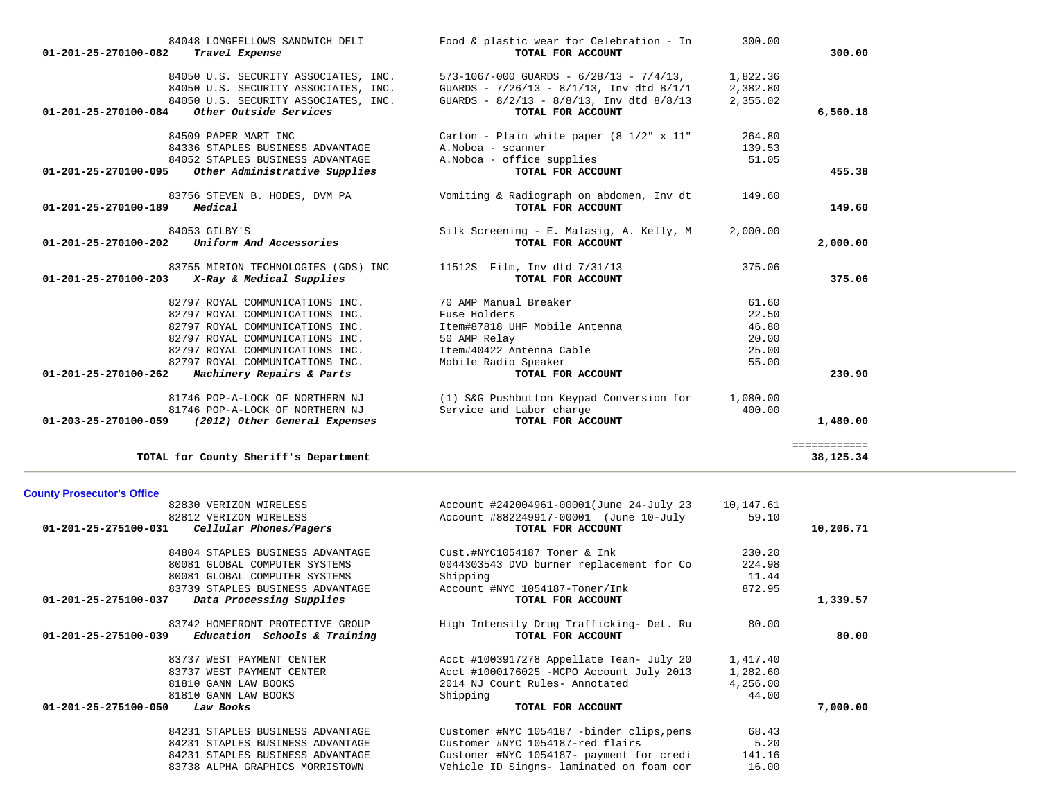| 84048 LONGFELLOWS SANDWICH DELI<br>01-201-25-270100-082<br>Travel Expense                 | Food & plastic wear for Celebration - In<br>TOTAL FOR ACCOUNT                                     | 300.00               | 300.00              |
|-------------------------------------------------------------------------------------------|---------------------------------------------------------------------------------------------------|----------------------|---------------------|
| 84050 U.S. SECURITY ASSOCIATES, INC.<br>84050 U.S. SECURITY ASSOCIATES, INC.              | $573-1067-000$ GUARDS - $6/28/13$ - $7/4/13$ ,<br>GUARDS - $7/26/13$ - $8/1/13$ , Inv dtd $8/1/1$ | 1,822.36<br>2,382.80 |                     |
| 84050 U.S. SECURITY ASSOCIATES, INC.<br>Other Outside Services<br>01-201-25-270100-084    | GUARDS - $8/2/13$ - $8/8/13$ , Inv dtd $8/8/13$<br>TOTAL FOR ACCOUNT                              | 2,355.02             | 6,560.18            |
| 84509 PAPER MART INC                                                                      | Carton - Plain white paper $(8\ 1/2" \times 11"$                                                  | 264.80               |                     |
| 84336 STAPLES BUSINESS ADVANTAGE                                                          | A. Noboa - scanner                                                                                | 139.53               |                     |
| 84052 STAPLES BUSINESS ADVANTAGE<br>Other Administrative Supplies<br>01-201-25-270100-095 | A. Noboa - office supplies<br>TOTAL FOR ACCOUNT                                                   | 51.05                | 455.38              |
| 83756 STEVEN B. HODES, DVM PA<br>Medical<br>01-201-25-270100-189                          | Vomiting & Radiograph on abdomen, Inv dt<br>TOTAL FOR ACCOUNT                                     | 149.60               | 149.60              |
| 84053 GILBY'S                                                                             | Silk Screening - E. Malasig, A. Kelly, M                                                          | 2,000.00             |                     |
| Uniform And Accessories<br>01-201-25-270100-202                                           | TOTAL FOR ACCOUNT                                                                                 |                      | 2,000,00            |
| 83755 MIRION TECHNOLOGIES (GDS) INC<br>$01-201-25-270100-203$ X-Ray & Medical Supplies    | 11512S    Film, Inv dtd 7/31/13<br>TOTAL FOR ACCOUNT                                              | 375.06               | 375.06              |
|                                                                                           |                                                                                                   |                      |                     |
| 82797 ROYAL COMMUNICATIONS INC.                                                           | 70 AMP Manual Breaker                                                                             | 61.60                |                     |
| 82797 ROYAL COMMUNICATIONS INC.                                                           | Fuse Holders                                                                                      | 22.50                |                     |
| 82797 ROYAL COMMUNICATIONS INC.                                                           | Item#87818 UHF Mobile Antenna                                                                     | 46.80                |                     |
| 82797 ROYAL COMMUNICATIONS INC.                                                           | 50 AMP Relay                                                                                      | 20.00                |                     |
| 82797 ROYAL COMMUNICATIONS INC.                                                           | Item#40422 Antenna Cable                                                                          | 25.00                |                     |
| 82797 ROYAL COMMUNICATIONS INC.                                                           | Mobile Radio Speaker                                                                              | 55.00                |                     |
| 01-201-25-270100-262<br>Machinery Repairs & Parts                                         | TOTAL FOR ACCOUNT                                                                                 |                      | 230.90              |
| 81746 POP-A-LOCK OF NORTHERN NJ                                                           | (1) S&G Pushbutton Keypad Conversion for                                                          | 1,080.00             |                     |
| 81746 POP-A-LOCK OF NORTHERN NJ                                                           | Service and Labor charge                                                                          | 400.00               |                     |
| 01-203-25-270100-059 (2012) Other General Expenses                                        | TOTAL FOR ACCOUNT                                                                                 |                      | 1,480.00            |
|                                                                                           |                                                                                                   |                      | <b>BEBBEBBBBBBB</b> |
| TOTAL for County Sheriff's Department                                                     |                                                                                                   |                      | 38,125.34           |

### **County Prosecutor's Office**

| 82830 VERIZON WIRELESS                              | Account #242004961-00001(June 24-July 23  | 10,147.61 |           |
|-----------------------------------------------------|-------------------------------------------|-----------|-----------|
| 82812 VERIZON WIRELESS                              | Account #882249917-00001 (June 10-July    | 59.10     |           |
| 01-201-25-275100-031<br>Cellular Phones/Pagers      | TOTAL FOR ACCOUNT                         |           | 10,206.71 |
| 84804 STAPLES BUSINESS ADVANTAGE                    | Cust.#NYC1054187 Toner & Ink              | 230.20    |           |
| 80081 GLOBAL COMPUTER SYSTEMS                       | 0044303543 DVD burner replacement for Co  | 224.98    |           |
| 80081 GLOBAL COMPUTER SYSTEMS                       | Shipping                                  | 11.44     |           |
|                                                     |                                           |           |           |
| 83739 STAPLES BUSINESS ADVANTAGE                    | Account #NYC 1054187-Toner/Ink            | 872.95    |           |
| Data Processing Supplies<br>01-201-25-275100-037    | TOTAL FOR ACCOUNT                         |           | 1,339.57  |
| 83742 HOMEFRONT PROTECTIVE GROUP                    | High Intensity Drug Trafficking- Det. Ru  | 80.00     |           |
| $01-201-25-275100-039$ Education Schools & Training | TOTAL FOR ACCOUNT                         |           | 80.00     |
| 83737 WEST PAYMENT CENTER                           | Acct #1003917278 Appellate Tean- July 20  | 1,417.40  |           |
| 83737 WEST PAYMENT CENTER                           | Acct #1000176025 - MCPO Account July 2013 | 1,282.60  |           |
| 81810 GANN LAW BOOKS                                | 2014 NJ Court Rules- Annotated            | 4,256.00  |           |
| 81810 GANN LAW BOOKS                                |                                           | 44.00     |           |
|                                                     | Shipping                                  |           |           |
| 01-201-25-275100-050<br>Law Books                   | TOTAL FOR ACCOUNT                         |           | 7,000.00  |
| 84231 STAPLES BUSINESS ADVANTAGE                    | Customer #NYC 1054187 -binder clips, pens | 68.43     |           |
| 84231 STAPLES BUSINESS ADVANTAGE                    | Customer #NYC 1054187-red flairs          | 5.20      |           |
| 84231 STAPLES BUSINESS ADVANTAGE                    | Custoner #NYC 1054187- payment for credi  | 141.16    |           |
| 83738 ALPHA GRAPHICS MORRISTOWN                     | Vehicle ID Singns- laminated on foam cor  | 16.00     |           |
|                                                     |                                           |           |           |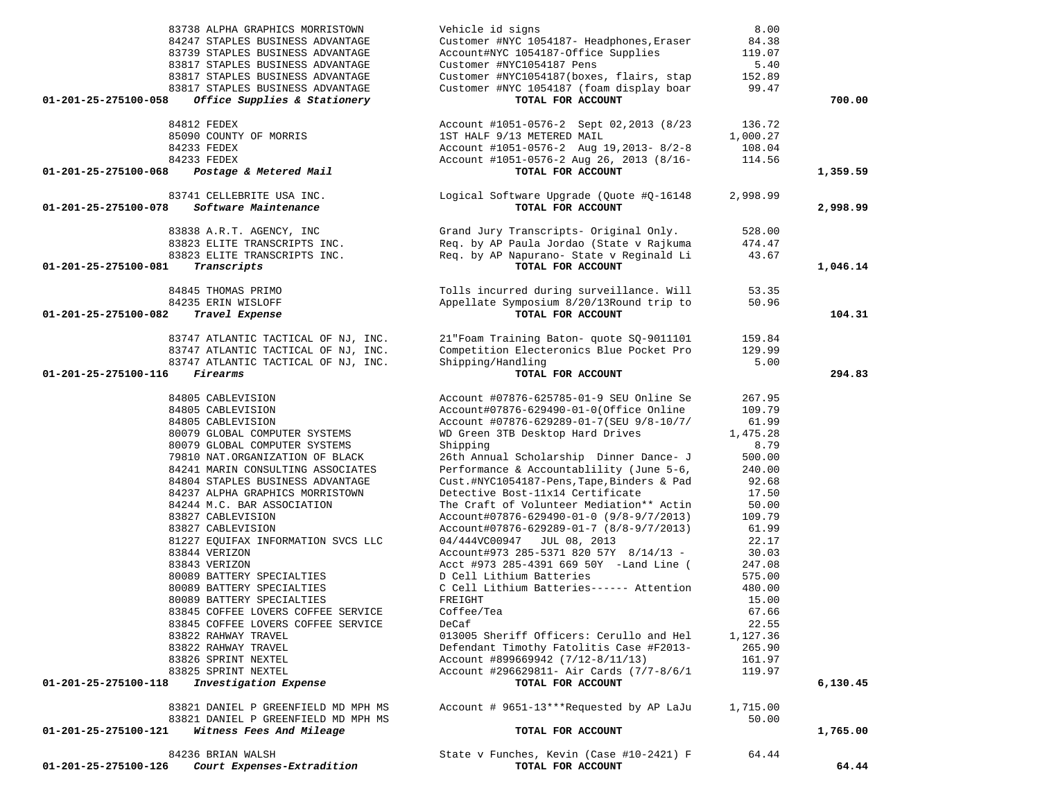| 83738 ALPHA GRAPHICS MORRISTOWN                      | Vehicle id signs                                   | 8.00     |          |
|------------------------------------------------------|----------------------------------------------------|----------|----------|
| 84247 STAPLES BUSINESS ADVANTAGE                     | Customer #NYC 1054187- Headphones, Eraser          | 84.38    |          |
| 83739 STAPLES BUSINESS ADVANTAGE                     | Account#NYC 1054187-Office Supplies                | 119.07   |          |
| 83817 STAPLES BUSINESS ADVANTAGE                     | Customer #NYC1054187 Pens                          | 5.40     |          |
| 83817 STAPLES BUSINESS ADVANTAGE                     | Customer #NYC1054187(boxes, flairs, stap           | 152.89   |          |
| 83817 STAPLES BUSINESS ADVANTAGE                     | Customer #NYC 1054187 (foam display boar 99.47     |          |          |
| Office Supplies & Stationery<br>01-201-25-275100-058 | TOTAL FOR ACCOUNT                                  |          | 700.00   |
|                                                      |                                                    |          |          |
| 84812 FEDEX                                          | Account #1051-0576-2 Sept 02,2013 (8/23            | 136.72   |          |
| 85090 COUNTY OF MORRIS                               | 1ST HALF 9/13 METERED MAIL                         | 1,000.27 |          |
| 84233 FEDEX                                          | Account #1051-0576-2 Aug 19, 2013- 8/2-8           | 108.04   |          |
| 84233 FEDEX                                          | Account #1051-0576-2 Aug 26, 2013 (8/16-<br>114.56 |          |          |
| Postage & Metered Mail<br>01-201-25-275100-068       | TOTAL FOR ACCOUNT                                  |          | 1,359.59 |
|                                                      |                                                    |          |          |
| 83741 CELLEBRITE USA INC.                            | Logical Software Upgrade (Quote #Q-16148           | 2,998.99 |          |
| 01-201-25-275100-078<br>Software Maintenance         | TOTAL FOR ACCOUNT                                  |          | 2,998.99 |
|                                                      |                                                    |          |          |
| 83838 A.R.T. AGENCY, INC                             | Grand Jury Transcripts- Original Only.             | 528.00   |          |
| 83823 ELITE TRANSCRIPTS INC.                         | Req. by AP Paula Jordao (State v Rajkuma           | 474.47   |          |
| 83823 ELITE TRANSCRIPTS INC.                         | Req. by AP Napurano- State v Reginald Li           | 43.67    |          |
| Transcripts<br>01-201-25-275100-081                  | TOTAL FOR ACCOUNT                                  |          | 1,046.14 |
|                                                      |                                                    |          |          |
| 84845 THOMAS PRIMO                                   | Tolls incurred during surveillance. Will           | 53.35    |          |
| 84235 ERIN WISLOFF                                   | Appellate Symposium 8/20/13Round trip to           | 50.96    |          |
| 01-201-25-275100-082<br>Travel Expense               | TOTAL FOR ACCOUNT                                  |          | 104.31   |
|                                                      |                                                    |          |          |
| 83747 ATLANTIC TACTICAL OF NJ, INC.                  | 21"Foam Training Baton- quote SQ-9011101           | 159.84   |          |
| 83747 ATLANTIC TACTICAL OF NJ, INC.                  | Competition Electeronics Blue Pocket Pro           | 129.99   |          |
| 83747 ATLANTIC TACTICAL OF NJ, INC.                  | Shipping/Handling                                  | 5.00     |          |
| Firearms<br>01-201-25-275100-116                     | TOTAL FOR ACCOUNT                                  |          | 294.83   |
|                                                      |                                                    |          |          |
| 84805 CABLEVISION                                    | Account #07876-625785-01-9 SEU Online Se           | 267.95   |          |
| 84805 CABLEVISION                                    | Account#07876-629490-01-0(Office Online            | 109.79   |          |
| 84805 CABLEVISION                                    | Account #07876-629289-01-7(SEU 9/8-10/7/           | 61.99    |          |
| 80079 GLOBAL COMPUTER SYSTEMS                        | WD Green 3TB Desktop Hard Drives                   | 1,475.28 |          |
| 80079 GLOBAL COMPUTER SYSTEMS                        | Shipping                                           | 8.79     |          |
| 79810 NAT.ORGANIZATION OF BLACK                      | 26th Annual Scholarship Dinner Dance- J            | 500.00   |          |
| 84241 MARIN CONSULTING ASSOCIATES                    | Performance & Accountablility (June 5-6,           | 240.00   |          |
|                                                      | Cust.#NYC1054187-Pens, Tape, Binders & Pad         | 92.68    |          |
| 84804 STAPLES BUSINESS ADVANTAGE                     | Detective Bost-11x14 Certificate                   |          |          |
| 84237 ALPHA GRAPHICS MORRISTOWN                      |                                                    | 17.50    |          |
| 84244 M.C. BAR ASSOCIATION                           | The Craft of Volunteer Mediation** Actin           | 50.00    |          |
| 83827 CABLEVISION                                    | Account#07876-629490-01-0 (9/8-9/7/2013)           | 109.79   |          |
| 83827 CABLEVISION                                    | Account#07876-629289-01-7 (8/8-9/7/2013)           | 61.99    |          |
| 81227 EQUIFAX INFORMATION SVCS LLC                   | 04/444VC00947 JUL 08, 2013                         | 22.17    |          |
| 83844 VERIZON                                        | Account#973 285-5371 820 57Y 8/14/13 -             | 30.03    |          |
| 83843 VERIZON                                        | Acct #973 285-4391 669 50Y -Land Line (            | 247.08   |          |
| 80089 BATTERY SPECIALTIES                            | D Cell Lithium Batteries                           | 575.00   |          |
| 80089 BATTERY SPECIALTIES                            | C Cell Lithium Batteries------ Attention           | 480.00   |          |
| 80089 BATTERY SPECIALTIES                            | FREIGHT                                            | 15.00    |          |
| 83845 COFFEE LOVERS COFFEE SERVICE                   | Coffee/Tea                                         | 67.66    |          |
| 83845 COFFEE LOVERS COFFEE SERVICE                   | DeCaf                                              | 22.55    |          |
| 83822 RAHWAY TRAVEL                                  | 013005 Sheriff Officers: Cerullo and Hel           | 1,127.36 |          |
| 83822 RAHWAY TRAVEL                                  | Defendant Timothy Fatolitis Case #F2013-           | 265.90   |          |
| 83826 SPRINT NEXTEL                                  | Account #899669942 (7/12-8/11/13)                  | 161.97   |          |
| 83825 SPRINT NEXTEL                                  | Account #296629811- Air Cards (7/7-8/6/1           | 119.97   |          |
| Investigation Expense<br>01-201-25-275100-118        | TOTAL FOR ACCOUNT                                  |          | 6,130.45 |
|                                                      |                                                    |          |          |
| 83821 DANIEL P GREENFIELD MD MPH MS                  | Account # 9651-13***Requested by AP LaJu           | 1,715.00 |          |
| 83821 DANIEL P GREENFIELD MD MPH MS                  |                                                    | 50.00    |          |
| Witness Fees And Mileage<br>01-201-25-275100-121     | TOTAL FOR ACCOUNT                                  |          | 1,765.00 |
|                                                      |                                                    |          |          |
| 84236 BRIAN WALSH                                    | State v Funches, Kevin (Case #10-2421) F           | 64.44    |          |
| Court Expenses-Extradition<br>01-201-25-275100-126   | TOTAL FOR ACCOUNT                                  |          | 64.44    |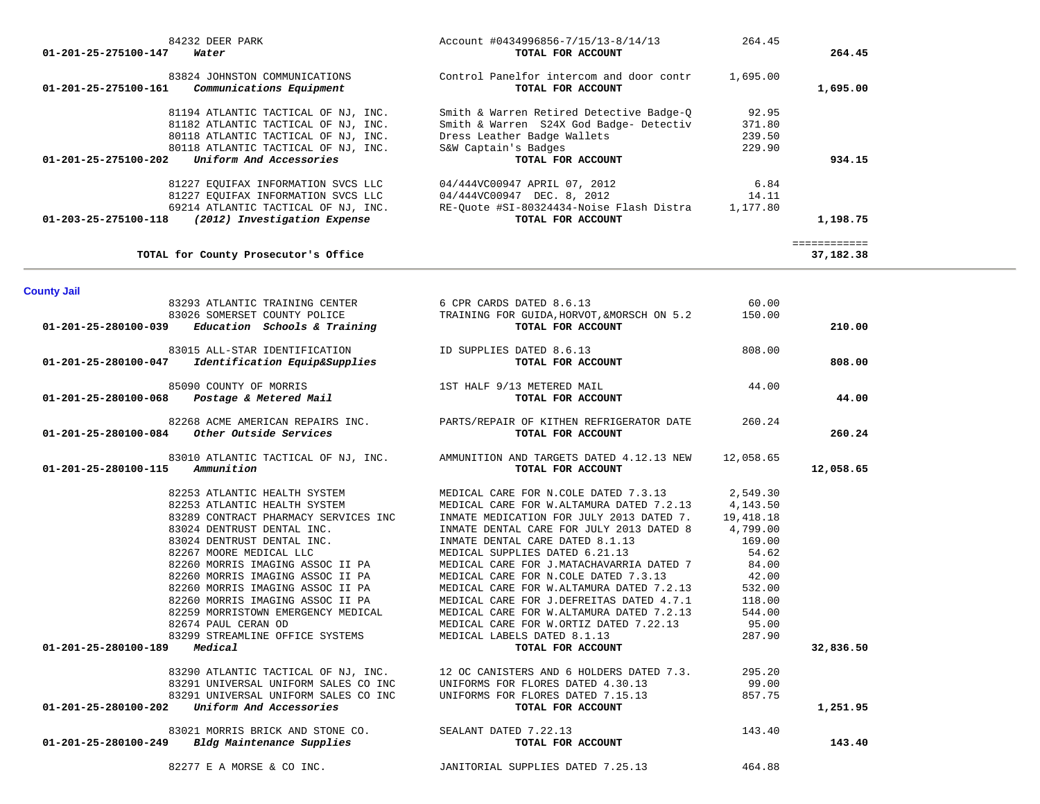| 01-201-25-275100-147 | 84232 DEER PARK<br>Water                                                                                                                                                                                                                                                                                                                                                                                                                                                                                                              | Account #0434996856-7/15/13-8/14/13<br>TOTAL FOR ACCOUNT                                                                                                                                                                                                                                                                                                                                                                                                                                                                                                                                                                                             | 264.45                                                                                                                                                 | 264.45                    |
|----------------------|---------------------------------------------------------------------------------------------------------------------------------------------------------------------------------------------------------------------------------------------------------------------------------------------------------------------------------------------------------------------------------------------------------------------------------------------------------------------------------------------------------------------------------------|------------------------------------------------------------------------------------------------------------------------------------------------------------------------------------------------------------------------------------------------------------------------------------------------------------------------------------------------------------------------------------------------------------------------------------------------------------------------------------------------------------------------------------------------------------------------------------------------------------------------------------------------------|--------------------------------------------------------------------------------------------------------------------------------------------------------|---------------------------|
|                      | 83824 JOHNSTON COMMUNICATIONS<br>$01-201-25-275100-161$ Communications Equipment                                                                                                                                                                                                                                                                                                                                                                                                                                                      | Control Panelfor intercom and door contr 1,695.00<br>TOTAL FOR ACCOUNT                                                                                                                                                                                                                                                                                                                                                                                                                                                                                                                                                                               |                                                                                                                                                        | 1,695.00                  |
|                      | 81194 ATLANTIC TACTICAL OF NJ, INC.<br>81182 ATLANTIC TACTICAL OF NJ, INC.<br>80118 ATLANTIC TACTICAL OF NJ, INC.<br>80118 ATLANTIC TACTICAL OF NJ, INC.<br>$01-201-25-275100-202$ Uniform And Accessories                                                                                                                                                                                                                                                                                                                            | Smith & Warren Retired Detective Badge-Q<br>Smith & Warren S24X God Badge- Detectiv<br>Dress Leather Badge Wallets<br>S&W Captain's Badges<br>TOTAL FOR ACCOUNT                                                                                                                                                                                                                                                                                                                                                                                                                                                                                      | 92.95<br>371.80<br>239.50<br>229.90                                                                                                                    | 934.15                    |
|                      | 81227 EQUIFAX INFORMATION SVCS LLC<br>81227 EQUIFAX INFORMATION SVCS LLC<br>69214 ATLANTIC TACTICAL OF NJ, INC.<br>2013) International Express.<br>01-203-25-275100-118 (2012) Investigation Expense                                                                                                                                                                                                                                                                                                                                  | 04/444VC00947 APRIL 07, 2012<br>04/444VC00947 DEC. 8, 2012<br>RE-Quote #SI-80324434-Noise Flash Distra 1,177.80<br>TOTAL FOR ACCOUNT                                                                                                                                                                                                                                                                                                                                                                                                                                                                                                                 | 6.84<br>14.11                                                                                                                                          | 1,198.75                  |
|                      | TOTAL for County Prosecutor's Office                                                                                                                                                                                                                                                                                                                                                                                                                                                                                                  |                                                                                                                                                                                                                                                                                                                                                                                                                                                                                                                                                                                                                                                      |                                                                                                                                                        | ============<br>37,182.38 |
| <b>County Jail</b>   |                                                                                                                                                                                                                                                                                                                                                                                                                                                                                                                                       |                                                                                                                                                                                                                                                                                                                                                                                                                                                                                                                                                                                                                                                      |                                                                                                                                                        |                           |
|                      | $01-201-25-280100-039$ Education Schools & Training                                                                                                                                                                                                                                                                                                                                                                                                                                                                                   | 83293 ATLANTIC TRAINING CENTER 6 CPR CARDS DATED 8.6.13<br>83026 SOMERSET COUNTY POLICE TRAINING FOR GUIDA, HORVOT, &MORSCH ON 5.2<br>TOTAL FOR ACCOUNT                                                                                                                                                                                                                                                                                                                                                                                                                                                                                              | 60.00<br>150.00                                                                                                                                        | 210.00                    |
| 01-201-25-280100-047 | 83015 ALL-STAR IDENTIFICATION<br>Identification Equip&Supplies                                                                                                                                                                                                                                                                                                                                                                                                                                                                        | ID SUPPLIES DATED 8.6.13<br>TOTAL FOR ACCOUNT                                                                                                                                                                                                                                                                                                                                                                                                                                                                                                                                                                                                        | 808.00                                                                                                                                                 | 808.00                    |
|                      | 85090 COUNTY OF MORRIS<br>01-201-25-280100-068  Postage & Metered Mail                                                                                                                                                                                                                                                                                                                                                                                                                                                                | 1ST HALF 9/13 METERED MAIL<br>TOTAL FOR ACCOUNT                                                                                                                                                                                                                                                                                                                                                                                                                                                                                                                                                                                                      | 44.00                                                                                                                                                  | 44.00                     |
|                      | 82268 ACME AMERICAN REPAIRS INC.<br>$01-201-25-280100-084$ Other Outside Services                                                                                                                                                                                                                                                                                                                                                                                                                                                     | PARTS/REPAIR OF KITHEN REFRIGERATOR DATE<br>TOTAL FOR ACCOUNT                                                                                                                                                                                                                                                                                                                                                                                                                                                                                                                                                                                        | 260.24                                                                                                                                                 | 260.24                    |
| 01-201-25-280100-115 | 83010 ATLANTIC TACTICAL OF NJ, INC.<br>Ammunition                                                                                                                                                                                                                                                                                                                                                                                                                                                                                     | AMMUNITION AND TARGETS DATED 4.12.13 NEW<br>TOTAL FOR ACCOUNT                                                                                                                                                                                                                                                                                                                                                                                                                                                                                                                                                                                        | 12,058.65                                                                                                                                              | 12,058.65                 |
| 01-201-25-280100-189 | 82253 ATLANTIC HEALTH SYSTEM<br>82253 ATLANTIC HEALTH SYSTEM<br>83289 CONTRACT PHARMACY SERVICES INC<br>83024 DENTRUST DENTAL INC.<br>83024 DENTRUST DENTAL INC.<br>82267 MOORE MEDICAL LLC<br>82260 MORRIS IMAGING ASSOC II PA<br>82260 MORRIS IMAGING ASSOC II PA<br>82260 MORRIS IMAGING ASSOC II PA<br>82260 MORRIS IMAGING ASSOC II PA<br>82259 MORRISTOWN EMERGENCY MEDICAL<br>82674 PAUL CERAN OD<br>83299 STREAMLINE OFFICE SYSTEMS<br>Medical<br>83290 ATLANTIC TACTICAL OF NJ, INC.<br>83291 UNIVERSAL UNIFORM SALES CO INC | MEDICAL CARE FOR N.COLE DATED 7.3.13<br>MEDICAL CARE FOR W.ALTAMURA DATED 7.2.13<br>INMATE MEDICATION FOR JULY 2013 DATED 7.<br>INMATE DENTAL CARE FOR JULY 2013 DATED 8<br>INMATE DENTAL CARE DATED 8.1.13<br>MEDICAL SUPPLIES DATED 6.21.13<br>MEDICAL CARE FOR J.MATACHAVARRIA DATED 7<br>MEDICAL CARE FOR N.COLE DATED 7.3.13<br>MEDICAL CARE FOR W.ALTAMURA DATED 7.2.13<br>MEDICAL CARE FOR J.DEFREITAS DATED 4.7.1<br>MEDICAL CARE FOR W.ALTAMURA DATED 7.2.13<br>MEDICAL CARE FOR W.ORTIZ DATED 7.22.13<br>MEDICAL LABELS DATED 8.1.13<br>TOTAL FOR ACCOUNT<br>12 OC CANISTERS AND 6 HOLDERS DATED 7.3.<br>UNIFORMS FOR FLORES DATED 4.30.13 | 2,549.30<br>4,143.50<br>19,418.18<br>4,799.00<br>169.00<br>54.62<br>84.00<br>42.00<br>532.00<br>118.00<br>544.00<br>95.00<br>287.90<br>295.20<br>99.00 | 32,836.50                 |
| 01-201-25-280100-202 | 83291 UNIVERSAL UNIFORM SALES CO INC<br>Uniform And Accessories                                                                                                                                                                                                                                                                                                                                                                                                                                                                       | UNIFORMS FOR FLORES DATED 7.15.13<br>TOTAL FOR ACCOUNT                                                                                                                                                                                                                                                                                                                                                                                                                                                                                                                                                                                               | 857.75                                                                                                                                                 | 1,251.95                  |
| 01-201-25-280100-249 | 83021 MORRIS BRICK AND STONE CO.<br>Bldg Maintenance Supplies                                                                                                                                                                                                                                                                                                                                                                                                                                                                         | SEALANT DATED 7.22.13<br>TOTAL FOR ACCOUNT                                                                                                                                                                                                                                                                                                                                                                                                                                                                                                                                                                                                           | 143.40                                                                                                                                                 | 143.40                    |
|                      | 82277 E A MORSE & CO INC.                                                                                                                                                                                                                                                                                                                                                                                                                                                                                                             | JANITORIAL SUPPLIES DATED 7.25.13                                                                                                                                                                                                                                                                                                                                                                                                                                                                                                                                                                                                                    | 464.88                                                                                                                                                 |                           |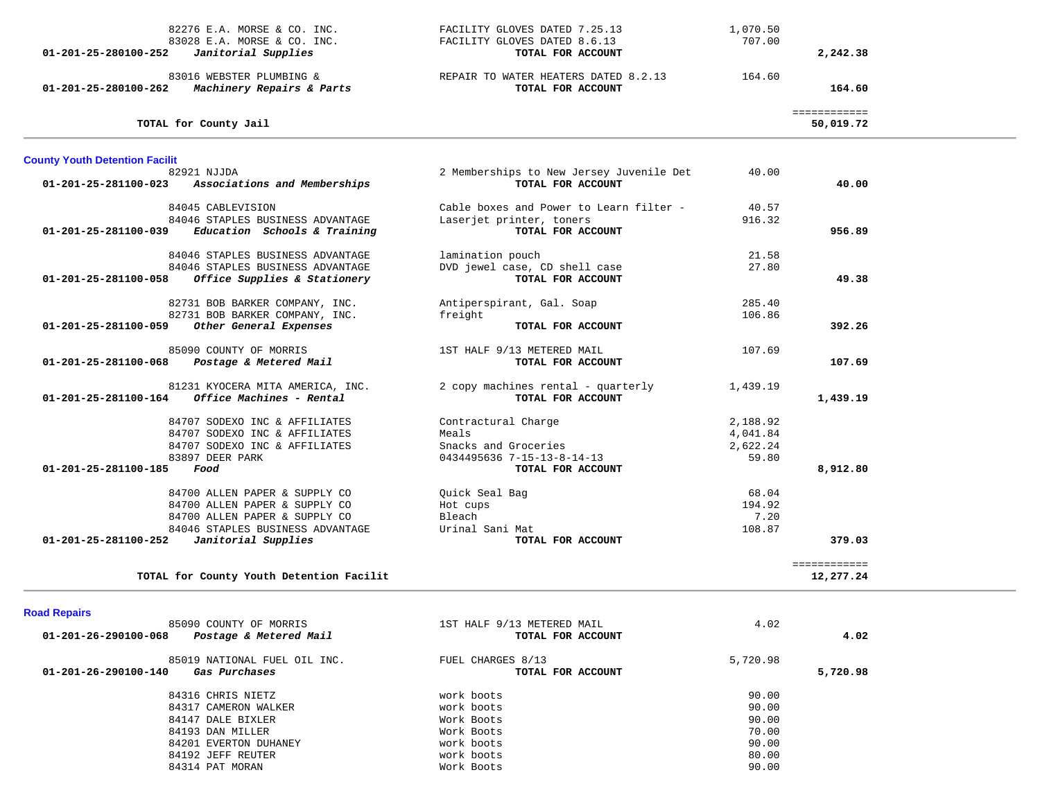| 82276 E.A. MORSE & CO. INC.<br>83028 E.A. MORSE & CO. INC.<br>Janitorial Supplies<br>01-201-25-280100-252 | FACILITY GLOVES DATED 7.25.13<br>FACILITY GLOVES DATED 8.6.13<br>TOTAL FOR ACCOUNT | 1,070.50<br>707.00   | 2,242.38                  |  |
|-----------------------------------------------------------------------------------------------------------|------------------------------------------------------------------------------------|----------------------|---------------------------|--|
| 83016 WEBSTER PLUMBING &<br>Machinery Repairs & Parts<br>01-201-25-280100-262                             | REPAIR TO WATER HEATERS DATED 8.2.13<br>TOTAL FOR ACCOUNT                          | 164.60               | 164.60                    |  |
| TOTAL for County Jail                                                                                     |                                                                                    |                      | ============<br>50,019.72 |  |
| <b>County Youth Detention Facilit</b>                                                                     |                                                                                    |                      |                           |  |
| 82921 NJJDA<br>Associations and Memberships<br>01-201-25-281100-023                                       | 2 Memberships to New Jersey Juvenile Det<br>TOTAL FOR ACCOUNT                      | 40.00                | 40.00                     |  |
| 84045 CABLEVISION                                                                                         | Cable boxes and Power to Learn filter -                                            | 40.57                |                           |  |
| 84046 STAPLES BUSINESS ADVANTAGE<br>$01-201-25-281100-039$ Education Schools & Training                   | Laserjet printer, toners<br>TOTAL FOR ACCOUNT                                      | 916.32               | 956.89                    |  |
| 84046 STAPLES BUSINESS ADVANTAGE                                                                          | lamination pouch                                                                   | 21.58                |                           |  |
| 84046 STAPLES BUSINESS ADVANTAGE<br>Office Supplies & Stationery<br>01-201-25-281100-058                  | DVD jewel case, CD shell case<br>TOTAL FOR ACCOUNT                                 | 27.80                | 49.38                     |  |
| 82731 BOB BARKER COMPANY, INC.                                                                            | Antiperspirant, Gal. Soap                                                          | 285.40               |                           |  |
| 82731 BOB BARKER COMPANY, INC.<br>01-201-25-281100-059<br>Other General Expenses                          | freight<br>TOTAL FOR ACCOUNT                                                       | 106.86               | 392.26                    |  |
| 85090 COUNTY OF MORRIS                                                                                    | 1ST HALF 9/13 METERED MAIL                                                         | 107.69               |                           |  |
| 01-201-25-281100-068 Postage & Metered Mail                                                               | TOTAL FOR ACCOUNT                                                                  |                      | 107.69                    |  |
| 81231 KYOCERA MITA AMERICA, INC.<br>$01 - 201 - 25 - 281100 - 164$ Office Machines - Rental               | 2 copy machines rental - quarterly<br>TOTAL FOR ACCOUNT                            | 1,439.19             | 1,439.19                  |  |
| 84707 SODEXO INC & AFFILIATES                                                                             | Contractural Charge                                                                | 2,188.92             |                           |  |
| 84707 SODEXO INC & AFFILIATES<br>84707 SODEXO INC & AFFILIATES                                            | Meals<br>Snacks and Groceries                                                      | 4,041.84<br>2,622.24 |                           |  |
| 83897 DEER PARK                                                                                           | 0434495636 7-15-13-8-14-13                                                         | 59.80                |                           |  |
| 01-201-25-281100-185<br>Food                                                                              | TOTAL FOR ACCOUNT                                                                  |                      | 8,912.80                  |  |
| 84700 ALLEN PAPER & SUPPLY CO                                                                             | Quick Seal Bag                                                                     | 68.04                |                           |  |
| 84700 ALLEN PAPER & SUPPLY CO<br>84700 ALLEN PAPER & SUPPLY CO                                            | Hot cups<br>Bleach                                                                 | 194.92<br>7.20       |                           |  |
| 84046 STAPLES BUSINESS ADVANTAGE                                                                          | Urinal Sani Mat                                                                    | 108.87               |                           |  |
| Janitorial Supplies<br>01-201-25-281100-252                                                               | TOTAL FOR ACCOUNT                                                                  |                      | 379.03                    |  |
| TOTAL for County Youth Detention Facilit                                                                  |                                                                                    |                      | ============<br>12,277.24 |  |

## **Road Repairs**

| 85090 COUNTY OF MORRIS<br>01-201-26-290100-068<br>Postage & Metered Mail | 1ST HALF 9/13 METERED MAIL<br>TOTAL FOR ACCOUNT | 4.02     | 4.02     |
|--------------------------------------------------------------------------|-------------------------------------------------|----------|----------|
| 85019 NATIONAL FUEL OIL INC.<br>01-201-26-290100-140<br>Gas Purchases    | FUEL CHARGES 8/13<br>TOTAL FOR ACCOUNT          | 5,720.98 | 5,720.98 |
| 84316 CHRIS NIETZ                                                        | work boots                                      | 90.00    |          |
| 84317 CAMERON WALKER                                                     | work boots                                      | 90.00    |          |
| 84147 DALE BIXLER                                                        | Work Boots                                      | 90.00    |          |
| 84193 DAN MILLER                                                         | Work Boots                                      | 70.00    |          |
| 84201 EVERTON DUHANEY                                                    | work boots                                      | 90.00    |          |
| 84192 JEFF REUTER                                                        | work boots                                      | 80.00    |          |
| 84314 PAT MORAN                                                          | Work Boots                                      | 90.00    |          |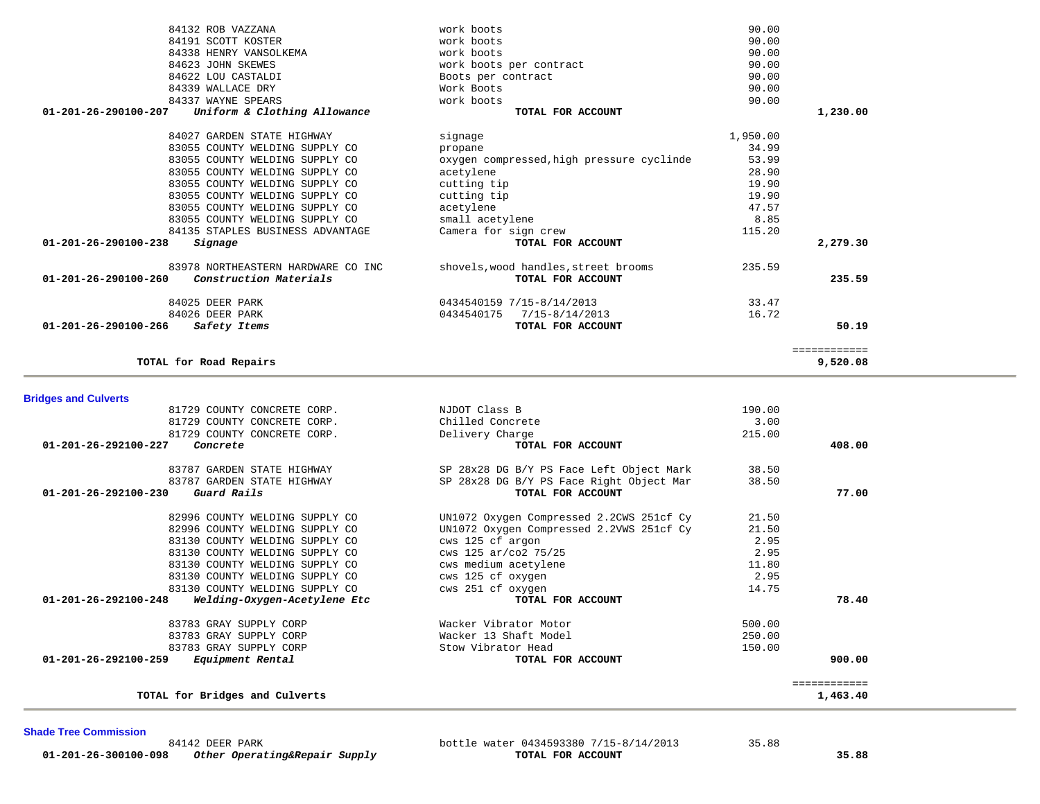**Shade Tree Commission** 

 **01-201-26-300100-098** *Other Operating&Repair Supply* **TOTAL FOR ACCOUNT 35.88**

84142 DEER PARK **bottle water 0434593380 7/15-8/14/2013** 35.88<br>35.88 **Other Operating&Repair Supply bottle water OTAL FOR ACCOUNT** 

| <b>Bridges and Culverts</b>                                    |                                          |        |              |
|----------------------------------------------------------------|------------------------------------------|--------|--------------|
| 81729 COUNTY CONCRETE CORP.                                    | NJDOT Class B                            | 190.00 |              |
| 81729 COUNTY CONCRETE CORP.                                    | Chilled Concrete                         | 3.00   |              |
| 81729 COUNTY CONCRETE CORP.                                    | Delivery Charge                          | 215.00 |              |
| 01-201-26-292100-227<br>Concrete                               | TOTAL FOR ACCOUNT                        |        | 408.00       |
| 83787 GARDEN STATE HIGHWAY                                     | SP 28x28 DG B/Y PS Face Left Object Mark | 38.50  |              |
| 83787 GARDEN STATE HIGHWAY                                     | SP 28x28 DG B/Y PS Face Right Object Mar | 38.50  |              |
| Guard Rails<br>$01 - 201 - 26 - 292100 - 230$                  | TOTAL FOR ACCOUNT                        |        | 77.00        |
| 82996 COUNTY WELDING SUPPLY CO                                 | UN1072 Oxygen Compressed 2.2CWS 251cf Cy | 21.50  |              |
| 82996 COUNTY WELDING SUPPLY CO                                 | UN1072 Oxygen Compressed 2.2VWS 251cf Cy | 21.50  |              |
| 83130 COUNTY WELDING SUPPLY CO                                 | cws 125 cf argon                         | 2.95   |              |
| 83130 COUNTY WELDING SUPPLY CO                                 | cws 125 ar/co2 75/25                     | 2.95   |              |
| 83130 COUNTY WELDING SUPPLY CO                                 | cws medium acetylene                     | 11.80  |              |
| 83130 COUNTY WELDING SUPPLY CO                                 | cws 125 cf oxygen                        | 2.95   |              |
| 83130 COUNTY WELDING SUPPLY CO                                 | cws 251 cf oxygen                        | 14.75  |              |
| $01 - 201 - 26 - 292100 - 248$<br>Welding-Oxygen-Acetylene Etc | TOTAL FOR ACCOUNT                        |        | 78.40        |
| 83783 GRAY SUPPLY CORP                                         | Wacker Vibrator Motor                    | 500.00 |              |
| 83783 GRAY SUPPLY CORP                                         | Wacker 13 Shaft Model                    | 250.00 |              |
| 83783 GRAY SUPPLY CORP                                         | Stow Vibrator Head                       | 150.00 |              |
| $01 - 201 - 26 - 292100 - 259$<br>Equipment Rental             | TOTAL FOR ACCOUNT                        |        | 900.00       |
|                                                                |                                          |        | ============ |
| TOTAL for Bridges and Culverts                                 |                                          |        | 1,463.40     |

| 84132 ROB VAZZANA                                    | work boots                                | 90.00    |              |
|------------------------------------------------------|-------------------------------------------|----------|--------------|
| 84191 SCOTT KOSTER                                   | work boots                                | 90.00    |              |
| 84338 HENRY VANSOLKEMA                               | work boots                                | 90.00    |              |
| 84623 JOHN SKEWES                                    | work boots per contract                   | 90.00    |              |
| 84622 LOU CASTALDI                                   | Boots per contract                        | 90.00    |              |
| 84339 WALLACE DRY                                    | Work Boots                                | 90.00    |              |
| 84337 WAYNE SPEARS                                   | work boots                                | 90.00    |              |
| Uniform & Clothing Allowance<br>01-201-26-290100-207 | TOTAL FOR ACCOUNT                         |          | 1,230.00     |
| 84027 GARDEN STATE HIGHWAY                           | signage                                   | 1,950.00 |              |
| 83055 COUNTY WELDING SUPPLY CO                       | propane                                   | 34.99    |              |
| 83055 COUNTY WELDING SUPPLY CO                       | oxygen compressed, high pressure cyclinde | 53.99    |              |
| 83055 COUNTY WELDING SUPPLY CO                       | acetylene                                 | 28.90    |              |
| 83055 COUNTY WELDING SUPPLY CO                       | cutting tip                               | 19.90    |              |
| 83055 COUNTY WELDING SUPPLY CO                       | cutting tip                               | 19.90    |              |
| 83055 COUNTY WELDING SUPPLY CO                       | acetylene                                 | 47.57    |              |
| 83055 COUNTY WELDING SUPPLY CO                       | small acetylene                           | 8.85     |              |
| 84135 STAPLES BUSINESS ADVANTAGE                     | Camera for sign crew                      | 115.20   |              |
| 01-201-26-290100-238<br>Signage                      | TOTAL FOR ACCOUNT                         |          | 2,279.30     |
| 83978 NORTHEASTERN HARDWARE CO INC                   | shovels, wood handles, street brooms      | 235.59   |              |
| 01-201-26-290100-260<br>Construction Materials       | TOTAL FOR ACCOUNT                         |          | 235.59       |
| 84025 DEER PARK                                      | 0434540159 7/15-8/14/2013                 | 33.47    |              |
| 84026 DEER PARK                                      | 7/15-8/14/2013<br>0434540175              | 16.72    |              |
| 01-201-26-290100-266<br>Safety Items                 | TOTAL FOR ACCOUNT                         |          | 50.19        |
|                                                      |                                           |          | ============ |
| TOTAL for Road Repairs                               |                                           |          | 9,520.08     |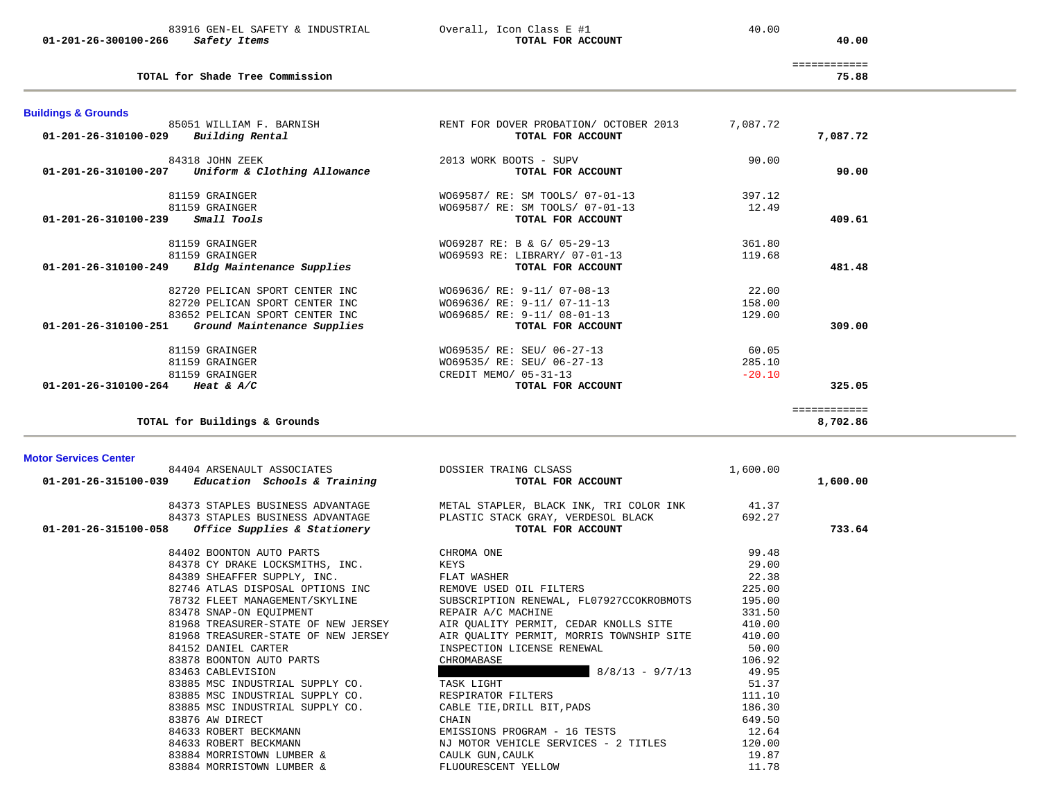|                      | 83916 GEN-EL SAFETY & INDUSTRIAL | Overall, Icon Class E #1 | 40.00 |
|----------------------|----------------------------------|--------------------------|-------|
| 01-201-26-300100-266 | Safety Items                     | TOTAL FOR ACCOUNT        | 40.00 |

**TOTAL for Shade Tree Commission 75.88**

 $0$ verall, Icon Class E #1  $40.00$ 

============

75.88

| 81159 GRAINGER<br>01-201-26-310100-264 Heat & A/C<br><b>Motor Services Center</b><br>$01-201-26-315100-039$ Education Schools & Training | TOTAL for Buildings & Grounds<br>84404 ARSENAULT ASSOCIATES      | DOSSIER TRAING CLSASS<br>TOTAL FOR ACCOUNT                         | 1,600.00         | ============<br>8,702.86<br>1,600.00 |
|------------------------------------------------------------------------------------------------------------------------------------------|------------------------------------------------------------------|--------------------------------------------------------------------|------------------|--------------------------------------|
|                                                                                                                                          |                                                                  |                                                                    |                  |                                      |
|                                                                                                                                          |                                                                  |                                                                    |                  |                                      |
|                                                                                                                                          |                                                                  | TOTAL FOR ACCOUNT                                                  |                  | 325.05                               |
|                                                                                                                                          | 81159 GRAINGER                                                   | CREDIT MEMO/ 05-31-13                                              | $-20.10$         |                                      |
|                                                                                                                                          | 81159 GRAINGER                                                   | W069535/ RE: SEU/ 06-27-13<br>W069535/ RE: SEU/ 06-27-13           | 60.05<br>285.10  |                                      |
| 01-201-26-310100-251                                                                                                                     | Ground Maintenance Supplies                                      | TOTAL FOR ACCOUNT                                                  |                  | 309.00                               |
|                                                                                                                                          | 83652 PELICAN SPORT CENTER INC                                   | W069685/ RE: 9-11/ 08-01-13                                        | 129.00           |                                      |
|                                                                                                                                          | 82720 PELICAN SPORT CENTER INC<br>82720 PELICAN SPORT CENTER INC | W069636/ RE: 9-11/ 07-08-13<br>W069636/ RE: 9-11/ 07-11-13         | 22.00<br>158.00  |                                      |
|                                                                                                                                          |                                                                  |                                                                    |                  |                                      |
| 01-201-26-310100-249                                                                                                                     | Bldg Maintenance Supplies                                        | TOTAL FOR ACCOUNT                                                  |                  | 481.48                               |
| 81159 GRAINGER<br>81159 GRAINGER                                                                                                         |                                                                  | WO69287 RE: B & G/ 05-29-13<br>W069593 RE: LIBRARY/ 07-01-13       | 361.80<br>119.68 |                                      |
| 01-201-26-310100-239                                                                                                                     | Small Tools                                                      | TOTAL FOR ACCOUNT                                                  |                  | 409.61                               |
| 81159 GRAINGER                                                                                                                           | 81159 GRAINGER                                                   | W069587/ RE: SM TOOLS/ 07-01-13<br>W069587/ RE: SM TOOLS/ 07-01-13 | 397.12<br>12.49  |                                      |
| 01-201-26-310100-207                                                                                                                     | 84318 JOHN ZEEK<br>Uniform & Clothing Allowance                  | 2013 WORK BOOTS - SUPV<br>TOTAL FOR ACCOUNT                        | 90.00            | 90.00                                |
| <b>Buildings &amp; Grounds</b><br>01-201-26-310100-029                                                                                   | 85051 WILLIAM F. BARNISH<br>Building Rental                      | RENT FOR DOVER PROBATION/ OCTOBER 2013<br>TOTAL FOR ACCOUNT        | 7,087.72         | 7,087.72                             |

| 84402 BOONTON AUTO PARTS            | CHROMA ONE                               | 99.48  |
|-------------------------------------|------------------------------------------|--------|
| 84378 CY DRAKE LOCKSMITHS, INC.     | KEYS                                     | 29.00  |
| 84389 SHEAFFER SUPPLY, INC.         | FLAT WASHER                              | 22.38  |
| 82746 ATLAS DISPOSAL OPTIONS INC    | REMOVE USED OIL FILTERS                  | 225.00 |
| 78732 FLEET MANAGEMENT/SKYLINE      | SUBSCRIPTION RENEWAL, FL07927CCOKROBMOTS | 195.00 |
| 83478 SNAP-ON EOUIPMENT             | REPAIR A/C MACHINE                       | 331.50 |
| 81968 TREASURER-STATE OF NEW JERSEY | AIR QUALITY PERMIT, CEDAR KNOLLS SITE    | 410.00 |
| 81968 TREASURER-STATE OF NEW JERSEY | AIR OUALITY PERMIT, MORRIS TOWNSHIP SITE | 410.00 |
| 84152 DANIEL CARTER                 | INSPECTION LICENSE RENEWAL               | 50.00  |
| 83878 BOONTON AUTO PARTS            | CHROMABASE                               | 106.92 |
| 83463 CABLEVISION                   | $8/8/13 - 9/7/13$                        | 49.95  |
| 83885 MSC INDUSTRIAL SUPPLY CO.     | TASK LIGHT                               | 51.37  |
| 83885 MSC INDUSTRIAL SUPPLY CO.     | RESPIRATOR FILTERS                       | 111.10 |
| 83885 MSC INDUSTRIAL SUPPLY CO.     | CABLE TIE, DRILL BIT, PADS               | 186.30 |
| 83876 AW DIRECT                     | CHAIN                                    | 649.50 |
| 84633 ROBERT BECKMANN               | EMISSIONS PROGRAM - 16 TESTS             | 12.64  |
| 84633 ROBERT BECKMANN               | NJ MOTOR VEHICLE SERVICES - 2 TITLES     | 120.00 |
| 83884 MORRISTOWN LUMBER &           | CAULK GUN, CAULK                         | 19.87  |
| 83884 MORRISTOWN LUMBER &           | FLUOURESCENT YELLOW                      | 11.78  |
|                                     |                                          |        |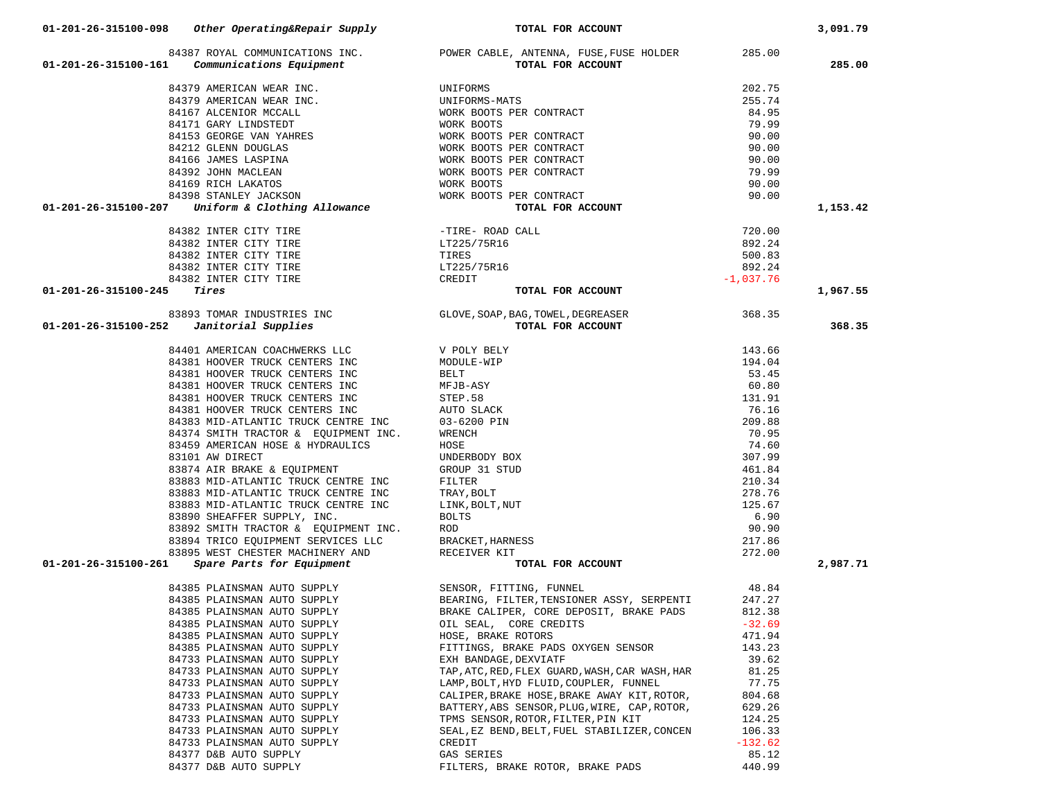| 01-201-26-315100-161 Communications Equipment                                                                             | 84387 ROYAL COMMUNICATIONS INC. POWER CABLE, ANTENNA, FUSE, FUSE HOLDER<br>TOTAL FOR ACCOUNT                                                                                                                                     | 285.00          | 285.00   |
|---------------------------------------------------------------------------------------------------------------------------|----------------------------------------------------------------------------------------------------------------------------------------------------------------------------------------------------------------------------------|-----------------|----------|
|                                                                                                                           |                                                                                                                                                                                                                                  |                 |          |
|                                                                                                                           |                                                                                                                                                                                                                                  | 202.75          |          |
|                                                                                                                           |                                                                                                                                                                                                                                  | 255.74          |          |
|                                                                                                                           |                                                                                                                                                                                                                                  | 84.95           |          |
|                                                                                                                           |                                                                                                                                                                                                                                  | 79.99           |          |
|                                                                                                                           |                                                                                                                                                                                                                                  | 90.00           |          |
|                                                                                                                           |                                                                                                                                                                                                                                  | 90.00           |          |
|                                                                                                                           |                                                                                                                                                                                                                                  | 90.00           |          |
|                                                                                                                           |                                                                                                                                                                                                                                  | 79.99           |          |
|                                                                                                                           |                                                                                                                                                                                                                                  | 90.00           |          |
|                                                                                                                           |                                                                                                                                                                                                                                  | 90.00           | 1,153.42 |
|                                                                                                                           |                                                                                                                                                                                                                                  |                 |          |
| 84382 INTER CITY TIRE<br>84382 INTER CITY TIRE<br>84382 INTER CITY TIRE<br>84382 INTER CITY TIRE<br>84382 INTER CITY TIRE |                                                                                                                                                                                                                                  | 720.00          |          |
|                                                                                                                           | -TIRE- ROAD CALL<br>LT225/75R16                                                                                                                                                                                                  | 892.24          |          |
|                                                                                                                           | TIRES                                                                                                                                                                                                                            | 500.83          |          |
|                                                                                                                           | LT225/75R16                                                                                                                                                                                                                      | 892.24          |          |
| 84382 INTER CITY TIRE<br>Tires                                                                                            | CREDIT                                                                                                                                                                                                                           | $-1,037.76$     |          |
| 01-201-26-315100-245<br>Tires                                                                                             | TOTAL FOR ACCOUNT                                                                                                                                                                                                                |                 | 1,967.55 |
|                                                                                                                           |                                                                                                                                                                                                                                  |                 |          |
| 01-201-26-315100-252                                                                                                      | 83893 TOMAR INDUSTRIES INC<br>2 <b>Janitorial Supplies</b> (GLOVE, SOAP, BAG, TOWEL, DEGREASER<br><b>TOTAL FOR ACCOUNT</b>                                                                                                       |                 | 368.35   |
| 84401 AMERICAN COACHWERKS LLC                                                                                             | TOTAL FOR ACCOUNT                                                                                                                                                                                                                | 143.66          |          |
| 84381 HOOVER TRUCK CENTERS INC                                                                                            | V POLY BELY<br>MODULE-WIP                                                                                                                                                                                                        | 194.04          |          |
| 84381 HOOVER TRUCK CENTERS INC                                                                                            | BELT                                                                                                                                                                                                                             | 53.45           |          |
| 84381 HOOVER TRUCK CENTERS INC                                                                                            | MFJB-ASY                                                                                                                                                                                                                         | 60.80           |          |
| 84381 HOOVER TRUCK CENTERS INC                                                                                            | STEP.58                                                                                                                                                                                                                          | 131.91          |          |
| 84381 HOOVER TRUCK CENTERS INC                                                                                            | AUTO SLACK                                                                                                                                                                                                                       | 76.16           |          |
| 84383 MID-ATLANTIC TRUCK CENTRE INC                                                                                       | 03-6200 PIN                                                                                                                                                                                                                      | 209.88          |          |
| 84374 SMITH TRACTOR & EQUIPMENT INC.                                                                                      | WRENCH                                                                                                                                                                                                                           | 70.95           |          |
| 83459 AMERICAN HOSE & HYDRAULICS                                                                                          | HOSE                                                                                                                                                                                                                             | 74.60           |          |
| 83101 AW DIRECT                                                                                                           | UNDERBODY BOX                                                                                                                                                                                                                    | 307.99          |          |
| 83874 AIR BRAKE & EQUIPMENT                                                                                               | GROUP 31 STUD                                                                                                                                                                                                                    | 461.84          |          |
| 83883 MID-ATLANTIC TRUCK CENTRE INC                                                                                       | FILTER                                                                                                                                                                                                                           | 210.34          |          |
| 83883 MID-ATLANTIC TRUCK CENTRE INC                                                                                       | TRAY, BOLT                                                                                                                                                                                                                       | 278.76          |          |
| 83883 MID-ATLANTIC TRUCK CENTRE INC                                                                                       | LINK, BOLT, NUT                                                                                                                                                                                                                  | 125.67          |          |
| 83890 SHEAFFER SUPPLY, INC.                                                                                               | <b>BOLTS</b>                                                                                                                                                                                                                     | 6.90            |          |
| 83892 SMITH TRACTOR & EQUIPMENT INC.                                                                                      | ROD                                                                                                                                                                                                                              | 90.90           |          |
| 83894 TRICO EQUIPMENT SERVICES LLC                                                                                        | BRACKET, HARNESS                                                                                                                                                                                                                 | 217.86          |          |
| 83895 WEST CHESTER MACHINERY AND                                                                                          | RECEIVER KIT<br>TOTAL FOR ACCOUNT                                                                                                                                                                                                | 272.00          |          |
| Spare Parts for Equipment<br>01-201-26-315100-261                                                                         |                                                                                                                                                                                                                                  |                 | 2,987.71 |
|                                                                                                                           | 94385 PLAINSMAN AUTO SUPPLY<br>84385 PLAINSMAN AUTO SUPPLY<br>84385 PLAINSMAN AUTO SUPPLY<br>84385 PLAINSMAN AUTO SUPPLY<br>84385 PLAINSMAN AUTO SUPPLY<br>84385 PLAINSMAN AUTO SUPPLY<br>OIL SEAL, CORE CREDITS<br>CORE CREDITS | 48.84           |          |
|                                                                                                                           |                                                                                                                                                                                                                                  | 247.27          |          |
|                                                                                                                           |                                                                                                                                                                                                                                  | 812.38          |          |
|                                                                                                                           |                                                                                                                                                                                                                                  | $-32.69$        |          |
| 84385 PLAINSMAN AUTO SUPPLY                                                                                               | HOSE, BRAKE ROTORS                                                                                                                                                                                                               | 471.94          |          |
| 84385 PLAINSMAN AUTO SUPPLY                                                                                               | FITTINGS, BRAKE PADS OXYGEN SENSOR                                                                                                                                                                                               | 143.23          |          |
| 84733 PLAINSMAN AUTO SUPPLY                                                                                               | EXH BANDAGE, DEXVIATF                                                                                                                                                                                                            | 39.62           |          |
| 84733 PLAINSMAN AUTO SUPPLY<br>84733 PLAINSMAN AUTO SUPPLY                                                                | TAP, ATC, RED, FLEX GUARD, WASH, CAR WASH, HAR                                                                                                                                                                                   | 81.25           |          |
| 84733 PLAINSMAN AUTO SUPPLY                                                                                               | LAMP, BOLT, HYD FLUID, COUPLER, FUNNEL<br>CALIPER, BRAKE HOSE, BRAKE AWAY KIT, ROTOR,                                                                                                                                            | 77.75<br>804.68 |          |
| 84733 PLAINSMAN AUTO SUPPLY                                                                                               | BATTERY, ABS SENSOR, PLUG, WIRE, CAP, ROTOR,                                                                                                                                                                                     | 629.26          |          |
| 84733 PLAINSMAN AUTO SUPPLY                                                                                               | TPMS SENSOR, ROTOR, FILTER, PIN KIT                                                                                                                                                                                              | 124.25          |          |
| 84733 PLAINSMAN AUTO SUPPLY                                                                                               | SEAL, EZ BEND, BELT, FUEL STABILIZER, CONCEN                                                                                                                                                                                     | 106.33          |          |
| 84733 PLAINSMAN AUTO SUPPLY                                                                                               | CREDIT                                                                                                                                                                                                                           | $-132.62$       |          |
| 84377 D&B AUTO SUPPLY                                                                                                     | GAS SERIES                                                                                                                                                                                                                       | 85.12           |          |
| 84377 D&B AUTO SUPPLY                                                                                                     | FILTERS, BRAKE ROTOR, BRAKE PADS                                                                                                                                                                                                 | 440.99          |          |

### **01-201-26-315100-098** *Other Operating&Repair Supply* **TOTAL FOR ACCOUNT 3,091.79**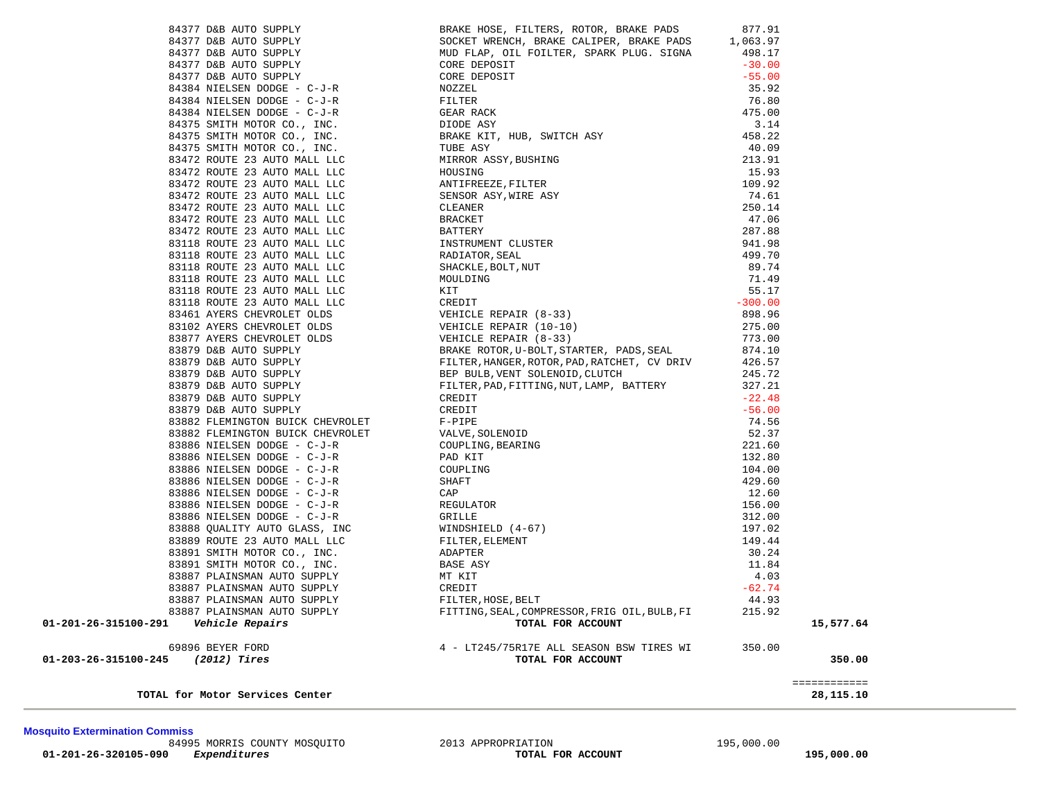**Mosquito Extermination Commiss** 84995 MORRIS COUNTY MOSQUITO 2013 APPROPRIATION 195,000.00  **01-201-26-320105-090** *Expenditures* **TOTAL FOR ACCOUNT 195,000.00**

 84384 NIELSEN DODGE - C-J-R FILTER 76.80 84384 NIELSEN DODGE - C-J-R GEAR RACK 475.00 84375 SMITH MOTOR CO., INC. DIODE ASY 3.14 84375 SMITH MOTOR CO., INC. BRAKE KIT, HUB, SWITCH ASY 458.22 84375 SMITH MOTOR CO., INC. TUBE ASY 40.09 83472 ROUTE 23 AUTO MALL LLC MIRROR ASSY,BUSHING 213.91 83472 ROUTE 23 AUTO MALL LLC HOUSING 15.93 83472 ROUTE 23 AUTO MALL LLC ANTIFREEZE,FILTER 109.92 83472 ROUTE 23 AUTO MALL LLC SENSOR ASY, WIRE ASY 74.61 83472 ROUTE 23 AUTO MALL LLC CLEANER 250.14 83472 ROUTE 23 AUTO MALL LLC BRACKET BOOKS BOOKS AT 106  $\begin{array}{lllllllllllllll} 83472 & \text{ROUTE} & 23 & \text{AUTO} & \text{MALI} & \text{LLC} & \text{BATTERY} & 287.88 \\ 83118 & \text{ROUTE} & 23 & \text{AUTO} & \text{MALI} & \text{LLC} & \text{RADIATOR, SEAL} & 941.98 \\ 83118 & \text{ROUTE} & 23 & \text{AUTO} & \text{MALI} & \text{LLC} & \text{SHACKLE, BOLT, NUT} & 89.74 \\ 83118 & \text{ROUTE} & 23 & \text{AUTO} & \text{MALI$ 83118 ROUTE 23 AUTO MALL LLC INSTRUMENT CLUSTER 941.98 83118 ROUTE 23 AUTO MALL LLC RADIATOR,SEAL 499.70 83118 ROUTE 23 AUTO MALL LLC SHACKLE, BOLT, NUT 89.74 83118 ROUTE 23 AUTO MALL LLC MOULDING 71.49 83118 ROUTE 23 AUTO MALL LLC KIT 55.17 83118 ROUTE 23 AUTO MALL LLC CREDIT -300.00898.96 83461 AYERS CHEVROLET OLDS VEHICLE REPAIR (8-33) 898.96 83102 AYERS CHEVROLET OLDS VEHICLE REPAIR (10-10) 275.00 83877 AYERS CHEVROLET OLDS VEHICLE REPAIR (8-33) 773.00 83879 D&B AUTO SUPPLY BRAKE ROTOR,U-BOLT,STARTER, PADS,SEAL 874.10 83879 D&B AUTO SUPPLY FILTER,HANGER,ROTOR,PAD,RATCHET, CV DRIV 426.57 83879 D&B AUTO SUPPLY BEP BULB,VENT SOLENOID,CLUTCH 245.72 83879 D&B AUTO SUPPLY FILTER,PAD,FITTING,NUT,LAMP, BATTERY 327.21 83879 D&B AUTO SUPPLY CREDIT -22.48 83879 D&B AUTO SUPPLY CREDIT -56.0083882 FLEMINGTON BUICK CHEVROLET F-PIPE F-PIPE 74.56 83882 FLEMINGTON BUICK CHEVROLET VALVE,SOLENOID 52.37  $\begin{array}{cccccc} 83886 & \texttt{NIELSEN} & \texttt{DODGE} & - & C-J-R & & \texttt{COUPLING}, \texttt{BEARNING} & & & & & & & & 221.60 \\ 83886 & \texttt{NIELSEN} & \texttt{DODGE} & - & C-J-R & & & \texttt{PAD KIT} & & & & & & 132.80 \\ 83886 & \texttt{NIELSEN} & \texttt{DODGE} & - & C-J-R & & & \texttt{SHAPT} & & & & 104.00 \\ 83886 & \texttt{NIELSEN} & \texttt{DODGE} & - & C-J-R & & & \texttt{CAP$ 83886 NIELSEN DODGE - C-J-R PAD KIT 132.80 83886 NIELSEN DODGE - C-J-R COUPLING 104.00 83886 NIELSEN DODGE - C-J-R SHAFT SHAFT 429.60 83886 NIELSEN DODGE - C-J-R CAP 12.60 83886 NIELSEN DODGE – C-J-R REGULATOR REGULATOR 156.00 83886 NIELSEN DODGE - C-J-R GRILLE 312.00 83888 QUALITY AUTO GLASS, INC WINDSHIELD (4-67) 197.02  $\textrm{\texttt{83886 NIELSEN DODE - C-J-R}} \qquad \qquad \textrm{\texttt{GRILLE}} \qquad \qquad \textrm{\texttt{GRLLE}} \qquad \qquad \textrm{\texttt{4-67}} \qquad \qquad \textrm{\texttt{83888 QUALITY AUTO GLASS, INC}} \qquad \qquad \textrm{\texttt{MINDSHELD (4-67)}} \qquad \qquad \textrm{\texttt{97.02}} \qquad \qquad \textrm{\texttt{149.44}} \qquad \qquad \textrm{\texttt{149.44}} \qquad \qquad \textrm{\texttt{149.44}} \qquad \qquad \$  83891 SMITH MOTOR CO., INC. ADAPTER 30.24 83891 SMITH MOTOR CO., INC. BASE ASY 6888 ASY 68881 SMITH MOTOR CO., INC. 83887 PLAINSMAN AUTO SUPPLY MT KIT 4.03 83887 PLAINSMAN AUTO SUPPLY CREDIT -62.74 83887 PLAINSMAN AUTO SUPPLY FILTER,HOSE,BELT 44.93 83887 PLAINSMAN AUTO SUPPLY FITTING,SEAL,COMPRESSOR,FRIG OIL,BULB,FI 215.92  **01-201-26-315100-291** *Vehicle Repairs* **TOTAL FOR ACCOUNT 15,577.64** 69896 BEYER FORD 4 - LT245/75R17E ALL SEASON BSW TIRES WI 350.00  **01-203-26-315100-245** *(2012) Tires* **TOTAL FOR ACCOUNT 350.00** ============ **TOTAL for Motor Services Center 28,115.10**

 84377 D&B AUTO SUPPLY BRAKE HOSE, FILTERS, ROTOR, BRAKE PADS 877.91 84377 D&B AUTO SUPPLY SOCKET WRENCH, BRAKE CALIPER, BRAKE PADS 1,063.97 84377 D&B AUTO SUPPLY MUD FLAP, OIL FOILTER, SPARK PLUG. SIGNA 498.17 84377 D&B AUTO SUPPLY CORE DEPOSIT -30.00 84377 D&B AUTO SUPPLY CORE DEPOSIT -55.0084384 NIELSEN DODGE - C-J-R NOZZEL 35.92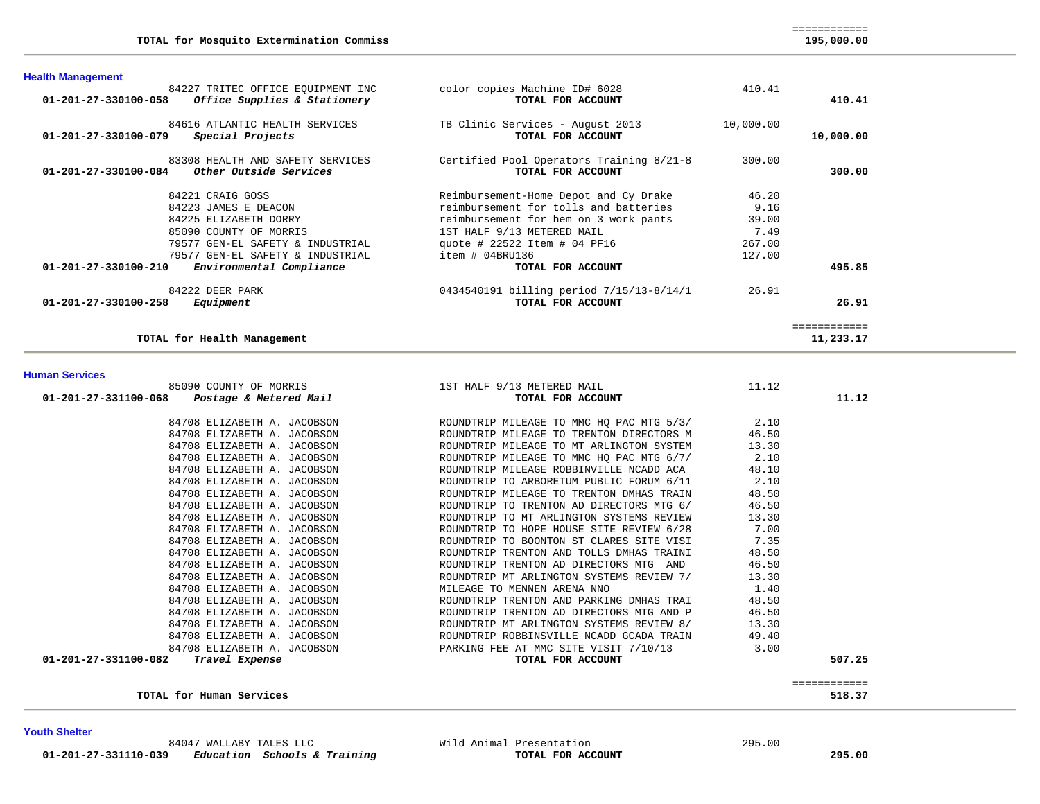**Health Management** 

| 01-201-27-330100-084  | 83308 HEALTH AND SAFETY SERVICES<br>Other Outside Services | Certified Pool Operators Training 8/21-8<br>TOTAL FOR ACCOUNT | 300.00 | 300.00       |
|-----------------------|------------------------------------------------------------|---------------------------------------------------------------|--------|--------------|
|                       | 84221 CRAIG GOSS                                           | Reimbursement-Home Depot and Cy Drake                         | 46.20  |              |
|                       | 84223 JAMES E DEACON                                       | reimbursement for tolls and batteries                         | 9.16   |              |
|                       | 84225 ELIZABETH DORRY                                      | reimbursement for hem on 3 work pants                         | 39.00  |              |
|                       | 85090 COUNTY OF MORRIS                                     | 1ST HALF 9/13 METERED MAIL                                    | 7.49   |              |
|                       | 79577 GEN-EL SAFETY & INDUSTRIAL                           | quote # 22522 Item # 04 PF16                                  | 267.00 |              |
|                       | 79577 GEN-EL SAFETY & INDUSTRIAL                           | item # 04BRU136                                               | 127.00 |              |
| 01-201-27-330100-210  | Environmental Compliance                                   | TOTAL FOR ACCOUNT                                             |        | 495.85       |
|                       | 84222 DEER PARK                                            | 0434540191 billing period 7/15/13-8/14/1                      | 26.91  |              |
| 01-201-27-330100-258  | Equipment                                                  | TOTAL FOR ACCOUNT                                             |        | 26.91        |
|                       |                                                            |                                                               |        | ============ |
|                       | TOTAL for Health Management                                |                                                               |        | 11,233.17    |
| <b>Human Services</b> |                                                            |                                                               |        |              |
|                       | 85090 COUNTY OF MORRIS                                     | 1ST HALF 9/13 METERED MAIL                                    | 11.12  |              |
| 01-201-27-331100-068  | Postage & Metered Mail                                     | TOTAL FOR ACCOUNT                                             |        | 11.12        |
|                       | 84708 ELIZABETH A. JACOBSON                                | ROUNDTRIP MILEAGE TO MMC HQ PAC MTG 5/3/                      | 2.10   |              |

84227 TRITEC OFFICE EQUIPMENT INC color copies Machine ID# 6028 410.41<br>3 **Office Supplies & Stationery TOTAL FOR ACCOUNT 01-201-27-330100-058** *Office Supplies & Stationery* **TOTAL FOR ACCOUNT 410.41**

 84616 ATLANTIC HEALTH SERVICES TB Clinic Services - August 2013 10,000.00  **01-201-27-330100-079** *Special Projects* **TOTAL FOR ACCOUNT 10,000.00**

| TOTAL for Health Management                    |                                          |
|------------------------------------------------|------------------------------------------|
| <b>Human Services</b>                          |                                          |
| 85090 COUNTY OF MORRIS                         | 1ST HALF 9/13 METERED MAIL               |
| Postage & Metered Mail<br>01-201-27-331100-068 | TOTAL FOR ACCOUNT                        |
| 84708 ELIZABETH A. JACOBSON                    | ROUNDTRIP MILEAGE TO MMC HO PAC MTG 5/3/ |
| 84708 ELIZABETH A. JACOBSON                    | ROUNDTRIP MILEAGE TO TRENTON DIRECTORS M |
| 84708 ELIZABETH A. JACOBSON                    | ROUNDTRIP MILEAGE TO MT ARLINGTON SYSTEM |
| 84708 ELIZABETH A. JACOBSON                    | ROUNDTRIP MILEAGE TO MMC HO PAC MTG 6/7/ |
| 84708 ELIZABETH A. JACOBSON                    | ROUNDTRIP MILEAGE ROBBINVILLE NCADD ACA  |
| 84708 ELIZABETH A. JACOBSON                    | ROUNDTRIP TO ARBORETUM PUBLIC FORUM 6/11 |
| 84708 ELIZABETH A. JACOBSON                    | ROUNDTRIP MILEAGE TO TRENTON DMHAS TRAIN |

| 01-401-47-331100-000<br>Postage & Metered Maii | TOTAL LOR WOODDI                         | <b>LL.L</b> |  |
|------------------------------------------------|------------------------------------------|-------------|--|
| 84708 ELIZABETH A. JACOBSON                    | ROUNDTRIP MILEAGE TO MMC HQ PAC MTG 5/3/ | 2.10        |  |
| 84708 ELIZABETH A. JACOBSON                    | ROUNDTRIP MILEAGE TO TRENTON DIRECTORS M | 46.50       |  |
| 84708 ELIZABETH A. JACOBSON                    | ROUNDTRIP MILEAGE TO MT ARLINGTON SYSTEM | 13.30       |  |
| 84708 ELIZABETH A. JACOBSON                    | ROUNDTRIP MILEAGE TO MMC HO PAC MTG 6/7/ | 2.10        |  |
| 84708 ELIZABETH A. JACOBSON                    | ROUNDTRIP MILEAGE ROBBINVILLE NCADD ACA  | 48.10       |  |
| 84708 ELIZABETH A. JACOBSON                    | ROUNDTRIP TO ARBORETUM PUBLIC FORUM 6/11 | 2.10        |  |
| 84708 ELIZABETH A. JACOBSON                    | ROUNDTRIP MILEAGE TO TRENTON DMHAS TRAIN | 48.50       |  |
| 84708 ELIZABETH A. JACOBSON                    | ROUNDTRIP TO TRENTON AD DIRECTORS MTG 6/ | 46.50       |  |
| 84708 ELIZABETH A. JACOBSON                    | ROUNDTRIP TO MT ARLINGTON SYSTEMS REVIEW | 13.30       |  |
| 84708 ELIZABETH A. JACOBSON                    | ROUNDTRIP TO HOPE HOUSE SITE REVIEW 6/28 | 7.00        |  |
| 84708 ELIZABETH A. JACOBSON                    | ROUNDTRIP TO BOONTON ST CLARES SITE VISI | 7.35        |  |
| 84708 ELIZABETH A. JACOBSON                    | ROUNDTRIP TRENTON AND TOLLS DMHAS TRAINI | 48.50       |  |
| 84708 ELIZABETH A. JACOBSON                    | ROUNDTRIP TRENTON AD DIRECTORS MTG AND   | 46.50       |  |
| 84708 ELIZABETH A. JACOBSON                    | ROUNDTRIP MT ARLINGTON SYSTEMS REVIEW 7/ | 13.30       |  |
| 84708 ELIZABETH A. JACOBSON                    | MILEAGE TO MENNEN ARENA NNO              | 1.40        |  |
| 84708 ELIZABETH A. JACOBSON                    | ROUNDTRIP TRENTON AND PARKING DMHAS TRAI | 48.50       |  |
| 84708 ELIZABETH A. JACOBSON                    | ROUNDTRIP TRENTON AD DIRECTORS MTG AND P | 46.50       |  |
| 84708 ELIZABETH A. JACOBSON                    | ROUNDTRIP MT ARLINGTON SYSTEMS REVIEW 8/ | 13.30       |  |
| 84708 ELIZABETH A. JACOBSON                    | ROUNDTRIP ROBBINSVILLE NCADD GCADA TRAIN | 49.40       |  |
| 84708 ELIZABETH A. JACOBSON                    | PARKING FEE AT MMC SITE VISIT 7/10/13    | 3.00        |  |
| 01-201-27-331100-082<br>Travel Expense         | TOTAL FOR ACCOUNT                        | 507.25      |  |
|                                                |                                          |             |  |
|                                                |                                          | :=========  |  |
| TOTAL for Human Services                       |                                          | 518.37      |  |

295.00

**Youth Shelter** 

84047 WALLABY TALES LLC Wild Animal Presentation  **01-201-27-331110-039** *Education Schools & Training* **TOTAL FOR ACCOUNT 295.00**

============

195,000.00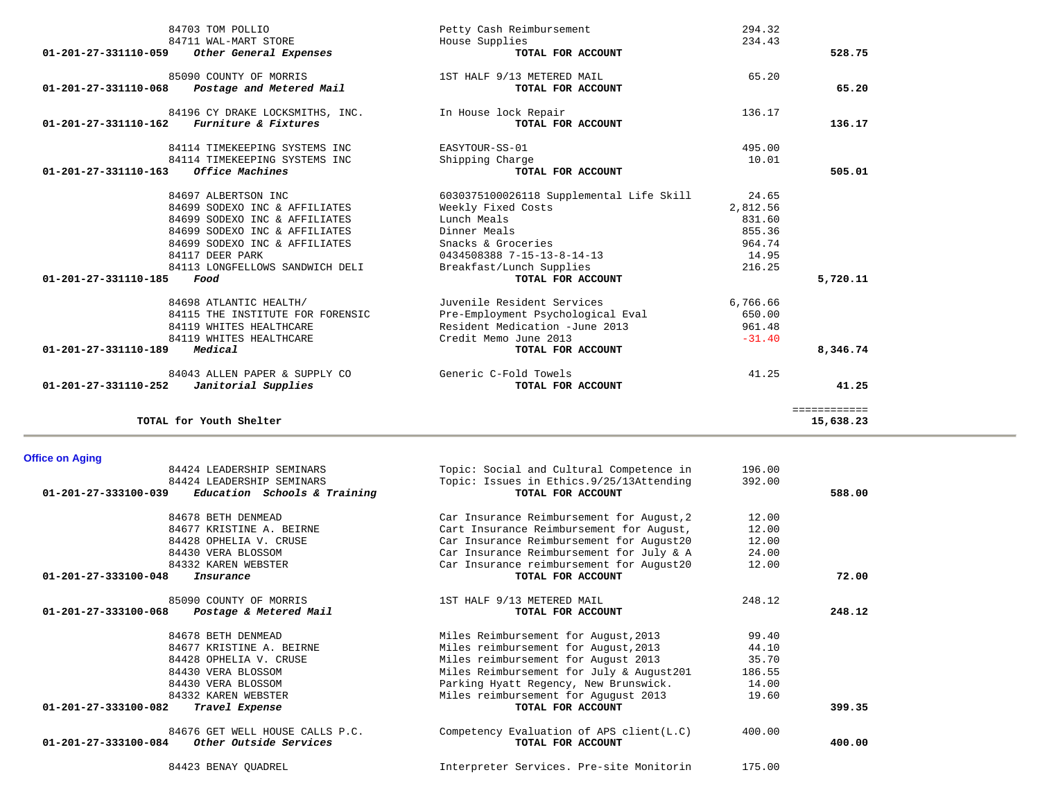|                                | 84703 TOM POLLIO                 | Petty Cash Reimbursement                 | 294.32   |              |
|--------------------------------|----------------------------------|------------------------------------------|----------|--------------|
|                                | 84711 WAL-MART STORE             | House Supplies                           | 234.43   |              |
| 01-201-27-331110-059           | Other General Expenses           | TOTAL FOR ACCOUNT                        |          | 528.75       |
|                                | 85090 COUNTY OF MORRIS           | 1ST HALF 9/13 METERED MAIL               | 65.20    |              |
| 01-201-27-331110-068           | Postage and Metered Mail         | TOTAL FOR ACCOUNT                        |          | 65.20        |
|                                | 84196 CY DRAKE LOCKSMITHS, INC.  | In House lock Repair                     | 136.17   |              |
| $01 - 201 - 27 - 331110 - 162$ | Furniture & Fixtures             | TOTAL FOR ACCOUNT                        |          | 136.17       |
|                                | 84114 TIMEKEEPING SYSTEMS INC    | EASYTOUR-SS-01                           | 495.00   |              |
|                                | 84114 TIMEKEEPING SYSTEMS INC    | Shipping Charge                          | 10.01    |              |
| $01 - 201 - 27 - 331110 - 163$ | Office Machines                  | TOTAL FOR ACCOUNT                        |          | 505.01       |
|                                | 84697 ALBERTSON INC              | 6030375100026118 Supplemental Life Skill | 24.65    |              |
|                                | 84699 SODEXO INC & AFFILIATES    | Weekly Fixed Costs                       | 2,812.56 |              |
|                                | 84699 SODEXO INC & AFFILIATES    | Lunch Meals                              | 831.60   |              |
|                                | 84699 SODEXO INC & AFFILIATES    | Dinner Meals                             | 855.36   |              |
|                                | 84699 SODEXO INC & AFFILIATES    | Snacks & Groceries                       | 964.74   |              |
|                                | 84117 DEER PARK                  | 0434508388 7-15-13-8-14-13               | 14.95    |              |
|                                | 84113 LONGFELLOWS SANDWICH DELI  | Breakfast/Lunch Supplies                 | 216.25   |              |
| $01 - 201 - 27 - 331110 - 185$ | Food                             | TOTAL FOR ACCOUNT                        |          | 5,720.11     |
|                                | 84698 ATLANTIC HEALTH/           | Juvenile Resident Services               | 6,766.66 |              |
|                                | 84115 THE INSTITUTE FOR FORENSIC | Pre-Employment Psychological Eval        | 650.00   |              |
|                                | 84119 WHITES HEALTHCARE          | Resident Medication -June 2013           | 961.48   |              |
|                                | 84119 WHITES HEALTHCARE          | Credit Memo June 2013                    | $-31.40$ |              |
| 01-201-27-331110-189           | Medical                          | TOTAL FOR ACCOUNT                        |          | 8,346.74     |
|                                | 84043 ALLEN PAPER & SUPPLY CO    | Generic C-Fold Towels                    | 41.25    |              |
| $01 - 201 - 27 - 331110 - 252$ | Janitorial Supplies              | TOTAL FOR ACCOUNT                        |          | 41.25        |
|                                |                                  |                                          |          | ============ |
|                                | TOTAL for Youth Shelter          |                                          |          | 15,638.23    |

**Office on Aging** 

| 84424 LEADERSHIP SEMINARS                                      | Topic: Social and Cultural Competence in     | 196.00 |        |
|----------------------------------------------------------------|----------------------------------------------|--------|--------|
| 84424 LEADERSHIP SEMINARS                                      | Topic: Issues in Ethics. 9/25/13Attending    | 392.00 |        |
| Education Schools & Training<br>$01 - 201 - 27 - 333100 - 039$ | TOTAL FOR ACCOUNT                            |        | 588.00 |
| 84678 BETH DENMEAD                                             | Car Insurance Reimbursement for August, 2    | 12.00  |        |
| 84677 KRISTINE A. BEIRNE                                       | Cart Insurance Reimbursement for August,     | 12.00  |        |
| 84428 OPHELIA V. CRUSE                                         | Car Insurance Reimbursement for August20     | 12.00  |        |
| 84430 VERA BLOSSOM                                             | Car Insurance Reimbursement for July & A     | 24.00  |        |
| 84332 KAREN WEBSTER                                            | Car Insurance reimbursement for August20     | 12.00  |        |
| $01 - 201 - 27 - 333100 - 048$<br>Insurance                    | TOTAL FOR ACCOUNT                            |        | 72.00  |
| 85090 COUNTY OF MORRIS                                         | 1ST HALF 9/13 METERED MAIL                   | 248.12 |        |
| $01 - 201 - 27 - 333100 - 068$<br>Postage & Metered Mail       | TOTAL FOR ACCOUNT                            |        | 248.12 |
| 84678 BETH DENMEAD                                             | Miles Reimbursement for August, 2013         | 99.40  |        |
| 84677 KRISTINE A. BEIRNE                                       | Miles reimbursement for August, 2013         | 44.10  |        |
| 84428 OPHELIA V. CRUSE                                         | Miles reimbursement for August 2013          | 35.70  |        |
| 84430 VERA BLOSSOM                                             | Miles Reimbursement for July & August201     | 186.55 |        |
| 84430 VERA BLOSSOM                                             | Parking Hyatt Regency, New Brunswick.        | 14.00  |        |
| 84332 KAREN WEBSTER                                            | Miles reimbursement for Aququst 2013         | 19.60  |        |
| 01-201-27-333100-082<br>Travel Expense                         | TOTAL FOR ACCOUNT                            |        | 399.35 |
| 84676 GET WELL HOUSE CALLS P.C.                                | Competency Evaluation of APS client $(L, C)$ | 400.00 |        |
| 01-201-27-333100-084<br>Other Outside Services                 | TOTAL FOR ACCOUNT                            |        | 400.00 |
| 84423 BENAY OUADREL                                            | Interpreter Services. Pre-site Monitorin     | 175.00 |        |
|                                                                |                                              |        |        |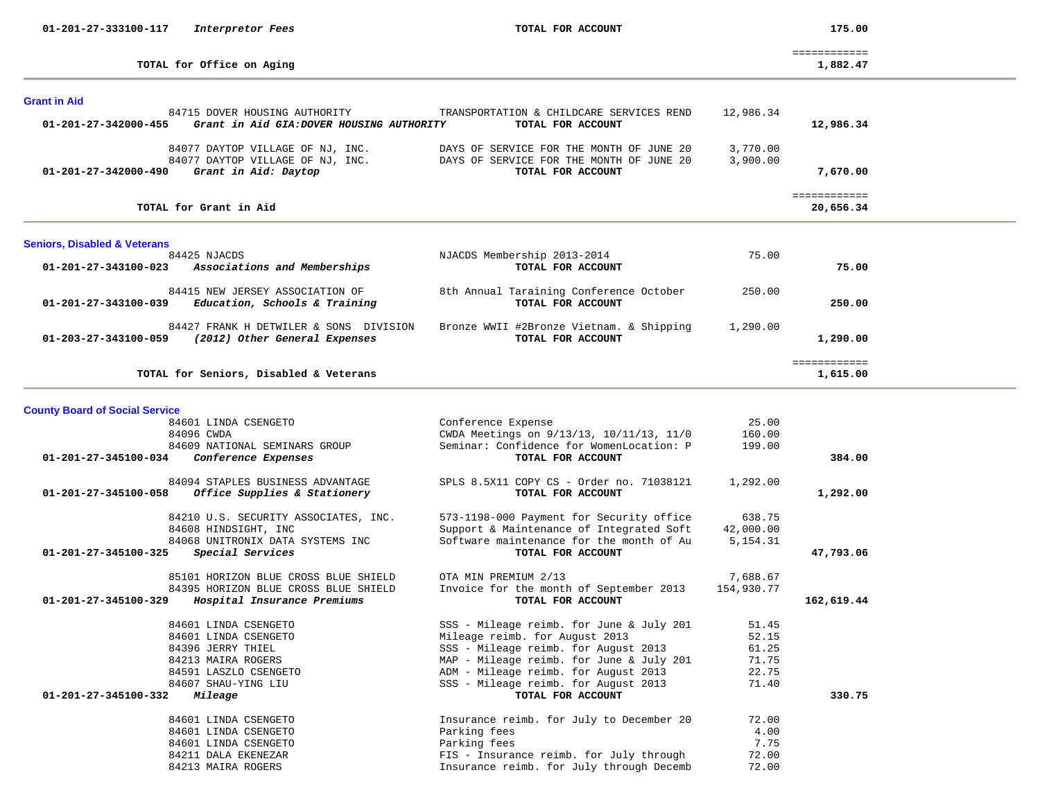| 01-201-27-333100-117                    | Interpretor Fees                                                           | TOTAL FOR ACCOUNT                                                                    |                | 175.00                    |  |
|-----------------------------------------|----------------------------------------------------------------------------|--------------------------------------------------------------------------------------|----------------|---------------------------|--|
|                                         | TOTAL for Office on Aging                                                  |                                                                                      |                | ============<br>1,882.47  |  |
| <b>Grant in Aid</b>                     |                                                                            |                                                                                      |                |                           |  |
| 01-201-27-342000-455                    | 84715 DOVER HOUSING AUTHORITY<br>Grant in Aid GIA: DOVER HOUSING AUTHORITY | TRANSPORTATION & CHILDCARE SERVICES REND<br>TOTAL FOR ACCOUNT                        | 12,986.34      | 12,986.34                 |  |
|                                         | 84077 DAYTOP VILLAGE OF NJ, INC.                                           | DAYS OF SERVICE FOR THE MONTH OF JUNE 20                                             | 3,770.00       |                           |  |
| 01-201-27-342000-490                    | 84077 DAYTOP VILLAGE OF NJ, INC.<br>Grant in Aid: Daytop                   | DAYS OF SERVICE FOR THE MONTH OF JUNE 20<br>TOTAL FOR ACCOUNT                        | 3,900.00       | 7,670.00                  |  |
|                                         | TOTAL for Grant in Aid                                                     |                                                                                      |                | ============<br>20,656.34 |  |
| <b>Seniors, Disabled &amp; Veterans</b> |                                                                            |                                                                                      |                |                           |  |
| 01-201-27-343100-023                    | 84425 NJACDS<br>Associations and Memberships                               | NJACDS Membership 2013-2014<br>TOTAL FOR ACCOUNT                                     | 75.00          | 75.00                     |  |
| 01-201-27-343100-039                    | 84415 NEW JERSEY ASSOCIATION OF<br>Education, Schools & Training           | 8th Annual Taraining Conference October<br>TOTAL FOR ACCOUNT                         | 250.00         | 250.00                    |  |
| 01-203-27-343100-059                    | 84427 FRANK H DETWILER & SONS DIVISION<br>(2012) Other General Expenses    | Bronze WWII #2Bronze Vietnam. & Shipping<br>TOTAL FOR ACCOUNT                        | 1,290.00       | 1,290.00                  |  |
|                                         | TOTAL for Seniors, Disabled & Veterans                                     |                                                                                      |                | ============<br>1,615.00  |  |
|                                         |                                                                            |                                                                                      |                |                           |  |
| <b>County Board of Social Service</b>   | 84601 LINDA CSENGETO                                                       | Conference Expense                                                                   | 25.00          |                           |  |
|                                         | 84096 CWDA                                                                 | CWDA Meetings on 9/13/13, 10/11/13, 11/0                                             | 160.00         |                           |  |
| 01-201-27-345100-034                    | 84609 NATIONAL SEMINARS GROUP<br>Conference Expenses                       | Seminar: Confidence for WomenLocation: P<br>TOTAL FOR ACCOUNT                        | 199.00         | 384.00                    |  |
| 01-201-27-345100-058                    | 84094 STAPLES BUSINESS ADVANTAGE<br>Office Supplies & Stationery           | SPLS 8.5X11 COPY CS - Order no. 71038121<br>TOTAL FOR ACCOUNT                        | 1,292.00       | 1,292.00                  |  |
|                                         | 84210 U.S. SECURITY ASSOCIATES, INC.                                       | 573-1198-000 Payment for Security office                                             | 638.75         |                           |  |
|                                         | 84608 HINDSIGHT, INC                                                       | Support & Maintenance of Integrated Soft<br>Software maintenance for the month of Au | 42,000.00      |                           |  |
| 01-201-27-345100-325                    | 84068 UNITRONIX DATA SYSTEMS INC<br>Special Services                       | TOTAL FOR ACCOUNT                                                                    | 5, 154. 31     | 47,793.06                 |  |
|                                         | 85101 HORIZON BLUE CROSS BLUE SHIELD                                       | OTA MIN PREMIUM 2/13                                                                 | 7,688.67       |                           |  |
| 01-201-27-345100-329                    | 84395 HORIZON BLUE CROSS BLUE SHIELD<br>Hospital Insurance Premiums        | Invoice for the month of September 2013<br>TOTAL FOR ACCOUNT                         | 154,930.77     | 162,619.44                |  |
|                                         | 84601 LINDA CSENGETO                                                       | SSS - Mileage reimb. for June & July 201                                             | 51.45          |                           |  |
|                                         | 84601 LINDA CSENGETO                                                       | Mileage reimb. for August 2013                                                       | 52.15          |                           |  |
|                                         | 84396 JERRY THIEL                                                          | SSS - Mileage reimb. for August 2013                                                 | 61.25          |                           |  |
|                                         | 84213 MAIRA ROGERS                                                         | MAP - Mileage reimb. for June & July 201                                             | 71.75<br>22.75 |                           |  |
|                                         | 84591 LASZLO CSENGETO<br>84607 SHAU-YING LIU                               | ADM - Mileage reimb. for August 2013<br>SSS - Mileage reimb. for August 2013         | 71.40          |                           |  |
| 01-201-27-345100-332                    | Mileage                                                                    | TOTAL FOR ACCOUNT                                                                    |                | 330.75                    |  |
|                                         | 84601 LINDA CSENGETO                                                       | Insurance reimb. for July to December 20                                             | 72.00          |                           |  |
|                                         | 84601 LINDA CSENGETO                                                       | Parking fees                                                                         | 4.00           |                           |  |
|                                         | 84601 LINDA CSENGETO                                                       | Parking fees                                                                         | 7.75           |                           |  |
|                                         | 84211 DALA EKENEZAR                                                        | FIS - Insurance reimb. for July through                                              | 72.00          |                           |  |
|                                         | 84213 MAIRA ROGERS                                                         | Insurance reimb. for July through Decemb                                             | 72.00          |                           |  |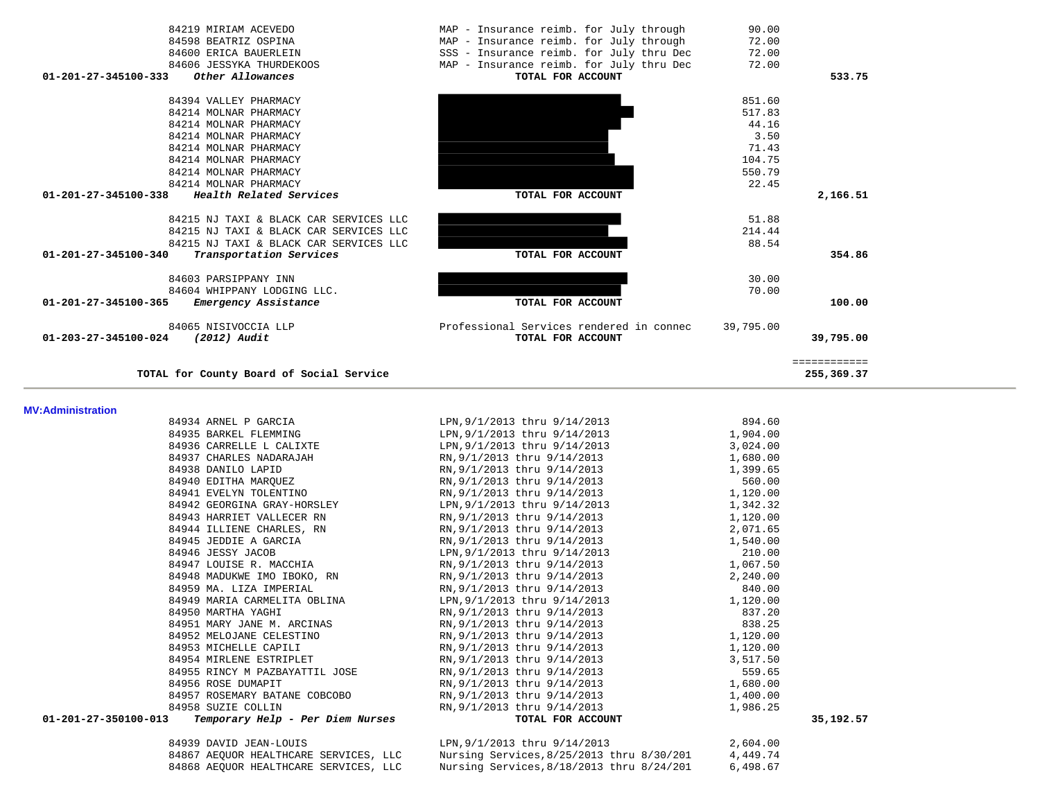| 84219 MIRIAM ACEVEDO<br>84598 BEATRIZ OSPINA<br>84600 ERICA BAUERLEIN<br>84606 JESSYKA THURDEKOOS<br>01-201-27-345100-333<br>Other Allowances | MAP - Insurance reimb. for July through<br>MAP - Insurance reimb. for July through<br>SSS - Insurance reimb. for July thru Dec<br>MAP - Insurance reimb. for July thru Dec<br>TOTAL FOR ACCOUNT | 90.00<br>72.00<br>72.00<br>72.00 | 533.75       |  |
|-----------------------------------------------------------------------------------------------------------------------------------------------|-------------------------------------------------------------------------------------------------------------------------------------------------------------------------------------------------|----------------------------------|--------------|--|
|                                                                                                                                               |                                                                                                                                                                                                 |                                  |              |  |
| 84394 VALLEY PHARMACY                                                                                                                         |                                                                                                                                                                                                 | 851.60                           |              |  |
| 84214 MOLNAR PHARMACY                                                                                                                         |                                                                                                                                                                                                 | 517.83                           |              |  |
| 84214 MOLNAR PHARMACY                                                                                                                         |                                                                                                                                                                                                 | 44.16                            |              |  |
| 84214 MOLNAR PHARMACY                                                                                                                         |                                                                                                                                                                                                 | 3.50<br>71.43                    |              |  |
| 84214 MOLNAR PHARMACY<br>84214 MOLNAR PHARMACY                                                                                                |                                                                                                                                                                                                 | 104.75                           |              |  |
| 84214 MOLNAR PHARMACY                                                                                                                         |                                                                                                                                                                                                 | 550.79                           |              |  |
| 84214 MOLNAR PHARMACY                                                                                                                         |                                                                                                                                                                                                 | 22.45                            |              |  |
| Health Related Services<br>01-201-27-345100-338                                                                                               | TOTAL FOR ACCOUNT                                                                                                                                                                               |                                  | 2,166.51     |  |
|                                                                                                                                               |                                                                                                                                                                                                 |                                  |              |  |
| 84215 NJ TAXI & BLACK CAR SERVICES LLC                                                                                                        |                                                                                                                                                                                                 | 51.88                            |              |  |
| 84215 NJ TAXI & BLACK CAR SERVICES LLC                                                                                                        |                                                                                                                                                                                                 | 214.44                           |              |  |
| 84215 NJ TAXI & BLACK CAR SERVICES LLC                                                                                                        |                                                                                                                                                                                                 | 88.54                            |              |  |
| 01-201-27-345100-340<br>Transportation Services                                                                                               | TOTAL FOR ACCOUNT                                                                                                                                                                               |                                  | 354.86       |  |
|                                                                                                                                               |                                                                                                                                                                                                 |                                  |              |  |
| 84603 PARSIPPANY INN                                                                                                                          |                                                                                                                                                                                                 | 30.00                            |              |  |
| 84604 WHIPPANY LODGING LLC.                                                                                                                   |                                                                                                                                                                                                 | 70.00                            |              |  |
| 01-201-27-345100-365<br>Emergency Assistance                                                                                                  | TOTAL FOR ACCOUNT                                                                                                                                                                               |                                  | 100.00       |  |
| 84065 NISIVOCCIA LLP                                                                                                                          | Professional Services rendered in connec                                                                                                                                                        | 39,795.00                        |              |  |
| 01-203-27-345100-024<br>(2012) Audit                                                                                                          | TOTAL FOR ACCOUNT                                                                                                                                                                               |                                  | 39,795.00    |  |
|                                                                                                                                               |                                                                                                                                                                                                 |                                  |              |  |
|                                                                                                                                               |                                                                                                                                                                                                 |                                  |              |  |
|                                                                                                                                               |                                                                                                                                                                                                 |                                  | ============ |  |
| TOTAL for County Board of Social Service                                                                                                      |                                                                                                                                                                                                 |                                  | 255,369.37   |  |
|                                                                                                                                               |                                                                                                                                                                                                 |                                  |              |  |
|                                                                                                                                               |                                                                                                                                                                                                 |                                  |              |  |
| <b>MV:Administration</b><br>84934 ARNEL P GARCIA                                                                                              | LPN, 9/1/2013 thru 9/14/2013                                                                                                                                                                    | 894.60                           |              |  |
| 84935 BARKEL FLEMMING                                                                                                                         | LPN, 9/1/2013 thru 9/14/2013                                                                                                                                                                    | 1,904.00                         |              |  |
| 84936 CARRELLE L CALIXTE                                                                                                                      | LPN, 9/1/2013 thru 9/14/2013                                                                                                                                                                    | 3,024.00                         |              |  |
| 84937 CHARLES NADARAJAH                                                                                                                       | RN, 9/1/2013 thru 9/14/2013                                                                                                                                                                     | 1,680.00                         |              |  |
| 84938 DANILO LAPID                                                                                                                            | RN, 9/1/2013 thru 9/14/2013                                                                                                                                                                     | 1,399.65                         |              |  |
| 84940 EDITHA MARQUEZ                                                                                                                          | RN, 9/1/2013 thru 9/14/2013                                                                                                                                                                     | 560.00                           |              |  |
| 84941 EVELYN TOLENTINO                                                                                                                        | RN, 9/1/2013 thru 9/14/2013                                                                                                                                                                     | 1,120.00                         |              |  |
| 84942 GEORGINA GRAY-HORSLEY                                                                                                                   | LPN, 9/1/2013 thru 9/14/2013                                                                                                                                                                    | 1,342.32                         |              |  |
| 84943 HARRIET VALLECER RN                                                                                                                     | RN, 9/1/2013 thru 9/14/2013                                                                                                                                                                     | 1,120.00                         |              |  |
| 84944 ILLIENE CHARLES, RN                                                                                                                     | RN, 9/1/2013 thru 9/14/2013                                                                                                                                                                     | 2,071.65                         |              |  |
| 84945 JEDDIE A GARCIA                                                                                                                         | RN, 9/1/2013 thru 9/14/2013                                                                                                                                                                     | 1,540.00                         |              |  |
| 84946 JESSY JACOB                                                                                                                             | LPN, 9/1/2013 thru 9/14/2013                                                                                                                                                                    | 210.00                           |              |  |
| 84947 LOUISE R. MACCHIA                                                                                                                       | RN, 9/1/2013 thru 9/14/2013                                                                                                                                                                     | 1,067.50                         |              |  |
| 84948 MADUKWE IMO IBOKO, RN                                                                                                                   | RN, 9/1/2013 thru 9/14/2013                                                                                                                                                                     | 2,240.00                         |              |  |
| 84959 MA. LIZA IMPERIAL                                                                                                                       | RN, 9/1/2013 thru 9/14/2013                                                                                                                                                                     | 840.00                           |              |  |
| 84949 MARIA CARMELITA OBLINA                                                                                                                  | LPN, 9/1/2013 thru 9/14/2013                                                                                                                                                                    | 1,120.00                         |              |  |
| 84950 MARTHA YAGHI                                                                                                                            | RN, 9/1/2013 thru 9/14/2013                                                                                                                                                                     | 837.20                           |              |  |
| 84951 MARY JANE M. ARCINAS                                                                                                                    | RN, 9/1/2013 thru 9/14/2013                                                                                                                                                                     | 838.25                           |              |  |
| 84952 MELOJANE CELESTINO                                                                                                                      | RN, 9/1/2013 thru 9/14/2013                                                                                                                                                                     | 1,120.00                         |              |  |
| 84953 MICHELLE CAPILI<br>84954 MIRLENE ESTRIPLET                                                                                              | RN, 9/1/2013 thru 9/14/2013<br>RN, 9/1/2013 thru 9/14/2013                                                                                                                                      | 1,120.00<br>3,517.50             |              |  |

84958 SUZIE COLLIN **RN**,9/1/2013 thru 9/14/2013 **1.986.25 Temporary Help - Per Diem Nurses RN**,9/1/2013 **TOTAL FOR ACCOUNT 01-201-27-350100-013** *Temporary Help - Per Diem Nurses* **TOTAL FOR ACCOUNT 35,192.57**

| 84939 DAVID JEAN-LOUIS                | LPN, 9/1/2013 thru 9/14/2013              | 2,604.00 |
|---------------------------------------|-------------------------------------------|----------|
| 84867 AEOUOR HEALTHCARE SERVICES, LLC | Nursing Services, 8/25/2013 thru 8/30/201 | 4,449.74 |
| 84868 AEOUOR HEALTHCARE SERVICES, LLC | Nursing Services, 8/18/2013 thru 8/24/201 | 6,498.67 |

 84955 RINCY M PAZBAYATTIL JOSE RN,9/1/2013 thru 9/14/2013 559.65 84956 ROSE DUMAPIT <br>84957 ROSEMARY BATANE COBCOBO RN,9/1/2013 thru 9/14/2013 1,400.00

84957 ROSEMARY BATANE COBCOBO RN, 9/1/2013 thru 9/14/2013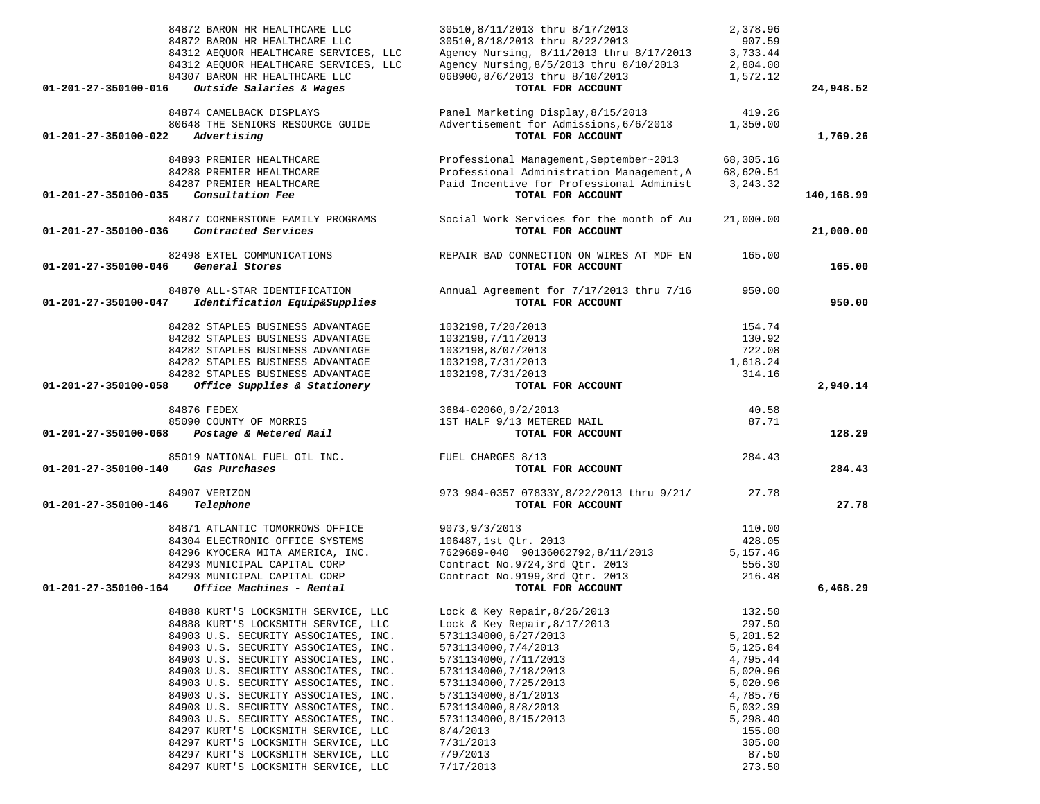|                      | 84872 BARON HR HEALTHCARE LLC<br>84872 BARON HR HEALTHCARE LLC<br>84312 AEQUOR HEALTHCARE SERVICES, LLC<br>84312 AEQUOR HEALTHCARE SERVICES, LLC<br>84307 BARON HR HEALTHCARE LLC | 30510,8/11/2013 thru 8/17/2013<br>30510,8/18/2013 thru 8/22/2013<br>Agency Nursing, 8/11/2013 thru 8/17/2013<br>Agency Nursing, 8/5/2013 thru 8/10/2013<br>068900,8/6/2013 thru 8/10/2013 | 2,378.96<br>907.59<br>3,733.44<br>2,804.00<br>1,572.12 |            |
|----------------------|-----------------------------------------------------------------------------------------------------------------------------------------------------------------------------------|-------------------------------------------------------------------------------------------------------------------------------------------------------------------------------------------|--------------------------------------------------------|------------|
| 01-201-27-350100-016 | Outside Salaries & Wages                                                                                                                                                          | TOTAL FOR ACCOUNT                                                                                                                                                                         |                                                        | 24,948.52  |
|                      | 84874 CAMELBACK DISPLAYS                                                                                                                                                          | Panel Marketing Display, 8/15/2013                                                                                                                                                        | 419.26                                                 |            |
| 01-201-27-350100-022 | 80648 THE SENIORS RESOURCE GUIDE<br>Advertising                                                                                                                                   | Advertisement for Admissions, 6/6/2013<br>TOTAL FOR ACCOUNT                                                                                                                               | 1,350.00                                               | 1,769.26   |
|                      | 84893 PREMIER HEALTHCARE                                                                                                                                                          | Professional Management, September~2013                                                                                                                                                   | 68,305.16                                              |            |
|                      | 84288 PREMIER HEALTHCARE                                                                                                                                                          | Professional Administration Management, A                                                                                                                                                 | 68,620.51                                              |            |
| 01-201-27-350100-035 | 84287 PREMIER HEALTHCARE<br>Consultation Fee                                                                                                                                      | Paid Incentive for Professional Administ<br>TOTAL FOR ACCOUNT                                                                                                                             | 3, 243.32                                              |            |
|                      |                                                                                                                                                                                   |                                                                                                                                                                                           |                                                        | 140,168.99 |
| 01-201-27-350100-036 | 84877 CORNERSTONE FAMILY PROGRAMS<br>Contracted Services                                                                                                                          | Social Work Services for the month of Au<br>TOTAL FOR ACCOUNT                                                                                                                             | 21,000.00                                              | 21,000.00  |
| 01-201-27-350100-046 | 82498 EXTEL COMMUNICATIONS<br>General Stores                                                                                                                                      | REPAIR BAD CONNECTION ON WIRES AT MDF EN<br>TOTAL FOR ACCOUNT                                                                                                                             | 165.00                                                 | 165.00     |
|                      | 84870 ALL-STAR IDENTIFICATION                                                                                                                                                     | Annual Agreement for 7/17/2013 thru 7/16                                                                                                                                                  | 950.00                                                 |            |
| 01-201-27-350100-047 | Identification Equip&Supplies                                                                                                                                                     | TOTAL FOR ACCOUNT                                                                                                                                                                         |                                                        | 950.00     |
|                      | 84282 STAPLES BUSINESS ADVANTAGE                                                                                                                                                  | 1032198, 7/20/2013                                                                                                                                                                        | 154.74                                                 |            |
|                      | 84282 STAPLES BUSINESS ADVANTAGE                                                                                                                                                  | 1032198, 7/11/2013                                                                                                                                                                        | 130.92                                                 |            |
|                      | 84282 STAPLES BUSINESS ADVANTAGE                                                                                                                                                  | 1032198,8/07/2013                                                                                                                                                                         | 722.08                                                 |            |
|                      | 84282 STAPLES BUSINESS ADVANTAGE                                                                                                                                                  | 1032198, 7/31/2013                                                                                                                                                                        | 1,618.24                                               |            |
|                      | 84282 STAPLES BUSINESS ADVANTAGE                                                                                                                                                  | 1032198, 7/31/2013                                                                                                                                                                        | 314.16                                                 |            |
| 01-201-27-350100-058 | Office Supplies & Stationery                                                                                                                                                      | TOTAL FOR ACCOUNT                                                                                                                                                                         |                                                        | 2,940.14   |
|                      | 84876 FEDEX                                                                                                                                                                       | 3684-02060, 9/2/2013                                                                                                                                                                      | 40.58                                                  |            |
|                      | 85090 COUNTY OF MORRIS                                                                                                                                                            | 1ST HALF 9/13 METERED MAIL                                                                                                                                                                | 87.71                                                  |            |
|                      | 01-201-27-350100-068 Postage & Metered Mail                                                                                                                                       | TOTAL FOR ACCOUNT                                                                                                                                                                         |                                                        | 128.29     |
|                      | 85019 NATIONAL FUEL OIL INC.                                                                                                                                                      | FUEL CHARGES 8/13                                                                                                                                                                         | 284.43                                                 |            |
| 01-201-27-350100-140 | Gas Purchases                                                                                                                                                                     | TOTAL FOR ACCOUNT                                                                                                                                                                         |                                                        | 284.43     |
|                      | 84907 VERIZON                                                                                                                                                                     | 973 984-0357 07833Y, 8/22/2013 thru 9/21/                                                                                                                                                 | 27.78                                                  |            |
| 01-201-27-350100-146 | Telephone                                                                                                                                                                         | TOTAL FOR ACCOUNT                                                                                                                                                                         |                                                        | 27.78      |
|                      | 84871 ATLANTIC TOMORROWS OFFICE                                                                                                                                                   | 9073, 9/3/2013                                                                                                                                                                            | 110.00                                                 |            |
|                      | 84304 ELECTRONIC OFFICE SYSTEMS                                                                                                                                                   | 106487,1st Qtr. 2013                                                                                                                                                                      | 428.05                                                 |            |
|                      | 84296 KYOCERA MITA AMERICA, INC.                                                                                                                                                  | 7629689-040 90136062792,8/11/2013                                                                                                                                                         | 5,157.46                                               |            |
|                      | 84293 MUNICIPAL CAPITAL CORP                                                                                                                                                      | Contract No. 9724, 3rd Qtr. 2013                                                                                                                                                          | 556.30                                                 |            |
|                      | 84293 MUNICIPAL CAPITAL CORP                                                                                                                                                      | Contract No. 9199, 3rd Otr. 2013                                                                                                                                                          | 216.48                                                 |            |
| 01-201-27-350100-164 | <i>Office Machines - Rental</i>                                                                                                                                                   | TOTAL FOR ACCOUNT                                                                                                                                                                         |                                                        | 6,468.29   |
|                      | 84888 KURT'S LOCKSMITH SERVICE, LLC                                                                                                                                               | Lock & Key Repair, 8/26/2013                                                                                                                                                              | 132.50                                                 |            |
|                      | 84888 KURT'S LOCKSMITH SERVICE, LLC                                                                                                                                               | Lock & Key Repair, $8/17/2013$                                                                                                                                                            | 297.50                                                 |            |
|                      | 84903 U.S. SECURITY ASSOCIATES, INC.                                                                                                                                              | 5731134000,6/27/2013                                                                                                                                                                      | 5,201.52                                               |            |
|                      | 84903 U.S. SECURITY ASSOCIATES, INC.                                                                                                                                              | 5731134000, 7/4/2013                                                                                                                                                                      | 5,125.84                                               |            |
|                      | 84903 U.S. SECURITY ASSOCIATES, INC.                                                                                                                                              | 5731134000, 7/11/2013                                                                                                                                                                     | 4,795.44                                               |            |
|                      | 84903 U.S. SECURITY ASSOCIATES, INC.                                                                                                                                              | 5731134000, 7/18/2013                                                                                                                                                                     | 5,020.96                                               |            |
|                      | 84903 U.S. SECURITY ASSOCIATES, INC.                                                                                                                                              | 5731134000, 7/25/2013                                                                                                                                                                     | 5,020.96                                               |            |
|                      | 84903 U.S. SECURITY ASSOCIATES, INC.                                                                                                                                              | 5731134000,8/1/2013                                                                                                                                                                       | 4,785.76                                               |            |
|                      | 84903 U.S. SECURITY ASSOCIATES, INC.<br>84903 U.S. SECURITY ASSOCIATES, INC.                                                                                                      | 5731134000,8/8/2013<br>5731134000,8/15/2013                                                                                                                                               | 5,032.39                                               |            |
|                      | 84297 KURT'S LOCKSMITH SERVICE, LLC                                                                                                                                               | 8/4/2013                                                                                                                                                                                  | 5,298.40<br>155.00                                     |            |
|                      | 84297 KURT'S LOCKSMITH SERVICE, LLC                                                                                                                                               | 7/31/2013                                                                                                                                                                                 | 305.00                                                 |            |
|                      | 84297 KURT'S LOCKSMITH SERVICE, LLC                                                                                                                                               | 7/9/2013                                                                                                                                                                                  | 87.50                                                  |            |

84297 KURT'S LOCKSMITH SERVICE, LLC 7/17/2013 273.50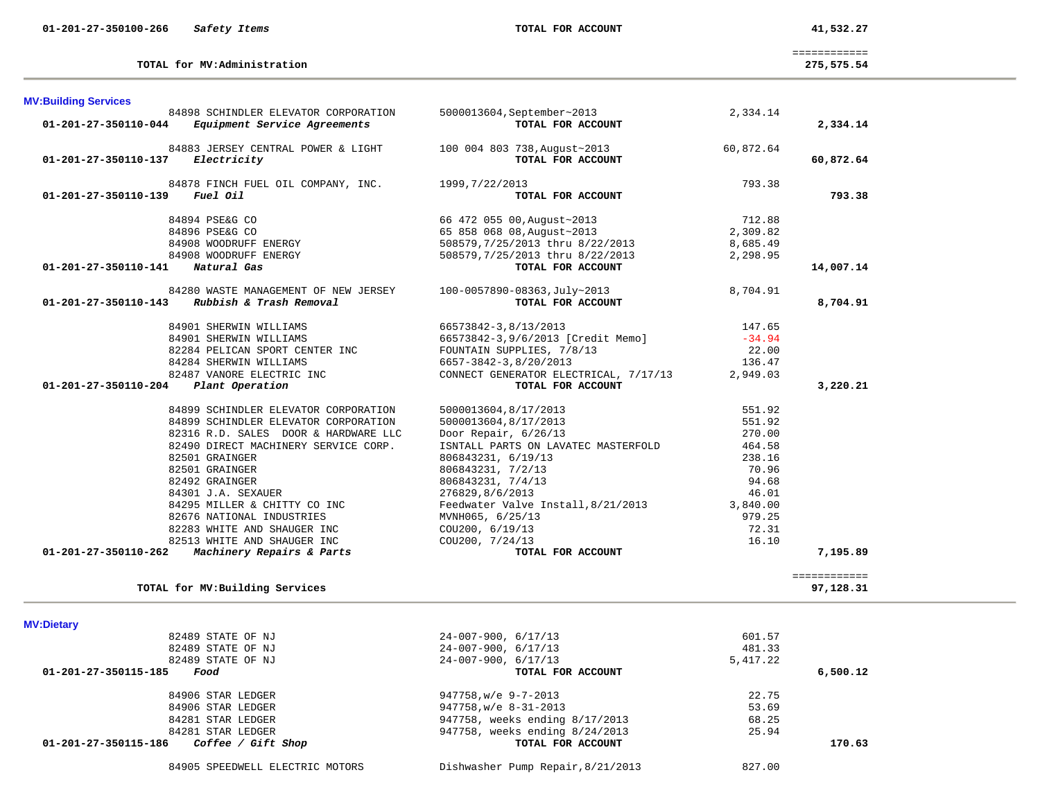| 84905. | SPEEDWELL | ELECTRIC MOTORS |  |
|--------|-----------|-----------------|--|
|--------|-----------|-----------------|--|

TOTAL for MV: Building Services

| 82489 STATE OF NJ               | $24 - 007 - 900, 6/17/13$         | 481.33   |         |
|---------------------------------|-----------------------------------|----------|---------|
| 82489 STATE OF NJ               | $24 - 007 - 900, 6/17/13$         | 5,417.22 |         |
| 15-185<br>Food                  | TOTAL FOR ACCOUNT                 |          | 6,500.1 |
| 84906 STAR LEDGER               | $947758$ , w/e $9-7-2013$         | 22.75    |         |
| 84906 STAR LEDGER               | 947758, w/e 8-31-2013             | 53.69    |         |
| 84281 STAR LEDGER               | 947758, weeks ending 8/17/2013    | 68.25    |         |
| 84281 STAR LEDGER               | 947758, weeks ending 8/24/2013    | 25.94    |         |
| 15-186<br>Coffee / Gift Shop    | TOTAL FOR ACCOUNT                 |          | 170.6   |
| 84905 SPEEDWELL ELECTRIC MOTORS | Dishwasher Pump Repair, 8/21/2013 | 827.00   |         |
|                                 |                                   |          |         |

| <b>MV:Dietary</b>                          |                                |          |          |
|--------------------------------------------|--------------------------------|----------|----------|
| 82489 STATE OF NJ                          | $24-007-900, 6/17/13$          | 601.57   |          |
| 82489 STATE OF NJ                          | $24-007-900, 6/17/13$          | 481.33   |          |
| 82489 STATE OF NJ                          | $24-007-900, 6/17/13$          | 5,417.22 |          |
| 01-201-27-350115-185<br>Food               | TOTAL FOR ACCOUNT              |          | 6,500.12 |
| 84906 STAR LEDGER                          | 947758, w/e 9-7-2013           | 22.75    |          |
| 84906 STAR LEDGER                          | 947758, w/e 8-31-2013          | 53.69    |          |
| 84281 STAR LEDGER                          | 947758, weeks ending 8/17/2013 | 68.25    |          |
| 84281 STAR LEDGER                          | 947758, weeks ending 8/24/2013 | 25.94    |          |
| 01-201-27-350115-186<br>Coffee / Gift Shop | TOTAL FOR ACCOUNT              |          | 170.63   |
|                                            |                                |          |          |

============

#### **M**

| <b>MV:Building Services</b>             |                                                                                                                      |                                                                                                                                                              |           |           |
|-----------------------------------------|----------------------------------------------------------------------------------------------------------------------|--------------------------------------------------------------------------------------------------------------------------------------------------------------|-----------|-----------|
|                                         | 84898 SCHINDLER ELEVATOR CORPORATION                                                                                 | 5000013604, September~2013<br>TOTAL FOR ACCOUNT                                                                                                              | 2,334.14  |           |
|                                         | $01-201-27-350110-044$ Equipment Service Agreements                                                                  |                                                                                                                                                              |           | 2,334.14  |
|                                         |                                                                                                                      | 84883 JERSEY CENTRAL POWER & LIGHT 100 004 803 738, August-2013                                                                                              | 60,872.64 |           |
| 01-201-27-350110-137                    | Electricity                                                                                                          | TOTAL FOR ACCOUNT                                                                                                                                            |           | 60,872.64 |
|                                         | 84878 FINCH FUEL OIL COMPANY, INC. 1999, 7/22/2013                                                                   |                                                                                                                                                              | 793.38    |           |
| 01-201-27-350110-139                    | <i>Fuel Oil</i>                                                                                                      | TOTAL FOR ACCOUNT                                                                                                                                            |           | 793.38    |
|                                         | 84894 PSE&G CO<br>84896 PSE&G CO<br>84908 WOODRUFF ENERGY<br>84908 WOODRUFF ENERGY                                   | 66 472 055 00, August~2013<br>65 858 068 08, August~2013<br>508579, 7/25/2013 thru 8/22/2013<br>508579, 7/25/2013 thru 8/22/2013<br><b>TOTAL FOR ACCOUNT</b> | 712.88    |           |
|                                         |                                                                                                                      |                                                                                                                                                              | 2,309.82  |           |
|                                         |                                                                                                                      |                                                                                                                                                              | 8,685.49  |           |
|                                         |                                                                                                                      |                                                                                                                                                              | 2,298.95  |           |
| 01-201-27-350110-141 Natural Gas        |                                                                                                                      |                                                                                                                                                              |           | 14,007.14 |
|                                         |                                                                                                                      | 84280 WASTE MANAGEMENT OF NEW JERSEY $100-0057890-08363$ , July~2013<br><b>Rubbish &amp; Trash Removal TOTAL FOR ACCOUNT</b>                                 | 8,704.91  |           |
|                                         | $01 - 201 - 27 - 350110 - 143$ Rubbish & Trash Removal                                                               |                                                                                                                                                              |           | 8,704.91  |
|                                         | 84901 SHERWIN WILLIAMS                                                                                               | 66573842-3,8/13/2013<br>66573842-3,9/6/2013 [Credit Memo]<br>FOUNTAIN SUPPLIES, 7/8/13<br>6657-3842-3,8/20/2013<br>66573842-3,8/13/2013                      | 147.65    |           |
|                                         | 84901 SHERWIN WILLIAMS                                                                                               |                                                                                                                                                              | $-34.94$  |           |
|                                         | 82284 PELICAN SPORT CENTER INC                                                                                       | FOUNTAIN SUPPLIES, 7/8/13                                                                                                                                    | 22.00     |           |
|                                         | 84284 SHERWIN WILLIAMS                                                                                               |                                                                                                                                                              | 136.47    |           |
|                                         |                                                                                                                      | 82487 VANORE ELECTRIC INC CONNECT GENERATOR ELECTRICAL, 7/17/13                                                                                              | 2,949.03  |           |
| 01-201-27-350110-204    Plant Operation |                                                                                                                      | TOTAL FOR ACCOUNT                                                                                                                                            |           | 3,220.21  |
|                                         |                                                                                                                      | 5000013604,8/17/2013                                                                                                                                         | 551.92    |           |
|                                         | 84899 SCHINDLER ELEVATOR CORPORATION<br>84899 SCHINDLER ELEVATOR CORPORATION<br>84899 SCHINDLER ELEVATOR CORPORATION | 5000013604,8/17/2013                                                                                                                                         | 551.92    |           |
|                                         | 82316 R.D. SALES DOOR & HARDWARE LLC                                                                                 | Door Repair, 6/26/13                                                                                                                                         | 270.00    |           |
|                                         | 82490 DIRECT MACHINERY SERVICE CORP.                                                                                 | ISNTALL PARTS ON LAVATEC MASTERFOLD 464.58                                                                                                                   |           |           |
|                                         | 82501 GRAINGER                                                                                                       | 806843231, 6/19/13                                                                                                                                           | 238.16    |           |
|                                         | 82501 GRAINGER                                                                                                       | 806843231, 7/2/13                                                                                                                                            | 70.96     |           |
|                                         | 82492 GRAINGER                                                                                                       | 806843231, 7/4/13                                                                                                                                            | 94.68     |           |
|                                         | 84301 J.A. SEXAUER                                                                                                   | 276829,8/6/2013                                                                                                                                              | 46.01     |           |
|                                         | 84295 MILLER & CHITTY CO INC                                                                                         | Feedwater Valve Install, 8/21/2013 3,840.00                                                                                                                  |           |           |
|                                         | 82676 NATIONAL INDUSTRIES                                                                                            | MVNH065, 6/25/13                                                                                                                                             | 979.25    |           |
|                                         | 82283 WHITE AND SHAUGER INC                                                                                          | COU200, 6/19/13                                                                                                                                              | 72.31     |           |
|                                         | 82513 WHITE AND SHAUGER INC                                                                                          | COU200, 7/24/13                                                                                                                                              | 16.10     |           |
| 01-201-27-350110-262                    | Machinery Repairs & Parts                                                                                            | TOTAL FOR ACCOUNT                                                                                                                                            |           | 7,195.89  |

 **01-201-27-350100-266** *Safety Items* **TOTAL FOR ACCOUNT 41,532.27**

**TOTAL for MV:Administration 275,575.54**

 ============ 275,575.54

97,128.31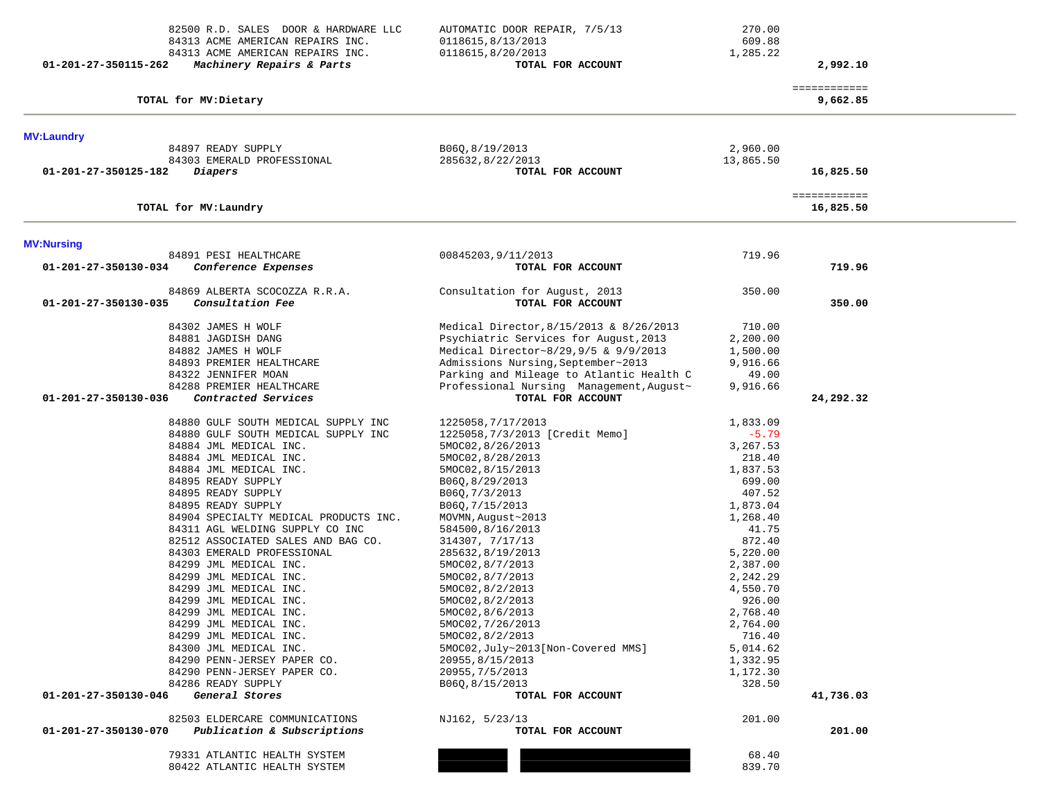| 82500 R.D. SALES DOOR & HARDWARE LLC<br>84313 ACME AMERICAN REPAIRS INC.<br>84313 ACME AMERICAN REPAIRS INC.<br>01-201-27-350115-262<br>Machinery Repairs & Parts | AUTOMATIC DOOR REPAIR, 7/5/13<br>0118615,8/13/2013<br>0118615,8/20/2013<br>TOTAL FOR ACCOUNT | 270.00<br>609.88<br>1,285.22 | 2,992.10                  |  |
|-------------------------------------------------------------------------------------------------------------------------------------------------------------------|----------------------------------------------------------------------------------------------|------------------------------|---------------------------|--|
| TOTAL for MV:Dietary                                                                                                                                              |                                                                                              |                              | ============<br>9,662.85  |  |
| <b>MV:Laundry</b>                                                                                                                                                 |                                                                                              |                              |                           |  |
| 84897 READY SUPPLY                                                                                                                                                | B06Q, 8/19/2013                                                                              | 2,960.00                     |                           |  |
| 84303 EMERALD PROFESSIONAL                                                                                                                                        | 285632,8/22/2013                                                                             | 13,865.50                    |                           |  |
| 01-201-27-350125-182<br>Diapers                                                                                                                                   | TOTAL FOR ACCOUNT                                                                            |                              | 16,825.50                 |  |
| TOTAL for MV:Laundry                                                                                                                                              |                                                                                              |                              | ============<br>16,825.50 |  |
| <b>MV:Nursing</b>                                                                                                                                                 |                                                                                              |                              |                           |  |
| 84891 PESI HEALTHCARE                                                                                                                                             | 00845203, 9/11/2013                                                                          | 719.96                       |                           |  |
| Conference Expenses<br>01-201-27-350130-034                                                                                                                       | TOTAL FOR ACCOUNT                                                                            |                              | 719.96                    |  |
| 84869 ALBERTA SCOCOZZA R.R.A.                                                                                                                                     | Consultation for August, 2013                                                                | 350.00                       |                           |  |
| 01-201-27-350130-035<br>Consultation Fee                                                                                                                          | TOTAL FOR ACCOUNT                                                                            |                              | 350.00                    |  |
| 84302 JAMES H WOLF                                                                                                                                                | Medical Director, 8/15/2013 & 8/26/2013                                                      | 710.00                       |                           |  |
| 84881 JAGDISH DANG                                                                                                                                                | Psychiatric Services for August, 2013                                                        | 2,200.00                     |                           |  |
| 84882 JAMES H WOLF                                                                                                                                                | Medical Director~8/29,9/5 & 9/9/2013                                                         | 1,500.00                     |                           |  |
| 84893 PREMIER HEALTHCARE                                                                                                                                          | Admissions Nursing, September~2013                                                           | 9,916.66                     |                           |  |
| 84322 JENNIFER MOAN                                                                                                                                               | Parking and Mileage to Atlantic Health C                                                     | 49.00                        |                           |  |
| 84288 PREMIER HEALTHCARE                                                                                                                                          | Professional Nursing Management, August~                                                     | 9,916.66                     |                           |  |
| 01-201-27-350130-036<br>Contracted Services                                                                                                                       | TOTAL FOR ACCOUNT                                                                            |                              | 24,292.32                 |  |
| 84880 GULF SOUTH MEDICAL SUPPLY INC                                                                                                                               | 1225058, 7/17/2013                                                                           | 1,833.09                     |                           |  |
| 84880 GULF SOUTH MEDICAL SUPPLY INC                                                                                                                               | 1225058, 7/3/2013 [Credit Memo]                                                              | $-5.79$                      |                           |  |
| 84884 JML MEDICAL INC.                                                                                                                                            | 5MOC02, 8/26/2013                                                                            | 3,267.53                     |                           |  |
| 84884 JML MEDICAL INC.                                                                                                                                            | 5MOC02, 8/28/2013                                                                            | 218.40                       |                           |  |
| 84884 JML MEDICAL INC.                                                                                                                                            | 5MOC02,8/15/2013                                                                             | 1,837.53                     |                           |  |
| 84895 READY SUPPLY                                                                                                                                                | B06Q, 8/29/2013                                                                              | 699.00                       |                           |  |
| 84895 READY SUPPLY                                                                                                                                                | B06Q, 7/3/2013                                                                               | 407.52                       |                           |  |
| 84895 READY SUPPLY                                                                                                                                                | B06Q, 7/15/2013                                                                              | 1,873.04                     |                           |  |
| 84904 SPECIALTY MEDICAL PRODUCTS INC.<br>84311 AGL WELDING SUPPLY CO INC                                                                                          | MOVMN, August~2013                                                                           | 1,268.40                     |                           |  |
| 82512 ASSOCIATED SALES AND BAG CO.                                                                                                                                | 584500,8/16/2013<br>314307, 7/17/13                                                          | 41.75<br>872.40              |                           |  |
| 84303 EMERALD PROFESSIONAL                                                                                                                                        | 285632,8/19/2013                                                                             | 5,220.00                     |                           |  |
| 84299 JML MEDICAL INC.                                                                                                                                            | 5MOC02, 8/7/2013                                                                             | 2,387.00                     |                           |  |
| 84299 JML MEDICAL INC.                                                                                                                                            | 5MOC02,8/7/2013                                                                              | 2,242.29                     |                           |  |
| 84299 JML MEDICAL INC.                                                                                                                                            | 5MOC02,8/2/2013                                                                              | 4,550.70                     |                           |  |
| 84299 JML MEDICAL INC.                                                                                                                                            | 5MOC02, 8/2/2013                                                                             | 926.00                       |                           |  |
| 84299 JML MEDICAL INC.                                                                                                                                            | 5MOC02,8/6/2013                                                                              | 2,768.40                     |                           |  |
| 84299 JML MEDICAL INC.                                                                                                                                            | 5MOC02, 7/26/2013                                                                            | 2,764.00                     |                           |  |
| 84299 JML MEDICAL INC.                                                                                                                                            | 5MOC02, 8/2/2013                                                                             | 716.40                       |                           |  |
| 84300 JML MEDICAL INC.                                                                                                                                            | 5MOC02, July~2013 [Non-Covered MMS]                                                          | 5,014.62                     |                           |  |
| 84290 PENN-JERSEY PAPER CO.<br>84290 PENN-JERSEY PAPER CO.                                                                                                        | 20955, 8/15/2013                                                                             | 1,332.95<br>1,172.30         |                           |  |
| 84286 READY SUPPLY                                                                                                                                                | 20955, 7/5/2013<br>B06Q,8/15/2013                                                            | 328.50                       |                           |  |
| 01-201-27-350130-046<br>General Stores                                                                                                                            | TOTAL FOR ACCOUNT                                                                            |                              | 41,736.03                 |  |
|                                                                                                                                                                   |                                                                                              |                              |                           |  |
| 82503 ELDERCARE COMMUNICATIONS                                                                                                                                    | NJ162, 5/23/13                                                                               | 201.00                       |                           |  |
| 01-201-27-350130-070<br>Publication & Subscriptions                                                                                                               | TOTAL FOR ACCOUNT                                                                            |                              | 201.00                    |  |
| 79331 ATLANTIC HEALTH SYSTEM                                                                                                                                      |                                                                                              | 68.40                        |                           |  |
| 80422 ATLANTIC HEALTH SYSTEM                                                                                                                                      |                                                                                              | 839.70                       |                           |  |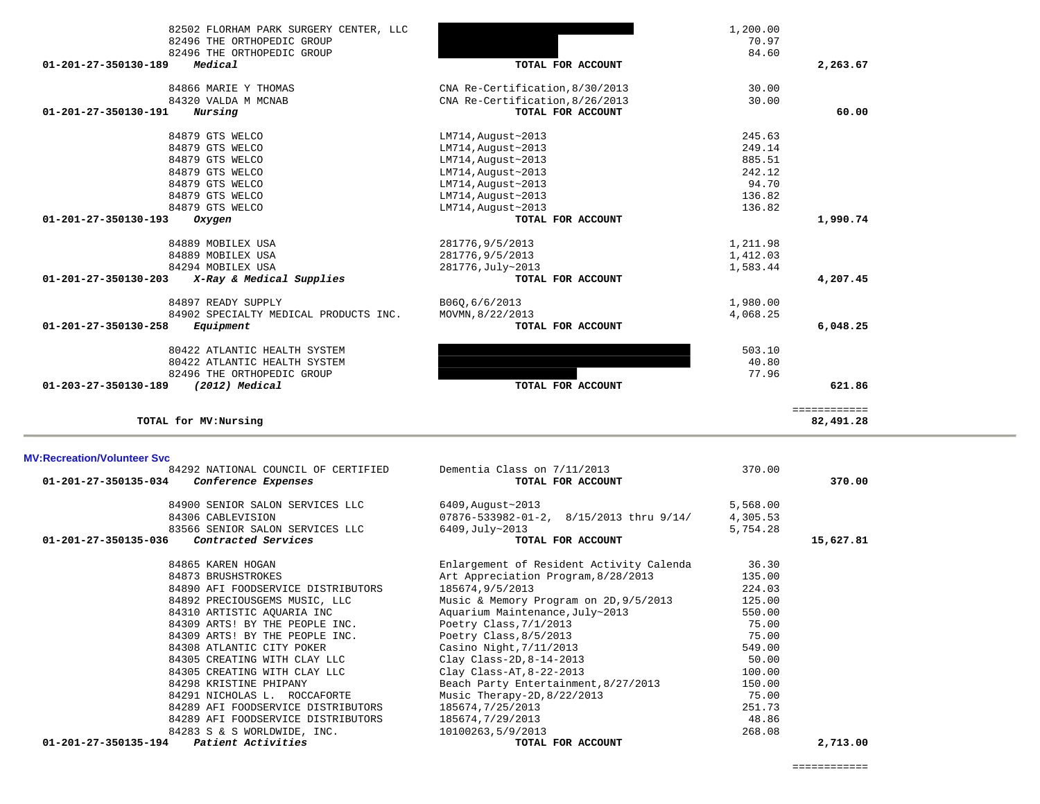|                                    | 84866 MARIE Y THOMAS                                              | CNA Re-Certification, 8/30/2013            | 30.00            |              |
|------------------------------------|-------------------------------------------------------------------|--------------------------------------------|------------------|--------------|
|                                    | 84320 VALDA M MCNAB                                               | CNA Re-Certification, 8/26/2013            | 30.00            |              |
| 01-201-27-350130-191               | Nursing                                                           | TOTAL FOR ACCOUNT                          |                  | 60.00        |
|                                    | 84879 GTS WELCO                                                   |                                            |                  |              |
|                                    | 84879 GTS WELCO                                                   | LM714, August~2013<br>$LM714, August-2013$ | 245.63<br>249.14 |              |
|                                    | 84879 GTS WELCO                                                   | LM714, August~2013                         | 885.51           |              |
|                                    | 84879 GTS WELCO                                                   | LM714, August~2013                         | 242.12           |              |
|                                    | 84879 GTS WELCO                                                   | LM714, August~2013                         | 94.70            |              |
|                                    | 84879 GTS WELCO                                                   |                                            | 136.82           |              |
|                                    | 84879 GTS WELCO                                                   | LM714, August~2013<br>$LM714, August-2013$ | 136.82           |              |
| 01-201-27-350130-193               | Oxygen                                                            | TOTAL FOR ACCOUNT                          |                  | 1,990.74     |
|                                    |                                                                   |                                            |                  |              |
|                                    | 84889 MOBILEX USA                                                 | 281776, 9/5/2013                           | 1,211.98         |              |
|                                    | 84889 MOBILEX USA                                                 | 281776, 9/5/2013                           | 1,412.03         |              |
|                                    | 84294 MOBILEX USA                                                 | 281776, July~2013                          | 1,583.44         |              |
| 01-201-27-350130-203               | X-Ray & Medical Supplies                                          | TOTAL FOR ACCOUNT                          |                  | 4,207.45     |
|                                    | 84897 READY SUPPLY                                                | B06Q, 6/6/2013                             | 1,980.00         |              |
|                                    | 84902 SPECIALTY MEDICAL PRODUCTS INC.                             | MOVMN, 8/22/2013                           | 4,068.25         |              |
| 01-201-27-350130-258               | Equipment                                                         | TOTAL FOR ACCOUNT                          |                  | 6,048.25     |
|                                    |                                                                   |                                            |                  |              |
|                                    | 80422 ATLANTIC HEALTH SYSTEM                                      |                                            | 503.10           |              |
|                                    | 80422 ATLANTIC HEALTH SYSTEM                                      |                                            | 40.80            |              |
|                                    | 82496 THE ORTHOPEDIC GROUP                                        |                                            | 77.96            |              |
| 01-203-27-350130-189               | (2012) Medical                                                    | TOTAL FOR ACCOUNT                          |                  | 621.86       |
|                                    |                                                                   |                                            |                  | ============ |
|                                    | TOTAL for MV: Nursing                                             |                                            |                  | 82,491.28    |
| <b>MV:Recreation/Volunteer Svc</b> |                                                                   |                                            |                  |              |
|                                    | 84292 NATIONAL COUNCIL OF CERTIFIED                               | Dementia Class on 7/11/2013                |                  |              |
|                                    |                                                                   |                                            | 370.00           |              |
| 01-201-27-350135-034               | Conference Expenses                                               | TOTAL FOR ACCOUNT                          |                  | 370.00       |
|                                    |                                                                   |                                            |                  |              |
|                                    | 84900 SENIOR SALON SERVICES LLC                                   | 6409, August~2013                          | 5,568.00         |              |
|                                    | 84306 CABLEVISION                                                 | 07876-533982-01-2, 8/15/2013 thru 9/14/    | 4,305.53         |              |
| $01 - 201 - 27 - 350135 - 036$     | 83566 SENIOR SALON SERVICES LLC                                   | 6409, July~2013                            | 5,754.28         |              |
|                                    | Contracted Services                                               | TOTAL FOR ACCOUNT                          |                  | 15,627.81    |
|                                    | 84865 KAREN HOGAN                                                 | Enlargement of Resident Activity Calenda   | 36.30            |              |
|                                    | 84873 BRUSHSTROKES                                                | Art Appreciation Program, 8/28/2013        | 135.00           |              |
|                                    | 84890 AFI FOODSERVICE DISTRIBUTORS                                | 185674, 9/5/2013                           | 224.03           |              |
|                                    | 84892 PRECIOUSGEMS MUSIC, LLC                                     | Music & Memory Program on 2D, 9/5/2013     | 125.00           |              |
|                                    | 84310 ARTISTIC AQUARIA INC                                        | Aquarium Maintenance, July~2013            | 550.00           |              |
|                                    | 84309 ARTS! BY THE PEOPLE INC.                                    | Poetry Class, $7/1/2013$                   | 75.00            |              |
|                                    | 84309 ARTS! BY THE PEOPLE INC.                                    | Poetry Class, 8/5/2013                     | 75.00            |              |
|                                    | 84308 ATLANTIC CITY POKER                                         | Casino Night, 7/11/2013                    | 549.00           |              |
|                                    | 84305 CREATING WITH CLAY LLC                                      | Clay Class-2D, $8-14-2013$                 | 50.00            |              |
|                                    | 84305 CREATING WITH CLAY LLC                                      | Clay Class-AT, 8-22-2013                   | 100.00           |              |
|                                    | 84298 KRISTINE PHIPANY                                            | Beach Party Entertainment, 8/27/2013       | 150.00           |              |
|                                    | 84291 NICHOLAS L. ROCCAFORTE                                      | Music Therapy-2D, 8/22/2013                | 75.00            |              |
|                                    | 84289 AFI FOODSERVICE DISTRIBUTORS                                | 185674,7/25/2013                           | 251.73           |              |
|                                    | 84289 AFI FOODSERVICE DISTRIBUTORS<br>84283 S & S WORLDWIDE, INC. | 185674, 7/29/2013<br>10100263,5/9/2013     | 48.86<br>268.08  |              |

82502 FLORHAM PARK SURGERY CENTER, LLC 1,200.00 82496 THE ORTHOPEDIC GROUP **10.97** TO .97

 **01-201-27-350130-189** *Medical* **TOTAL FOR ACCOUNT 2,263.67**

 **01-201-27-350135-194** *Patient Activities* **TOTAL FOR ACCOUNT 2,713.00**

82496 THE ORTHOPEDIC GROUP

84.60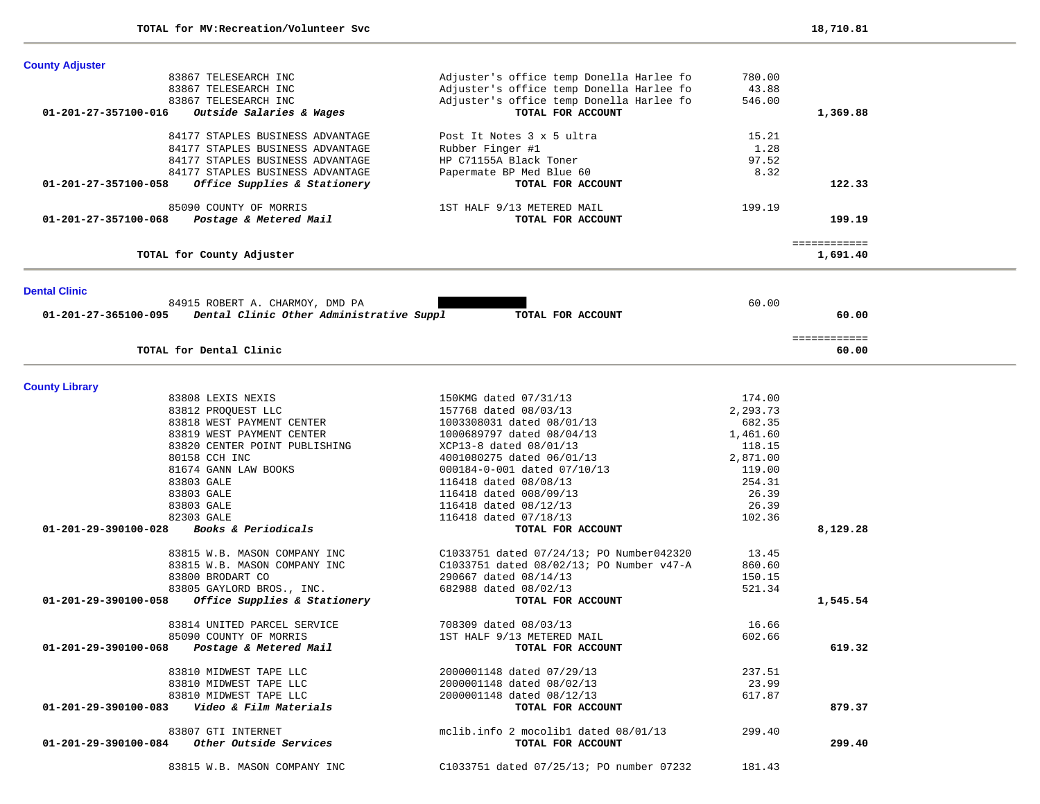-

÷.

| <b>County Adjuster</b> |                                                               |                                          |          |                          |  |
|------------------------|---------------------------------------------------------------|------------------------------------------|----------|--------------------------|--|
|                        | 83867 TELESEARCH INC                                          | Adjuster's office temp Donella Harlee fo | 780.00   |                          |  |
|                        | 83867 TELESEARCH INC                                          | Adjuster's office temp Donella Harlee fo | 43.88    |                          |  |
|                        | 83867 TELESEARCH INC                                          | Adjuster's office temp Donella Harlee fo | 546.00   |                          |  |
| 01-201-27-357100-016   | Outside Salaries & Wages                                      | TOTAL FOR ACCOUNT                        |          | 1,369.88                 |  |
|                        | 84177 STAPLES BUSINESS ADVANTAGE                              | Post It Notes 3 x 5 ultra                | 15.21    |                          |  |
|                        | 84177 STAPLES BUSINESS ADVANTAGE                              | Rubber Finger #1                         | 1.28     |                          |  |
|                        | 84177 STAPLES BUSINESS ADVANTAGE                              | HP C71155A Black Toner                   | 97.52    |                          |  |
|                        | 84177 STAPLES BUSINESS ADVANTAGE                              | Papermate BP Med Blue 60                 | 8.32     |                          |  |
| 01-201-27-357100-058   | Office Supplies & Stationery                                  | TOTAL FOR ACCOUNT                        |          | 122.33                   |  |
|                        | 85090 COUNTY OF MORRIS                                        | 1ST HALF 9/13 METERED MAIL               | 199.19   |                          |  |
| 01-201-27-357100-068   | Postage & Metered Mail                                        | TOTAL FOR ACCOUNT                        |          | 199.19                   |  |
|                        | TOTAL for County Adjuster                                     |                                          |          | ============<br>1,691.40 |  |
|                        |                                                               |                                          |          |                          |  |
| <b>Dental Clinic</b>   |                                                               |                                          |          |                          |  |
|                        | 84915 ROBERT A. CHARMOY, DMD PA                               |                                          | 60.00    |                          |  |
|                        | 01-201-27-365100-095 Dental Clinic Other Administrative Suppl | TOTAL FOR ACCOUNT                        |          | 60.00                    |  |
|                        |                                                               |                                          |          | ============             |  |
|                        | TOTAL for Dental Clinic                                       |                                          |          | 60.00                    |  |
| <b>County Library</b>  |                                                               |                                          |          |                          |  |
|                        | 83808 LEXIS NEXIS                                             | 150KMG dated 07/31/13                    | 174.00   |                          |  |
|                        | 83812 PROQUEST LLC                                            | 157768 dated 08/03/13                    | 2,293.73 |                          |  |
|                        | 83818 WEST PAYMENT CENTER                                     | 1003308031 dated 08/01/13                | 682.35   |                          |  |
|                        | 83819 WEST PAYMENT CENTER                                     | 1000689797 dated 08/04/13                | 1,461.60 |                          |  |
|                        | 83820 CENTER POINT PUBLISHING                                 | XCP13-8 dated 08/01/13                   | 118.15   |                          |  |
|                        | 80158 CCH INC                                                 | 4001080275 dated 06/01/13                | 2,871.00 |                          |  |
|                        | 81674 GANN LAW BOOKS                                          | 000184-0-001 dated 07/10/13              | 119.00   |                          |  |
|                        | 83803 GALE                                                    | 116418 dated 08/08/13                    | 254.31   |                          |  |
|                        | 83803 GALE                                                    | 116418 dated 008/09/13                   | 26.39    |                          |  |
|                        | 83803 GALE                                                    | 116418 dated 08/12/13                    | 26.39    |                          |  |
|                        | 82303 GALE                                                    | 116418 dated 07/18/13                    | 102.36   |                          |  |
| 01-201-29-390100-028   | Books & Periodicals                                           | TOTAL FOR ACCOUNT                        |          | 8,129.28                 |  |
|                        | 83815 W.B. MASON COMPANY INC                                  | C1033751 dated 07/24/13; PO Number042320 | 13.45    |                          |  |
|                        | 83815 W.B. MASON COMPANY INC                                  | C1033751 dated 08/02/13; PO Number v47-A | 860.60   |                          |  |
|                        | 83800 BRODART CO                                              | 290667 dated 08/14/13                    | 150.15   |                          |  |
|                        | 83805 GAYLORD BROS., INC.                                     | 682988 dated 08/02/13                    | 521.34   |                          |  |
| 01-201-29-390100-058   | Office Supplies & Stationery                                  | TOTAL FOR ACCOUNT                        |          | 1,545.54                 |  |
|                        | 83814 UNITED PARCEL SERVICE                                   | 708309 dated 08/03/13                    | 16.66    |                          |  |
|                        | 85090 COUNTY OF MORRIS                                        | 1ST HALF 9/13 METERED MAIL               | 602.66   |                          |  |
|                        | 01-201-29-390100-068 Postage & Metered Mail                   | TOTAL FOR ACCOUNT                        |          | 619.32                   |  |
|                        | 83810 MIDWEST TAPE LLC                                        | 2000001148 dated 07/29/13                | 237.51   |                          |  |
|                        | 83810 MIDWEST TAPE LLC                                        | 2000001148 dated 08/02/13                | 23.99    |                          |  |
|                        | 83810 MIDWEST TAPE LLC                                        | 2000001148 dated 08/12/13                | 617.87   |                          |  |
| 01-201-29-390100-083   | Video & Film Materials                                        | TOTAL FOR ACCOUNT                        |          | 879.37                   |  |
|                        | 83807 GTI INTERNET                                            | mclib.info 2 mocolibl dated 08/01/13     | 299.40   |                          |  |
|                        | $01-201-29-390100-084$ Other Outside Services                 | TOTAL FOR ACCOUNT                        |          | 299.40                   |  |
|                        | 83815 W.B. MASON COMPANY INC                                  | C1033751 dated 07/25/13; PO number 07232 | 181.43   |                          |  |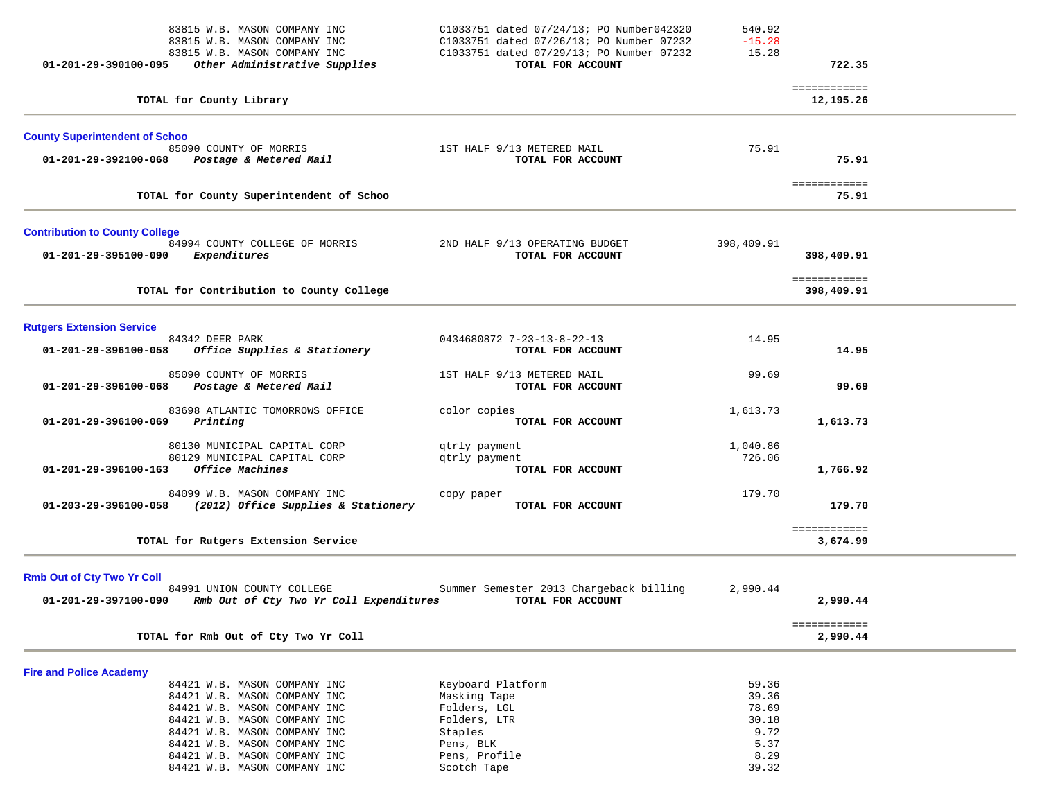| 83815 W.B. MASON COMPANY INC<br>83815 W.B. MASON COMPANY INC<br>83815 W.B. MASON COMPANY INC<br>Other Administrative Supplies<br>01-201-29-390100-095                                                                                                                                          | C1033751 dated 07/24/13; PO Number042320<br>C1033751 dated 07/26/13; PO Number 07232<br>C1033751 dated 07/29/13; PO Number 07232<br>TOTAL FOR ACCOUNT | 540.92<br>$-15.28$<br>15.28                                       | 722.35                     |  |
|------------------------------------------------------------------------------------------------------------------------------------------------------------------------------------------------------------------------------------------------------------------------------------------------|-------------------------------------------------------------------------------------------------------------------------------------------------------|-------------------------------------------------------------------|----------------------------|--|
| TOTAL for County Library                                                                                                                                                                                                                                                                       |                                                                                                                                                       |                                                                   | ============<br>12,195.26  |  |
| <b>County Superintendent of Schoo</b><br>85090 COUNTY OF MORRIS<br>01-201-29-392100-068<br>Postage & Metered Mail                                                                                                                                                                              | 1ST HALF 9/13 METERED MAIL<br>TOTAL FOR ACCOUNT                                                                                                       | 75.91                                                             | 75.91                      |  |
| TOTAL for County Superintendent of Schoo                                                                                                                                                                                                                                                       |                                                                                                                                                       |                                                                   | ============<br>75.91      |  |
| <b>Contribution to County College</b>                                                                                                                                                                                                                                                          |                                                                                                                                                       |                                                                   |                            |  |
| 84994 COUNTY COLLEGE OF MORRIS<br>Expenditures<br>01-201-29-395100-090                                                                                                                                                                                                                         | 2ND HALF 9/13 OPERATING BUDGET<br>TOTAL FOR ACCOUNT                                                                                                   | 398,409.91                                                        | 398,409.91                 |  |
| TOTAL for Contribution to County College                                                                                                                                                                                                                                                       |                                                                                                                                                       |                                                                   | ============<br>398,409.91 |  |
| <b>Rutgers Extension Service</b>                                                                                                                                                                                                                                                               |                                                                                                                                                       |                                                                   |                            |  |
| 84342 DEER PARK<br>Office Supplies & Stationery<br>01-201-29-396100-058                                                                                                                                                                                                                        | 0434680872 7-23-13-8-22-13<br>TOTAL FOR ACCOUNT                                                                                                       | 14.95                                                             | 14.95                      |  |
| 85090 COUNTY OF MORRIS<br>Postage & Metered Mail<br>01-201-29-396100-068                                                                                                                                                                                                                       | 1ST HALF 9/13 METERED MAIL<br>TOTAL FOR ACCOUNT                                                                                                       | 99.69                                                             | 99.69                      |  |
| 83698 ATLANTIC TOMORROWS OFFICE<br>01-201-29-396100-069<br>Printing                                                                                                                                                                                                                            | color copies<br>TOTAL FOR ACCOUNT                                                                                                                     | 1,613.73                                                          | 1,613.73                   |  |
| 80130 MUNICIPAL CAPITAL CORP<br>80129 MUNICIPAL CAPITAL CORP<br>Office Machines<br>01-201-29-396100-163                                                                                                                                                                                        | qtrly payment<br>qtrly payment<br>TOTAL FOR ACCOUNT                                                                                                   | 1,040.86<br>726.06                                                | 1,766.92                   |  |
| 84099 W.B. MASON COMPANY INC<br>(2012) Office Supplies & Stationery<br>01-203-29-396100-058                                                                                                                                                                                                    | copy paper<br>TOTAL FOR ACCOUNT                                                                                                                       | 179.70                                                            | 179.70                     |  |
| TOTAL for Rutgers Extension Service                                                                                                                                                                                                                                                            |                                                                                                                                                       |                                                                   | ============<br>3,674.99   |  |
| <b>Rmb Out of Cty Two Yr Coll</b><br>84991 UNION COUNTY COLLEGE<br>01-201-29-397100-090<br>Rmb Out of Cty Two Yr Coll Expenditures                                                                                                                                                             | Summer Semester 2013 Chargeback billing<br>TOTAL FOR ACCOUNT                                                                                          | 2,990.44                                                          | 2,990.44                   |  |
| TOTAL for Rmb Out of Cty Two Yr Coll                                                                                                                                                                                                                                                           |                                                                                                                                                       |                                                                   | ============<br>2,990.44   |  |
| <b>Fire and Police Academy</b><br>84421 W.B. MASON COMPANY INC<br>84421 W.B. MASON COMPANY INC<br>84421 W.B. MASON COMPANY INC<br>84421 W.B. MASON COMPANY INC<br>84421 W.B. MASON COMPANY INC<br>84421 W.B. MASON COMPANY INC<br>84421 W.B. MASON COMPANY INC<br>84421 W.B. MASON COMPANY INC | Keyboard Platform<br>Masking Tape<br>Folders, LGL<br>Folders, LTR<br>Staples<br>Pens, BLK<br>Pens, Profile<br>Scotch Tape                             | 59.36<br>39.36<br>78.69<br>30.18<br>9.72<br>5.37<br>8.29<br>39.32 |                            |  |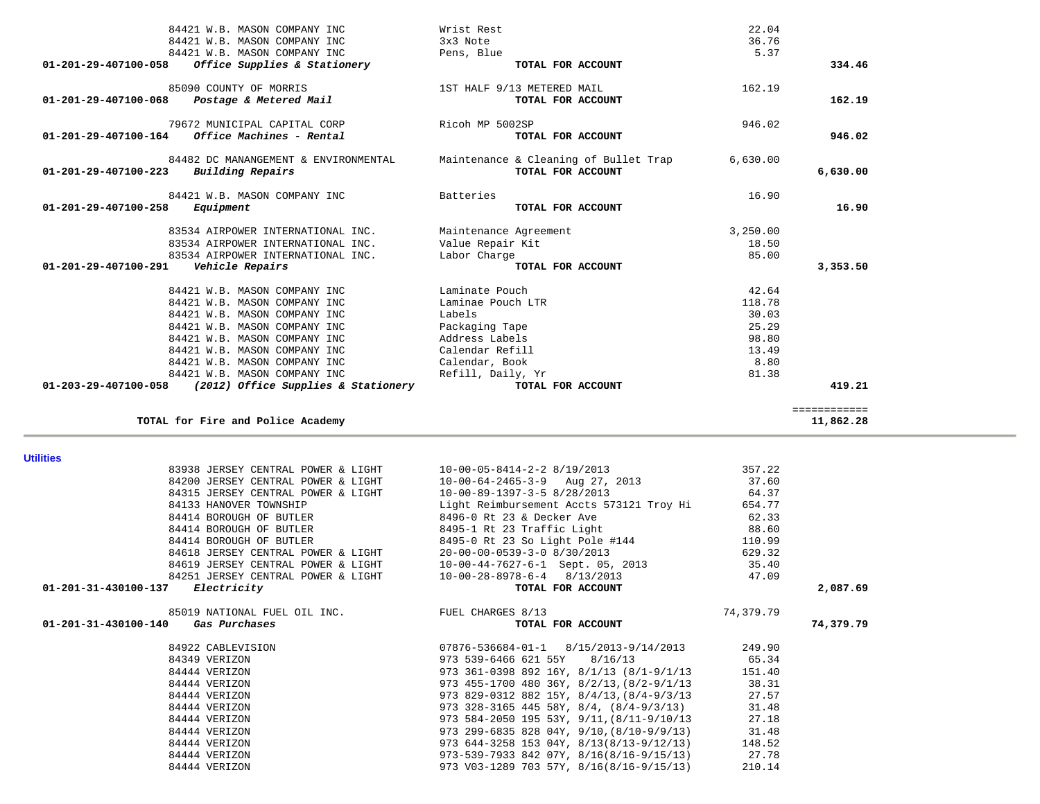|                      | 85090 COUNTY OF MORRIS                             | 1ST HALF 9/13 METERED MAIL                         | 162.19    |                           |
|----------------------|----------------------------------------------------|----------------------------------------------------|-----------|---------------------------|
| 01-201-29-407100-068 | Postage & Metered Mail                             | TOTAL FOR ACCOUNT                                  |           | 162.19                    |
|                      |                                                    |                                                    |           |                           |
|                      | 79672 MUNICIPAL CAPITAL CORP                       | Ricoh MP 5002SP                                    | 946.02    |                           |
| 01-201-29-407100-164 | Office Machines - Rental                           | TOTAL FOR ACCOUNT                                  |           | 946.02                    |
|                      |                                                    |                                                    |           |                           |
|                      | 84482 DC MANANGEMENT & ENVIRONMENTAL               | Maintenance & Cleaning of Bullet Trap              | 6,630.00  |                           |
| 01-201-29-407100-223 | Building Repairs                                   | TOTAL FOR ACCOUNT                                  |           | 6,630.00                  |
|                      |                                                    |                                                    |           |                           |
|                      | 84421 W.B. MASON COMPANY INC                       | Batteries                                          | 16.90     |                           |
| 01-201-29-407100-258 | Equipment                                          | TOTAL FOR ACCOUNT                                  |           | 16.90                     |
|                      |                                                    |                                                    |           |                           |
|                      | 83534 AIRPOWER INTERNATIONAL INC.                  | Maintenance Agreement                              | 3,250.00  |                           |
|                      | 83534 AIRPOWER INTERNATIONAL INC.                  | Value Repair Kit                                   | 18.50     |                           |
|                      | 83534 AIRPOWER INTERNATIONAL INC.                  | Labor Charge                                       | 85.00     |                           |
| 01-201-29-407100-291 | Vehicle Repairs                                    | TOTAL FOR ACCOUNT                                  |           | 3,353.50                  |
|                      |                                                    |                                                    |           |                           |
|                      | 84421 W.B. MASON COMPANY INC                       | Laminate Pouch                                     | 42.64     |                           |
|                      | 84421 W.B. MASON COMPANY INC                       | Laminae Pouch LTR                                  | 118.78    |                           |
|                      | 84421 W.B. MASON COMPANY INC                       | Labels                                             | 30.03     |                           |
|                      | 84421 W.B. MASON COMPANY INC                       | Packaging Tape                                     | 25.29     |                           |
|                      |                                                    |                                                    |           |                           |
|                      | 84421 W.B. MASON COMPANY INC                       | Address Labels                                     | 98.80     |                           |
|                      | 84421 W.B. MASON COMPANY INC                       | Calendar Refill                                    | 13.49     |                           |
|                      | 84421 W.B. MASON COMPANY INC                       | Calendar, Book                                     | 8.80      |                           |
|                      | 84421 W.B. MASON COMPANY INC                       | Refill, Daily, Yr                                  | 81.38     |                           |
| 01-203-29-407100-058 | (2012) Office Supplies & Stationery                | TOTAL FOR ACCOUNT                                  |           | 419.21                    |
|                      |                                                    |                                                    |           |                           |
|                      |                                                    |                                                    |           |                           |
|                      | TOTAL for Fire and Police Academy                  |                                                    |           |                           |
|                      |                                                    |                                                    |           |                           |
| <b>Utilities</b>     |                                                    |                                                    |           |                           |
|                      | 83938 JERSEY CENTRAL POWER & LIGHT                 | $10-00-05-8414-2-2$ 8/19/2013                      | 357.22    |                           |
|                      | 84200 JERSEY CENTRAL POWER & LIGHT                 | $10-00-64-2465-3-9$ Aug 27, 2013                   | 37.60     |                           |
|                      | 84315 JERSEY CENTRAL POWER & LIGHT                 | 10-00-89-1397-3-5 8/28/2013                        | 64.37     |                           |
|                      | 84133 HANOVER TOWNSHIP                             | Light Reimbursement Accts 573121 Troy Hi           | 654.77    |                           |
|                      | 84414 BOROUGH OF BUTLER                            | 8496-0 Rt 23 & Decker Ave                          | 62.33     |                           |
|                      | 84414 BOROUGH OF BUTLER                            | 8495-1 Rt 23 Traffic Light                         | 88.60     | ============<br>11,862.28 |
|                      | 84414 BOROUGH OF BUTLER                            |                                                    | 110.99    |                           |
|                      |                                                    | 8495-0 Rt 23 So Light Pole #144                    | 629.32    |                           |
|                      | 84618 JERSEY CENTRAL POWER & LIGHT                 | 20-00-00-0539-3-0 8/30/2013                        |           |                           |
|                      | 84619 JERSEY CENTRAL POWER & LIGHT                 | 10-00-44-7627-6-1 Sept. 05, 2013                   | 35.40     |                           |
| 01-201-31-430100-137 | 84251 JERSEY CENTRAL POWER & LIGHT<br>Electricity  | $10-00-28-8978-6-4$ 8/13/2013<br>TOTAL FOR ACCOUNT | 47.09     |                           |
|                      |                                                    |                                                    |           | 2,087.69                  |
|                      | 85019 NATIONAL FUEL OIL INC. THE FUEL CHARGES 8/13 |                                                    | 74,379.79 |                           |
| 01-201-31-430100-140 | Gas Purchases                                      | TOTAL FOR ACCOUNT                                  |           |                           |
|                      |                                                    |                                                    |           |                           |
|                      | 84922 CABLEVISION                                  | $07876 - 536684 - 01 - 1$ $8/15/2013 - 9/14/2013$  | 249.90    |                           |
|                      | 84349 VERIZON                                      | 973 539-6466 621 55Y<br>8/16/13                    | 65.34     |                           |
|                      | 84444 VERIZON                                      | 973 361-0398 892 16Y, 8/1/13 (8/1-9/1/13           | 151.40    |                           |
|                      | 84444 VERIZON                                      | 973 455-1700 480 36Y, 8/2/13, (8/2-9/1/13          | 38.31     |                           |
|                      | 84444 VERIZON                                      | 973 829-0312 882 15Y, 8/4/13, (8/4-9/3/13          | 27.57     |                           |
|                      | 84444 VERIZON                                      | 973 328-3165 445 58Y, 8/4, $(8/4-9/3/13)$          | 31.48     |                           |
|                      | 84444 VERIZON                                      | 973 584-2050 195 53Y, 9/11, (8/11-9/10/13          | 27.18     |                           |
|                      | 84444 VERIZON                                      | 973 299-6835 828 04Y, 9/10, (8/10-9/9/13)          | 31.48     |                           |
|                      | 84444 VERIZON                                      | 973 644-3258 153 04Y, 8/13(8/13-9/12/13)           | 148.52    | 74,379.79                 |
|                      | 84444 VERIZON                                      | $973 - 539 - 7933$ 842 07Y, 8/16(8/16-9/15/13)     | 27.78     |                           |

84421 W.B. MASON COMPANY INC Wrist Rest 22.04

 **01-201-29-407100-058** *Office Supplies & Stationery* **TOTAL FOR ACCOUNT 334.46**

84421 W.B. MASON COMPANY INC 3x3 Note

84421 W.B. MASON COMPANY INC Pens, Blue

36.76

5.37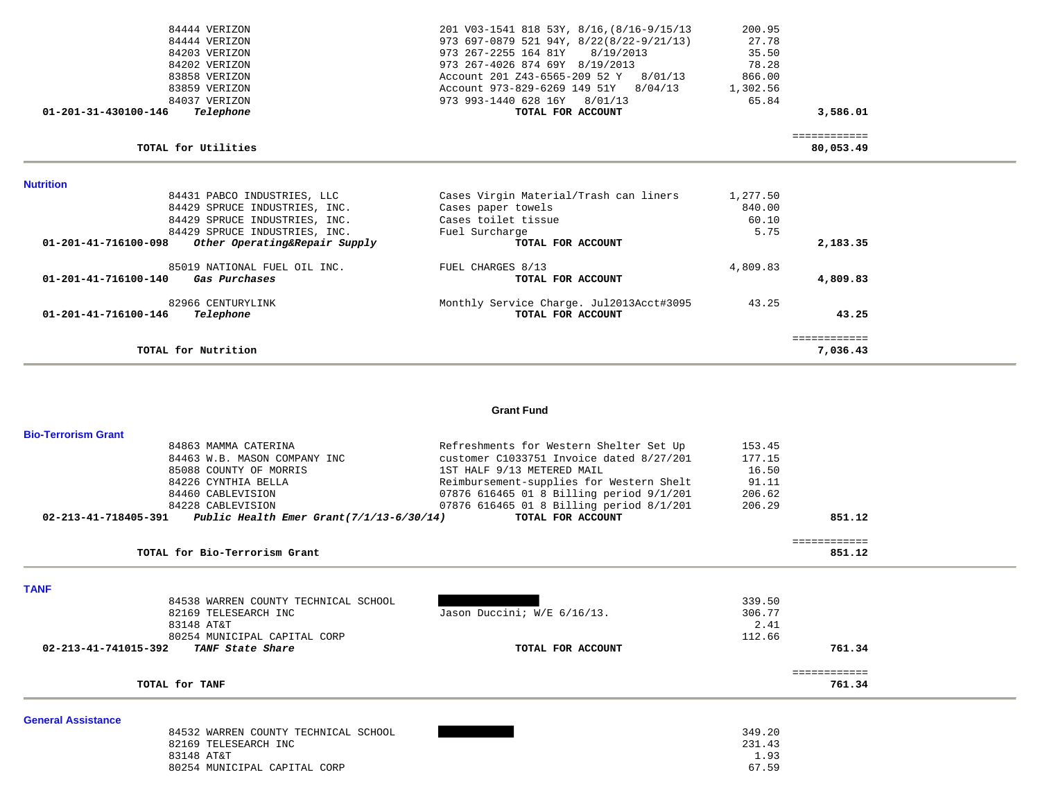| 84444 VERIZON                                                   | 201 V03-1541 818 53Y, 8/16, (8/16-9/15/13 | 200.95   |                           |  |
|-----------------------------------------------------------------|-------------------------------------------|----------|---------------------------|--|
| 84444 VERIZON                                                   | 973 697-0879 521 94Y, 8/22(8/22-9/21/13)  | 27.78    |                           |  |
| 84203 VERIZON                                                   | 973 267-2255 164 81Y 8/19/2013            | 35.50    |                           |  |
| 84202 VERIZON                                                   | 973 267-4026 874 69Y 8/19/2013            | 78.28    |                           |  |
| 83858 VERIZON                                                   | Account 201 Z43-6565-209 52 Y 8/01/13     | 866.00   |                           |  |
| 83859 VERIZON                                                   | Account 973-829-6269 149 51Y 8/04/13      | 1,302.56 |                           |  |
| 84037 VERIZON                                                   | 973 993-1440 628 16Y 8/01/13              | 65.84    |                           |  |
| $01 - 201 - 31 - 430100 - 146$<br>Telephone                     | TOTAL FOR ACCOUNT                         |          | 3,586.01                  |  |
| TOTAL for Utilities                                             |                                           |          | ============<br>80,053.49 |  |
| <b>Nutrition</b>                                                |                                           |          |                           |  |
| 84431 PABCO INDUSTRIES, LLC                                     | Cases Virgin Material/Trash can liners    | 1,277.50 |                           |  |
| 84429 SPRUCE INDUSTRIES, INC.                                   | Cases paper towels                        | 840.00   |                           |  |
| 84429 SPRUCE INDUSTRIES, INC.                                   | Cases toilet tissue                       | 60.10    |                           |  |
| 84429 SPRUCE INDUSTRIES, INC.                                   | Fuel Surcharge                            | 5.75     |                           |  |
| $01 - 201 - 41 - 716100 - 098$<br>Other Operating&Repair Supply | TOTAL FOR ACCOUNT                         |          | 2,183.35                  |  |
| 85019 NATIONAL FUEL OIL INC.                                    | FUEL CHARGES 8/13                         | 4,809.83 |                           |  |
| 01-201-41-716100-140<br>Gas Purchases                           | TOTAL FOR ACCOUNT                         |          | 4,809.83                  |  |
| 82966 CENTURYLINK                                               | Monthly Service Charge. Jul2013Acct#3095  | 43.25    |                           |  |
| $01 - 201 - 41 - 716100 - 146$<br>Telephone                     | TOTAL FOR ACCOUNT                         |          | 43.25                     |  |
| TOTAL for Nutrition                                             |                                           |          | ============<br>7,036.43  |  |
|                                                                 |                                           |          |                           |  |

#### **Grant Fund**

| <b>Bio-Terrorism Grant</b> |                                                                         |                                          |        |              |  |
|----------------------------|-------------------------------------------------------------------------|------------------------------------------|--------|--------------|--|
|                            | 84863 MAMMA CATERINA                                                    | Refreshments for Western Shelter Set Up  | 153.45 |              |  |
|                            | 84463 W.B. MASON COMPANY INC                                            | customer C1033751 Invoice dated 8/27/201 | 177.15 |              |  |
|                            | 85088 COUNTY OF MORRIS                                                  | 1ST HALF 9/13 METERED MAIL               | 16.50  |              |  |
|                            | 84226 CYNTHIA BELLA                                                     | Reimbursement-supplies for Western Shelt | 91.11  |              |  |
|                            | 84460 CABLEVISION                                                       | 07876 616465 01 8 Billing period 9/1/201 | 206.62 |              |  |
|                            | 84228 CABLEVISION                                                       | 07876 616465 01 8 Billing period 8/1/201 | 206.29 |              |  |
|                            | $02 - 213 - 41 - 718405 - 391$ Public Health Emer Grant(7/1/13-6/30/14) | TOTAL FOR ACCOUNT                        |        | 851.12       |  |
|                            |                                                                         |                                          |        | ============ |  |
|                            | TOTAL for Bio-Terrorism Grant                                           |                                          |        | 851.12       |  |
| <b>TANF</b>                |                                                                         |                                          |        |              |  |
|                            | 84538 WARREN COUNTY TECHNICAL SCHOOL                                    |                                          | 339.50 |              |  |
|                            | 82169 TELESEARCH INC                                                    | Jason Duccini; W/E 6/16/13.              | 306.77 |              |  |
|                            | 83148 AT&T                                                              |                                          | 2.41   |              |  |
|                            | 80254 MUNICIPAL CAPITAL CORP                                            |                                          | 112.66 |              |  |
| 02-213-41-741015-392       | TANF State Share                                                        | TOTAL FOR ACCOUNT                        |        | 761.34       |  |
|                            |                                                                         |                                          |        | ============ |  |
|                            | TOTAL for TANF                                                          |                                          |        | 761.34       |  |
| <b>General Assistance</b>  |                                                                         |                                          |        |              |  |
|                            | 84532 WARREN COUNTY TECHNICAL SCHOOL                                    |                                          | 349.20 |              |  |
|                            | 82169 TELESEARCH INC                                                    |                                          | 231.43 |              |  |
|                            | 83148 AT&T                                                              |                                          | 1.93   |              |  |
|                            | 80254 MUNICIPAL CAPITAL CORP                                            |                                          | 67.59  |              |  |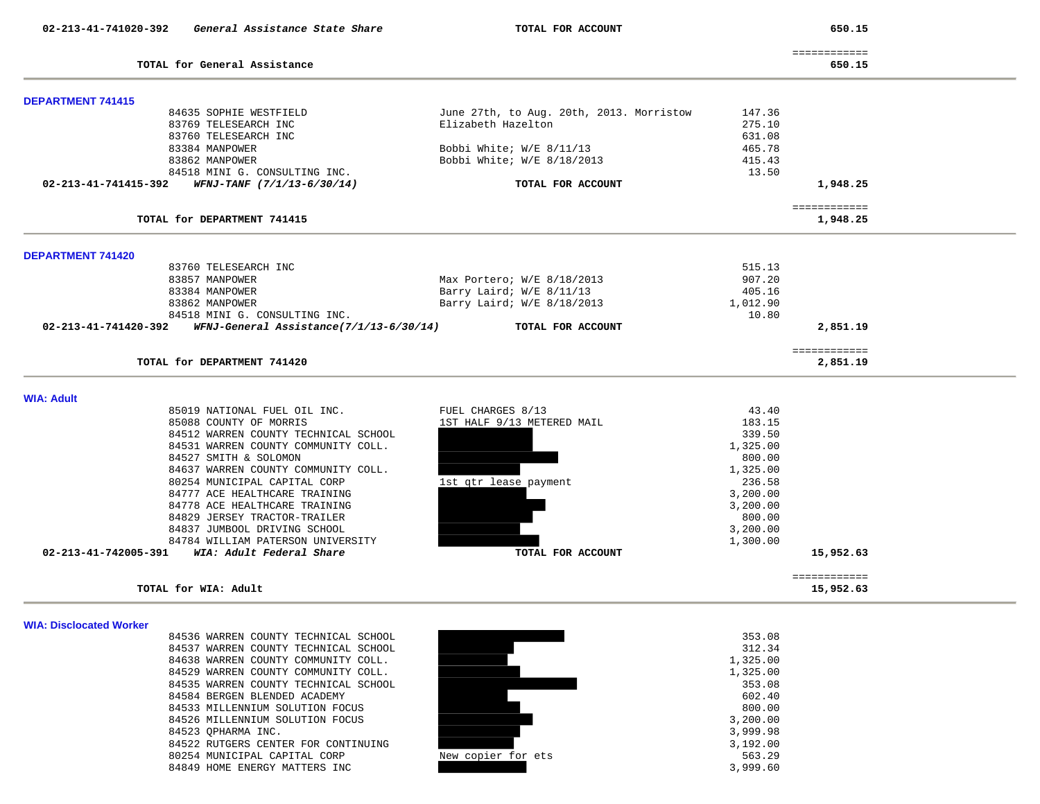650.15

|                                                                 |                                          |          | ============              |
|-----------------------------------------------------------------|------------------------------------------|----------|---------------------------|
| TOTAL for General Assistance                                    |                                          |          | 650.15                    |
|                                                                 |                                          |          |                           |
| <b>DEPARTMENT 741415</b><br>84635 SOPHIE WESTFIELD              | June 27th, to Aug. 20th, 2013. Morristow | 147.36   |                           |
| 83769 TELESEARCH INC                                            | Elizabeth Hazelton                       | 275.10   |                           |
| 83760 TELESEARCH INC                                            |                                          | 631.08   |                           |
| 83384 MANPOWER                                                  | Bobbi White; W/E 8/11/13                 | 465.78   |                           |
| 83862 MANPOWER                                                  | Bobbi White; W/E 8/18/2013               | 415.43   |                           |
| 84518 MINI G. CONSULTING INC.                                   |                                          | 13.50    |                           |
| 02-213-41-741415-392<br><i>WFNJ-TANF (7/1/13-6/30/14)</i>       | TOTAL FOR ACCOUNT                        |          | 1,948.25                  |
|                                                                 |                                          |          |                           |
| TOTAL for DEPARTMENT 741415                                     |                                          |          | ============<br>1,948.25  |
|                                                                 |                                          |          |                           |
| <b>DEPARTMENT 741420</b>                                        |                                          |          |                           |
| 83760 TELESEARCH INC                                            |                                          | 515.13   |                           |
| 83857 MANPOWER                                                  | Max Portero; W/E 8/18/2013               | 907.20   |                           |
| 83384 MANPOWER                                                  | Barry Laird; W/E 8/11/13                 | 405.16   |                           |
| 83862 MANPOWER                                                  | Barry Laird; W/E 8/18/2013               | 1,012.90 |                           |
| 84518 MINI G. CONSULTING INC.                                   |                                          | 10.80    |                           |
| 02-213-41-741420-392<br>WFNJ-General Assistance(7/1/13-6/30/14) | TOTAL FOR ACCOUNT                        |          | 2,851.19                  |
|                                                                 |                                          |          | ============              |
| TOTAL for DEPARTMENT 741420                                     |                                          |          | 2,851.19                  |
| <b>WIA: Adult</b>                                               |                                          |          |                           |
| 85019 NATIONAL FUEL OIL INC.                                    | FUEL CHARGES 8/13                        | 43.40    |                           |
| 85088 COUNTY OF MORRIS                                          | 1ST HALF 9/13 METERED MAIL               | 183.15   |                           |
| 84512 WARREN COUNTY TECHNICAL SCHOOL                            |                                          | 339.50   |                           |
| 84531 WARREN COUNTY COMMUNITY COLL.                             |                                          | 1,325.00 |                           |
| 84527 SMITH & SOLOMON                                           |                                          | 800.00   |                           |
| 84637 WARREN COUNTY COMMUNITY COLL.                             |                                          | 1,325.00 |                           |
| 80254 MUNICIPAL CAPITAL CORP                                    | 1st qtr lease payment                    | 236.58   |                           |
| 84777 ACE HEALTHCARE TRAINING                                   |                                          | 3,200.00 |                           |
| 84778 ACE HEALTHCARE TRAINING                                   |                                          | 3,200.00 |                           |
| 84829 JERSEY TRACTOR-TRAILER                                    |                                          | 800.00   |                           |
| 84837 JUMBOOL DRIVING SCHOOL                                    |                                          | 3,200.00 |                           |
| 84784 WILLIAM PATERSON UNIVERSITY                               |                                          | 1,300.00 |                           |
| WIA: Adult Federal Share<br>02-213-41-742005-391                | TOTAL FOR ACCOUNT                        |          | 15,952.63                 |
|                                                                 |                                          |          |                           |
| TOTAL for WIA: Adult                                            |                                          |          | ============<br>15,952.63 |
|                                                                 |                                          |          |                           |
| <b>WIA: Disclocated Worker</b>                                  |                                          |          |                           |
| 84536 WARREN COUNTY TECHNICAL SCHOOL                            |                                          | 353.08   |                           |
| 84537 WARREN COUNTY TECHNICAL SCHOOL                            |                                          | 312.34   |                           |
| 84638 WARREN COUNTY COMMUNITY COLL.                             |                                          | 1,325.00 |                           |
| 84529 WARREN COUNTY COMMUNITY COLL.                             |                                          | 1.325.00 |                           |

84535 WARREN COUNTY TECHNICAL SCHOOL 84584 BERGEN BLENDED ACADEMY 602.40 84533 MILLENNIUM SOLUTION FOCUS 800.00 84526 MILLENNIUM SOLUTION FOCUS 3,200.00 84523 QPHARMA INC. 3,999.98 84522 RUTGERS CENTER FOR CONTINUING 3, 192.00 80254 MUNICIPAL CAPITAL CORP New copier for ets 563.29 84849 HOME ENERGY MATTERS INC 3, 399.60

| New copier for ets |  |  |  |
|--------------------|--|--|--|
|                    |  |  |  |

| 353.08   |
|----------|
| 312.34   |
| 1,325.00 |
| 1,325.00 |
| 353.08   |
| 602.40   |
| 800.00   |
| 3,200.00 |
| 3,999.98 |
| 3,192.00 |
| 563.29   |
|          |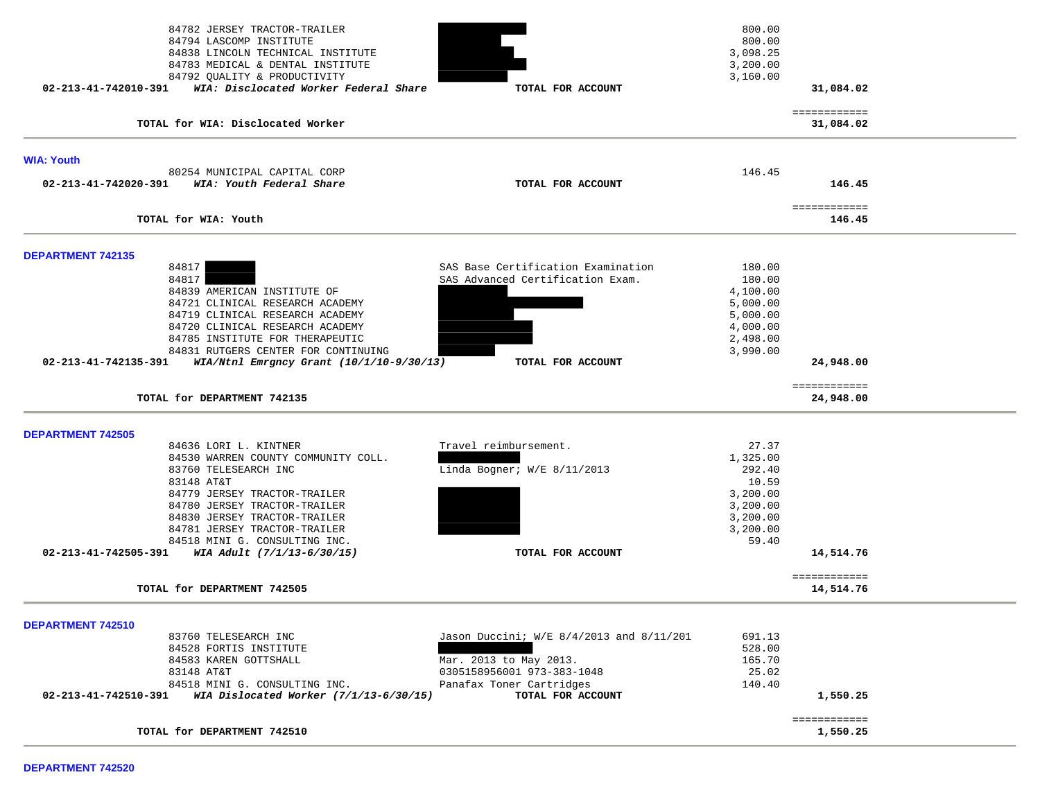| 84782 JERSEY TRACTOR-TRAILER<br>84794 LASCOMP INSTITUTE<br>84838 LINCOLN TECHNICAL INSTITUTE<br>84783 MEDICAL & DENTAL INSTITUTE<br>84792 QUALITY & PRODUCTIVITY |                                          | 800.00<br>800.00<br>3,098.25<br>3,200.00<br>3,160.00 |                           |  |
|------------------------------------------------------------------------------------------------------------------------------------------------------------------|------------------------------------------|------------------------------------------------------|---------------------------|--|
| 02-213-41-742010-391<br>WIA: Disclocated Worker Federal Share                                                                                                    | TOTAL FOR ACCOUNT                        |                                                      | 31,084.02                 |  |
| TOTAL for WIA: Disclocated Worker                                                                                                                                |                                          |                                                      | ============<br>31,084.02 |  |
| <b>WIA: Youth</b>                                                                                                                                                |                                          |                                                      |                           |  |
| 80254 MUNICIPAL CAPITAL CORP<br>02-213-41-742020-391<br>WIA: Youth Federal Share                                                                                 | TOTAL FOR ACCOUNT                        | 146.45                                               | 146.45                    |  |
| TOTAL for WIA: Youth                                                                                                                                             |                                          |                                                      | ============<br>146.45    |  |
| <b>DEPARTMENT 742135</b>                                                                                                                                         |                                          |                                                      |                           |  |
| 84817                                                                                                                                                            | SAS Base Certification Examination       | 180.00                                               |                           |  |
| 84817                                                                                                                                                            | SAS Advanced Certification Exam.         | 180.00                                               |                           |  |
| 84839 AMERICAN INSTITUTE OF<br>84721 CLINICAL RESEARCH ACADEMY                                                                                                   |                                          | 4,100.00<br>5,000.00                                 |                           |  |
| 84719 CLINICAL RESEARCH ACADEMY                                                                                                                                  |                                          | 5,000.00                                             |                           |  |
| 84720 CLINICAL RESEARCH ACADEMY                                                                                                                                  |                                          | 4,000.00                                             |                           |  |
| 84785 INSTITUTE FOR THERAPEUTIC                                                                                                                                  |                                          | 2,498.00                                             |                           |  |
| 84831 RUTGERS CENTER FOR CONTINUING                                                                                                                              |                                          | 3,990.00                                             |                           |  |
| 02-213-41-742135-391<br>$WIA/Ntn1$ Emrgncy Grant ( $10/1/10-9/30/13$ )                                                                                           | TOTAL FOR ACCOUNT                        |                                                      | 24,948.00                 |  |
| TOTAL for DEPARTMENT 742135                                                                                                                                      |                                          |                                                      | ============<br>24,948.00 |  |
|                                                                                                                                                                  |                                          |                                                      |                           |  |
|                                                                                                                                                                  |                                          |                                                      |                           |  |
| <b>DEPARTMENT 742505</b>                                                                                                                                         |                                          |                                                      |                           |  |
| 84636 LORI L. KINTNER                                                                                                                                            | Travel reimbursement.                    | 27.37                                                |                           |  |
| 84530 WARREN COUNTY COMMUNITY COLL.                                                                                                                              |                                          | 1,325.00                                             |                           |  |
| 83760 TELESEARCH INC                                                                                                                                             | Linda Bogner; $W/E$ 8/11/2013            | 292.40                                               |                           |  |
| 83148 AT&T<br>84779 JERSEY TRACTOR-TRAILER                                                                                                                       |                                          | 10.59<br>3,200.00                                    |                           |  |
| 84780 JERSEY TRACTOR-TRAILER                                                                                                                                     |                                          | 3,200.00                                             |                           |  |
| 84830 JERSEY TRACTOR-TRAILER                                                                                                                                     |                                          | 3,200.00                                             |                           |  |
| 84781 JERSEY TRACTOR-TRAILER                                                                                                                                     |                                          | 3,200.00                                             |                           |  |
| 84518 MINI G. CONSULTING INC.<br>02-213-41-742505-391<br>WIA Adult (7/1/13-6/30/15)                                                                              | TOTAL FOR ACCOUNT                        | 59.40                                                | 14,514.76                 |  |
|                                                                                                                                                                  |                                          |                                                      | ============              |  |
| TOTAL for DEPARTMENT 742505                                                                                                                                      |                                          |                                                      | 14,514.76                 |  |
| DEPARTMENT 742510                                                                                                                                                |                                          |                                                      |                           |  |
| 83760 TELESEARCH INC                                                                                                                                             | Jason Duccini; W/E 8/4/2013 and 8/11/201 | 691.13                                               |                           |  |
| 84528 FORTIS INSTITUTE                                                                                                                                           |                                          | 528.00                                               |                           |  |
| 84583 KAREN GOTTSHALL                                                                                                                                            | Mar. 2013 to May 2013.                   | 165.70                                               |                           |  |
| 83148 AT&T                                                                                                                                                       | 0305158956001 973-383-1048               | 25.02                                                |                           |  |
| 84518 MINI G. CONSULTING INC.                                                                                                                                    | Panafax Toner Cartridges                 | 140.40                                               |                           |  |
| 02-213-41-742510-391<br>WIA Dislocated Worker $(7/1/13-6/30/15)$                                                                                                 | TOTAL FOR ACCOUNT                        |                                                      | 1,550.25<br>============  |  |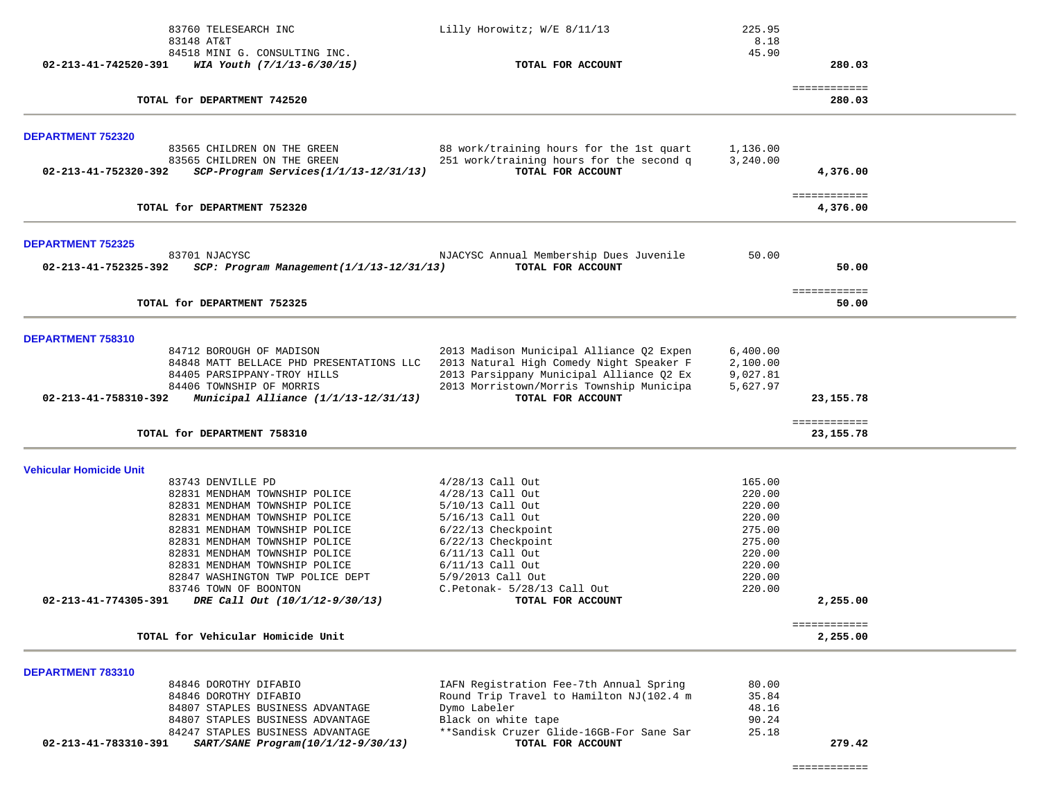|                                | 83760 TELESEARCH INC                                                 | Lilly Horowitz; W/E 8/11/13                                                          | 225.95<br>8.18       |                             |
|--------------------------------|----------------------------------------------------------------------|--------------------------------------------------------------------------------------|----------------------|-----------------------------|
|                                | 83148 AT&T<br>84518 MINI G. CONSULTING INC.                          |                                                                                      | 45.90                |                             |
| 02-213-41-742520-391           | WIA Youth (7/1/13-6/30/15)                                           | TOTAL FOR ACCOUNT                                                                    |                      | 280.03                      |
|                                | TOTAL for DEPARTMENT 742520                                          |                                                                                      |                      | ============<br>280.03      |
| <b>DEPARTMENT 752320</b>       |                                                                      |                                                                                      |                      |                             |
|                                | 83565 CHILDREN ON THE GREEN                                          | 88 work/training hours for the 1st quart                                             | 1,136.00             |                             |
| 02-213-41-752320-392           | 83565 CHILDREN ON THE GREEN<br>SCP-Program Services(1/1/13-12/31/13) | 251 work/training hours for the second q<br>TOTAL FOR ACCOUNT                        | 3,240.00             | 4,376.00                    |
|                                |                                                                      |                                                                                      |                      |                             |
|                                | TOTAL for DEPARTMENT 752320                                          |                                                                                      |                      | ============<br>4,376.00    |
| <b>DEPARTMENT 752325</b>       |                                                                      |                                                                                      |                      |                             |
|                                | 83701 NJACYSC                                                        | NJACYSC Annual Membership Dues Juvenile                                              | 50.00                |                             |
| 02-213-41-752325-392           | SCP: Program Management(1/1/13-12/31/13)                             | TOTAL FOR ACCOUNT                                                                    |                      | 50.00                       |
|                                | TOTAL for DEPARTMENT 752325                                          |                                                                                      |                      | ============<br>50.00       |
|                                |                                                                      |                                                                                      |                      |                             |
| <b>DEPARTMENT 758310</b>       |                                                                      |                                                                                      |                      |                             |
|                                | 84712 BOROUGH OF MADISON<br>84848 MATT BELLACE PHD PRESENTATIONS LLC | 2013 Madison Municipal Alliance Q2 Expen                                             | 6,400.00             |                             |
|                                | 84405 PARSIPPANY-TROY HILLS                                          | 2013 Natural High Comedy Night Speaker F<br>2013 Parsippany Municipal Alliance Q2 Ex | 2,100.00<br>9,027.81 |                             |
|                                | 84406 TOWNSHIP OF MORRIS                                             | 2013 Morristown/Morris Township Municipa                                             | 5,627.97             |                             |
| 02-213-41-758310-392           | Municipal Alliance (1/1/13-12/31/13)                                 | TOTAL FOR ACCOUNT                                                                    |                      | 23,155.78                   |
|                                | TOTAL for DEPARTMENT 758310                                          |                                                                                      |                      | ============<br>23, 155. 78 |
| <b>Vehicular Homicide Unit</b> |                                                                      |                                                                                      |                      |                             |
|                                | 83743 DENVILLE PD                                                    | $4/28/13$ Call Out                                                                   | 165.00               |                             |
|                                | 82831 MENDHAM TOWNSHIP POLICE                                        | $4/28/13$ Call Out                                                                   | 220.00               |                             |
|                                | 82831 MENDHAM TOWNSHIP POLICE                                        | 5/10/13 Call Out                                                                     | 220.00               |                             |
|                                | 82831 MENDHAM TOWNSHIP POLICE                                        | 5/16/13 Call Out                                                                     | 220.00               |                             |
|                                | 82831 MENDHAM TOWNSHIP POLICE                                        | 6/22/13 Checkpoint                                                                   | 275.00               |                             |
|                                | 82831 MENDHAM TOWNSHIP POLICE                                        | 6/22/13 Checkpoint                                                                   | 275.00               |                             |
|                                | 82831 MENDHAM TOWNSHIP POLICE<br>82831 MENDHAM TOWNSHIP POLICE       | $6/11/13$ Call Out<br>$6/11/13$ Call Out                                             | 220.00<br>220.00     |                             |
|                                | 82847 WASHINGTON TWP POLICE DEPT                                     | 5/9/2013 Call Out                                                                    | 220.00               |                             |
|                                | 83746 TOWN OF BOONTON                                                | C.Petonak- 5/28/13 Call Out                                                          | 220.00               |                             |
| 02-213-41-774305-391           | DRE Call Out (10/1/12-9/30/13)                                       | TOTAL FOR ACCOUNT                                                                    |                      | 2,255.00                    |
|                                | TOTAL for Vehicular Homicide Unit                                    |                                                                                      |                      | ============                |
|                                |                                                                      |                                                                                      |                      | 2,255.00                    |
| <b>DEPARTMENT 783310</b>       |                                                                      |                                                                                      |                      |                             |
|                                | 84846 DOROTHY DIFABIO                                                | IAFN Registration Fee-7th Annual Spring                                              | 80.00                |                             |
|                                | 84846 DOROTHY DIFABIO                                                | Round Trip Travel to Hamilton NJ(102.4 m                                             | 35.84                |                             |
|                                | 84807 STAPLES BUSINESS ADVANTAGE<br>84807 STAPLES BUSINESS ADVANTAGE | Dymo Labeler                                                                         | 48.16                |                             |
|                                | 84247 STAPLES BUSINESS ADVANTAGE                                     | Black on white tape<br>**Sandisk Cruzer Glide-16GB-For Sane Sar                      | 90.24<br>25.18       |                             |
| 02-213-41-783310-391           | SART/SANE Program(10/1/12-9/30/13)                                   | TOTAL FOR ACCOUNT                                                                    |                      | 279.42                      |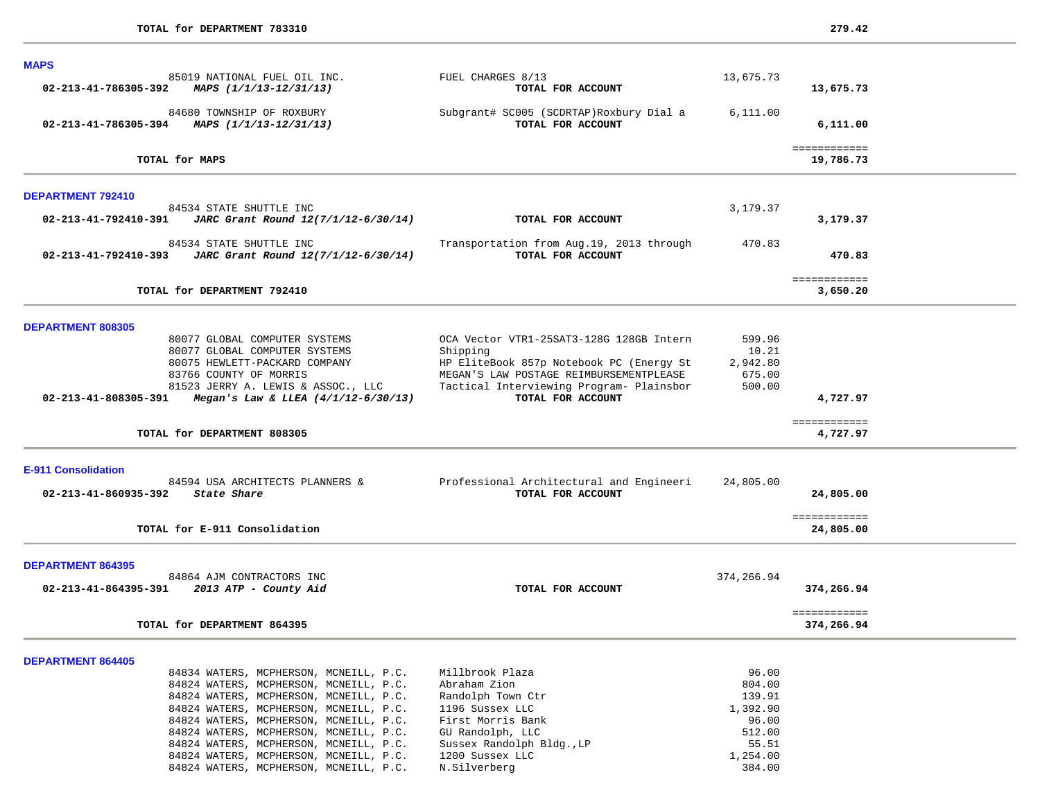| <b>MAPS</b>                                                                                                                                                                                                                                                                                                                                  |                                                                                                                                                                                                              |                                                                               |                           |  |
|----------------------------------------------------------------------------------------------------------------------------------------------------------------------------------------------------------------------------------------------------------------------------------------------------------------------------------------------|--------------------------------------------------------------------------------------------------------------------------------------------------------------------------------------------------------------|-------------------------------------------------------------------------------|---------------------------|--|
| 85019 NATIONAL FUEL OIL INC.<br>02-213-41-786305-392<br>MAPS (1/1/13-12/31/13)                                                                                                                                                                                                                                                               | FUEL CHARGES 8/13<br>TOTAL FOR ACCOUNT                                                                                                                                                                       | 13,675.73                                                                     | 13,675.73                 |  |
| 84680 TOWNSHIP OF ROXBURY<br>02-213-41-786305-394<br>MAPS (1/1/13-12/31/13)                                                                                                                                                                                                                                                                  | Subgrant# SC005 (SCDRTAP)Roxbury Dial a<br>TOTAL FOR ACCOUNT                                                                                                                                                 | 6,111.00                                                                      | 6,111.00                  |  |
| TOTAL for MAPS                                                                                                                                                                                                                                                                                                                               |                                                                                                                                                                                                              |                                                                               | ============<br>19,786.73 |  |
| DEPARTMENT 792410                                                                                                                                                                                                                                                                                                                            |                                                                                                                                                                                                              |                                                                               |                           |  |
| 84534 STATE SHUTTLE INC<br>$02 - 213 - 41 - 792410 - 391$ JARC Grant Round $12(7/1/12 - 6/30/14)$                                                                                                                                                                                                                                            | TOTAL FOR ACCOUNT                                                                                                                                                                                            | 3,179.37                                                                      | 3,179.37                  |  |
| 84534 STATE SHUTTLE INC<br>02-213-41-792410-393<br>JARC Grant Round 12(7/1/12-6/30/14)                                                                                                                                                                                                                                                       | Transportation from Aug.19, 2013 through<br>TOTAL FOR ACCOUNT                                                                                                                                                | 470.83                                                                        | 470.83                    |  |
| TOTAL for DEPARTMENT 792410                                                                                                                                                                                                                                                                                                                  |                                                                                                                                                                                                              |                                                                               | ============<br>3,650.20  |  |
| DEPARTMENT 808305                                                                                                                                                                                                                                                                                                                            |                                                                                                                                                                                                              |                                                                               |                           |  |
| 80077 GLOBAL COMPUTER SYSTEMS<br>80077 GLOBAL COMPUTER SYSTEMS<br>80075 HEWLETT-PACKARD COMPANY<br>83766 COUNTY OF MORRIS<br>81523 JERRY A. LEWIS & ASSOC., LLC<br>02-213-41-808305-391<br>Megan's Law & LLEA $(4/1/12-6/30/13)$                                                                                                             | OCA Vector VTR1-25SAT3-128G 128GB Intern<br>Shipping<br>HP EliteBook 857p Notebook PC (Energy St<br>MEGAN'S LAW POSTAGE REIMBURSEMENTPLEASE<br>Tactical Interviewing Program- Plainsbor<br>TOTAL FOR ACCOUNT | 599.96<br>10.21<br>2,942.80<br>675.00<br>500.00                               | 4,727.97                  |  |
| TOTAL for DEPARTMENT 808305                                                                                                                                                                                                                                                                                                                  |                                                                                                                                                                                                              |                                                                               | ============<br>4,727.97  |  |
| <b>E-911 Consolidation</b><br>84594 USA ARCHITECTS PLANNERS &<br>02-213-41-860935-392 State Share                                                                                                                                                                                                                                            | Professional Architectural and Engineeri<br>TOTAL FOR ACCOUNT                                                                                                                                                | 24,805.00                                                                     | 24,805.00                 |  |
| TOTAL for E-911 Consolidation                                                                                                                                                                                                                                                                                                                |                                                                                                                                                                                                              |                                                                               | ============<br>24,805.00 |  |
| <b>DEPARTMENT 864395</b>                                                                                                                                                                                                                                                                                                                     |                                                                                                                                                                                                              |                                                                               |                           |  |
| 84864 AJM CONTRACTORS INC<br>02-213-41-864395-391 2013 ATP - County Aid                                                                                                                                                                                                                                                                      | TOTAL FOR ACCOUNT                                                                                                                                                                                            | 374,266.94                                                                    | 374,266.94                |  |
|                                                                                                                                                                                                                                                                                                                                              |                                                                                                                                                                                                              |                                                                               | ============              |  |
| TOTAL for DEPARTMENT 864395                                                                                                                                                                                                                                                                                                                  |                                                                                                                                                                                                              |                                                                               | 374,266.94                |  |
| <b>DEPARTMENT 864405</b>                                                                                                                                                                                                                                                                                                                     |                                                                                                                                                                                                              |                                                                               |                           |  |
| 84834 WATERS, MCPHERSON, MCNEILL, P.C.<br>84824 WATERS, MCPHERSON, MCNEILL, P.C.<br>84824 WATERS, MCPHERSON, MCNEILL, P.C.<br>84824 WATERS, MCPHERSON, MCNEILL, P.C.<br>84824 WATERS, MCPHERSON, MCNEILL, P.C.<br>84824 WATERS, MCPHERSON, MCNEILL, P.C.<br>84824 WATERS, MCPHERSON, MCNEILL, P.C.<br>84824 WATERS, MCPHERSON, MCNEILL, P.C. | Millbrook Plaza<br>Abraham Zion<br>Randolph Town Ctr<br>1196 Sussex LLC<br>First Morris Bank<br>GU Randolph, LLC<br>Sussex Randolph Bldg., LP<br>1200 Sussex LLC                                             | 96.00<br>804.00<br>139.91<br>1,392.90<br>96.00<br>512.00<br>55.51<br>1,254.00 |                           |  |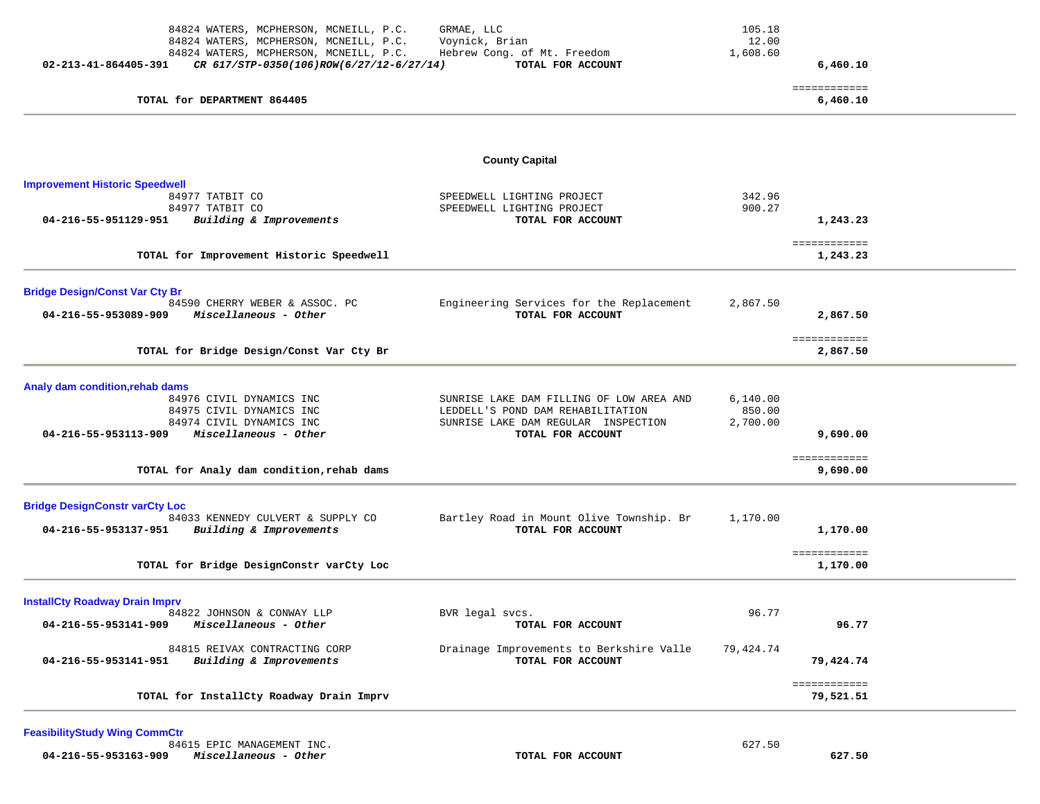| 84824 WATERS, MCPHERSON, MCNEILL, P.C.<br>84824 WATERS, MCPHERSON, MCNEILL, P.C.<br>84824 WATERS, MCPHERSON, MCNEILL, P.C.<br>02-213-41-864405-391<br>CR 617/STP-0350(106)ROW(6/27/12-6/27/14) | GRMAE, LLC<br>Voynick, Brian<br>Hebrew Cong. of Mt. Freedom<br>TOTAL FOR ACCOUNT                                                          | 105.18<br>12.00<br>1,608.60    | 6,460.10                  |  |
|------------------------------------------------------------------------------------------------------------------------------------------------------------------------------------------------|-------------------------------------------------------------------------------------------------------------------------------------------|--------------------------------|---------------------------|--|
| TOTAL for DEPARTMENT 864405                                                                                                                                                                    |                                                                                                                                           |                                | ============<br>6,460.10  |  |
|                                                                                                                                                                                                | <b>County Capital</b>                                                                                                                     |                                |                           |  |
| <b>Improvement Historic Speedwell</b><br>84977 TATBIT CO<br>84977 TATBIT CO<br>Building & Improvements<br>04-216-55-951129-951                                                                 | SPEEDWELL LIGHTING PROJECT<br>SPEEDWELL LIGHTING PROJECT<br>TOTAL FOR ACCOUNT                                                             | 342.96<br>900.27               | 1,243.23                  |  |
| TOTAL for Improvement Historic Speedwell                                                                                                                                                       |                                                                                                                                           |                                | ============<br>1,243.23  |  |
| <b>Bridge Design/Const Var Cty Br</b><br>84590 CHERRY WEBER & ASSOC. PC<br>04-216-55-953089-909<br>Miscellaneous - Other                                                                       | Engineering Services for the Replacement<br>TOTAL FOR ACCOUNT                                                                             | 2,867.50                       | 2,867.50                  |  |
| TOTAL for Bridge Design/Const Var Cty Br                                                                                                                                                       |                                                                                                                                           |                                | ============<br>2,867.50  |  |
| Analy dam condition, rehab dams<br>84976 CIVIL DYNAMICS INC<br>84975 CIVIL DYNAMICS INC<br>84974 CIVIL DYNAMICS INC<br>04-216-55-953113-909<br>Miscellaneous - Other                           | SUNRISE LAKE DAM FILLING OF LOW AREA AND<br>LEDDELL'S POND DAM REHABILITATION<br>SUNRISE LAKE DAM REGULAR INSPECTION<br>TOTAL FOR ACCOUNT | 6.140.00<br>850.00<br>2,700.00 | 9,690.00<br>============  |  |
| TOTAL for Analy dam condition, rehab dams                                                                                                                                                      |                                                                                                                                           |                                | 9,690.00                  |  |
| <b>Bridge DesignConstr varCty Loc</b><br>84033 KENNEDY CULVERT & SUPPLY CO<br>04-216-55-953137-951<br>Building & Improvements                                                                  | Bartley Road in Mount Olive Township. Br<br>TOTAL FOR ACCOUNT                                                                             | 1,170.00                       | 1,170.00<br>============  |  |
| TOTAL for Bridge DesignConstr varCty Loc                                                                                                                                                       |                                                                                                                                           |                                | 1,170.00                  |  |
| <b>InstallCty Roadway Drain Imprv</b><br>84822 JOHNSON & CONWAY LLP<br>Miscellaneous - Other<br>04-216-55-953141-909                                                                           | BVR legal svcs.<br>TOTAL FOR ACCOUNT                                                                                                      | 96.77                          | 96.77                     |  |
| 84815 REIVAX CONTRACTING CORP<br>Building & Improvements<br>04-216-55-953141-951                                                                                                               | Drainage Improvements to Berkshire Valle<br>TOTAL FOR ACCOUNT                                                                             | 79,424.74                      | 79,424.74                 |  |
| TOTAL for InstallCty Roadway Drain Imprv                                                                                                                                                       |                                                                                                                                           |                                | ============<br>79,521.51 |  |

 84615 EPIC MANAGEMENT INC. 627.50  **04-216-55-953163-909** *Miscellaneous - Other* **TOTAL FOR ACCOUNT 627.50**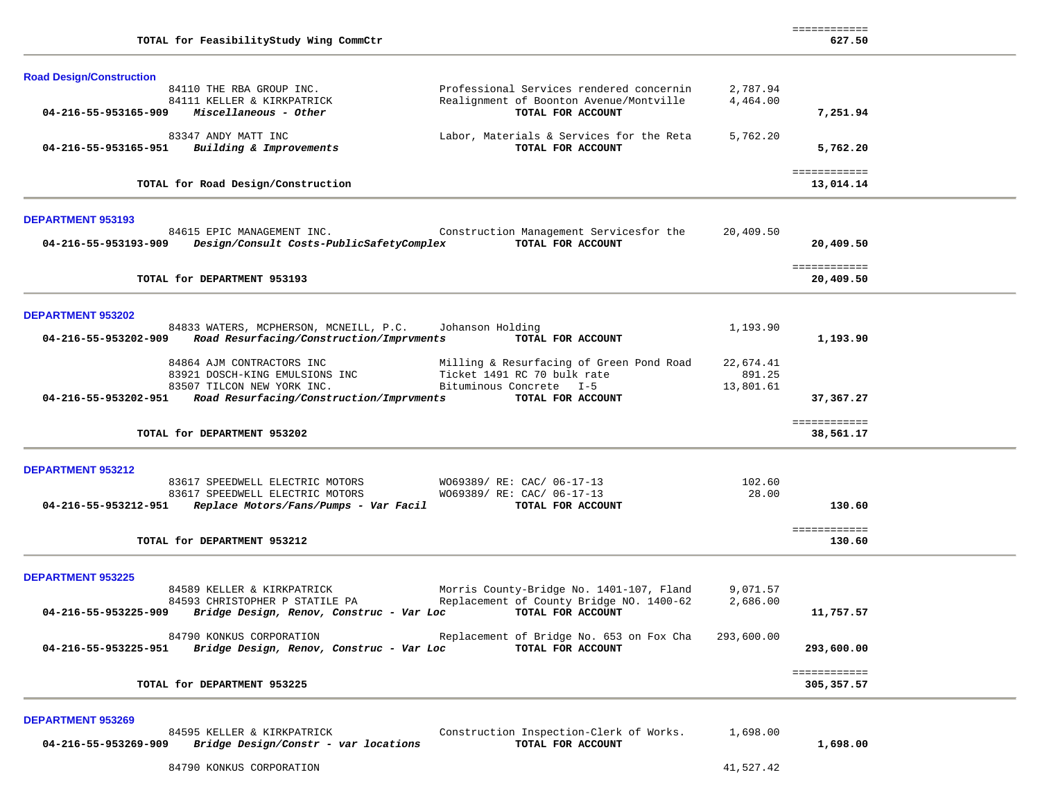| TOTAL for FeasibilityStudy Wing CommCtr                                                                                                                                                                                                       |                                  | ===========<br>627.50       |  |
|-----------------------------------------------------------------------------------------------------------------------------------------------------------------------------------------------------------------------------------------------|----------------------------------|-----------------------------|--|
| <b>Road Design/Construction</b>                                                                                                                                                                                                               |                                  |                             |  |
| Professional Services rendered concernin<br>84110 THE RBA GROUP INC.<br>Realignment of Boonton Avenue/Montville<br>84111 KELLER & KIRKPATRICK<br>Miscellaneous - Other<br>04-216-55-953165-909<br>TOTAL FOR ACCOUNT                           | 2,787.94<br>4,464.00             | 7,251.94                    |  |
| 83347 ANDY MATT INC<br>Labor, Materials & Services for the Reta<br>Building & Improvements<br>TOTAL FOR ACCOUNT<br>04-216-55-953165-951                                                                                                       | 5,762.20                         | 5,762.20                    |  |
| TOTAL for Road Design/Construction                                                                                                                                                                                                            |                                  | ============<br>13,014.14   |  |
| <b>DEPARTMENT 953193</b>                                                                                                                                                                                                                      |                                  |                             |  |
| Construction Management Servicesfor the<br>84615 EPIC MANAGEMENT INC.<br>TOTAL FOR ACCOUNT<br>04-216-55-953193-909<br>Design/Consult Costs-PublicSafetyComplex                                                                                | 20,409.50                        | 20,409.50                   |  |
| TOTAL for DEPARTMENT 953193                                                                                                                                                                                                                   |                                  | ============<br>20,409.50   |  |
| <b>DEPARTMENT 953202</b>                                                                                                                                                                                                                      |                                  |                             |  |
| 84833 WATERS, MCPHERSON, MCNEILL, P.C.<br>Johanson Holding<br>Road Resurfacing/Construction/Imprvments<br>TOTAL FOR ACCOUNT<br>04-216-55-953202-909                                                                                           | 1,193.90                         | 1,193.90                    |  |
| 84864 AJM CONTRACTORS INC<br>Milling & Resurfacing of Green Pond Road<br>Ticket 1491 RC 70 bulk rate<br>83921 DOSCH-KING EMULSIONS INC<br>Bituminous Concrete I-5<br>83507 TILCON NEW YORK INC.                                               | 22,674.41<br>891.25<br>13,801.61 |                             |  |
| Road Resurfacing/Construction/Imprvments<br>TOTAL FOR ACCOUNT<br>04-216-55-953202-951                                                                                                                                                         |                                  | 37,367.27                   |  |
| TOTAL for DEPARTMENT 953202                                                                                                                                                                                                                   |                                  | ============<br>38,561.17   |  |
| <b>DEPARTMENT 953212</b>                                                                                                                                                                                                                      |                                  |                             |  |
| 83617 SPEEDWELL ELECTRIC MOTORS<br>W069389/ RE: CAC/ 06-17-13<br>83617 SPEEDWELL ELECTRIC MOTORS<br>W069389/ RE: CAC/ 06-17-13                                                                                                                | 102.60<br>28.00                  |                             |  |
| 04-216-55-953212-951<br>Replace Motors/Fans/Pumps - Var Facil<br>TOTAL FOR ACCOUNT                                                                                                                                                            |                                  | 130.60                      |  |
| TOTAL for DEPARTMENT 953212                                                                                                                                                                                                                   |                                  | ============<br>130.60      |  |
| <b>DEPARTMENT 953225</b>                                                                                                                                                                                                                      |                                  |                             |  |
| 84589 KELLER & KIRKPATRICK<br>Morris County-Bridge No. 1401-107, Fland<br>Replacement of County Bridge NO. 1400-62<br>84593 CHRISTOPHER P STATILE PA<br>TOTAL FOR ACCOUNT<br>04-216-55-953225-909<br>Bridge Design, Renov, Construc - Var Loc | 9,071.57<br>2,686.00             | 11,757.57                   |  |
| 84790 KONKUS CORPORATION<br>Replacement of Bridge No. 653 on Fox Cha<br>Bridge Design, Renov, Construc - Var Loc<br>TOTAL FOR ACCOUNT<br>04-216-55-953225-951                                                                                 | 293,600.00                       | 293,600.00                  |  |
| TOTAL for DEPARTMENT 953225                                                                                                                                                                                                                   |                                  | ============<br>305, 357.57 |  |
| <b>DEPARTMENT 953269</b>                                                                                                                                                                                                                      |                                  |                             |  |
| 84595 KELLER & KIRKPATRICK<br>Construction Inspection-Clerk of Works.<br>04-216-55-953269-909<br>Bridge Design/Constr - var locations<br>TOTAL FOR ACCOUNT                                                                                    | 1,698.00                         | 1,698.00                    |  |
| 84790 KONKUS CORPORATION                                                                                                                                                                                                                      | 41,527.42                        |                             |  |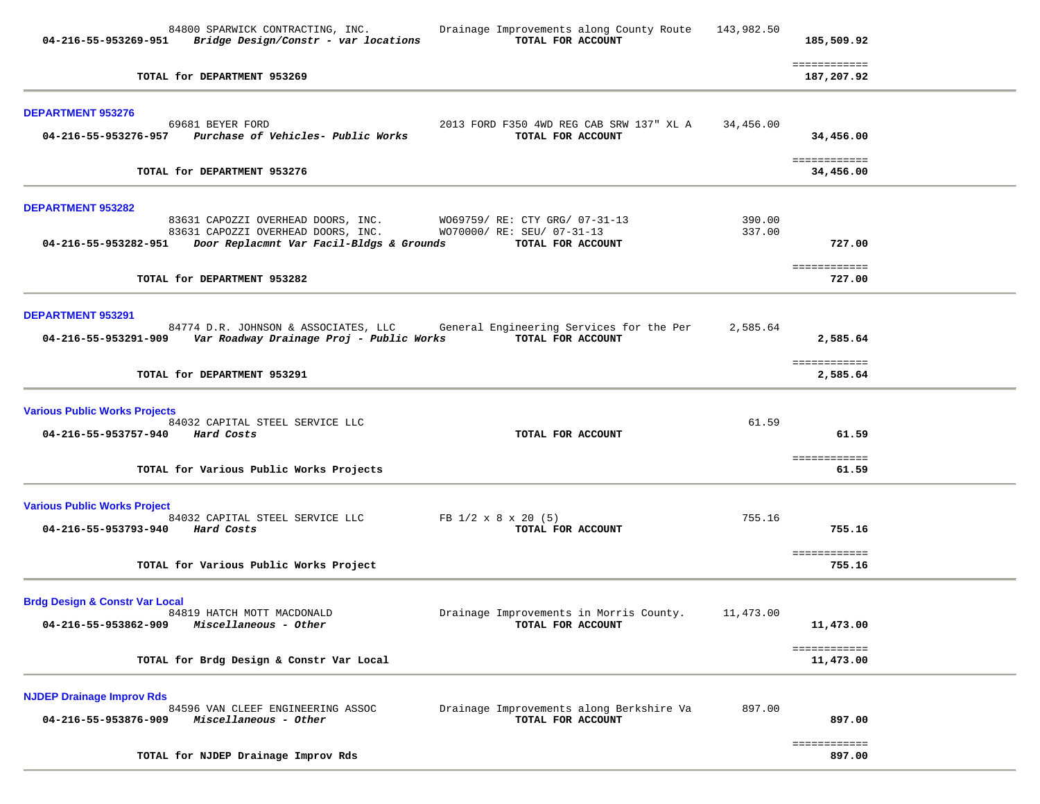| 84800 SPARWICK CONTRACTING, INC.<br>Drainage Improvements along County Route<br>$04-216-55-953269-951$ Bridge Design/Constr - var locations<br>TOTAL FOR ACCOUNT                                                                                           | 143,982.50       | 185,509.92                 |  |
|------------------------------------------------------------------------------------------------------------------------------------------------------------------------------------------------------------------------------------------------------------|------------------|----------------------------|--|
| TOTAL for DEPARTMENT 953269                                                                                                                                                                                                                                |                  | ============<br>187,207.92 |  |
| <b>DEPARTMENT 953276</b><br>2013 FORD F350 4WD REG CAB SRW 137" XL A<br>69681 BEYER FORD<br>04-216-55-953276-957 Purchase of Vehicles- Public Works<br>TOTAL FOR ACCOUNT                                                                                   | 34,456.00        | 34,456.00                  |  |
| TOTAL for DEPARTMENT 953276                                                                                                                                                                                                                                |                  | ============<br>34,456.00  |  |
| <b>DEPARTMENT 953282</b><br>83631 CAPOZZI OVERHEAD DOORS, INC.<br>W069759/ RE: CTY GRG/ 07-31-13<br>83631 CAPOZZI OVERHEAD DOORS, INC.<br>WO70000/ RE: SEU/ 07-31-13<br>04-216-55-953282-951 Door Replacmnt Var Facil-Bldgs & Grounds<br>TOTAL FOR ACCOUNT | 390.00<br>337.00 | 727.00                     |  |
| TOTAL for DEPARTMENT 953282                                                                                                                                                                                                                                |                  | ============<br>727.00     |  |
| <b>DEPARTMENT 953291</b><br>84774 D.R. JOHNSON & ASSOCIATES, LLC<br>General Engineering Services for the Per<br>04-216-55-953291-909 Var Roadway Drainage Proj - Public Works<br>TOTAL FOR ACCOUNT                                                         | 2,585.64         | 2,585.64<br>============   |  |
| TOTAL for DEPARTMENT 953291                                                                                                                                                                                                                                |                  | 2,585.64                   |  |
| <b>Various Public Works Projects</b><br>84032 CAPITAL STEEL SERVICE LLC<br>04-216-55-953757-940 Hard Costs<br>TOTAL FOR ACCOUNT                                                                                                                            | 61.59            | 61.59<br>============      |  |
| TOTAL for Various Public Works Projects                                                                                                                                                                                                                    |                  | 61.59                      |  |
| <b>Various Public Works Project</b><br>84032 CAPITAL STEEL SERVICE LLC<br>FB $1/2 \times 8 \times 20$ (5)<br>04-216-55-953793-940 Hard Costs<br>TOTAL FOR ACCOUNT                                                                                          | 755.16           | 755.16                     |  |
| TOTAL for Various Public Works Project                                                                                                                                                                                                                     |                  | ============<br>755.16     |  |
| <b>Brdg Design &amp; Constr Var Local</b><br>84819 HATCH MOTT MACDONALD<br>Drainage Improvements in Morris County. 11,473.00<br>04-216-55-953862-909 Miscellaneous - Other<br>TOTAL FOR ACCOUNT                                                            |                  | 11,473.00<br>============  |  |
| TOTAL for Brdg Design & Constr Var Local                                                                                                                                                                                                                   |                  | 11,473.00                  |  |
| <b>NJDEP Drainage Improv Rds</b><br>Drainage Improvements along Berkshire Va<br>84596 VAN CLEEF ENGINEERING ASSOC<br>TOTAL FOR ACCOUNT<br>04-216-55-953876-909<br>Miscellaneous - Other                                                                    | 897.00           | 897.00                     |  |
| TOTAL for NJDEP Drainage Improv Rds                                                                                                                                                                                                                        |                  | ============<br>897.00     |  |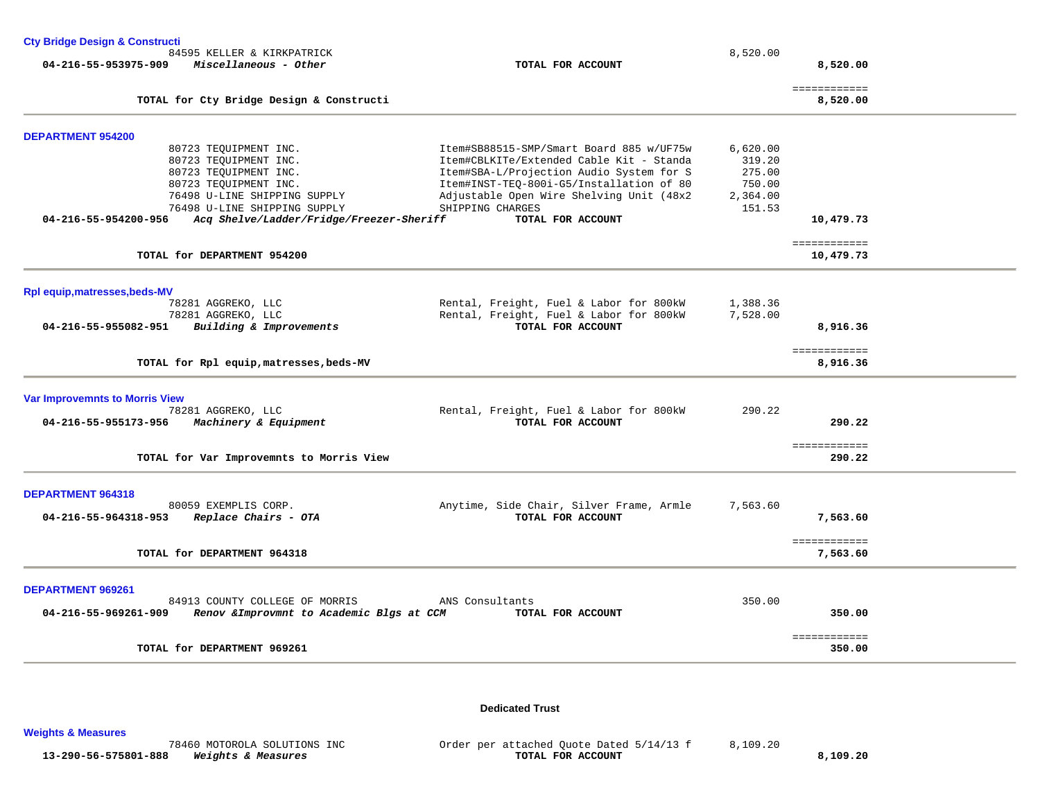| <b>Cty Bridge Design &amp; Constructi</b>                                                                                                                                                                                            |                                                                                                                                                                                                                                                                   |                                                              |                           |  |
|--------------------------------------------------------------------------------------------------------------------------------------------------------------------------------------------------------------------------------------|-------------------------------------------------------------------------------------------------------------------------------------------------------------------------------------------------------------------------------------------------------------------|--------------------------------------------------------------|---------------------------|--|
| 84595 KELLER & KIRKPATRICK<br>04-216-55-953975-909<br>Miscellaneous - Other                                                                                                                                                          | TOTAL FOR ACCOUNT                                                                                                                                                                                                                                                 | 8,520.00                                                     | 8,520.00                  |  |
|                                                                                                                                                                                                                                      |                                                                                                                                                                                                                                                                   |                                                              | ============              |  |
| TOTAL for Cty Bridge Design & Constructi                                                                                                                                                                                             |                                                                                                                                                                                                                                                                   |                                                              | 8,520.00                  |  |
| <b>DEPARTMENT 954200</b>                                                                                                                                                                                                             |                                                                                                                                                                                                                                                                   |                                                              |                           |  |
| 80723 TEQUIPMENT INC.<br>80723 TEQUIPMENT INC.<br>80723 TEQUIPMENT INC.<br>80723 TEQUIPMENT INC.<br>76498 U-LINE SHIPPING SUPPLY<br>76498 U-LINE SHIPPING SUPPLY<br>04-216-55-954200-956<br>Acq Shelve/Ladder/Fridge/Freezer-Sheriff | Item#SB88515-SMP/Smart Board 885 w/UF75w<br>Item#CBLKITe/Extended Cable Kit - Standa<br>Item#SBA-L/Projection Audio System for S<br>Item#INST-TEQ-800i-G5/Installation of 80<br>Adjustable Open Wire Shelving Unit (48x2<br>SHIPPING CHARGES<br>TOTAL FOR ACCOUNT | 6,620.00<br>319.20<br>275.00<br>750.00<br>2,364.00<br>151.53 | 10,479.73                 |  |
| TOTAL for DEPARTMENT 954200                                                                                                                                                                                                          |                                                                                                                                                                                                                                                                   |                                                              | ============<br>10,479.73 |  |
| Rpl equip, matresses, beds-MV<br>78281 AGGREKO, LLC                                                                                                                                                                                  | Rental, Freight, Fuel & Labor for 800kW                                                                                                                                                                                                                           | 1,388.36                                                     |                           |  |
| 78281 AGGREKO, LLC<br>04-216-55-955082-951<br>Building & Improvements                                                                                                                                                                | Rental, Freight, Fuel & Labor for 800kW<br>TOTAL FOR ACCOUNT                                                                                                                                                                                                      | 7,528.00                                                     | 8,916.36                  |  |
| TOTAL for Rpl equip, matresses, beds-MV                                                                                                                                                                                              |                                                                                                                                                                                                                                                                   |                                                              | ============<br>8,916.36  |  |
| <b>Var Improvemnts to Morris View</b>                                                                                                                                                                                                |                                                                                                                                                                                                                                                                   |                                                              |                           |  |
| 78281 AGGREKO, LLC<br>04-216-55-955173-956<br>Machinery & Equipment                                                                                                                                                                  | Rental, Freight, Fuel & Labor for 800kW<br>TOTAL FOR ACCOUNT                                                                                                                                                                                                      | 290.22                                                       | 290.22                    |  |
| TOTAL for Var Improvemnts to Morris View                                                                                                                                                                                             |                                                                                                                                                                                                                                                                   |                                                              | ============<br>290.22    |  |
| <b>DEPARTMENT 964318</b>                                                                                                                                                                                                             |                                                                                                                                                                                                                                                                   |                                                              |                           |  |
| 80059 EXEMPLIS CORP.<br>04-216-55-964318-953<br>Replace Chairs - OTA                                                                                                                                                                 | Anytime, Side Chair, Silver Frame, Armle<br>TOTAL FOR ACCOUNT                                                                                                                                                                                                     | 7,563.60                                                     | 7,563.60                  |  |
| TOTAL for DEPARTMENT 964318                                                                                                                                                                                                          |                                                                                                                                                                                                                                                                   |                                                              | ============<br>7,563.60  |  |
| <b>DEPARTMENT 969261</b>                                                                                                                                                                                                             |                                                                                                                                                                                                                                                                   |                                                              |                           |  |
| 84913 COUNTY COLLEGE OF MORRIS<br>04-216-55-969261-909<br>Renov & Improvmnt to Academic Blgs at CCM                                                                                                                                  | ANS Consultants<br>TOTAL FOR ACCOUNT                                                                                                                                                                                                                              | 350.00                                                       | 350.00                    |  |
| TOTAL for DEPARTMENT 969261                                                                                                                                                                                                          |                                                                                                                                                                                                                                                                   |                                                              | ============<br>350.00    |  |

**Dedicated Trust** 

**Weights & Measures** 

78460 MOTOROLA SOLUTIONS INC<br> **TOTAL FOR ACCOUNT**<br> **Weights & Measures**<br> **TOTAL FOR ACCOUNT 13-290-56-575801-888** *Weights & Measures* **TOTAL FOR ACCOUNT 8,109.20**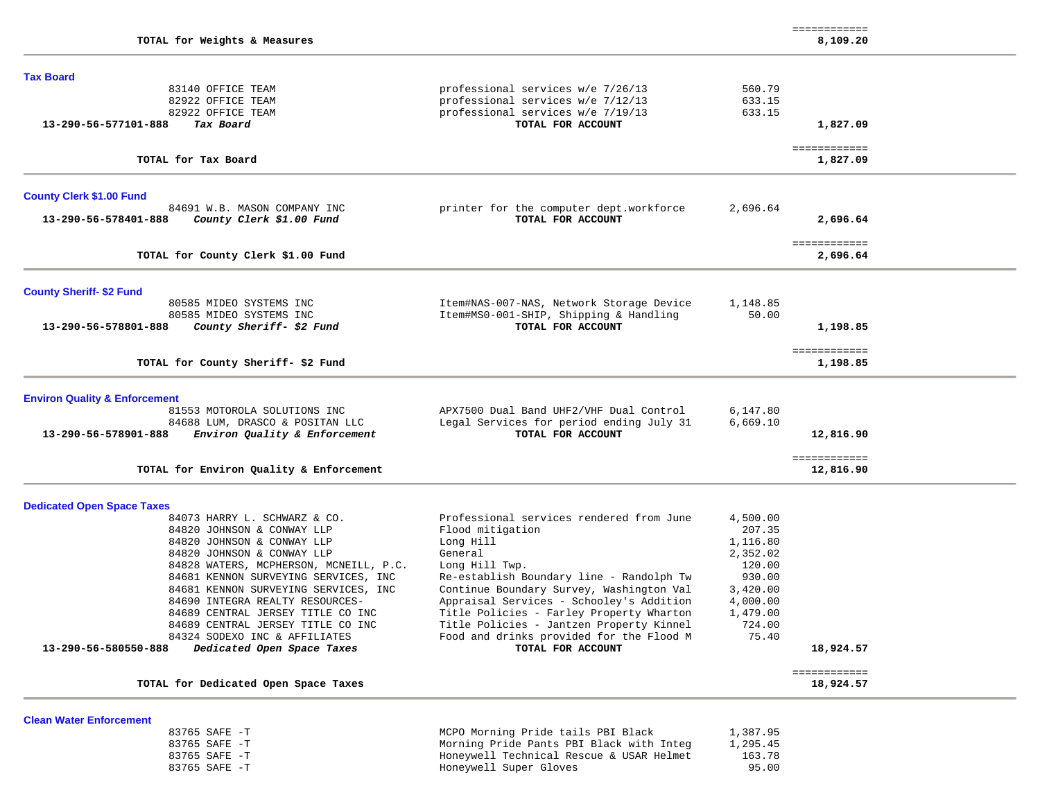| TOTAL for Weights & Measures                                                             |                                                               |          | ============<br>8,109.20  |
|------------------------------------------------------------------------------------------|---------------------------------------------------------------|----------|---------------------------|
| <b>Tax Board</b>                                                                         |                                                               |          |                           |
| 83140 OFFICE TEAM                                                                        | professional services w/e 7/26/13                             | 560.79   |                           |
| 82922 OFFICE TEAM                                                                        | professional services w/e 7/12/13                             | 633.15   |                           |
| 82922 OFFICE TEAM                                                                        | professional services w/e 7/19/13                             | 633.15   |                           |
| Tax Board<br>13-290-56-577101-888                                                        | TOTAL FOR ACCOUNT                                             |          | 1,827.09                  |
| TOTAL for Tax Board                                                                      |                                                               |          | ============<br>1,827.09  |
| <b>County Clerk \$1.00 Fund</b>                                                          |                                                               |          |                           |
| 84691 W.B. MASON COMPANY INC                                                             | printer for the computer dept.workforce                       | 2,696.64 |                           |
| 13-290-56-578401-888<br>County Clerk \$1.00 Fund                                         | TOTAL FOR ACCOUNT                                             |          | 2,696.64                  |
|                                                                                          |                                                               |          | ============              |
| TOTAL for County Clerk \$1.00 Fund                                                       |                                                               |          | 2,696.64                  |
| <b>County Sheriff- \$2 Fund</b>                                                          |                                                               |          |                           |
| 80585 MIDEO SYSTEMS INC                                                                  | Item#NAS-007-NAS, Network Storage Device                      | 1,148.85 |                           |
| 80585 MIDEO SYSTEMS INC                                                                  | Item#MS0-001-SHIP, Shipping & Handling                        | 50.00    |                           |
| 13-290-56-578801-888<br>County Sheriff- \$2 Fund                                         | TOTAL FOR ACCOUNT                                             |          | 1,198.85                  |
| TOTAL for County Sheriff-\$2 Fund                                                        |                                                               |          | ============<br>1,198.85  |
|                                                                                          |                                                               |          |                           |
| <b>Environ Quality &amp; Enforcement</b>                                                 |                                                               |          |                           |
| 81553 MOTOROLA SOLUTIONS INC                                                             | APX7500 Dual Band UHF2/VHF Dual Control                       | 6,147.80 |                           |
| 84688 LUM, DRASCO & POSITAN LLC<br>13-290-56-578901-888<br>Environ Quality & Enforcement | Legal Services for period ending July 31<br>TOTAL FOR ACCOUNT | 6,669.10 | 12,816.90                 |
|                                                                                          |                                                               |          |                           |
| TOTAL for Environ Quality & Enforcement                                                  |                                                               |          | ============<br>12,816.90 |
| <b>Dedicated Open Space Taxes</b>                                                        |                                                               |          |                           |
| 84073 HARRY L. SCHWARZ & CO.                                                             | Professional services rendered from June                      | 4,500.00 |                           |
| 84820 JOHNSON & CONWAY LLP                                                               | Flood mitigation                                              | 207.35   |                           |
| 84820 JOHNSON & CONWAY LLP                                                               | Long Hill                                                     | 1,116.80 |                           |
| 84820 JOHNSON & CONWAY LLP                                                               | General                                                       | 2,352.02 |                           |
| 84828 WATERS, MCPHERSON, MCNEILL, P.C.                                                   | Long Hill Twp.                                                | 120.00   |                           |
| 84681 KENNON SURVEYING SERVICES, INC                                                     | Re-establish Boundary line - Randolph Tw                      | 930.00   |                           |
| 84681 KENNON SURVEYING SERVICES, INC                                                     | Continue Boundary Survey, Washington Val                      | 3,420.00 |                           |
| 84690 INTEGRA REALTY RESOURCES-                                                          | Appraisal Services - Schooley's Addition                      | 4,000.00 |                           |
| 84689 CENTRAL JERSEY TITLE CO INC                                                        | Title Policies - Farley Property Wharton                      | 1,479.00 |                           |
| 84689 CENTRAL JERSEY TITLE CO INC                                                        | Title Policies - Jantzen Property Kinnel                      | 724.00   |                           |
| 84324 SODEXO INC & AFFILIATES<br>Dedicated Open Space Taxes<br>13-290-56-580550-888      | Food and drinks provided for the Flood M<br>TOTAL FOR ACCOUNT | 75.40    | 18,924.57                 |
|                                                                                          |                                                               |          | ============              |
| TOTAL for Dedicated Open Space Taxes                                                     |                                                               |          | 18,924.57                 |
| <b>Clean Water Enforcement</b>                                                           |                                                               |          |                           |
| 83765 SAFE -T                                                                            | MCPO Morning Pride tails PBI Black                            | 1,387.95 |                           |
| 83765 SAFE -T                                                                            | Morning Pride Pants PBI Black with Integ                      | 1,295.45 |                           |

 83765 SAFE -T Honeywell Technical Rescue & USAR Helmet 163.78 83765 SAFE -T Honeywell Super Gloves 95.00